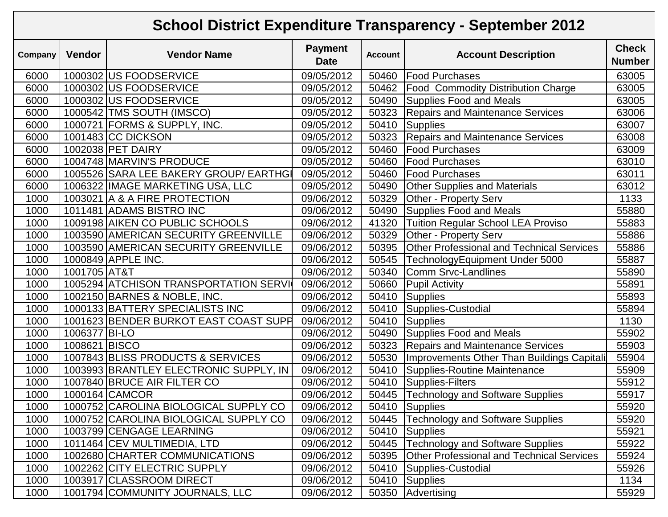## **School District Expenditure Transparency - September 2012**

| Company | <b>Vendor</b> | <b>Vendor Name</b>                     | <b>Payment</b><br><b>Date</b> | <b>Account</b> | <b>Account Description</b>                       | <b>Check</b><br><b>Number</b> |
|---------|---------------|----------------------------------------|-------------------------------|----------------|--------------------------------------------------|-------------------------------|
| 6000    |               | 1000302 US FOODSERVICE                 | 09/05/2012                    | 50460          | <b>Food Purchases</b>                            | 63005                         |
| 6000    |               | 1000302 US FOODSERVICE                 | 09/05/2012                    | 50462          | <b>Food Commodity Distribution Charge</b>        | 63005                         |
| 6000    |               | 1000302 US FOODSERVICE                 | 09/05/2012                    | 50490          | <b>Supplies Food and Meals</b>                   | 63005                         |
| 6000    |               | 1000542 TMS SOUTH (IMSCO)              | 09/05/2012                    | 50323          | <b>Repairs and Maintenance Services</b>          | 63006                         |
| 6000    |               | 1000721 FORMS & SUPPLY, INC.           | 09/05/2012                    | 50410          | Supplies                                         | 63007                         |
| 6000    |               | 1001483 CC DICKSON                     | 09/05/2012                    | 50323          | <b>Repairs and Maintenance Services</b>          | 63008                         |
| 6000    |               | 1002038 PET DAIRY                      | 09/05/2012                    | 50460          | <b>Food Purchases</b>                            | 63009                         |
| 6000    |               | 1004748 MARVIN'S PRODUCE               | 09/05/2012                    | 50460          | <b>Food Purchases</b>                            | 63010                         |
| 6000    |               | 1005526 SARA LEE BAKERY GROUP/ EARTHG  | 09/05/2012                    | 50460          | <b>Food Purchases</b>                            | 63011                         |
| 6000    |               | 1006322 IMAGE MARKETING USA, LLC       | 09/05/2012                    | 50490          | <b>Other Supplies and Materials</b>              | 63012                         |
| 1000    |               | 1003021 A & A FIRE PROTECTION          | 09/06/2012                    | 50329          | Other - Property Serv                            | 1133                          |
| 1000    |               | 1011481 ADAMS BISTRO INC               | 09/06/2012                    | 50490          | <b>Supplies Food and Meals</b>                   | 55880                         |
| 1000    |               | 1009198 AIKEN CO PUBLIC SCHOOLS        | 09/06/2012                    | 41320          | <b>Tuition Regular School LEA Proviso</b>        | 55883                         |
| 1000    |               | 1003590 AMERICAN SECURITY GREENVILLE   | 09/06/2012                    | 50329          | Other - Property Serv                            | 55886                         |
| 1000    |               | 1003590 AMERICAN SECURITY GREENVILLE   | 09/06/2012                    | 50395          | <b>Other Professional and Technical Services</b> | 55886                         |
| 1000    |               | 1000849 APPLE INC.                     | 09/06/2012                    | 50545          | TechnologyEquipment Under 5000                   | 55887                         |
| 1000    | 1001705 AT&T  |                                        | 09/06/2012                    | 50340          | <b>Comm Srvc-Landlines</b>                       | 55890                         |
| 1000    |               | 1005294 ATCHISON TRANSPORTATION SERVI  | 09/06/2012                    | 50660          | <b>Pupil Activity</b>                            | 55891                         |
| 1000    |               | 1002150 BARNES & NOBLE, INC.           | 09/06/2012                    | 50410          | Supplies                                         | 55893                         |
| 1000    |               | 1000133 BATTERY SPECIALISTS INC        | 09/06/2012                    | 50410          | Supplies-Custodial                               | 55894                         |
| 1000    |               | 1001623 BENDER BURKOT EAST COAST SUPH  | 09/06/2012                    | 50410          | Supplies                                         | 1130                          |
| 1000    | 1006377 BI-LO |                                        | 09/06/2012                    | 50490          | <b>Supplies Food and Meals</b>                   | 55902                         |
| 1000    | 1008621 BISCO |                                        | 09/06/2012                    | 50323          | <b>Repairs and Maintenance Services</b>          | 55903                         |
| 1000    |               | 1007843 BLISS PRODUCTS & SERVICES      | 09/06/2012                    | 50530          | Improvements Other Than Buildings Capitali       | 55904                         |
| 1000    |               | 1003993 BRANTLEY ELECTRONIC SUPPLY, IN | 09/06/2012                    | 50410          | Supplies-Routine Maintenance                     | 55909                         |
| 1000    |               | 1007840 BRUCE AIR FILTER CO            | 09/06/2012                    | 50410          | Supplies-Filters                                 | 55912                         |
| 1000    |               | 1000164 CAMCOR                         | 09/06/2012                    | 50445          | <b>Technology and Software Supplies</b>          | 55917                         |
| 1000    |               | 1000752 CAROLINA BIOLOGICAL SUPPLY CO  | 09/06/2012                    | 50410          | Supplies                                         | 55920                         |
| 1000    |               | 1000752 CAROLINA BIOLOGICAL SUPPLY CO  | 09/06/2012                    |                | 50445 Technology and Software Supplies           | 55920                         |
| 1000    |               | 1003799 CENGAGE LEARNING               | 09/06/2012                    | 50410          | <b>Supplies</b>                                  | 55921                         |
| 1000    |               | 1011464 CEV MULTIMEDIA, LTD            | 09/06/2012                    | 50445          | <b>Technology and Software Supplies</b>          | 55922                         |
| 1000    |               | 1002680 CHARTER COMMUNICATIONS         | 09/06/2012                    | 50395          | <b>Other Professional and Technical Services</b> | 55924                         |
| 1000    |               | 1002262 CITY ELECTRIC SUPPLY           | 09/06/2012                    | 50410          | Supplies-Custodial                               | 55926                         |
| 1000    |               | 1003917 CLASSROOM DIRECT               | 09/06/2012                    | 50410          | Supplies                                         | 1134                          |
| 1000    |               | 1001794 COMMUNITY JOURNALS, LLC        | 09/06/2012                    | 50350          | Advertising                                      | 55929                         |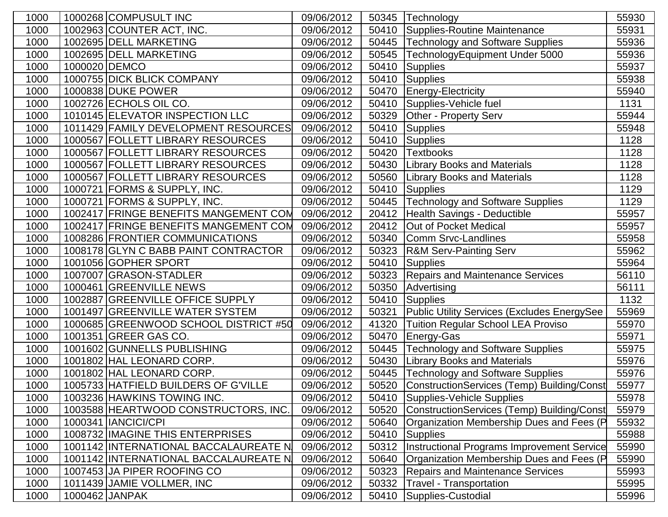| 1000 |               | 1000268 COMPUSULT INC                 | 09/06/2012 | 50345 | Technology                                         | 55930 |
|------|---------------|---------------------------------------|------------|-------|----------------------------------------------------|-------|
| 1000 |               | 1002963 COUNTER ACT, INC.             | 09/06/2012 | 50410 | Supplies-Routine Maintenance                       | 55931 |
| 1000 |               | 1002695 DELL MARKETING                | 09/06/2012 | 50445 | <b>Technology and Software Supplies</b>            | 55936 |
| 1000 |               | 1002695 DELL MARKETING                | 09/06/2012 | 50545 | TechnologyEquipment Under 5000                     | 55936 |
| 1000 | 1000020 DEMCO |                                       | 09/06/2012 | 50410 | <b>Supplies</b>                                    | 55937 |
| 1000 |               | 1000755 DICK BLICK COMPANY            | 09/06/2012 | 50410 | Supplies                                           | 55938 |
| 1000 |               | 1000838 DUKE POWER                    | 09/06/2012 | 50470 | <b>Energy-Electricity</b>                          | 55940 |
| 1000 |               | 1002726 ECHOLS OIL CO.                | 09/06/2012 | 50410 | Supplies-Vehicle fuel                              | 1131  |
| 1000 |               | 1010145 ELEVATOR INSPECTION LLC       | 09/06/2012 | 50329 | Other - Property Serv                              | 55944 |
| 1000 |               | 1011429 FAMILY DEVELOPMENT RESOURCES  | 09/06/2012 | 50410 | <b>Supplies</b>                                    | 55948 |
| 1000 |               | 1000567 FOLLETT LIBRARY RESOURCES     | 09/06/2012 | 50410 | Supplies                                           | 1128  |
| 1000 |               | 1000567 FOLLETT LIBRARY RESOURCES     | 09/06/2012 | 50420 | <b>Textbooks</b>                                   | 1128  |
| 1000 |               | 1000567 FOLLETT LIBRARY RESOURCES     | 09/06/2012 | 50430 | <b>Library Books and Materials</b>                 | 1128  |
| 1000 |               | 1000567 FOLLETT LIBRARY RESOURCES     | 09/06/2012 | 50560 | <b>Library Books and Materials</b>                 | 1128  |
| 1000 |               | 1000721 FORMS & SUPPLY, INC.          | 09/06/2012 | 50410 | Supplies                                           | 1129  |
| 1000 |               | 1000721 FORMS & SUPPLY, INC.          | 09/06/2012 |       | 50445 Technology and Software Supplies             | 1129  |
| 1000 |               | 1002417 FRINGE BENEFITS MANGEMENT COM | 09/06/2012 | 20412 | Health Savings - Deductible                        | 55957 |
| 1000 |               | 1002417 FRINGE BENEFITS MANGEMENT COM | 09/06/2012 | 20412 | Out of Pocket Medical                              | 55957 |
| 1000 |               | 1008286 FRONTIER COMMUNICATIONS       | 09/06/2012 | 50340 | Comm Srvc-Landlines                                | 55958 |
| 1000 |               | 1008178 GLYN C BABB PAINT CONTRACTOR  | 09/06/2012 | 50323 | <b>R&amp;M Serv-Painting Serv</b>                  | 55962 |
| 1000 |               | 1001056 GOPHER SPORT                  | 09/06/2012 | 50410 | Supplies                                           | 55964 |
| 1000 |               | 1007007 GRASON-STADLER                | 09/06/2012 | 50323 | <b>Repairs and Maintenance Services</b>            | 56110 |
| 1000 |               | 1000461 GREENVILLE NEWS               | 09/06/2012 | 50350 | Advertising                                        | 56111 |
| 1000 |               | 1002887 GREENVILLE OFFICE SUPPLY      | 09/06/2012 | 50410 | Supplies                                           | 1132  |
| 1000 |               | 1001497 GREENVILLE WATER SYSTEM       | 09/06/2012 | 50321 | <b>Public Utility Services (Excludes EnergySee</b> | 55969 |
| 1000 |               | 1000685 GREENWOOD SCHOOL DISTRICT #50 | 09/06/2012 | 41320 | <b>Tuition Regular School LEA Proviso</b>          | 55970 |
| 1000 |               | 1001351 GREER GAS CO.                 | 09/06/2012 | 50470 | <b>Energy-Gas</b>                                  | 55971 |
| 1000 |               | 1001602 GUNNELLS PUBLISHING           | 09/06/2012 | 50445 | <b>Technology and Software Supplies</b>            | 55975 |
| 1000 |               | 1001802 HAL LEONARD CORP.             | 09/06/2012 | 50430 | <b>Library Books and Materials</b>                 | 55976 |
| 1000 |               | 1001802 HAL LEONARD CORP.             | 09/06/2012 | 50445 | <b>Technology and Software Supplies</b>            | 55976 |
| 1000 |               | 1005733 HATFIELD BUILDERS OF G'VILLE  | 09/06/2012 |       | 50520 ConstructionServices (Temp) Building/Const   | 55977 |
| 1000 |               | 1003236 HAWKINS TOWING INC.           | 09/06/2012 | 50410 | Supplies-Vehicle Supplies                          | 55978 |
| 1000 |               | 1003588 HEARTWOOD CONSTRUCTORS, INC.  | 09/06/2012 | 50520 | ConstructionServices (Temp) Building/Const         | 55979 |
| 1000 |               | 1000341   IANCICI/CPI                 | 09/06/2012 | 50640 | Organization Membership Dues and Fees (P           | 55932 |
| 1000 |               | 1008732 IMAGINE THIS ENTERPRISES      | 09/06/2012 | 50410 | <b>Supplies</b>                                    | 55988 |
| 1000 |               | 1001142 INTERNATIONAL BACCALAUREATE N | 09/06/2012 | 50312 | <b>Instructional Programs Improvement Service</b>  | 55990 |
| 1000 |               | 1001142 INTERNATIONAL BACCALAUREATE N | 09/06/2012 | 50640 | Organization Membership Dues and Fees (P           | 55990 |
| 1000 |               | 1007453 JA PIPER ROOFING CO           | 09/06/2012 | 50323 | <b>Repairs and Maintenance Services</b>            | 55993 |
| 1000 |               | 1011439 JAMIE VOLLMER, INC            | 09/06/2012 | 50332 | <b>Travel - Transportation</b>                     | 55995 |
| 1000 |               | 1000462 JANPAK                        | 09/06/2012 | 50410 | Supplies-Custodial                                 | 55996 |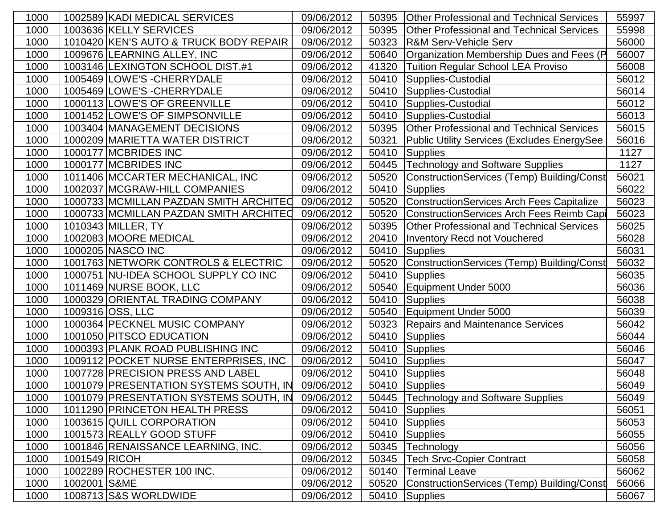| 1000 | 1002589 KADI MEDICAL SERVICES          | 09/06/2012 | 50395 | <b>Other Professional and Technical Services</b> | 55997 |
|------|----------------------------------------|------------|-------|--------------------------------------------------|-------|
| 1000 | 1003636 KELLY SERVICES                 | 09/06/2012 | 50395 | <b>Other Professional and Technical Services</b> | 55998 |
| 1000 | 1010420 KEN'S AUTO & TRUCK BODY REPAIR | 09/06/2012 | 50323 | <b>R&amp;M Serv-Vehicle Serv</b>                 | 56000 |
| 1000 | 1009676 LEARNING ALLEY, INC            | 09/06/2012 | 50640 | Organization Membership Dues and Fees (P         | 56007 |
| 1000 | 1003146 LEXINGTON SCHOOL DIST.#1       | 09/06/2012 | 41320 | Tuition Regular School LEA Proviso               | 56008 |
| 1000 | 1005469 LOWE'S - CHERRYDALE            | 09/06/2012 | 50410 | Supplies-Custodial                               | 56012 |
| 1000 | 1005469 LOWE'S - CHERRYDALE            | 09/06/2012 | 50410 | Supplies-Custodial                               | 56014 |
| 1000 | 1000113 LOWE'S OF GREENVILLE           | 09/06/2012 | 50410 | Supplies-Custodial                               | 56012 |
| 1000 | 1001452 LOWE'S OF SIMPSONVILLE         | 09/06/2012 | 50410 | Supplies-Custodial                               | 56013 |
| 1000 | 1003404 MANAGEMENT DECISIONS           | 09/06/2012 | 50395 | <b>Other Professional and Technical Services</b> | 56015 |
| 1000 | 1000209 MARIETTA WATER DISTRICT        | 09/06/2012 | 50321 | Public Utility Services (Excludes EnergySee      | 56016 |
| 1000 | 1000177 MCBRIDES INC                   | 09/06/2012 | 50410 | Supplies                                         | 1127  |
| 1000 | 1000177 MCBRIDES INC                   | 09/06/2012 | 50445 | <b>Technology and Software Supplies</b>          | 1127  |
| 1000 | 1011406 MCCARTER MECHANICAL, INC       | 09/06/2012 | 50520 | ConstructionServices (Temp) Building/Const       | 56021 |
| 1000 | 1002037 MCGRAW-HILL COMPANIES          | 09/06/2012 | 50410 | Supplies                                         | 56022 |
| 1000 | 1000733 MCMILLAN PAZDAN SMITH ARCHITED | 09/06/2012 | 50520 | <b>ConstructionServices Arch Fees Capitalize</b> | 56023 |
| 1000 | 1000733 MCMILLAN PAZDAN SMITH ARCHITEO | 09/06/2012 | 50520 | <b>ConstructionServices Arch Fees Reimb Capi</b> | 56023 |
| 1000 | 1010343 MILLER, TY                     | 09/06/2012 | 50395 | <b>Other Professional and Technical Services</b> | 56025 |
| 1000 | 1002083 MOORE MEDICAL                  | 09/06/2012 | 20410 | <b>Inventory Recd not Vouchered</b>              | 56028 |
| 1000 | 1000205 NASCO INC                      | 09/06/2012 | 50410 | Supplies                                         | 56031 |
| 1000 | 1001763 NETWORK CONTROLS & ELECTRIC    | 09/06/2012 | 50520 | ConstructionServices (Temp) Building/Const       | 56032 |
| 1000 | 1000751 NU-IDEA SCHOOL SUPPLY CO INC   | 09/06/2012 | 50410 | <b>Supplies</b>                                  | 56035 |
| 1000 | 1011469 NURSE BOOK, LLC                | 09/06/2012 | 50540 | Equipment Under 5000                             | 56036 |
| 1000 | 1000329 ORIENTAL TRADING COMPANY       | 09/06/2012 | 50410 | Supplies                                         | 56038 |
| 1000 | 1009316 OSS, LLC                       | 09/06/2012 | 50540 | Equipment Under 5000                             | 56039 |
| 1000 | 1000364 PECKNEL MUSIC COMPANY          | 09/06/2012 | 50323 | <b>Repairs and Maintenance Services</b>          | 56042 |
| 1000 | 1001050 PITSCO EDUCATION               | 09/06/2012 | 50410 | Supplies                                         | 56044 |
| 1000 | 1000393 PLANK ROAD PUBLISHING INC      | 09/06/2012 | 50410 | Supplies                                         | 56046 |
| 1000 | 1009112 POCKET NURSE ENTERPRISES, INC  | 09/06/2012 |       | 50410 Supplies                                   | 56047 |
| 1000 | 1007728 PRECISION PRESS AND LABEL      | 09/06/2012 |       | 50410 Supplies                                   | 56048 |
| 1000 | 1001079 PRESENTATION SYSTEMS SOUTH, IN | 09/06/2012 |       | 50410 Supplies                                   | 56049 |
| 1000 | 1001079 PRESENTATION SYSTEMS SOUTH, IN | 09/06/2012 | 50445 | <b>Technology and Software Supplies</b>          | 56049 |
| 1000 | 1011290 PRINCETON HEALTH PRESS         | 09/06/2012 | 50410 | Supplies                                         | 56051 |
| 1000 | 1003615 QUILL CORPORATION              | 09/06/2012 |       | 50410 Supplies                                   | 56053 |
| 1000 | 1001573 REALLY GOOD STUFF              | 09/06/2012 | 50410 | Supplies                                         | 56055 |
| 1000 | 1001846 RENAISSANCE LEARNING, INC.     | 09/06/2012 | 50345 | Technology                                       | 56056 |
| 1000 | 1001549 RICOH                          | 09/06/2012 | 50345 | <b>Tech Srvc-Copier Contract</b>                 | 56058 |
| 1000 | 1002289 ROCHESTER 100 INC.             | 09/06/2012 | 50140 | <b>Terminal Leave</b>                            | 56062 |
| 1000 | 1002001 S&ME                           | 09/06/2012 | 50520 | ConstructionServices (Temp) Building/Const       | 56066 |
| 1000 | 1008713 S&S WORLDWIDE                  | 09/06/2012 |       | 50410 Supplies                                   | 56067 |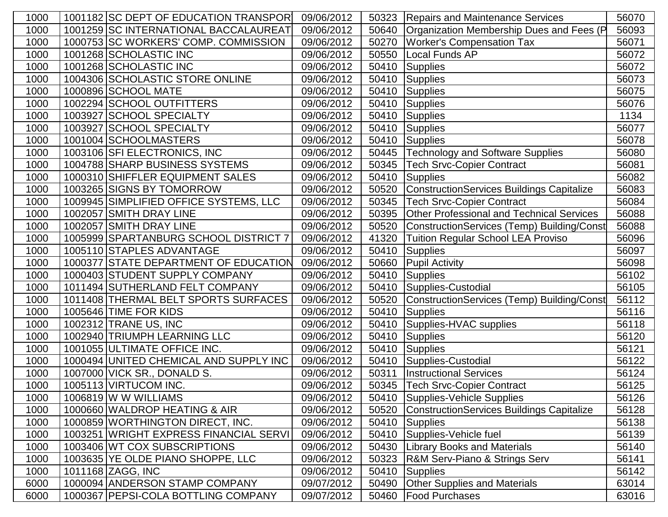| 1000 | 1001182 SC DEPT OF EDUCATION TRANSPORI | 09/06/2012 | 50323 | <b>Repairs and Maintenance Services</b>          | 56070 |
|------|----------------------------------------|------------|-------|--------------------------------------------------|-------|
| 1000 | 1001259 SC INTERNATIONAL BACCALAUREAT  | 09/06/2012 | 50640 | Organization Membership Dues and Fees (P         | 56093 |
| 1000 | 1000753 SC WORKERS' COMP. COMMISSION   | 09/06/2012 | 50270 | <b>Worker's Compensation Tax</b>                 | 56071 |
| 1000 | 1001268 SCHOLASTIC INC                 | 09/06/2012 | 50550 | Local Funds AP                                   | 56072 |
| 1000 | 1001268 SCHOLASTIC INC                 | 09/06/2012 | 50410 | Supplies                                         | 56072 |
| 1000 | 1004306 SCHOLASTIC STORE ONLINE        | 09/06/2012 | 50410 | Supplies                                         | 56073 |
| 1000 | 1000896 SCHOOL MATE                    | 09/06/2012 | 50410 | Supplies                                         | 56075 |
| 1000 | 1002294 SCHOOL OUTFITTERS              | 09/06/2012 | 50410 | <b>Supplies</b>                                  | 56076 |
| 1000 | 1003927 SCHOOL SPECIALTY               | 09/06/2012 | 50410 | Supplies                                         | 1134  |
| 1000 | 1003927 SCHOOL SPECIALTY               | 09/06/2012 | 50410 | Supplies                                         | 56077 |
| 1000 | 1001004 SCHOOLMASTERS                  | 09/06/2012 | 50410 | Supplies                                         | 56078 |
| 1000 | 1003106 SFI ELECTRONICS, INC           | 09/06/2012 | 50445 | <b>Technology and Software Supplies</b>          | 56080 |
| 1000 | 1004788 SHARP BUSINESS SYSTEMS         | 09/06/2012 | 50345 | <b>Tech Srvc-Copier Contract</b>                 | 56081 |
| 1000 | 1000310 SHIFFLER EQUIPMENT SALES       | 09/06/2012 | 50410 | <b>Supplies</b>                                  | 56082 |
| 1000 | 1003265 SIGNS BY TOMORROW              | 09/06/2012 | 50520 | <b>ConstructionServices Buildings Capitalize</b> | 56083 |
| 1000 | 1009945 SIMPLIFIED OFFICE SYSTEMS, LLC | 09/06/2012 | 50345 | <b>Tech Srvc-Copier Contract</b>                 | 56084 |
| 1000 | 1002057 SMITH DRAY LINE                | 09/06/2012 | 50395 | <b>Other Professional and Technical Services</b> | 56088 |
| 1000 | 1002057 SMITH DRAY LINE                | 09/06/2012 | 50520 | ConstructionServices (Temp) Building/Const       | 56088 |
| 1000 | 1005999 SPARTANBURG SCHOOL DISTRICT 7  | 09/06/2012 | 41320 | <b>Tuition Regular School LEA Proviso</b>        | 56096 |
| 1000 | 1005110 STAPLES ADVANTAGE              | 09/06/2012 | 50410 | <b>Supplies</b>                                  | 56097 |
| 1000 | 1000377 STATE DEPARTMENT OF EDUCATION  | 09/06/2012 | 50660 | Pupil Activity                                   | 56098 |
| 1000 | 1000403 STUDENT SUPPLY COMPANY         | 09/06/2012 | 50410 | <b>Supplies</b>                                  | 56102 |
| 1000 | 1011494 SUTHERLAND FELT COMPANY        | 09/06/2012 | 50410 | Supplies-Custodial                               | 56105 |
| 1000 | 1011408 THERMAL BELT SPORTS SURFACES   | 09/06/2012 | 50520 | ConstructionServices (Temp) Building/Const       | 56112 |
| 1000 | 1005646 TIME FOR KIDS                  | 09/06/2012 | 50410 | <b>Supplies</b>                                  | 56116 |
| 1000 | 1002312 TRANE US, INC                  | 09/06/2012 | 50410 | Supplies-HVAC supplies                           | 56118 |
| 1000 | 1002940 TRIUMPH LEARNING LLC           | 09/06/2012 | 50410 | <b>Supplies</b>                                  | 56120 |
| 1000 | 1001055 ULTIMATE OFFICE INC.           | 09/06/2012 | 50410 | <b>Supplies</b>                                  | 56121 |
| 1000 | 1000494 UNITED CHEMICAL AND SUPPLY INC | 09/06/2012 | 50410 | Supplies-Custodial                               | 56122 |
| 1000 | 1007000 VICK SR., DONALD S.            | 09/06/2012 | 50311 | <b>Instructional Services</b>                    | 56124 |
| 1000 | 1005113 VIRTUCOM INC.                  | 09/06/2012 |       | 50345   Tech Srvc-Copier Contract                | 56125 |
| 1000 | 1006819 W W WILLIAMS                   | 09/06/2012 | 50410 | Supplies-Vehicle Supplies                        | 56126 |
| 1000 | 1000660 WALDROP HEATING & AIR          | 09/06/2012 | 50520 | ConstructionServices Buildings Capitalize        | 56128 |
| 1000 | 1000859 WORTHINGTON DIRECT, INC.       | 09/06/2012 | 50410 | Supplies                                         | 56138 |
| 1000 | 1003251 WRIGHT EXPRESS FINANCIAL SERVI | 09/06/2012 | 50410 | Supplies-Vehicle fuel                            | 56139 |
| 1000 | 1003406 WT COX SUBSCRIPTIONS           | 09/06/2012 | 50430 | <b>Library Books and Materials</b>               | 56140 |
| 1000 | 1003635 YE OLDE PIANO SHOPPE, LLC      | 09/06/2012 | 50323 | R&M Serv-Piano & Strings Serv                    | 56141 |
| 1000 | 1011168 ZAGG, INC                      | 09/06/2012 | 50410 | Supplies                                         | 56142 |
| 6000 | 1000094 ANDERSON STAMP COMPANY         | 09/07/2012 | 50490 | <b>Other Supplies and Materials</b>              | 63014 |
| 6000 | 1000367 PEPSI-COLA BOTTLING COMPANY    | 09/07/2012 | 50460 | <b>Food Purchases</b>                            | 63016 |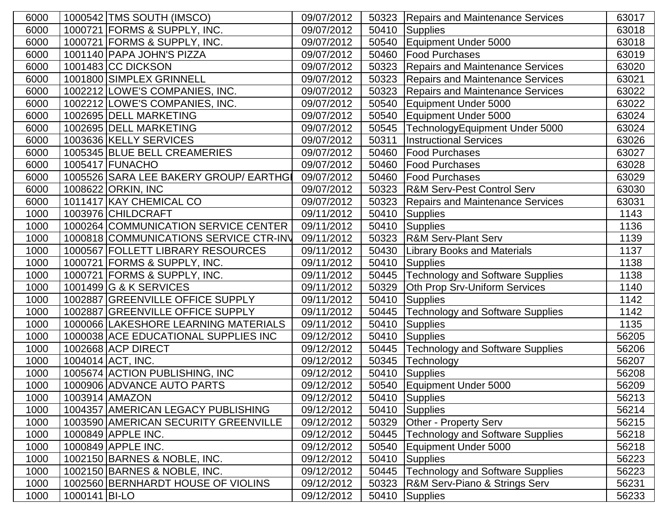| 6000 | 1000542 TMS SOUTH (IMSCO)              | 09/07/2012 | 50323 | <b>Repairs and Maintenance Services</b> | 63017 |
|------|----------------------------------------|------------|-------|-----------------------------------------|-------|
| 6000 | 1000721 FORMS & SUPPLY, INC.           | 09/07/2012 |       | 50410 Supplies                          | 63018 |
| 6000 | 1000721 FORMS & SUPPLY, INC.           | 09/07/2012 | 50540 | Equipment Under 5000                    | 63018 |
| 6000 | 1001140 PAPA JOHN'S PIZZA              | 09/07/2012 | 50460 | <b>Food Purchases</b>                   | 63019 |
| 6000 | 1001483 CC DICKSON                     | 09/07/2012 | 50323 | <b>Repairs and Maintenance Services</b> | 63020 |
| 6000 | 1001800 SIMPLEX GRINNELL               | 09/07/2012 | 50323 | <b>Repairs and Maintenance Services</b> | 63021 |
| 6000 | 1002212 LOWE'S COMPANIES, INC.         | 09/07/2012 | 50323 | <b>Repairs and Maintenance Services</b> | 63022 |
| 6000 | 1002212 LOWE'S COMPANIES, INC.         | 09/07/2012 | 50540 | Equipment Under 5000                    | 63022 |
| 6000 | 1002695 DELL MARKETING                 | 09/07/2012 | 50540 | Equipment Under 5000                    | 63024 |
| 6000 | 1002695 DELL MARKETING                 | 09/07/2012 | 50545 | TechnologyEquipment Under 5000          | 63024 |
| 6000 | 1003636 KELLY SERVICES                 | 09/07/2012 | 50311 | <b>Instructional Services</b>           | 63026 |
| 6000 | 1005345 BLUE BELL CREAMERIES           | 09/07/2012 | 50460 | <b>Food Purchases</b>                   | 63027 |
| 6000 | 1005417 FUNACHO                        | 09/07/2012 | 50460 | <b>Food Purchases</b>                   | 63028 |
| 6000 | 1005526 SARA LEE BAKERY GROUP/ EARTHGI | 09/07/2012 | 50460 | <b>Food Purchases</b>                   | 63029 |
| 6000 | 1008622 ORKIN, INC                     | 09/07/2012 | 50323 | <b>R&amp;M Serv-Pest Control Serv</b>   | 63030 |
| 6000 | 1011417 KAY CHEMICAL CO                | 09/07/2012 | 50323 | <b>Repairs and Maintenance Services</b> | 63031 |
| 1000 | 1003976 CHILDCRAFT                     | 09/11/2012 | 50410 | Supplies                                | 1143  |
| 1000 | 1000264 COMMUNICATION SERVICE CENTER   | 09/11/2012 | 50410 | Supplies                                | 1136  |
| 1000 | 1000818 COMMUNICATIONS SERVICE CTR-INV | 09/11/2012 |       | 50323 R&M Serv-Plant Serv               | 1139  |
| 1000 | 1000567 FOLLETT LIBRARY RESOURCES      | 09/11/2012 | 50430 | <b>Library Books and Materials</b>      | 1137  |
| 1000 | 1000721 FORMS & SUPPLY, INC.           | 09/11/2012 | 50410 | Supplies                                | 1138  |
| 1000 | 1000721 FORMS & SUPPLY, INC.           | 09/11/2012 | 50445 | <b>Technology and Software Supplies</b> | 1138  |
| 1000 | 1001499 G & K SERVICES                 | 09/11/2012 | 50329 | Oth Prop Srv-Uniform Services           | 1140  |
| 1000 | 1002887 GREENVILLE OFFICE SUPPLY       | 09/11/2012 | 50410 | Supplies                                | 1142  |
| 1000 | 1002887 GREENVILLE OFFICE SUPPLY       | 09/11/2012 | 50445 | <b>Technology and Software Supplies</b> | 1142  |
| 1000 | 1000066 LAKESHORE LEARNING MATERIALS   | 09/11/2012 |       | 50410 Supplies                          | 1135  |
| 1000 | 1000038 ACE EDUCATIONAL SUPPLIES INC   | 09/12/2012 | 50410 | Supplies                                | 56205 |
| 1000 | 1002668 ACP DIRECT                     | 09/12/2012 | 50445 | Technology and Software Supplies        | 56206 |
| 1000 | 1004014 ACT, INC.                      | 09/12/2012 | 50345 | Technology                              | 56207 |
| 1000 | 1005674 ACTION PUBLISHING, INC         | 09/12/2012 | 50410 | Supplies                                | 56208 |
| 1000 | 1000906 ADVANCE AUTO PARTS             | 09/12/2012 |       | 50540   Equipment Under 5000            | 56209 |
| 1000 | 1003914   AMAZON                       | 09/12/2012 |       | 50410 Supplies                          | 56213 |
| 1000 | 1004357 AMERICAN LEGACY PUBLISHING     | 09/12/2012 |       | 50410 Supplies                          | 56214 |
| 1000 | 1003590 AMERICAN SECURITY GREENVILLE   | 09/12/2012 | 50329 | <b>Other - Property Serv</b>            | 56215 |
| 1000 | 1000849 APPLE INC.                     | 09/12/2012 | 50445 | <b>Technology and Software Supplies</b> | 56218 |
| 1000 | 1000849 APPLE INC.                     | 09/12/2012 | 50540 | Equipment Under 5000                    | 56218 |
| 1000 | 1002150 BARNES & NOBLE, INC.           | 09/12/2012 | 50410 | Supplies                                | 56223 |
| 1000 | 1002150 BARNES & NOBLE, INC.           | 09/12/2012 | 50445 | <b>Technology and Software Supplies</b> | 56223 |
| 1000 | 1002560 BERNHARDT HOUSE OF VIOLINS     | 09/12/2012 | 50323 | R&M Serv-Piano & Strings Serv           | 56231 |
| 1000 | 1000141 BI-LO                          | 09/12/2012 |       | 50410 Supplies                          | 56233 |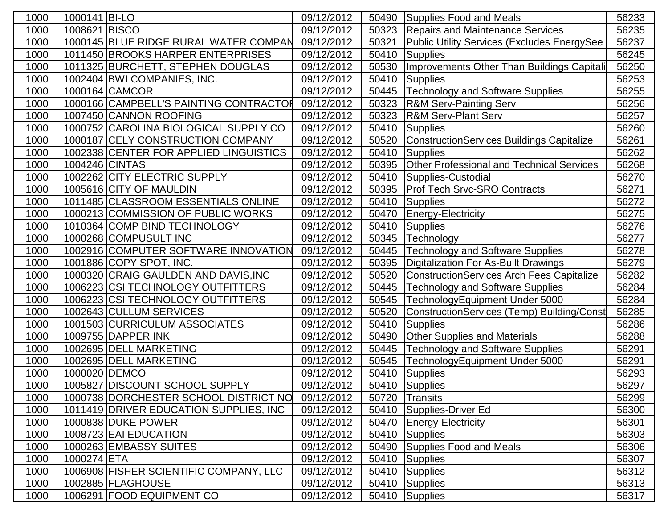| 1000 | 1000141 BI-LO  |                                        | 09/12/2012 | 50490 | Supplies Food and Meals                          | 56233 |
|------|----------------|----------------------------------------|------------|-------|--------------------------------------------------|-------|
| 1000 | 1008621 BISCO  |                                        | 09/12/2012 | 50323 | <b>Repairs and Maintenance Services</b>          | 56235 |
| 1000 |                | 1000145 BLUE RIDGE RURAL WATER COMPAN  | 09/12/2012 | 50321 | Public Utility Services (Excludes EnergySee      | 56237 |
| 1000 |                | 1011450 BROOKS HARPER ENTERPRISES      | 09/12/2012 | 50410 | Supplies                                         | 56245 |
| 1000 |                | 1011325 BURCHETT, STEPHEN DOUGLAS      | 09/12/2012 | 50530 | Improvements Other Than Buildings Capitali       | 56250 |
| 1000 |                | 1002404 BWI COMPANIES, INC.            | 09/12/2012 | 50410 | Supplies                                         | 56253 |
| 1000 |                | 1000164 CAMCOR                         | 09/12/2012 | 50445 | <b>Technology and Software Supplies</b>          | 56255 |
| 1000 |                | 1000166 CAMPBELL'S PAINTING CONTRACTOR | 09/12/2012 | 50323 | <b>R&amp;M Serv-Painting Serv</b>                | 56256 |
| 1000 |                | 1007450 CANNON ROOFING                 | 09/12/2012 | 50323 | <b>R&amp;M Serv-Plant Serv</b>                   | 56257 |
| 1000 |                | 1000752 CAROLINA BIOLOGICAL SUPPLY CO  | 09/12/2012 | 50410 | Supplies                                         | 56260 |
| 1000 |                | 1000187 CELY CONSTRUCTION COMPANY      | 09/12/2012 | 50520 | ConstructionServices Buildings Capitalize        | 56261 |
| 1000 |                | 1002338 CENTER FOR APPLIED LINGUISTICS | 09/12/2012 | 50410 | Supplies                                         | 56262 |
| 1000 | 1004246 CINTAS |                                        | 09/12/2012 | 50395 | <b>Other Professional and Technical Services</b> | 56268 |
| 1000 |                | 1002262 CITY ELECTRIC SUPPLY           | 09/12/2012 | 50410 | Supplies-Custodial                               | 56270 |
| 1000 |                | 1005616 CITY OF MAULDIN                | 09/12/2012 | 50395 | <b>Prof Tech Srvc-SRO Contracts</b>              | 56271 |
| 1000 |                | 1011485 CLASSROOM ESSENTIALS ONLINE    | 09/12/2012 | 50410 | <b>Supplies</b>                                  | 56272 |
| 1000 |                | 1000213 COMMISSION OF PUBLIC WORKS     | 09/12/2012 | 50470 | Energy-Electricity                               | 56275 |
| 1000 |                | 1010364 COMP BIND TECHNOLOGY           | 09/12/2012 | 50410 | Supplies                                         | 56276 |
| 1000 |                | 1000268 COMPUSULT INC                  | 09/12/2012 | 50345 | Technology                                       | 56277 |
| 1000 |                | 1002916 COMPUTER SOFTWARE INNOVATION   | 09/12/2012 | 50445 | <b>Technology and Software Supplies</b>          | 56278 |
| 1000 |                | 1001886 COPY SPOT, INC.                | 09/12/2012 | 50395 | Digitalization For As-Built Drawings             | 56279 |
| 1000 |                | 1000320 CRAIG GAULDEN AND DAVIS, INC   | 09/12/2012 | 50520 | <b>ConstructionServices Arch Fees Capitalize</b> | 56282 |
| 1000 |                | 1006223 CSI TECHNOLOGY OUTFITTERS      | 09/12/2012 | 50445 | <b>Technology and Software Supplies</b>          | 56284 |
| 1000 |                | 1006223 CSI TECHNOLOGY OUTFITTERS      | 09/12/2012 | 50545 | TechnologyEquipment Under 5000                   | 56284 |
| 1000 |                | 1002643 CULLUM SERVICES                | 09/12/2012 | 50520 | ConstructionServices (Temp) Building/Const       | 56285 |
| 1000 |                | 1001503 CURRICULUM ASSOCIATES          | 09/12/2012 | 50410 | Supplies                                         | 56286 |
| 1000 |                | 1009755 DAPPER INK                     | 09/12/2012 | 50490 | <b>Other Supplies and Materials</b>              | 56288 |
| 1000 |                | 1002695 DELL MARKETING                 | 09/12/2012 | 50445 | <b>Technology and Software Supplies</b>          | 56291 |
| 1000 |                | 1002695 DELL MARKETING                 | 09/12/2012 | 50545 | TechnologyEquipment Under 5000                   | 56291 |
| 1000 | 1000020 DEMCO  |                                        | 09/12/2012 | 50410 | Supplies                                         | 56293 |
| 1000 |                | 1005827 DISCOUNT SCHOOL SUPPLY         | 09/12/2012 |       | 50410 Supplies                                   | 56297 |
| 1000 |                | 1000738 DORCHESTER SCHOOL DISTRICT NO  | 09/12/2012 |       | 50720 Transits                                   | 56299 |
| 1000 |                | 1011419 DRIVER EDUCATION SUPPLIES, INC | 09/12/2012 |       | 50410 Supplies-Driver Ed                         | 56300 |
| 1000 |                | 1000838 DUKE POWER                     | 09/12/2012 | 50470 | <b>Energy-Electricity</b>                        | 56301 |
| 1000 |                | 1008723 EAI EDUCATION                  | 09/12/2012 | 50410 | Supplies                                         | 56303 |
| 1000 |                | 1000263 EMBASSY SUITES                 | 09/12/2012 | 50490 | Supplies Food and Meals                          | 56306 |
| 1000 | 1000274 ETA    |                                        | 09/12/2012 | 50410 | Supplies                                         | 56307 |
| 1000 |                | 1006908 FISHER SCIENTIFIC COMPANY, LLC | 09/12/2012 |       | 50410 Supplies                                   | 56312 |
| 1000 |                | 1002885 FLAGHOUSE                      | 09/12/2012 | 50410 | Supplies                                         | 56313 |
| 1000 |                | 1006291 FOOD EQUIPMENT CO              | 09/12/2012 |       | 50410 Supplies                                   | 56317 |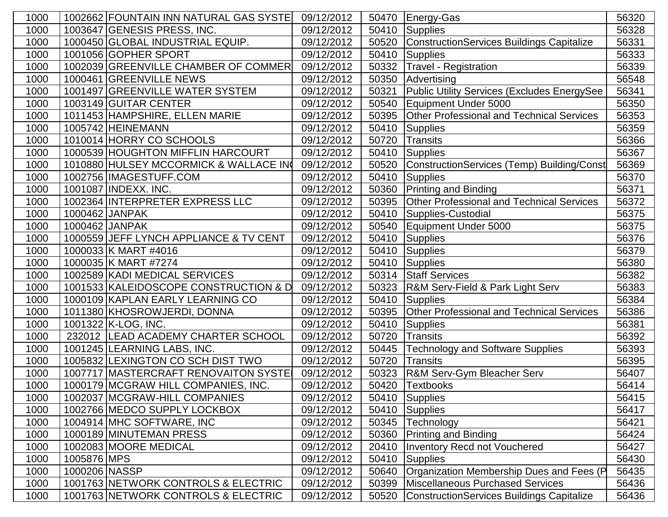| 1000 |                | 1002662 FOUNTAIN INN NATURAL GAS SYSTE | 09/12/2012 | 50470 | Energy-Gas                                         | 56320 |
|------|----------------|----------------------------------------|------------|-------|----------------------------------------------------|-------|
| 1000 |                | 1003647 GENESIS PRESS, INC.            | 09/12/2012 | 50410 | Supplies                                           | 56328 |
| 1000 |                | 1000450 GLOBAL INDUSTRIAL EQUIP.       | 09/12/2012 | 50520 | <b>ConstructionServices Buildings Capitalize</b>   | 56331 |
| 1000 |                | 1001056 GOPHER SPORT                   | 09/12/2012 | 50410 | <b>Supplies</b>                                    | 56333 |
| 1000 |                | 1002039 GREENVILLE CHAMBER OF COMMER   | 09/12/2012 | 50332 | <b>Travel - Registration</b>                       | 56339 |
| 1000 |                | 1000461 GREENVILLE NEWS                | 09/12/2012 | 50350 | Advertising                                        | 56548 |
| 1000 |                | 1001497 GREENVILLE WATER SYSTEM        | 09/12/2012 | 50321 | <b>Public Utility Services (Excludes EnergySee</b> | 56341 |
| 1000 |                | 1003149 GUITAR CENTER                  | 09/12/2012 | 50540 | <b>Equipment Under 5000</b>                        | 56350 |
| 1000 |                | 1011453 HAMPSHIRE, ELLEN MARIE         | 09/12/2012 | 50395 | <b>Other Professional and Technical Services</b>   | 56353 |
| 1000 |                | 1005742 HEINEMANN                      | 09/12/2012 | 50410 | <b>Supplies</b>                                    | 56359 |
| 1000 |                | 1010014 HORRY CO SCHOOLS               | 09/12/2012 | 50720 | <b>Transits</b>                                    | 56366 |
| 1000 |                | 1000539 HOUGHTON MIFFLIN HARCOURT      | 09/12/2012 | 50410 | <b>Supplies</b>                                    | 56367 |
| 1000 |                | 1010880 HULSEY MCCORMICK & WALLACE IN  | 09/12/2012 | 50520 | ConstructionServices (Temp) Building/Const         | 56369 |
| 1000 |                | 1002756 IMAGESTUFF.COM                 | 09/12/2012 | 50410 | <b>Supplies</b>                                    | 56370 |
| 1000 |                | 1001087 INDEXX. INC.                   | 09/12/2012 | 50360 | Printing and Binding                               | 56371 |
| 1000 |                | 1002364 INTERPRETER EXPRESS LLC        | 09/12/2012 | 50395 | Other Professional and Technical Services          | 56372 |
| 1000 | 1000462 JANPAK |                                        | 09/12/2012 | 50410 | Supplies-Custodial                                 | 56375 |
| 1000 | 1000462 JANPAK |                                        | 09/12/2012 | 50540 | Equipment Under 5000                               | 56375 |
| 1000 |                | 1000559 JEFF LYNCH APPLIANCE & TV CENT | 09/12/2012 | 50410 | Supplies                                           | 56376 |
| 1000 |                | 1000033 K MART #4016                   | 09/12/2012 | 50410 | <b>Supplies</b>                                    | 56379 |
| 1000 |                | 1000035 K MART #7274                   | 09/12/2012 | 50410 | Supplies                                           | 56380 |
| 1000 |                | 1002589 KADI MEDICAL SERVICES          | 09/12/2012 | 50314 | <b>Staff Services</b>                              | 56382 |
| 1000 |                | 1001533 KALEIDOSCOPE CONSTRUCTION & D  | 09/12/2012 | 50323 | <b>R&amp;M Serv-Field &amp; Park Light Serv</b>    | 56383 |
| 1000 |                | 1000109 KAPLAN EARLY LEARNING CO       | 09/12/2012 | 50410 | <b>Supplies</b>                                    | 56384 |
| 1000 |                | 1011380 KHOSROWJERDI, DONNA            | 09/12/2012 | 50395 | <b>Other Professional and Technical Services</b>   | 56386 |
| 1000 |                | 1001322 K-LOG, INC.                    | 09/12/2012 | 50410 | <b>Supplies</b>                                    | 56381 |
| 1000 |                | 232012   LEAD ACADEMY CHARTER SCHOOL   | 09/12/2012 | 50720 | <b>Transits</b>                                    | 56392 |
| 1000 |                | 1001245 LEARNING LABS, INC.            | 09/12/2012 | 50445 | <b>Technology and Software Supplies</b>            | 56393 |
| 1000 |                | 1005832 LEXINGTON CO SCH DIST TWO      | 09/12/2012 | 50720 | <b>Transits</b>                                    | 56395 |
| 1000 |                | 1007717 MASTERCRAFT RENOVAITON SYSTE   | 09/12/2012 | 50323 | R&M Serv-Gym Bleacher Serv                         | 56407 |
| 1000 |                | 1000179 MCGRAW HILL COMPANIES, INC.    | 09/12/2012 |       | 50420 Textbooks                                    | 56414 |
| 1000 |                | 1002037 MCGRAW-HILL COMPANIES          | 09/12/2012 |       | 50410 Supplies                                     | 56415 |
| 1000 |                | 1002766 MEDCO SUPPLY LOCKBOX           | 09/12/2012 | 50410 | Supplies                                           | 56417 |
| 1000 |                | 1004914 MHC SOFTWARE, INC              | 09/12/2012 | 50345 | Technology                                         | 56421 |
| 1000 |                | 1000189 MINUTEMAN PRESS                | 09/12/2012 | 50360 | <b>Printing and Binding</b>                        | 56424 |
| 1000 |                | 1002083 MOORE MEDICAL                  | 09/12/2012 | 20410 | <b>Inventory Recd not Vouchered</b>                | 56427 |
| 1000 | 1005876 MPS    |                                        | 09/12/2012 | 50410 | <b>Supplies</b>                                    | 56430 |
| 1000 | 1000206 NASSP  |                                        | 09/12/2012 | 50640 | Organization Membership Dues and Fees (P           | 56435 |
| 1000 |                | 1001763 NETWORK CONTROLS & ELECTRIC    | 09/12/2012 | 50399 | <b>Miscellaneous Purchased Services</b>            | 56436 |
| 1000 |                | 1001763 NETWORK CONTROLS & ELECTRIC    | 09/12/2012 | 50520 | <b>ConstructionServices Buildings Capitalize</b>   | 56436 |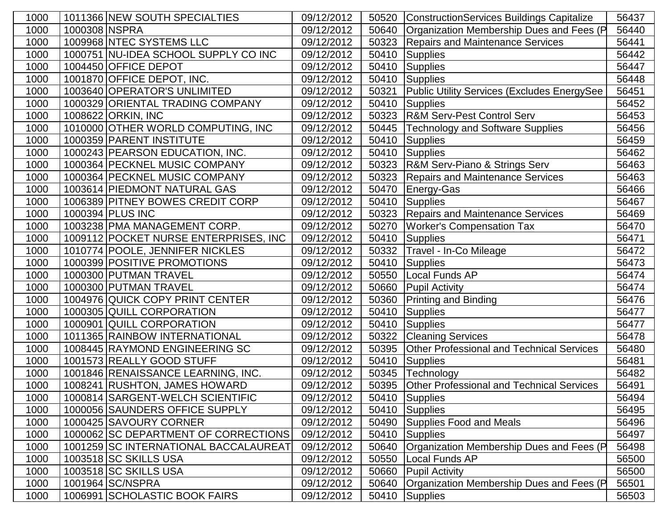| 1000 | 1011366 NEW SOUTH SPECIALTIES         | 09/12/2012 | 50520 | <b>ConstructionServices Buildings Capitalize</b> | 56437 |
|------|---------------------------------------|------------|-------|--------------------------------------------------|-------|
| 1000 | 1000308 NSPRA                         | 09/12/2012 | 50640 | Organization Membership Dues and Fees (P         | 56440 |
| 1000 | 1009968 NTEC SYSTEMS LLC              | 09/12/2012 | 50323 | <b>Repairs and Maintenance Services</b>          | 56441 |
| 1000 | 1000751 NU-IDEA SCHOOL SUPPLY CO INC  | 09/12/2012 | 50410 | <b>Supplies</b>                                  | 56442 |
| 1000 | 1004450 OFFICE DEPOT                  | 09/12/2012 | 50410 | Supplies                                         | 56447 |
| 1000 | 1001870 OFFICE DEPOT, INC.            | 09/12/2012 | 50410 | Supplies                                         | 56448 |
| 1000 | 1003640 OPERATOR'S UNLIMITED          | 09/12/2012 | 50321 | Public Utility Services (Excludes EnergySee      | 56451 |
| 1000 | 1000329 ORIENTAL TRADING COMPANY      | 09/12/2012 | 50410 | <b>Supplies</b>                                  | 56452 |
| 1000 | 1008622 ORKIN, INC                    | 09/12/2012 | 50323 | <b>R&amp;M Serv-Pest Control Serv</b>            | 56453 |
| 1000 | 1010000 OTHER WORLD COMPUTING, INC    | 09/12/2012 | 50445 | <b>Technology and Software Supplies</b>          | 56456 |
| 1000 | 1000359 PARENT INSTITUTE              | 09/12/2012 | 50410 | <b>Supplies</b>                                  | 56459 |
| 1000 | 1000243 PEARSON EDUCATION, INC.       | 09/12/2012 | 50410 | Supplies                                         | 56462 |
| 1000 | 1000364 PECKNEL MUSIC COMPANY         | 09/12/2012 | 50323 | <b>R&amp;M Serv-Piano &amp; Strings Serv</b>     | 56463 |
| 1000 | 1000364 PECKNEL MUSIC COMPANY         | 09/12/2012 | 50323 | <b>Repairs and Maintenance Services</b>          | 56463 |
| 1000 | 1003614 PIEDMONT NATURAL GAS          | 09/12/2012 | 50470 | Energy-Gas                                       | 56466 |
| 1000 | 1006389 PITNEY BOWES CREDIT CORP      | 09/12/2012 | 50410 | <b>Supplies</b>                                  | 56467 |
| 1000 | 1000394 PLUS INC                      | 09/12/2012 | 50323 | <b>Repairs and Maintenance Services</b>          | 56469 |
| 1000 | 1003238 PMA MANAGEMENT CORP.          | 09/12/2012 | 50270 | <b>Worker's Compensation Tax</b>                 | 56470 |
| 1000 | 1009112 POCKET NURSE ENTERPRISES, INC | 09/12/2012 | 50410 | <b>Supplies</b>                                  | 56471 |
| 1000 | 1010774 POOLE, JENNIFER NICKLES       | 09/12/2012 | 50332 | Travel - In-Co Mileage                           | 56472 |
| 1000 | 1000399 POSITIVE PROMOTIONS           | 09/12/2012 | 50410 | <b>Supplies</b>                                  | 56473 |
| 1000 | 1000300 PUTMAN TRAVEL                 | 09/12/2012 | 50550 | <b>Local Funds AP</b>                            | 56474 |
| 1000 | 1000300 PUTMAN TRAVEL                 | 09/12/2012 | 50660 | <b>Pupil Activity</b>                            | 56474 |
| 1000 | 1004976 QUICK COPY PRINT CENTER       | 09/12/2012 | 50360 | <b>Printing and Binding</b>                      | 56476 |
| 1000 | 1000305 QUILL CORPORATION             | 09/12/2012 | 50410 | <b>Supplies</b>                                  | 56477 |
| 1000 | 1000901 QUILL CORPORATION             | 09/12/2012 | 50410 | Supplies                                         | 56477 |
| 1000 | 1011365 RAINBOW INTERNATIONAL         | 09/12/2012 | 50322 | <b>Cleaning Services</b>                         | 56478 |
| 1000 | 1008445 RAYMOND ENGINEERING SC        | 09/12/2012 | 50395 | <b>Other Professional and Technical Services</b> | 56480 |
| 1000 | 1001573 REALLY GOOD STUFF             | 09/12/2012 | 50410 | <b>Supplies</b>                                  | 56481 |
| 1000 | 1001846 RENAISSANCE LEARNING, INC.    | 09/12/2012 | 50345 | Technology                                       | 56482 |
| 1000 | 1008241 RUSHTON, JAMES HOWARD         | 09/12/2012 |       | 50395 Other Professional and Technical Services  | 56491 |
| 1000 | 1000814 SARGENT-WELCH SCIENTIFIC      | 09/12/2012 |       | 50410 Supplies                                   | 56494 |
| 1000 | 1000056 SAUNDERS OFFICE SUPPLY        | 09/12/2012 | 50410 | Supplies                                         | 56495 |
| 1000 | 1000425 SAVOURY CORNER                | 09/12/2012 | 50490 | <b>Supplies Food and Meals</b>                   | 56496 |
| 1000 | 1000062 SC DEPARTMENT OF CORRECTIONS  | 09/12/2012 | 50410 | <b>Supplies</b>                                  | 56497 |
| 1000 | 1001259 SC INTERNATIONAL BACCALAUREAT | 09/12/2012 | 50640 | Organization Membership Dues and Fees (P         | 56498 |
| 1000 | 1003518 SC SKILLS USA                 | 09/12/2012 | 50550 | Local Funds AP                                   | 56500 |
| 1000 | 1003518 SC SKILLS USA                 | 09/12/2012 | 50660 | <b>Pupil Activity</b>                            | 56500 |
| 1000 | 1001964 SC/NSPRA                      | 09/12/2012 | 50640 | Organization Membership Dues and Fees (P         | 56501 |
| 1000 | 1006991 SCHOLASTIC BOOK FAIRS         | 09/12/2012 | 50410 | Supplies                                         | 56503 |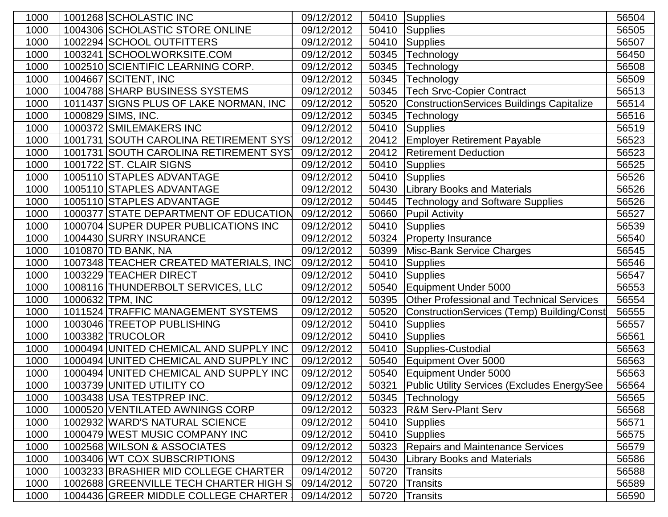| 1000 | 1001268 SCHOLASTIC INC                 | 09/12/2012 | 50410 | Supplies                                            | 56504 |
|------|----------------------------------------|------------|-------|-----------------------------------------------------|-------|
| 1000 | 1004306 SCHOLASTIC STORE ONLINE        | 09/12/2012 | 50410 | Supplies                                            | 56505 |
| 1000 | 1002294 SCHOOL OUTFITTERS              | 09/12/2012 | 50410 | Supplies                                            | 56507 |
| 1000 | 1003241 SCHOOLWORKSITE.COM             | 09/12/2012 | 50345 | Technology                                          | 56450 |
| 1000 | 1002510 SCIENTIFIC LEARNING CORP.      | 09/12/2012 | 50345 | Technology                                          | 56508 |
| 1000 | 1004667 SCITENT, INC                   | 09/12/2012 | 50345 | Technology                                          | 56509 |
| 1000 | 1004788 SHARP BUSINESS SYSTEMS         | 09/12/2012 | 50345 | <b>Tech Srvc-Copier Contract</b>                    | 56513 |
| 1000 | 1011437 SIGNS PLUS OF LAKE NORMAN, INC | 09/12/2012 | 50520 | <b>ConstructionServices Buildings Capitalize</b>    | 56514 |
| 1000 | 1000829 SIMS, INC.                     | 09/12/2012 | 50345 | Technology                                          | 56516 |
| 1000 | 1000372 SMILEMAKERS INC                | 09/12/2012 | 50410 | Supplies                                            | 56519 |
| 1000 | 1001731 SOUTH CAROLINA RETIREMENT SYST | 09/12/2012 | 20412 | <b>Employer Retirement Payable</b>                  | 56523 |
| 1000 | 1001731 SOUTH CAROLINA RETIREMENT SYST | 09/12/2012 | 20412 | <b>Retirement Deduction</b>                         | 56523 |
| 1000 | 1001722 ST. CLAIR SIGNS                | 09/12/2012 | 50410 | <b>Supplies</b>                                     | 56525 |
| 1000 | 1005110 STAPLES ADVANTAGE              | 09/12/2012 | 50410 | Supplies                                            | 56526 |
| 1000 | 1005110 STAPLES ADVANTAGE              | 09/12/2012 | 50430 | <b>Library Books and Materials</b>                  | 56526 |
| 1000 | 1005110 STAPLES ADVANTAGE              | 09/12/2012 | 50445 | <b>Technology and Software Supplies</b>             | 56526 |
| 1000 | 1000377 STATE DEPARTMENT OF EDUCATION  | 09/12/2012 | 50660 | <b>Pupil Activity</b>                               | 56527 |
| 1000 | 1000704 SUPER DUPER PUBLICATIONS INC   | 09/12/2012 | 50410 | Supplies                                            | 56539 |
| 1000 | 1004430 SURRY INSURANCE                | 09/12/2012 | 50324 | <b>Property Insurance</b>                           | 56540 |
| 1000 | 1010870   TD BANK, NA                  | 09/12/2012 | 50399 | Misc-Bank Service Charges                           | 56545 |
| 1000 | 1007348 TEACHER CREATED MATERIALS, INC | 09/12/2012 | 50410 | Supplies                                            | 56546 |
| 1000 | 1003229 TEACHER DIRECT                 | 09/12/2012 | 50410 | <b>Supplies</b>                                     | 56547 |
| 1000 | 1008116 THUNDERBOLT SERVICES, LLC      | 09/12/2012 | 50540 | Equipment Under 5000                                | 56553 |
| 1000 | 1000632 TPM, INC                       | 09/12/2012 | 50395 | <b>Other Professional and Technical Services</b>    | 56554 |
| 1000 | 1011524 TRAFFIC MANAGEMENT SYSTEMS     | 09/12/2012 | 50520 | ConstructionServices (Temp) Building/Const          | 56555 |
| 1000 | 1003046 TREETOP PUBLISHING             | 09/12/2012 | 50410 | <b>Supplies</b>                                     | 56557 |
| 1000 | 1003382 TRUCOLOR                       | 09/12/2012 | 50410 | <b>Supplies</b>                                     | 56561 |
| 1000 | 1000494 UNITED CHEMICAL AND SUPPLY INC | 09/12/2012 | 50410 | Supplies-Custodial                                  | 56563 |
| 1000 | 1000494 UNITED CHEMICAL AND SUPPLY INC | 09/12/2012 | 50540 | Equipment Over 5000                                 | 56563 |
| 1000 | 1000494 UNITED CHEMICAL AND SUPPLY INC | 09/12/2012 | 50540 | Equipment Under 5000                                | 56563 |
| 1000 | 1003739 UNITED UTILITY CO              | 09/12/2012 | 50321 | <b>Public Utility Services (Excludes EnergySee)</b> | 56564 |
| 1000 | 1003438 USA TESTPREP INC.              | 09/12/2012 |       | 50345   Technology                                  | 56565 |
| 1000 | 1000520 VENTILATED AWNINGS CORP        | 09/12/2012 | 50323 | <b>R&amp;M Serv-Plant Serv</b>                      | 56568 |
| 1000 | 1002932 WARD'S NATURAL SCIENCE         | 09/12/2012 | 50410 | <b>Supplies</b>                                     | 56571 |
| 1000 | 1000479 WEST MUSIC COMPANY INC         | 09/12/2012 | 50410 | Supplies                                            | 56575 |
| 1000 | 1002568 WILSON & ASSOCIATES            | 09/12/2012 | 50323 | <b>Repairs and Maintenance Services</b>             | 56579 |
| 1000 | 1003406 WT COX SUBSCRIPTIONS           | 09/12/2012 | 50430 | <b>Library Books and Materials</b>                  | 56586 |
| 1000 | 1003233 BRASHIER MID COLLEGE CHARTER   | 09/14/2012 | 50720 | <b>Transits</b>                                     | 56588 |
| 1000 | 1002688 GREENVILLE TECH CHARTER HIGH S | 09/14/2012 | 50720 | <b>Transits</b>                                     | 56589 |
| 1000 | 1004436 GREER MIDDLE COLLEGE CHARTER   | 09/14/2012 | 50720 | Transits                                            | 56590 |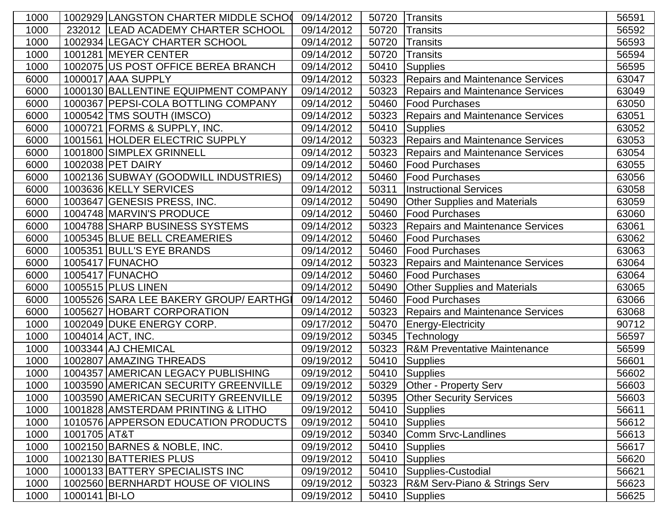| 1000 |               | 1002929 LANGSTON CHARTER MIDDLE SCHO   | 09/14/2012 | 50720 | <b>Transits</b>                         | 56591 |
|------|---------------|----------------------------------------|------------|-------|-----------------------------------------|-------|
| 1000 |               | 232012 LEAD ACADEMY CHARTER SCHOOL     | 09/14/2012 | 50720 | <b>Transits</b>                         | 56592 |
| 1000 |               | 1002934 LEGACY CHARTER SCHOOL          | 09/14/2012 | 50720 | <b>Transits</b>                         | 56593 |
| 1000 |               | 1001281 MEYER CENTER                   | 09/14/2012 | 50720 | <b>Transits</b>                         | 56594 |
| 1000 |               | 1002075 US POST OFFICE BEREA BRANCH    | 09/14/2012 | 50410 | <b>Supplies</b>                         | 56595 |
| 6000 |               | 1000017 AAA SUPPLY                     | 09/14/2012 | 50323 | <b>Repairs and Maintenance Services</b> | 63047 |
| 6000 |               | 1000130 BALLENTINE EQUIPMENT COMPANY   | 09/14/2012 | 50323 | <b>Repairs and Maintenance Services</b> | 63049 |
| 6000 |               | 1000367 PEPSI-COLA BOTTLING COMPANY    | 09/14/2012 | 50460 | Food Purchases                          | 63050 |
| 6000 |               | 1000542 TMS SOUTH (IMSCO)              | 09/14/2012 | 50323 | <b>Repairs and Maintenance Services</b> | 63051 |
| 6000 |               | 1000721 FORMS & SUPPLY, INC.           | 09/14/2012 | 50410 | Supplies                                | 63052 |
| 6000 |               | 1001561 HOLDER ELECTRIC SUPPLY         | 09/14/2012 | 50323 | <b>Repairs and Maintenance Services</b> | 63053 |
| 6000 |               | 1001800 SIMPLEX GRINNELL               | 09/14/2012 | 50323 | <b>Repairs and Maintenance Services</b> | 63054 |
| 6000 |               | 1002038 PET DAIRY                      | 09/14/2012 | 50460 | <b>Food Purchases</b>                   | 63055 |
| 6000 |               | 1002136 SUBWAY (GOODWILL INDUSTRIES)   | 09/14/2012 | 50460 | Food Purchases                          | 63056 |
| 6000 |               | 1003636 KELLY SERVICES                 | 09/14/2012 | 50311 | <b>Instructional Services</b>           | 63058 |
| 6000 |               | 1003647 GENESIS PRESS, INC.            | 09/14/2012 | 50490 | <b>Other Supplies and Materials</b>     | 63059 |
| 6000 |               | 1004748 MARVIN'S PRODUCE               | 09/14/2012 | 50460 | Food Purchases                          | 63060 |
| 6000 |               | 1004788 SHARP BUSINESS SYSTEMS         | 09/14/2012 | 50323 | <b>Repairs and Maintenance Services</b> | 63061 |
| 6000 |               | 1005345 BLUE BELL CREAMERIES           | 09/14/2012 | 50460 | Food Purchases                          | 63062 |
| 6000 |               | 1005351 BULL'S EYE BRANDS              | 09/14/2012 | 50460 | <b>Food Purchases</b>                   | 63063 |
| 6000 |               | 1005417 FUNACHO                        | 09/14/2012 | 50323 | <b>Repairs and Maintenance Services</b> | 63064 |
| 6000 |               | 1005417 FUNACHO                        | 09/14/2012 | 50460 | <b>Food Purchases</b>                   | 63064 |
| 6000 |               | 1005515 PLUS LINEN                     | 09/14/2012 | 50490 | <b>Other Supplies and Materials</b>     | 63065 |
| 6000 |               | 1005526 SARA LEE BAKERY GROUP/ EARTHGI | 09/14/2012 | 50460 | <b>Food Purchases</b>                   | 63066 |
| 6000 |               | 1005627 HOBART CORPORATION             | 09/14/2012 | 50323 | <b>Repairs and Maintenance Services</b> | 63068 |
| 1000 |               | 1002049 DUKE ENERGY CORP.              | 09/17/2012 | 50470 | Energy-Electricity                      | 90712 |
| 1000 |               | 1004014 ACT, INC.                      | 09/19/2012 | 50345 | Technology                              | 56597 |
| 1000 |               | 1003344 AJ CHEMICAL                    | 09/19/2012 | 50323 | <b>R&amp;M Preventative Maintenance</b> | 56599 |
| 1000 |               | 1002807 AMAZING THREADS                | 09/19/2012 | 50410 | Supplies                                | 56601 |
| 1000 |               | 1004357 AMERICAN LEGACY PUBLISHING     | 09/19/2012 | 50410 | Supplies                                | 56602 |
| 1000 |               | 1003590 AMERICAN SECURITY GREENVILLE   | 09/19/2012 |       | 50329 Other - Property Serv             | 56603 |
| 1000 |               | 1003590 AMERICAN SECURITY GREENVILLE   | 09/19/2012 | 50395 | <b>Other Security Services</b>          | 56603 |
| 1000 |               | 1001828 AMSTERDAM PRINTING & LITHO     | 09/19/2012 | 50410 | Supplies                                | 56611 |
| 1000 |               | 1010576 APPERSON EDUCATION PRODUCTS    | 09/19/2012 | 50410 | Supplies                                | 56612 |
| 1000 | 1001705 AT&T  |                                        | 09/19/2012 | 50340 | Comm Srvc-Landlines                     | 56613 |
| 1000 |               | 1002150 BARNES & NOBLE, INC.           | 09/19/2012 | 50410 | Supplies                                | 56617 |
| 1000 |               | 1002130 BATTERIES PLUS                 | 09/19/2012 | 50410 | <b>Supplies</b>                         | 56620 |
| 1000 |               | 1000133 BATTERY SPECIALISTS INC        | 09/19/2012 | 50410 | Supplies-Custodial                      | 56621 |
| 1000 |               | 1002560 BERNHARDT HOUSE OF VIOLINS     | 09/19/2012 | 50323 | R&M Serv-Piano & Strings Serv           | 56623 |
| 1000 | 1000141 BI-LO |                                        | 09/19/2012 | 50410 | Supplies                                | 56625 |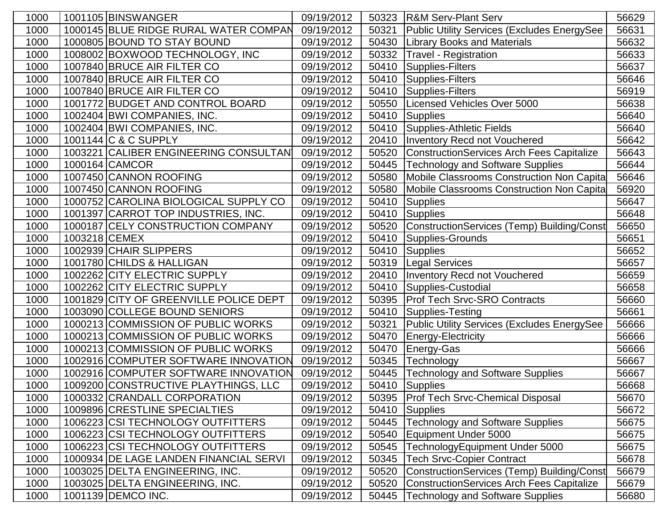| 1000 | 1001105 BINSWANGER     |                                        | 09/19/2012 | 50323 | <b>R&amp;M Serv-Plant Serv</b>                   | 56629 |
|------|------------------------|----------------------------------------|------------|-------|--------------------------------------------------|-------|
| 1000 |                        | 1000145 BLUE RIDGE RURAL WATER COMPAN  | 09/19/2012 | 50321 | Public Utility Services (Excludes EnergySee      | 56631 |
| 1000 |                        | 1000805 BOUND TO STAY BOUND            | 09/19/2012 | 50430 | <b>Library Books and Materials</b>               | 56632 |
| 1000 |                        | 1008002 BOXWOOD TECHNOLOGY, INC        | 09/19/2012 | 50332 | <b>Travel - Registration</b>                     | 56633 |
| 1000 |                        | 1007840 BRUCE AIR FILTER CO            | 09/19/2012 | 50410 | Supplies-Filters                                 | 56637 |
| 1000 |                        | 1007840 BRUCE AIR FILTER CO            | 09/19/2012 | 50410 | Supplies-Filters                                 | 56646 |
| 1000 |                        | 1007840 BRUCE AIR FILTER CO            | 09/19/2012 | 50410 | Supplies-Filters                                 | 56919 |
| 1000 |                        | 1001772 BUDGET AND CONTROL BOARD       | 09/19/2012 | 50550 | Licensed Vehicles Over 5000                      | 56638 |
| 1000 |                        | 1002404 BWI COMPANIES, INC.            | 09/19/2012 | 50410 | Supplies                                         | 56640 |
| 1000 |                        | 1002404 BWI COMPANIES, INC.            | 09/19/2012 | 50410 | Supplies-Athletic Fields                         | 56640 |
| 1000 | 1001144 C & C SUPPLY   |                                        | 09/19/2012 | 20410 | Inventory Recd not Vouchered                     | 56642 |
| 1000 |                        | 1003221 CALIBER ENGINEERING CONSULTAN  | 09/19/2012 | 50520 | <b>ConstructionServices Arch Fees Capitalize</b> | 56643 |
| 1000 | 1000164 CAMCOR         |                                        | 09/19/2012 | 50445 | <b>Technology and Software Supplies</b>          | 56644 |
| 1000 |                        | 1007450 CANNON ROOFING                 | 09/19/2012 | 50580 | Mobile Classrooms Construction Non Capita        | 56646 |
| 1000 |                        | 1007450 CANNON ROOFING                 | 09/19/2012 | 50580 | Mobile Classrooms Construction Non Capita        | 56920 |
| 1000 |                        | 1000752 CAROLINA BIOLOGICAL SUPPLY CO  | 09/19/2012 | 50410 | Supplies                                         | 56647 |
| 1000 |                        | 1001397 CARROT TOP INDUSTRIES, INC.    | 09/19/2012 | 50410 | Supplies                                         | 56648 |
| 1000 |                        | 1000187 CELY CONSTRUCTION COMPANY      | 09/19/2012 | 50520 | ConstructionServices (Temp) Building/Const       | 56650 |
| 1000 | 1003218 CEMEX          |                                        | 09/19/2012 | 50410 | Supplies-Grounds                                 | 56651 |
| 1000 | 1002939 CHAIR SLIPPERS |                                        | 09/19/2012 | 50410 | Supplies                                         | 56652 |
| 1000 |                        | 1001780 CHILDS & HALLIGAN              | 09/19/2012 | 50319 | Legal Services                                   | 56657 |
| 1000 |                        | 1002262 CITY ELECTRIC SUPPLY           | 09/19/2012 | 20410 | <b>Inventory Recd not Vouchered</b>              | 56659 |
| 1000 |                        | 1002262 CITY ELECTRIC SUPPLY           | 09/19/2012 | 50410 | Supplies-Custodial                               | 56658 |
| 1000 |                        | 1001829 CITY OF GREENVILLE POLICE DEPT | 09/19/2012 | 50395 | <b>Prof Tech Srvc-SRO Contracts</b>              | 56660 |
| 1000 |                        | 1003090 COLLEGE BOUND SENIORS          | 09/19/2012 | 50410 | Supplies-Testing                                 | 56661 |
| 1000 |                        | 1000213 COMMISSION OF PUBLIC WORKS     | 09/19/2012 | 50321 | Public Utility Services (Excludes EnergySee      | 56666 |
| 1000 |                        | 1000213 COMMISSION OF PUBLIC WORKS     | 09/19/2012 | 50470 | Energy-Electricity                               | 56666 |
| 1000 |                        | 1000213 COMMISSION OF PUBLIC WORKS     | 09/19/2012 | 50470 | Energy-Gas                                       | 56666 |
| 1000 |                        | 1002916 COMPUTER SOFTWARE INNOVATION   | 09/19/2012 | 50345 | Technology                                       | 56667 |
| 1000 |                        | 1002916 COMPUTER SOFTWARE INNOVATION   | 09/19/2012 | 50445 | Technology and Software Supplies                 | 56667 |
| 1000 |                        | 1009200 CONSTRUCTIVE PLAYTHINGS, LLC   | 09/19/2012 |       | 50410 Supplies                                   | 56668 |
| 1000 |                        | 1000332 CRANDALL CORPORATION           | 09/19/2012 | 50395 | <b>Prof Tech Srvc-Chemical Disposal</b>          | 56670 |
| 1000 |                        | 1009896 CRESTLINE SPECIALTIES          | 09/19/2012 | 50410 | Supplies                                         | 56672 |
| 1000 |                        | 1006223 CSI TECHNOLOGY OUTFITTERS      | 09/19/2012 | 50445 | <b>Technology and Software Supplies</b>          | 56675 |
| 1000 |                        | 1006223 CSI TECHNOLOGY OUTFITTERS      | 09/19/2012 | 50540 | Equipment Under 5000                             | 56675 |
| 1000 |                        | 1006223 CSI TECHNOLOGY OUTFITTERS      | 09/19/2012 | 50545 | TechnologyEquipment Under 5000                   | 56675 |
| 1000 |                        | 1000934 DE LAGE LANDEN FINANCIAL SERVI | 09/19/2012 | 50345 | <b>Tech Srvc-Copier Contract</b>                 | 56678 |
| 1000 |                        | 1003025 DELTA ENGINEERING, INC.        | 09/19/2012 | 50520 | ConstructionServices (Temp) Building/Const       | 56679 |
| 1000 |                        | 1003025 DELTA ENGINEERING, INC.        | 09/19/2012 | 50520 | <b>ConstructionServices Arch Fees Capitalize</b> | 56679 |
| 1000 | 1001139 DEMCO INC.     |                                        | 09/19/2012 | 50445 | <b>Technology and Software Supplies</b>          | 56680 |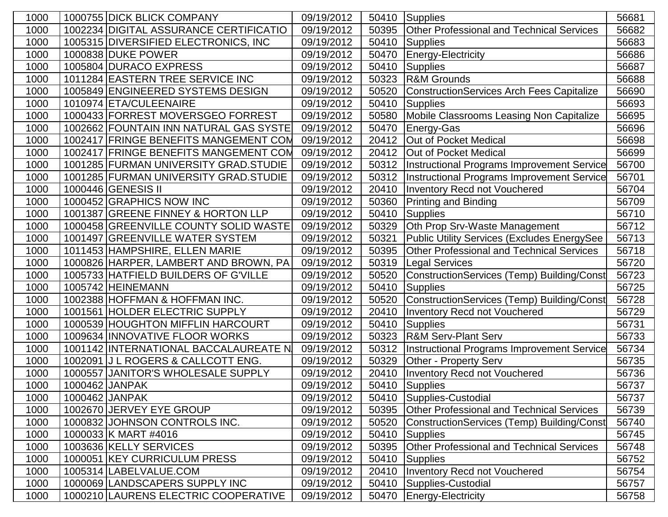| 1000 |                | 1000755 DICK BLICK COMPANY             | 09/19/2012 | 50410 | Supplies                                         | 56681 |
|------|----------------|----------------------------------------|------------|-------|--------------------------------------------------|-------|
| 1000 |                | 1002234 DIGITAL ASSURANCE CERTIFICATIO | 09/19/2012 | 50395 | <b>Other Professional and Technical Services</b> | 56682 |
| 1000 |                | 1005315 DIVERSIFIED ELECTRONICS, INC   | 09/19/2012 | 50410 | Supplies                                         | 56683 |
| 1000 |                | 1000838 DUKE POWER                     | 09/19/2012 | 50470 | Energy-Electricity                               | 56686 |
| 1000 |                | 1005804 DURACO EXPRESS                 | 09/19/2012 | 50410 | Supplies                                         | 56687 |
| 1000 |                | 1011284 EASTERN TREE SERVICE INC       | 09/19/2012 | 50323 | <b>R&amp;M Grounds</b>                           | 56688 |
| 1000 |                | 1005849 ENGINEERED SYSTEMS DESIGN      | 09/19/2012 | 50520 | <b>ConstructionServices Arch Fees Capitalize</b> | 56690 |
| 1000 |                | 1010974 ETA/CULEENAIRE                 | 09/19/2012 | 50410 | Supplies                                         | 56693 |
| 1000 |                | 1000433 FORREST MOVERSGEO FORREST      | 09/19/2012 | 50580 | Mobile Classrooms Leasing Non Capitalize         | 56695 |
| 1000 |                | 1002662 FOUNTAIN INN NATURAL GAS SYSTE | 09/19/2012 | 50470 | Energy-Gas                                       | 56696 |
| 1000 |                | 1002417 FRINGE BENEFITS MANGEMENT COM  | 09/19/2012 | 20412 | Out of Pocket Medical                            | 56698 |
| 1000 |                | 1002417 FRINGE BENEFITS MANGEMENT COM  | 09/19/2012 | 20412 | Out of Pocket Medical                            | 56699 |
| 1000 |                | 1001285 FURMAN UNIVERSITY GRAD. STUDIE | 09/19/2012 | 50312 | Instructional Programs Improvement Service       | 56700 |
| 1000 |                | 1001285 FURMAN UNIVERSITY GRAD. STUDIE | 09/19/2012 | 50312 | Instructional Programs Improvement Service       | 56701 |
| 1000 |                | 1000446 GENESIS II                     | 09/19/2012 | 20410 | <b>Inventory Recd not Vouchered</b>              | 56704 |
| 1000 |                | 1000452 GRAPHICS NOW INC               | 09/19/2012 | 50360 | <b>Printing and Binding</b>                      | 56709 |
| 1000 |                | 1001387 GREENE FINNEY & HORTON LLP     | 09/19/2012 | 50410 | Supplies                                         | 56710 |
| 1000 |                | 1000458 GREENVILLE COUNTY SOLID WASTE  | 09/19/2012 | 50329 | Oth Prop Srv-Waste Management                    | 56712 |
| 1000 |                | 1001497 GREENVILLE WATER SYSTEM        | 09/19/2012 | 50321 | Public Utility Services (Excludes EnergySee      | 56713 |
| 1000 |                | 1011453 HAMPSHIRE, ELLEN MARIE         | 09/19/2012 | 50395 | <b>Other Professional and Technical Services</b> | 56718 |
| 1000 |                | 1000826 HARPER, LAMBERT AND BROWN, PA  | 09/19/2012 | 50319 | Legal Services                                   | 56720 |
| 1000 |                | 1005733 HATFIELD BUILDERS OF G'VILLE   | 09/19/2012 | 50520 | ConstructionServices (Temp) Building/Const       | 56723 |
| 1000 |                | 1005742 HEINEMANN                      | 09/19/2012 | 50410 | Supplies                                         | 56725 |
| 1000 |                | 1002388 HOFFMAN & HOFFMAN INC.         | 09/19/2012 | 50520 | ConstructionServices (Temp) Building/Const       | 56728 |
| 1000 |                | 1001561 HOLDER ELECTRIC SUPPLY         | 09/19/2012 | 20410 | <b>Inventory Recd not Vouchered</b>              | 56729 |
| 1000 |                | 1000539 HOUGHTON MIFFLIN HARCOURT      | 09/19/2012 | 50410 | Supplies                                         | 56731 |
| 1000 |                | 1009634 INNOVATIVE FLOOR WORKS         | 09/19/2012 | 50323 | <b>R&amp;M Serv-Plant Serv</b>                   | 56733 |
| 1000 |                | 1001142 INTERNATIONAL BACCALAUREATE N  | 09/19/2012 | 50312 | Instructional Programs Improvement Service       | 56734 |
| 1000 |                | 1002091 J L ROGERS & CALLCOTT ENG.     | 09/19/2012 | 50329 | <b>Other - Property Serv</b>                     | 56735 |
| 1000 |                | 1000557 JANITOR'S WHOLESALE SUPPLY     | 09/19/2012 | 20410 | Inventory Recd not Vouchered                     | 56736 |
| 1000 | 1000462 JANPAK |                                        | 09/19/2012 |       | 50410 Supplies                                   | 56737 |
| 1000 | 1000462 JANPAK |                                        | 09/19/2012 | 50410 | Supplies-Custodial                               | 56737 |
| 1000 |                | 1002670 JERVEY EYE GROUP               | 09/19/2012 | 50395 | <b>Other Professional and Technical Services</b> | 56739 |
| 1000 |                | 1000832 JOHNSON CONTROLS INC.          | 09/19/2012 | 50520 | ConstructionServices (Temp) Building/Const       | 56740 |
| 1000 |                | 1000033 K MART #4016                   | 09/19/2012 | 50410 | Supplies                                         | 56745 |
| 1000 |                | 1003636 KELLY SERVICES                 | 09/19/2012 | 50395 | <b>Other Professional and Technical Services</b> | 56748 |
| 1000 |                | 1000051 KEY CURRICULUM PRESS           | 09/19/2012 | 50410 | Supplies                                         | 56752 |
| 1000 |                | 1005314 LABELVALUE.COM                 | 09/19/2012 | 20410 | Inventory Recd not Vouchered                     | 56754 |
| 1000 |                | 1000069 LANDSCAPERS SUPPLY INC         | 09/19/2012 | 50410 | Supplies-Custodial                               | 56757 |
| 1000 |                | 1000210 LAURENS ELECTRIC COOPERATIVE   | 09/19/2012 | 50470 | Energy-Electricity                               | 56758 |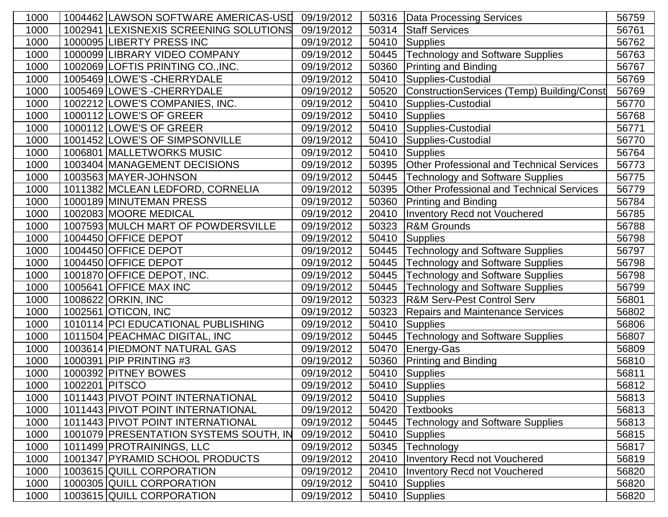| 1000 |                | 1004462 LAWSON SOFTWARE AMERICAS-USD   | 09/19/2012 | 50316 | Data Processing Services                         | 56759 |
|------|----------------|----------------------------------------|------------|-------|--------------------------------------------------|-------|
| 1000 |                | 1002941 LEXISNEXIS SCREENING SOLUTIONS | 09/19/2012 | 50314 | <b>Staff Services</b>                            | 56761 |
| 1000 |                | 1000095 LIBERTY PRESS INC              | 09/19/2012 | 50410 | Supplies                                         | 56762 |
| 1000 |                | 1000099 LIBRARY VIDEO COMPANY          | 09/19/2012 |       | 50445 Technology and Software Supplies           | 56763 |
| 1000 |                | 1002069 LOFTIS PRINTING CO., INC.      | 09/19/2012 | 50360 | <b>Printing and Binding</b>                      | 56767 |
| 1000 |                | 1005469 LOWE'S - CHERRYDALE            | 09/19/2012 | 50410 | Supplies-Custodial                               | 56769 |
| 1000 |                | 1005469 LOWE'S - CHERRYDALE            | 09/19/2012 | 50520 | ConstructionServices (Temp) Building/Const       | 56769 |
| 1000 |                | 1002212 LOWE'S COMPANIES, INC.         | 09/19/2012 | 50410 | Supplies-Custodial                               | 56770 |
| 1000 |                | 1000112 LOWE'S OF GREER                | 09/19/2012 | 50410 | Supplies                                         | 56768 |
| 1000 |                | 1000112 LOWE'S OF GREER                | 09/19/2012 | 50410 | Supplies-Custodial                               | 56771 |
| 1000 |                | 1001452 LOWE'S OF SIMPSONVILLE         | 09/19/2012 | 50410 | Supplies-Custodial                               | 56770 |
| 1000 |                | 1006801 MALLETWORKS MUSIC              | 09/19/2012 | 50410 | Supplies                                         | 56764 |
| 1000 |                | 1003404 MANAGEMENT DECISIONS           | 09/19/2012 | 50395 | <b>Other Professional and Technical Services</b> | 56773 |
| 1000 |                | 1003563 MAYER-JOHNSON                  | 09/19/2012 | 50445 | <b>Technology and Software Supplies</b>          | 56775 |
| 1000 |                | 1011382 MCLEAN LEDFORD, CORNELIA       | 09/19/2012 | 50395 | <b>Other Professional and Technical Services</b> | 56779 |
| 1000 |                | 1000189 MINUTEMAN PRESS                | 09/19/2012 | 50360 | <b>Printing and Binding</b>                      | 56784 |
| 1000 |                | 1002083 MOORE MEDICAL                  | 09/19/2012 | 20410 | <b>Inventory Recd not Vouchered</b>              | 56785 |
| 1000 |                | 1007593 MULCH MART OF POWDERSVILLE     | 09/19/2012 | 50323 | <b>R&amp;M Grounds</b>                           | 56788 |
| 1000 |                | 1004450 OFFICE DEPOT                   | 09/19/2012 | 50410 | Supplies                                         | 56798 |
| 1000 |                | 1004450 OFFICE DEPOT                   | 09/19/2012 | 50445 | <b>Technology and Software Supplies</b>          | 56797 |
| 1000 |                | 1004450 OFFICE DEPOT                   | 09/19/2012 |       | 50445   Technology and Software Supplies         | 56798 |
| 1000 |                | 1001870 OFFICE DEPOT, INC.             | 09/19/2012 | 50445 | <b>Technology and Software Supplies</b>          | 56798 |
| 1000 |                | 1005641 OFFICE MAX INC                 | 09/19/2012 | 50445 | <b>Technology and Software Supplies</b>          | 56799 |
| 1000 |                | 1008622 ORKIN, INC                     | 09/19/2012 | 50323 | <b>R&amp;M Serv-Pest Control Serv</b>            | 56801 |
| 1000 |                | 1002561 OTICON, INC                    | 09/19/2012 | 50323 | <b>Repairs and Maintenance Services</b>          | 56802 |
| 1000 |                | 1010114 PCI EDUCATIONAL PUBLISHING     | 09/19/2012 | 50410 | Supplies                                         | 56806 |
| 1000 |                | 1011504 PEACHMAC DIGITAL, INC          | 09/19/2012 | 50445 | <b>Technology and Software Supplies</b>          | 56807 |
| 1000 |                | 1003614 PIEDMONT NATURAL GAS           | 09/19/2012 | 50470 | Energy-Gas                                       | 56809 |
| 1000 |                | 1000391 PIP PRINTING #3                | 09/19/2012 | 50360 | <b>Printing and Binding</b>                      | 56810 |
| 1000 |                | 1000392 PITNEY BOWES                   | 09/19/2012 | 50410 | Supplies                                         | 56811 |
| 1000 | 1002201 PITSCO |                                        | 09/19/2012 |       | $\overline{50}410$ Supplies                      | 56812 |
| 1000 |                | 1011443 PIVOT POINT INTERNATIONAL      | 09/19/2012 | 50410 | Supplies                                         | 56813 |
| 1000 |                | 1011443 PIVOT POINT INTERNATIONAL      | 09/19/2012 | 50420 | <b>Textbooks</b>                                 | 56813 |
| 1000 |                | 1011443 PIVOT POINT INTERNATIONAL      | 09/19/2012 | 50445 | <b>Technology and Software Supplies</b>          | 56813 |
| 1000 |                | 1001079 PRESENTATION SYSTEMS SOUTH, IN | 09/19/2012 | 50410 | Supplies                                         | 56815 |
| 1000 |                | 1011499 PROTRAININGS, LLC              | 09/19/2012 | 50345 | Technology                                       | 56817 |
| 1000 |                | 1001347 PYRAMID SCHOOL PRODUCTS        | 09/19/2012 | 20410 | <b>Inventory Recd not Vouchered</b>              | 56819 |
| 1000 |                | 1003615 QUILL CORPORATION              | 09/19/2012 | 20410 | <b>Inventory Recd not Vouchered</b>              | 56820 |
| 1000 |                | 1000305 QUILL CORPORATION              | 09/19/2012 | 50410 | <b>Supplies</b>                                  | 56820 |
| 1000 |                | 1003615 QUILL CORPORATION              | 09/19/2012 | 50410 | Supplies                                         | 56820 |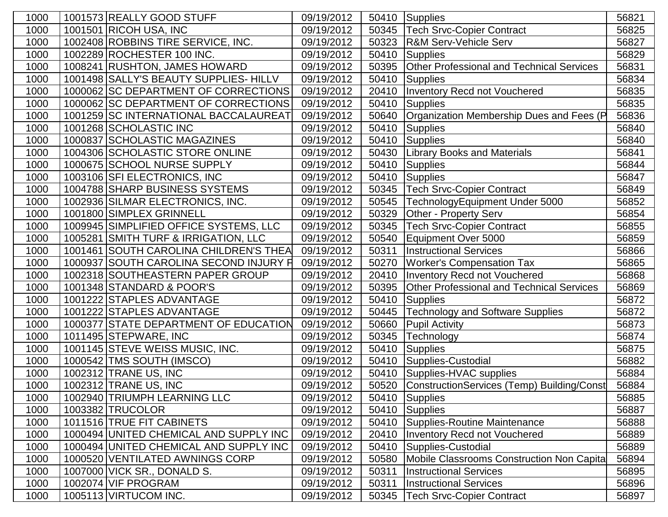| 1000 | 1001573 REALLY GOOD STUFF              | 09/19/2012 | 50410 | Supplies                                         | 56821 |
|------|----------------------------------------|------------|-------|--------------------------------------------------|-------|
| 1000 | 1001501 RICOH USA, INC                 | 09/19/2012 | 50345 | <b>Tech Srvc-Copier Contract</b>                 | 56825 |
| 1000 | 1002408 ROBBINS TIRE SERVICE, INC.     | 09/19/2012 | 50323 | <b>R&amp;M Serv-Vehicle Serv</b>                 | 56827 |
| 1000 | 1002289 ROCHESTER 100 INC.             | 09/19/2012 | 50410 | <b>Supplies</b>                                  | 56829 |
| 1000 | 1008241 RUSHTON, JAMES HOWARD          | 09/19/2012 | 50395 | <b>Other Professional and Technical Services</b> | 56831 |
| 1000 | 1001498 SALLY'S BEAUTY SUPPLIES- HILLV | 09/19/2012 | 50410 | <b>Supplies</b>                                  | 56834 |
| 1000 | 1000062 SC DEPARTMENT OF CORRECTIONS   | 09/19/2012 | 20410 | <b>Inventory Recd not Vouchered</b>              | 56835 |
| 1000 | 1000062 SC DEPARTMENT OF CORRECTIONS   | 09/19/2012 | 50410 | Supplies                                         | 56835 |
| 1000 | 1001259 SC INTERNATIONAL BACCALAUREAT  | 09/19/2012 | 50640 | Organization Membership Dues and Fees (P         | 56836 |
| 1000 | 1001268 SCHOLASTIC INC                 | 09/19/2012 | 50410 | Supplies                                         | 56840 |
| 1000 | 1000837 SCHOLASTIC MAGAZINES           | 09/19/2012 | 50410 | Supplies                                         | 56840 |
| 1000 | 1004306 SCHOLASTIC STORE ONLINE        | 09/19/2012 | 50430 | <b>Library Books and Materials</b>               | 56841 |
| 1000 | 1000675 SCHOOL NURSE SUPPLY            | 09/19/2012 | 50410 | Supplies                                         | 56844 |
| 1000 | 1003106 SFI ELECTRONICS, INC           | 09/19/2012 | 50410 | Supplies                                         | 56847 |
| 1000 | 1004788 SHARP BUSINESS SYSTEMS         | 09/19/2012 | 50345 | <b>Tech Srvc-Copier Contract</b>                 | 56849 |
| 1000 | 1002936 SILMAR ELECTRONICS, INC.       | 09/19/2012 | 50545 | TechnologyEquipment Under 5000                   | 56852 |
| 1000 | 1001800 SIMPLEX GRINNELL               | 09/19/2012 | 50329 | Other - Property Serv                            | 56854 |
| 1000 | 1009945 SIMPLIFIED OFFICE SYSTEMS, LLC | 09/19/2012 | 50345 | <b>Tech Srvc-Copier Contract</b>                 | 56855 |
| 1000 | 1005281 SMITH TURF & IRRIGATION, LLC   | 09/19/2012 | 50540 | Equipment Over 5000                              | 56859 |
| 1000 | 1001461 SOUTH CAROLINA CHILDREN'S THEA | 09/19/2012 | 50311 | <b>Instructional Services</b>                    | 56866 |
| 1000 | 1000937 SOUTH CAROLINA SECOND INJURY F | 09/19/2012 | 50270 | <b>Worker's Compensation Tax</b>                 | 56865 |
| 1000 | 1002318 SOUTHEASTERN PAPER GROUP       | 09/19/2012 | 20410 | <b>Inventory Recd not Vouchered</b>              | 56868 |
| 1000 | 1001348 STANDARD & POOR'S              | 09/19/2012 | 50395 | <b>Other Professional and Technical Services</b> | 56869 |
| 1000 | 1001222 STAPLES ADVANTAGE              | 09/19/2012 | 50410 | Supplies                                         | 56872 |
| 1000 | 1001222 STAPLES ADVANTAGE              | 09/19/2012 | 50445 | <b>Technology and Software Supplies</b>          | 56872 |
| 1000 | 1000377 STATE DEPARTMENT OF EDUCATION  | 09/19/2012 | 50660 | <b>Pupil Activity</b>                            | 56873 |
| 1000 | 1011495 STEPWARE, INC                  | 09/19/2012 | 50345 | Technology                                       | 56874 |
| 1000 | 1001145 STEVE WEISS MUSIC, INC.        | 09/19/2012 | 50410 | <b>Supplies</b>                                  | 56875 |
| 1000 | 1000542 TMS SOUTH (IMSCO)              | 09/19/2012 | 50410 | Supplies-Custodial                               | 56882 |
| 1000 | 1002312 TRANE US, INC                  | 09/19/2012 | 50410 | Supplies-HVAC supplies                           | 56884 |
| 1000 | 1002312 TRANE US, INC                  | 09/19/2012 |       | 50520 ConstructionServices (Temp) Building/Const | 56884 |
| 1000 | 1002940 TRIUMPH LEARNING LLC           | 09/19/2012 |       | 50410 Supplies                                   | 56885 |
| 1000 | 1003382 TRUCOLOR                       | 09/19/2012 | 50410 | Supplies                                         | 56887 |
| 1000 | 1011516 TRUE FIT CABINETS              | 09/19/2012 | 50410 | Supplies-Routine Maintenance                     | 56888 |
| 1000 | 1000494 UNITED CHEMICAL AND SUPPLY INC | 09/19/2012 | 20410 | Inventory Recd not Vouchered                     | 56889 |
| 1000 | 1000494 UNITED CHEMICAL AND SUPPLY INC | 09/19/2012 | 50410 | Supplies-Custodial                               | 56889 |
| 1000 | 1000520 VENTILATED AWNINGS CORP        | 09/19/2012 | 50580 | Mobile Classrooms Construction Non Capita        | 56894 |
| 1000 | 1007000 VICK SR., DONALD S.            | 09/19/2012 | 50311 | <b>Instructional Services</b>                    | 56895 |
| 1000 | 1002074 VIF PROGRAM                    | 09/19/2012 | 50311 | <b>Instructional Services</b>                    | 56896 |
| 1000 | 1005113 VIRTUCOM INC.                  | 09/19/2012 | 50345 | <b>Tech Srvc-Copier Contract</b>                 | 56897 |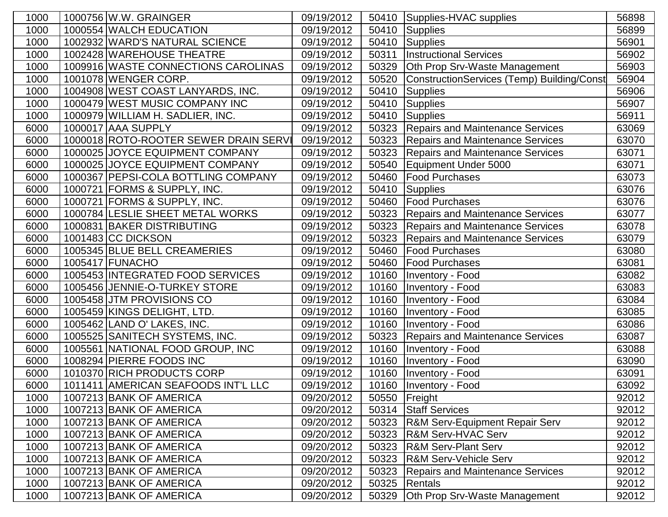| 1000 | 1000756 W.W. GRAINGER                 | 09/19/2012 | 50410 | Supplies-HVAC supplies                     | 56898 |
|------|---------------------------------------|------------|-------|--------------------------------------------|-------|
| 1000 | 1000554 WALCH EDUCATION               | 09/19/2012 | 50410 | Supplies                                   | 56899 |
| 1000 | 1002932 WARD'S NATURAL SCIENCE        | 09/19/2012 | 50410 | <b>Supplies</b>                            | 56901 |
| 1000 | 1002428 WAREHOUSE THEATRE             | 09/19/2012 | 50311 | <b>Instructional Services</b>              | 56902 |
| 1000 | 1009916 WASTE CONNECTIONS CAROLINAS   | 09/19/2012 | 50329 | Oth Prop Srv-Waste Management              | 56903 |
| 1000 | 1001078 WENGER CORP.                  | 09/19/2012 | 50520 | ConstructionServices (Temp) Building/Const | 56904 |
| 1000 | 1004908 WEST COAST LANYARDS, INC.     | 09/19/2012 | 50410 | <b>Supplies</b>                            | 56906 |
| 1000 | 1000479 WEST MUSIC COMPANY INC        | 09/19/2012 | 50410 | Supplies                                   | 56907 |
| 1000 | 1000979 WILLIAM H. SADLIER, INC.      | 09/19/2012 | 50410 | Supplies                                   | 56911 |
| 6000 | 1000017 AAA SUPPLY                    | 09/19/2012 | 50323 | <b>Repairs and Maintenance Services</b>    | 63069 |
| 6000 | 1000018 ROTO-ROOTER SEWER DRAIN SERVI | 09/19/2012 | 50323 | <b>Repairs and Maintenance Services</b>    | 63070 |
| 6000 | 1000025 JJOYCE EQUIPMENT COMPANY      | 09/19/2012 | 50323 | <b>Repairs and Maintenance Services</b>    | 63071 |
| 6000 | 1000025 JJOYCE EQUIPMENT COMPANY      | 09/19/2012 | 50540 | Equipment Under 5000                       | 63071 |
| 6000 | 1000367 PEPSI-COLA BOTTLING COMPANY   | 09/19/2012 | 50460 | <b>Food Purchases</b>                      | 63073 |
| 6000 | 1000721 FORMS & SUPPLY, INC.          | 09/19/2012 | 50410 | Supplies                                   | 63076 |
| 6000 | 1000721 FORMS & SUPPLY, INC.          | 09/19/2012 | 50460 | <b>Food Purchases</b>                      | 63076 |
| 6000 | 1000784 LESLIE SHEET METAL WORKS      | 09/19/2012 | 50323 | <b>Repairs and Maintenance Services</b>    | 63077 |
| 6000 | 1000831 BAKER DISTRIBUTING            | 09/19/2012 | 50323 | <b>Repairs and Maintenance Services</b>    | 63078 |
| 6000 | 1001483 CC DICKSON                    | 09/19/2012 | 50323 | <b>Repairs and Maintenance Services</b>    | 63079 |
| 6000 | 1005345 BLUE BELL CREAMERIES          | 09/19/2012 | 50460 | Food Purchases                             | 63080 |
| 6000 | 1005417 FUNACHO                       | 09/19/2012 | 50460 | <b>Food Purchases</b>                      | 63081 |
| 6000 | 1005453 INTEGRATED FOOD SERVICES      | 09/19/2012 | 10160 | Inventory - Food                           | 63082 |
| 6000 | 1005456 JENNIE-O-TURKEY STORE         | 09/19/2012 | 10160 | Inventory - Food                           | 63083 |
| 6000 | 1005458 JTM PROVISIONS CO             | 09/19/2012 | 10160 | Inventory - Food                           | 63084 |
| 6000 | 1005459 KINGS DELIGHT, LTD.           | 09/19/2012 | 10160 | Inventory - Food                           | 63085 |
| 6000 | 1005462 LAND O' LAKES, INC.           | 09/19/2012 | 10160 | Inventory - Food                           | 63086 |
| 6000 | 1005525 SANITECH SYSTEMS, INC.        | 09/19/2012 | 50323 | <b>Repairs and Maintenance Services</b>    | 63087 |
| 6000 | 1005561 NATIONAL FOOD GROUP, INC      | 09/19/2012 | 10160 | Inventory - Food                           | 63088 |
| 6000 | 1008294 PIERRE FOODS INC              | 09/19/2012 | 10160 | <b>Inventory - Food</b>                    | 63090 |
| 6000 | 1010370 RICH PRODUCTS CORP            | 09/19/2012 | 10160 | Inventory - Food                           | 63091 |
| 6000 | 1011411   AMERICAN SEAFOODS INT'L LLC | 09/19/2012 |       | 10160   Inventory - Food                   | 63092 |
| 1000 | 1007213 BANK OF AMERICA               | 09/20/2012 |       | 50550 Freight                              | 92012 |
| 1000 | 1007213 BANK OF AMERICA               | 09/20/2012 |       | 50314 Staff Services                       | 92012 |
| 1000 | 1007213 BANK OF AMERICA               | 09/20/2012 | 50323 | <b>R&amp;M Serv-Equipment Repair Serv</b>  | 92012 |
| 1000 | 1007213 BANK OF AMERICA               | 09/20/2012 | 50323 | <b>R&amp;M Serv-HVAC Serv</b>              | 92012 |
| 1000 | 1007213 BANK OF AMERICA               | 09/20/2012 | 50323 | <b>R&amp;M Serv-Plant Serv</b>             | 92012 |
| 1000 | 1007213 BANK OF AMERICA               | 09/20/2012 | 50323 | <b>R&amp;M Serv-Vehicle Serv</b>           | 92012 |
| 1000 | 1007213 BANK OF AMERICA               | 09/20/2012 | 50323 | <b>Repairs and Maintenance Services</b>    | 92012 |
| 1000 | 1007213 BANK OF AMERICA               | 09/20/2012 | 50325 | Rentals                                    | 92012 |
| 1000 | 1007213 BANK OF AMERICA               | 09/20/2012 | 50329 | Oth Prop Srv-Waste Management              | 92012 |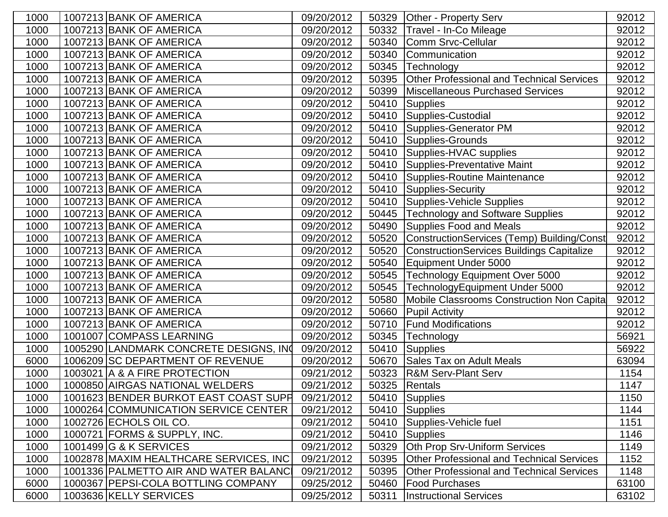| 1000 | 1007213 BANK OF AMERICA                 | 09/20/2012 | 50329 | Other - Property Serv                            | 92012 |
|------|-----------------------------------------|------------|-------|--------------------------------------------------|-------|
| 1000 | 1007213 BANK OF AMERICA                 | 09/20/2012 | 50332 | Travel - In-Co Mileage                           | 92012 |
| 1000 | 1007213 BANK OF AMERICA                 | 09/20/2012 | 50340 | Comm Srvc-Cellular                               | 92012 |
| 1000 | 1007213 BANK OF AMERICA                 | 09/20/2012 | 50340 | Communication                                    | 92012 |
| 1000 | 1007213 BANK OF AMERICA                 | 09/20/2012 | 50345 | Technology                                       | 92012 |
| 1000 | 1007213 BANK OF AMERICA                 | 09/20/2012 | 50395 | <b>Other Professional and Technical Services</b> | 92012 |
| 1000 | 1007213 BANK OF AMERICA                 | 09/20/2012 | 50399 | Miscellaneous Purchased Services                 | 92012 |
| 1000 | 1007213 BANK OF AMERICA                 | 09/20/2012 | 50410 | <b>Supplies</b>                                  | 92012 |
| 1000 | 1007213 BANK OF AMERICA                 | 09/20/2012 | 50410 | Supplies-Custodial                               | 92012 |
| 1000 | 1007213 BANK OF AMERICA                 | 09/20/2012 | 50410 | Supplies-Generator PM                            | 92012 |
| 1000 | 1007213 BANK OF AMERICA                 | 09/20/2012 | 50410 | Supplies-Grounds                                 | 92012 |
| 1000 | 1007213 BANK OF AMERICA                 | 09/20/2012 | 50410 | Supplies-HVAC supplies                           | 92012 |
| 1000 | 1007213 BANK OF AMERICA                 | 09/20/2012 | 50410 | Supplies-Preventative Maint                      | 92012 |
| 1000 | 1007213 BANK OF AMERICA                 | 09/20/2012 | 50410 | Supplies-Routine Maintenance                     | 92012 |
| 1000 | 1007213 BANK OF AMERICA                 | 09/20/2012 | 50410 | Supplies-Security                                | 92012 |
| 1000 | 1007213 BANK OF AMERICA                 | 09/20/2012 | 50410 | Supplies-Vehicle Supplies                        | 92012 |
| 1000 | 1007213 BANK OF AMERICA                 | 09/20/2012 | 50445 | <b>Technology and Software Supplies</b>          | 92012 |
| 1000 | 1007213 BANK OF AMERICA                 | 09/20/2012 | 50490 | <b>Supplies Food and Meals</b>                   | 92012 |
| 1000 | 1007213 BANK OF AMERICA                 | 09/20/2012 | 50520 | ConstructionServices (Temp) Building/Const       | 92012 |
| 1000 | 1007213 BANK OF AMERICA                 | 09/20/2012 | 50520 | <b>ConstructionServices Buildings Capitalize</b> | 92012 |
| 1000 | 1007213 BANK OF AMERICA                 | 09/20/2012 | 50540 | Equipment Under 5000                             | 92012 |
| 1000 | 1007213 BANK OF AMERICA                 | 09/20/2012 | 50545 | Technology Equipment Over 5000                   | 92012 |
| 1000 | 1007213 BANK OF AMERICA                 | 09/20/2012 | 50545 | TechnologyEquipment Under 5000                   | 92012 |
| 1000 | 1007213 BANK OF AMERICA                 | 09/20/2012 | 50580 | Mobile Classrooms Construction Non Capita        | 92012 |
| 1000 | 1007213 BANK OF AMERICA                 | 09/20/2012 | 50660 | <b>Pupil Activity</b>                            | 92012 |
| 1000 | 1007213 BANK OF AMERICA                 | 09/20/2012 | 50710 | <b>Fund Modifications</b>                        | 92012 |
| 1000 | 1001007 COMPASS LEARNING                | 09/20/2012 | 50345 | Technology                                       | 56921 |
| 1000 | 1005290 LANDMARK CONCRETE DESIGNS, INC  | 09/20/2012 | 50410 | Supplies                                         | 56922 |
| 6000 | 1006209 SC DEPARTMENT OF REVENUE        | 09/20/2012 | 50670 | <b>Sales Tax on Adult Meals</b>                  | 63094 |
| 1000 | 1003021 A & A FIRE PROTECTION           | 09/21/2012 | 50323 | <b>R&amp;M Serv-Plant Serv</b>                   | 1154  |
| 1000 | 1000850 AIRGAS NATIONAL WELDERS         | 09/21/2012 |       | 50325 Rentals                                    | 1147  |
| 1000 | 1001623 BENDER BURKOT EAST COAST SUPH   | 09/21/2012 |       | 50410 Supplies                                   | 1150  |
| 1000 | 1000264 COMMUNICATION SERVICE CENTER    | 09/21/2012 |       | 50410 Supplies                                   | 1144  |
| 1000 | 1002726 ECHOLS OIL CO.                  | 09/21/2012 | 50410 | Supplies-Vehicle fuel                            | 1151  |
| 1000 | 1000721 FORMS & SUPPLY, INC.            | 09/21/2012 | 50410 | Supplies                                         | 1146  |
| 1000 | 1001499 G & K SERVICES                  | 09/21/2012 | 50329 | Oth Prop Srv-Uniform Services                    | 1149  |
| 1000 | 1002878 MAXIM HEALTHCARE SERVICES, INC  | 09/21/2012 | 50395 | <b>Other Professional and Technical Services</b> | 1152  |
| 1000 | 1001336   PALMETTO AIR AND WATER BALANC | 09/21/2012 | 50395 | <b>Other Professional and Technical Services</b> | 1148  |
| 6000 | 1000367 PEPSI-COLA BOTTLING COMPANY     | 09/25/2012 | 50460 | <b>Food Purchases</b>                            | 63100 |
| 6000 | 1003636 KELLY SERVICES                  | 09/25/2012 | 50311 | <b>Instructional Services</b>                    | 63102 |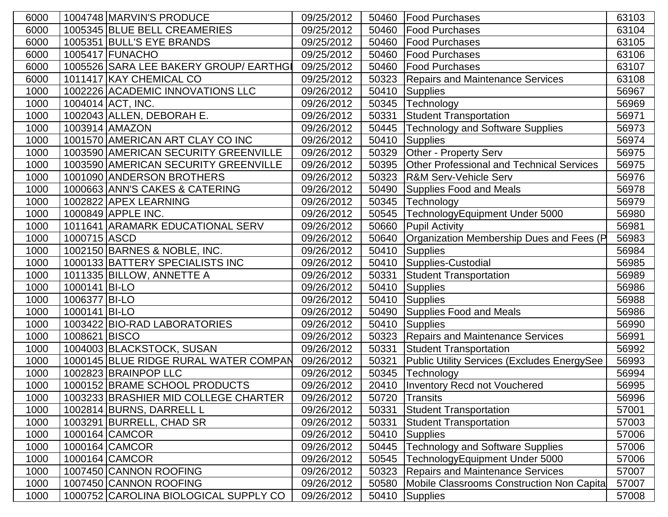| 6000 | 1004748 MARVIN'S PRODUCE               | 09/25/2012 | 50460 | Food Purchases                                   | 63103 |
|------|----------------------------------------|------------|-------|--------------------------------------------------|-------|
| 6000 | 1005345 BLUE BELL CREAMERIES           | 09/25/2012 | 50460 | <b>Food Purchases</b>                            | 63104 |
| 6000 | 1005351 BULL'S EYE BRANDS              | 09/25/2012 | 50460 | Food Purchases                                   | 63105 |
| 6000 | 1005417 FUNACHO                        | 09/25/2012 | 50460 | <b>Food Purchases</b>                            | 63106 |
| 6000 | 1005526 SARA LEE BAKERY GROUP/ EARTHGI | 09/25/2012 | 50460 | <b>Food Purchases</b>                            | 63107 |
| 6000 | 1011417 KAY CHEMICAL CO                | 09/25/2012 | 50323 | <b>Repairs and Maintenance Services</b>          | 63108 |
| 1000 | 1002226 ACADEMIC INNOVATIONS LLC       | 09/26/2012 | 50410 | <b>Supplies</b>                                  | 56967 |
| 1000 | 1004014 ACT, INC.                      | 09/26/2012 | 50345 | Technology                                       | 56969 |
| 1000 | 1002043 ALLEN, DEBORAH E.              | 09/26/2012 | 50331 | <b>Student Transportation</b>                    | 56971 |
| 1000 | 1003914 AMAZON                         | 09/26/2012 | 50445 | <b>Technology and Software Supplies</b>          | 56973 |
| 1000 | 1001570 AMERICAN ART CLAY CO INC       | 09/26/2012 | 50410 | <b>Supplies</b>                                  | 56974 |
| 1000 | 1003590 AMERICAN SECURITY GREENVILLE   | 09/26/2012 | 50329 | Other - Property Serv                            | 56975 |
| 1000 | 1003590 AMERICAN SECURITY GREENVILLE   | 09/26/2012 | 50395 | <b>Other Professional and Technical Services</b> | 56975 |
| 1000 | 1001090 ANDERSON BROTHERS              | 09/26/2012 | 50323 | <b>R&amp;M Serv-Vehicle Serv</b>                 | 56976 |
| 1000 | 1000663 ANN'S CAKES & CATERING         | 09/26/2012 | 50490 | <b>Supplies Food and Meals</b>                   | 56978 |
| 1000 | 1002822 APEX LEARNING                  | 09/26/2012 | 50345 | Technology                                       | 56979 |
| 1000 | 1000849 APPLE INC.                     | 09/26/2012 | 50545 | TechnologyEquipment Under 5000                   | 56980 |
| 1000 | 1011641 ARAMARK EDUCATIONAL SERV       | 09/26/2012 | 50660 | <b>Pupil Activity</b>                            | 56981 |
| 1000 | 1000715 ASCD                           | 09/26/2012 | 50640 | Organization Membership Dues and Fees (P         | 56983 |
| 1000 | 1002150 BARNES & NOBLE, INC.           | 09/26/2012 | 50410 | Supplies                                         | 56984 |
| 1000 | 1000133 BATTERY SPECIALISTS INC        | 09/26/2012 | 50410 | Supplies-Custodial                               | 56985 |
| 1000 | 1011335 BILLOW, ANNETTE A              | 09/26/2012 | 50331 | <b>Student Transportation</b>                    | 56989 |
| 1000 | 1000141 BI-LO                          | 09/26/2012 | 50410 | <b>Supplies</b>                                  | 56986 |
| 1000 | 1006377 BI-LO                          | 09/26/2012 | 50410 | <b>Supplies</b>                                  | 56988 |
| 1000 | 1000141 BI-LO                          | 09/26/2012 | 50490 | <b>Supplies Food and Meals</b>                   | 56986 |
| 1000 | 1003422 BIO-RAD LABORATORIES           | 09/26/2012 | 50410 | Supplies                                         | 56990 |
| 1000 | 1008621 BISCO                          | 09/26/2012 | 50323 | <b>Repairs and Maintenance Services</b>          | 56991 |
| 1000 | 1004003 BLACKSTOCK, SUSAN              | 09/26/2012 | 50331 | <b>Student Transportation</b>                    | 56992 |
| 1000 | 1000145 BLUE RIDGE RURAL WATER COMPAN  | 09/26/2012 | 50321 | Public Utility Services (Excludes EnergySee      | 56993 |
| 1000 | 1002823 BRAINPOP LLC                   | 09/26/2012 | 50345 | Technology                                       | 56994 |
| 1000 | 1000152 BRAME SCHOOL PRODUCTS          | 09/26/2012 |       | 20410   Inventory Recd not Vouchered             | 56995 |
| 1000 | 1003233 BRASHIER MID COLLEGE CHARTER   | 09/26/2012 | 50720 | Transits                                         | 56996 |
| 1000 | 1002814 BURNS, DARRELL L               | 09/26/2012 | 50331 | <b>Student Transportation</b>                    | 57001 |
| 1000 | 1003291 BURRELL, CHAD SR               | 09/26/2012 | 50331 | <b>Student Transportation</b>                    | 57003 |
| 1000 | 1000164 CAMCOR                         | 09/26/2012 | 50410 | <b>Supplies</b>                                  | 57006 |
| 1000 | 1000164 CAMCOR                         | 09/26/2012 | 50445 | <b>Technology and Software Supplies</b>          | 57006 |
| 1000 | 1000164 CAMCOR                         | 09/26/2012 | 50545 | TechnologyEquipment Under 5000                   | 57006 |
| 1000 | 1007450 CANNON ROOFING                 | 09/26/2012 | 50323 | <b>Repairs and Maintenance Services</b>          | 57007 |
| 1000 | 1007450 CANNON ROOFING                 | 09/26/2012 | 50580 | Mobile Classrooms Construction Non Capita        | 57007 |
| 1000 | 1000752 CAROLINA BIOLOGICAL SUPPLY CO  | 09/26/2012 | 50410 | <b>Supplies</b>                                  | 57008 |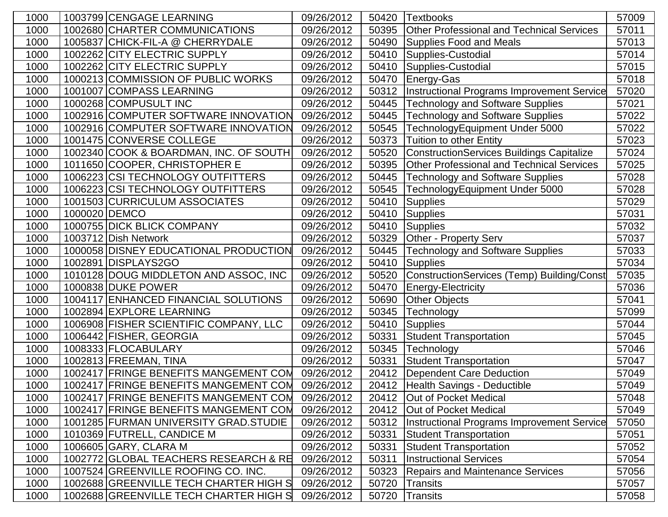| 1000 | 1003799 CENGAGE LEARNING               | 09/26/2012 | 50420 | <b>Textbooks</b>                                 | 57009 |
|------|----------------------------------------|------------|-------|--------------------------------------------------|-------|
| 1000 | 1002680 CHARTER COMMUNICATIONS         | 09/26/2012 | 50395 | <b>Other Professional and Technical Services</b> | 57011 |
| 1000 | 1005837 CHICK-FIL-A @ CHERRYDALE       | 09/26/2012 | 50490 | <b>Supplies Food and Meals</b>                   | 57013 |
| 1000 | 1002262 CITY ELECTRIC SUPPLY           | 09/26/2012 | 50410 | Supplies-Custodial                               | 57014 |
| 1000 | 1002262 CITY ELECTRIC SUPPLY           | 09/26/2012 | 50410 | Supplies-Custodial                               | 57015 |
| 1000 | 1000213 COMMISSION OF PUBLIC WORKS     | 09/26/2012 | 50470 | Energy-Gas                                       | 57018 |
| 1000 | 1001007 COMPASS LEARNING               | 09/26/2012 | 50312 | Instructional Programs Improvement Service       | 57020 |
| 1000 | 1000268 COMPUSULT INC                  | 09/26/2012 | 50445 | <b>Technology and Software Supplies</b>          | 57021 |
| 1000 | 1002916 COMPUTER SOFTWARE INNOVATION   | 09/26/2012 | 50445 | <b>Technology and Software Supplies</b>          | 57022 |
| 1000 | 1002916 COMPUTER SOFTWARE INNOVATION   | 09/26/2012 | 50545 | TechnologyEquipment Under 5000                   | 57022 |
| 1000 | 1001475 CONVERSE COLLEGE               | 09/26/2012 | 50373 | <b>Tuition to other Entity</b>                   | 57023 |
| 1000 | 1002340 COOK & BOARDMAN, INC. OF SOUTH | 09/26/2012 | 50520 | <b>ConstructionServices Buildings Capitalize</b> | 57024 |
| 1000 | 1011650 COOPER, CHRISTOPHER E          | 09/26/2012 | 50395 | <b>Other Professional and Technical Services</b> | 57025 |
| 1000 | 1006223 CSI TECHNOLOGY OUTFITTERS      | 09/26/2012 | 50445 | <b>Technology and Software Supplies</b>          | 57028 |
| 1000 | 1006223 CSI TECHNOLOGY OUTFITTERS      | 09/26/2012 | 50545 | TechnologyEquipment Under 5000                   | 57028 |
| 1000 | 1001503 CURRICULUM ASSOCIATES          | 09/26/2012 | 50410 | <b>Supplies</b>                                  | 57029 |
| 1000 | 1000020 DEMCO                          | 09/26/2012 | 50410 | Supplies                                         | 57031 |
| 1000 | 1000755 DICK BLICK COMPANY             | 09/26/2012 | 50410 | Supplies                                         | 57032 |
| 1000 | 1003712 Dish Network                   | 09/26/2012 | 50329 | <b>Other - Property Serv</b>                     | 57037 |
| 1000 | 1000058 DISNEY EDUCATIONAL PRODUCTION  | 09/26/2012 | 50445 | <b>Technology and Software Supplies</b>          | 57033 |
| 1000 | 1002891 DISPLAYS2GO                    | 09/26/2012 | 50410 | Supplies                                         | 57034 |
| 1000 | 1010128 DOUG MIDDLETON AND ASSOC, INC  | 09/26/2012 | 50520 | ConstructionServices (Temp) Building/Const       | 57035 |
| 1000 | 1000838 DUKE POWER                     | 09/26/2012 | 50470 | <b>Energy-Electricity</b>                        | 57036 |
| 1000 | 1004117 ENHANCED FINANCIAL SOLUTIONS   | 09/26/2012 | 50690 | <b>Other Objects</b>                             | 57041 |
| 1000 | 1002894 EXPLORE LEARNING               | 09/26/2012 | 50345 | Technology                                       | 57099 |
| 1000 | 1006908 FISHER SCIENTIFIC COMPANY, LLC | 09/26/2012 | 50410 | Supplies                                         | 57044 |
| 1000 | 1006442 FISHER, GEORGIA                | 09/26/2012 | 50331 | <b>Student Transportation</b>                    | 57045 |
| 1000 | 1008333 FLOCABULARY                    | 09/26/2012 | 50345 | Technology                                       | 57046 |
| 1000 | 1002813 FREEMAN, TINA                  | 09/26/2012 | 50331 | <b>Student Transportation</b>                    | 57047 |
| 1000 | 1002417 FRINGE BENEFITS MANGEMENT COM  | 09/26/2012 | 20412 | Dependent Care Deduction                         | 57049 |
| 1000 | 1002417 FRINGE BENEFITS MANGEMENT COM  | 09/26/2012 |       | 20412   Health Savings - Deductible              | 57049 |
| 1000 | 1002417 FRINGE BENEFITS MANGEMENT COM  | 09/26/2012 | 20412 | Out of Pocket Medical                            | 57048 |
| 1000 | 1002417 FRINGE BENEFITS MANGEMENT COM  | 09/26/2012 | 20412 | Out of Pocket Medical                            | 57049 |
| 1000 | 1001285 FURMAN UNIVERSITY GRAD. STUDIE | 09/26/2012 | 50312 | Instructional Programs Improvement Service       | 57050 |
| 1000 | 1010369 FUTRELL, CANDICE M             | 09/26/2012 | 50331 | <b>Student Transportation</b>                    | 57051 |
| 1000 | 1006605 GARY, CLARA M                  | 09/26/2012 | 50331 | <b>Student Transportation</b>                    | 57052 |
| 1000 | 1002772 GLOBAL TEACHERS RESEARCH & RE  | 09/26/2012 | 50311 | <b>Instructional Services</b>                    | 57054 |
| 1000 | 1007524 GREENVILLE ROOFING CO. INC.    | 09/26/2012 | 50323 | <b>Repairs and Maintenance Services</b>          | 57056 |
| 1000 | 1002688 GREENVILLE TECH CHARTER HIGH S | 09/26/2012 | 50720 | <b>Transits</b>                                  | 57057 |
| 1000 | 1002688 GREENVILLE TECH CHARTER HIGH S | 09/26/2012 | 50720 | <b>Transits</b>                                  | 57058 |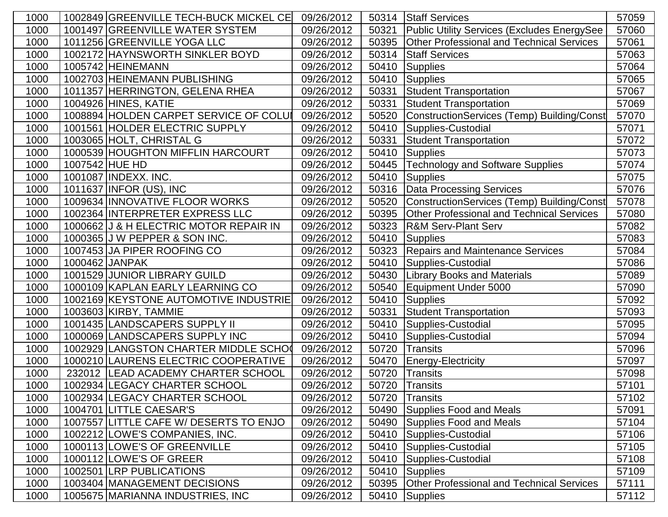| 1000 |                       | 1002849 GREENVILLE TECH-BUCK MICKEL CE | 09/26/2012 | 50314 | <b>Staff Services</b>                            | 57059 |
|------|-----------------------|----------------------------------------|------------|-------|--------------------------------------------------|-------|
| 1000 |                       | 1001497 GREENVILLE WATER SYSTEM        | 09/26/2012 | 50321 | Public Utility Services (Excludes EnergySee      | 57060 |
| 1000 |                       | 1011256 GREENVILLE YOGA LLC            | 09/26/2012 | 50395 | <b>Other Professional and Technical Services</b> | 57061 |
| 1000 |                       | 1002172 HAYNSWORTH SINKLER BOYD        | 09/26/2012 | 50314 | <b>Staff Services</b>                            | 57063 |
| 1000 | 1005742 HEINEMANN     |                                        | 09/26/2012 | 50410 | <b>Supplies</b>                                  | 57064 |
| 1000 |                       | 1002703 HEINEMANN PUBLISHING           | 09/26/2012 | 50410 | <b>Supplies</b>                                  | 57065 |
| 1000 |                       | 1011357 HERRINGTON, GELENA RHEA        | 09/26/2012 | 50331 | <b>Student Transportation</b>                    | 57067 |
| 1000 | 1004926 HINES, KATIE  |                                        | 09/26/2012 | 50331 | <b>Student Transportation</b>                    | 57069 |
| 1000 |                       | 1008894 HOLDEN CARPET SERVICE OF COLUI | 09/26/2012 | 50520 | ConstructionServices (Temp) Building/Const       | 57070 |
| 1000 |                       | 1001561 HOLDER ELECTRIC SUPPLY         | 09/26/2012 | 50410 | Supplies-Custodial                               | 57071 |
| 1000 |                       | 1003065 HOLT, CHRISTAL G               | 09/26/2012 | 50331 | <b>Student Transportation</b>                    | 57072 |
| 1000 |                       | 1000539 HOUGHTON MIFFLIN HARCOURT      | 09/26/2012 | 50410 | <b>Supplies</b>                                  | 57073 |
| 1000 | 1007542 HUE HD        |                                        | 09/26/2012 | 50445 | <b>Technology and Software Supplies</b>          | 57074 |
| 1000 | 1001087 INDEXX. INC.  |                                        | 09/26/2012 | 50410 | <b>Supplies</b>                                  | 57075 |
| 1000 |                       | 1011637 INFOR (US), INC                | 09/26/2012 | 50316 | <b>Data Processing Services</b>                  | 57076 |
| 1000 |                       | 1009634 INNOVATIVE FLOOR WORKS         | 09/26/2012 | 50520 | ConstructionServices (Temp) Building/Const       | 57078 |
| 1000 |                       | 1002364 INTERPRETER EXPRESS LLC        | 09/26/2012 | 50395 | <b>Other Professional and Technical Services</b> | 57080 |
| 1000 |                       | 1000662 J & H ELECTRIC MOTOR REPAIR IN | 09/26/2012 | 50323 | <b>R&amp;M Serv-Plant Serv</b>                   | 57082 |
| 1000 |                       | 1000365 J W PEPPER & SON INC.          | 09/26/2012 | 50410 | <b>Supplies</b>                                  | 57083 |
| 1000 |                       | 1007453 JA PIPER ROOFING CO            | 09/26/2012 | 50323 | <b>Repairs and Maintenance Services</b>          | 57084 |
| 1000 | 1000462 JANPAK        |                                        | 09/26/2012 | 50410 | Supplies-Custodial                               | 57086 |
| 1000 |                       | 1001529 JUNIOR LIBRARY GUILD           | 09/26/2012 | 50430 | <b>Library Books and Materials</b>               | 57089 |
| 1000 |                       | 1000109 KAPLAN EARLY LEARNING CO       | 09/26/2012 | 50540 | Equipment Under 5000                             | 57090 |
| 1000 |                       | 1002169 KEYSTONE AUTOMOTIVE INDUSTRIE  | 09/26/2012 | 50410 | <b>Supplies</b>                                  | 57092 |
| 1000 | 1003603 KIRBY, TAMMIE |                                        | 09/26/2012 | 50331 | <b>Student Transportation</b>                    | 57093 |
| 1000 |                       | 1001435 LANDSCAPERS SUPPLY II          | 09/26/2012 | 50410 | Supplies-Custodial                               | 57095 |
| 1000 |                       | 1000069 LANDSCAPERS SUPPLY INC         | 09/26/2012 | 50410 | Supplies-Custodial                               | 57094 |
| 1000 |                       | 1002929 LANGSTON CHARTER MIDDLE SCHO   | 09/26/2012 | 50720 | <b>Transits</b>                                  | 57096 |
| 1000 |                       | 1000210 LAURENS ELECTRIC COOPERATIVE   | 09/26/2012 | 50470 | <b>Energy-Electricity</b>                        | 57097 |
| 1000 |                       | 232012   LEAD ACADEMY CHARTER SCHOOL   | 09/26/2012 | 50720 | <b>Transits</b>                                  | 57098 |
| 1000 |                       | 1002934 LEGACY CHARTER SCHOOL          | 09/26/2012 | 50720 | <b>Transits</b>                                  | 57101 |
| 1000 |                       | 1002934 LEGACY CHARTER SCHOOL          | 09/26/2012 | 50720 | <b>Transits</b>                                  | 57102 |
| 1000 |                       | 1004701 LITTLE CAESAR'S                | 09/26/2012 | 50490 | <b>Supplies Food and Meals</b>                   | 57091 |
| 1000 |                       | 1007557 LITTLE CAFE W/ DESERTS TO ENJO | 09/26/2012 | 50490 | <b>Supplies Food and Meals</b>                   | 57104 |
| 1000 |                       | 1002212 LOWE'S COMPANIES, INC.         | 09/26/2012 | 50410 | Supplies-Custodial                               | 57106 |
| 1000 |                       | 1000113 LOWE'S OF GREENVILLE           | 09/26/2012 | 50410 | Supplies-Custodial                               | 57105 |
| 1000 |                       | 1000112 LOWE'S OF GREER                | 09/26/2012 | 50410 | Supplies-Custodial                               | 57108 |
| 1000 |                       | 1002501 LRP PUBLICATIONS               | 09/26/2012 | 50410 | <b>Supplies</b>                                  | 57109 |
| 1000 |                       | 1003404 MANAGEMENT DECISIONS           | 09/26/2012 | 50395 | <b>Other Professional and Technical Services</b> | 57111 |
| 1000 |                       | 1005675 MARIANNA INDUSTRIES, INC       | 09/26/2012 | 50410 | <b>Supplies</b>                                  | 57112 |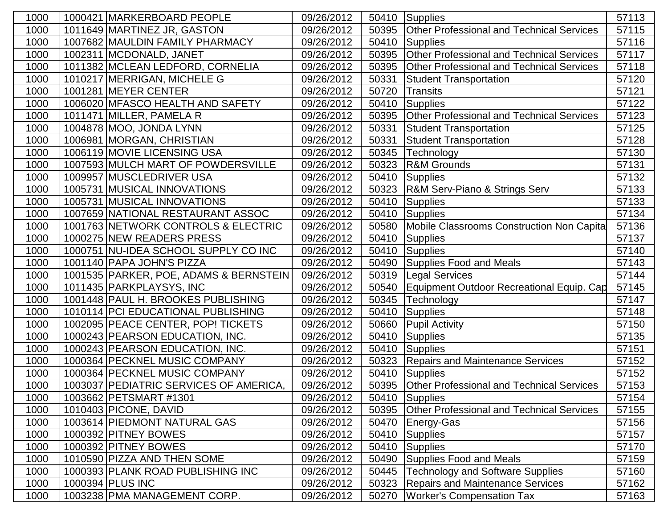| 1000 | 1000421 MARKERBOARD PEOPLE             | 09/26/2012 | 50410 | Supplies                                         | 57113 |
|------|----------------------------------------|------------|-------|--------------------------------------------------|-------|
| 1000 | 1011649 MARTINEZ JR, GASTON            | 09/26/2012 | 50395 | <b>Other Professional and Technical Services</b> | 57115 |
| 1000 | 1007682 MAULDIN FAMILY PHARMACY        | 09/26/2012 | 50410 | <b>Supplies</b>                                  | 57116 |
| 1000 | 1002311 MCDONALD, JANET                | 09/26/2012 | 50395 | <b>Other Professional and Technical Services</b> | 57117 |
| 1000 | 1011382 MCLEAN LEDFORD, CORNELIA       | 09/26/2012 | 50395 | <b>Other Professional and Technical Services</b> | 57118 |
| 1000 | 1010217 MERRIGAN, MICHELE G            | 09/26/2012 | 50331 | <b>Student Transportation</b>                    | 57120 |
| 1000 | 1001281 MEYER CENTER                   | 09/26/2012 | 50720 | <b>Transits</b>                                  | 57121 |
| 1000 | 1006020 MFASCO HEALTH AND SAFETY       | 09/26/2012 | 50410 | Supplies                                         | 57122 |
| 1000 | 1011471 MILLER, PAMELA R               | 09/26/2012 | 50395 | Other Professional and Technical Services        | 57123 |
| 1000 | 1004878 MOO, JONDA LYNN                | 09/26/2012 | 50331 | <b>Student Transportation</b>                    | 57125 |
| 1000 | 1006981 MORGAN, CHRISTIAN              | 09/26/2012 | 50331 | <b>Student Transportation</b>                    | 57128 |
| 1000 | 1006119 MOVIE LICENSING USA            | 09/26/2012 | 50345 | Technology                                       | 57130 |
| 1000 | 1007593 MULCH MART OF POWDERSVILLE     | 09/26/2012 | 50323 | <b>R&amp;M Grounds</b>                           | 57131 |
| 1000 | 1009957 MUSCLEDRIVER USA               | 09/26/2012 | 50410 | Supplies                                         | 57132 |
| 1000 | 1005731 MUSICAL INNOVATIONS            | 09/26/2012 | 50323 | R&M Serv-Piano & Strings Serv                    | 57133 |
| 1000 | 1005731 MUSICAL INNOVATIONS            | 09/26/2012 | 50410 | <b>Supplies</b>                                  | 57133 |
| 1000 | 1007659 NATIONAL RESTAURANT ASSOC      | 09/26/2012 | 50410 | <b>Supplies</b>                                  | 57134 |
| 1000 | 1001763 NETWORK CONTROLS & ELECTRIC    | 09/26/2012 | 50580 | Mobile Classrooms Construction Non Capita        | 57136 |
| 1000 | 1000275 NEW READERS PRESS              | 09/26/2012 | 50410 | <b>Supplies</b>                                  | 57137 |
| 1000 | 1000751 NU-IDEA SCHOOL SUPPLY CO INC   | 09/26/2012 | 50410 | Supplies                                         | 57140 |
| 1000 | 1001140 PAPA JOHN'S PIZZA              | 09/26/2012 | 50490 | <b>Supplies Food and Meals</b>                   | 57143 |
| 1000 | 1001535 PARKER, POE, ADAMS & BERNSTEIN | 09/26/2012 | 50319 | <b>Legal Services</b>                            | 57144 |
| 1000 | 1011435 PARKPLAYSYS, INC               | 09/26/2012 | 50540 | Equipment Outdoor Recreational Equip. Cap        | 57145 |
| 1000 | 1001448 PAUL H. BROOKES PUBLISHING     | 09/26/2012 | 50345 | Technology                                       | 57147 |
| 1000 | 1010114 PCI EDUCATIONAL PUBLISHING     | 09/26/2012 | 50410 | <b>Supplies</b>                                  | 57148 |
| 1000 | 1002095 PEACE CENTER, POP! TICKETS     | 09/26/2012 | 50660 | <b>Pupil Activity</b>                            | 57150 |
| 1000 | 1000243 PEARSON EDUCATION, INC.        | 09/26/2012 | 50410 | <b>Supplies</b>                                  | 57135 |
| 1000 | 1000243 PEARSON EDUCATION, INC.        | 09/26/2012 | 50410 | Supplies                                         | 57151 |
| 1000 | 1000364 PECKNEL MUSIC COMPANY          | 09/26/2012 | 50323 | <b>Repairs and Maintenance Services</b>          | 57152 |
| 1000 | 1000364 PECKNEL MUSIC COMPANY          | 09/26/2012 | 50410 | Supplies                                         | 57152 |
| 1000 | 1003037 PEDIATRIC SERVICES OF AMERICA, | 09/26/2012 |       | 50395 Other Professional and Technical Services  | 57153 |
| 1000 | 1003662 PETSMART #1301                 | 09/26/2012 |       | 50410 Supplies                                   | 57154 |
| 1000 | 1010403 PICONE, DAVID                  | 09/26/2012 | 50395 | <b>Other Professional and Technical Services</b> | 57155 |
| 1000 | 1003614 PIEDMONT NATURAL GAS           | 09/26/2012 | 50470 | Energy-Gas                                       | 57156 |
| 1000 | 1000392 PITNEY BOWES                   | 09/26/2012 | 50410 | Supplies                                         | 57157 |
| 1000 | 1000392 PITNEY BOWES                   | 09/26/2012 | 50410 | Supplies                                         | 57170 |
| 1000 | 1010590 PIZZA AND THEN SOME            | 09/26/2012 | 50490 | <b>Supplies Food and Meals</b>                   | 57159 |
| 1000 | 1000393 PLANK ROAD PUBLISHING INC      | 09/26/2012 | 50445 | <b>Technology and Software Supplies</b>          | 57160 |
| 1000 | 1000394 PLUS INC                       | 09/26/2012 | 50323 | <b>Repairs and Maintenance Services</b>          | 57162 |
| 1000 | 1003238 PMA MANAGEMENT CORP.           | 09/26/2012 | 50270 | <b>Worker's Compensation Tax</b>                 | 57163 |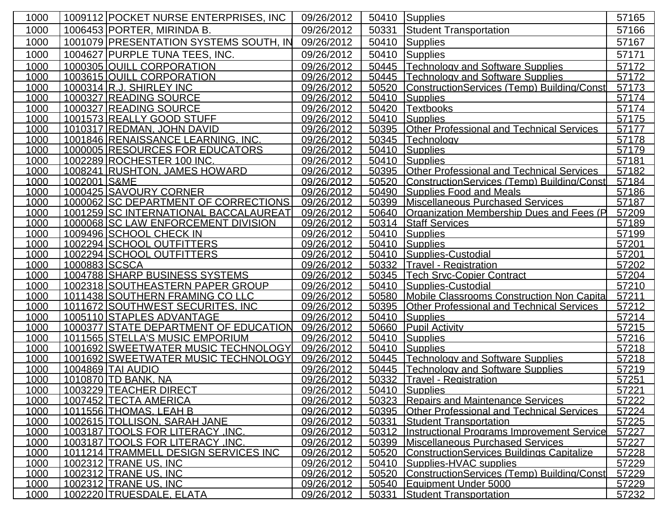| 1000         |               | 1009112 POCKET NURSE ENTERPRISES, INC                            | 09/26/2012               | 50410          | Supplies                                                                           | 57165          |
|--------------|---------------|------------------------------------------------------------------|--------------------------|----------------|------------------------------------------------------------------------------------|----------------|
| 1000         |               | 1006453 PORTER, MIRINDA B.                                       | 09/26/2012               | 50331          | <b>Student Transportation</b>                                                      | 57166          |
| 1000         |               | 1001079 PRESENTATION SYSTEMS SOUTH, IN                           | 09/26/2012               | 50410          | <b>Supplies</b>                                                                    | 57167          |
| 1000         |               | 1004627 PURPLE TUNA TEES, INC.                                   | 09/26/2012               | 50410          | <b>Supplies</b>                                                                    | 57171          |
| 1000         |               | 1000305 QUILL CORPORATION                                        | 09/26/2012               | 50445          | <b>Technology and Software Supplies</b>                                            | 57172          |
| 1000         |               | 1003615 QUILL CORPORATION                                        | 09/26/2012               | 50445          | Technology and Software Supplies                                                   | 57172          |
| 1000         |               | 1000314 R.J. SHIRLEY INC                                         | 09/26/2012               | 50520          | ConstructionServices (Temp) Building/Const                                         | 57173          |
| 1000         |               | 1000327 READING SOURCE                                           | 09/26/2012               | 50410          | Supplies                                                                           | 57174          |
| 1000         |               | 1000327 READING SOURCE                                           | 09/26/2012               | 50420          | Textbooks                                                                          | 57174          |
| 1000         |               | 1001573 REALLY GOOD STUFF                                        | 09/26/2012               | 50410          | Supplies                                                                           | 57175          |
| 1000         |               | 1010317 REDMAN, JOHN DAVID                                       | 09/26/2012               | 50395          | <b>Other Professional and Technical Services</b>                                   | 57177          |
| 1000         |               | 1001846 RENAISSANCE LEARNING, INC.                               | 09/26/2012               | 50345          | Technology                                                                         | 57178          |
| 1000         |               | 1000005 RESOURCES FOR EDUCATORS                                  | 09/26/2012               |                | 50410 Supplies                                                                     | 57179          |
| 1000         |               | 1002289 ROCHESTER 100 INC.                                       | 09/26/2012               |                | 50410 Supplies                                                                     | 57181          |
| 1000         |               | 1008241 RUSHTON, JAMES HOWARD                                    | 09/26/2012               | 50395          | <b>Other Professional and Technical Services</b>                                   | 57182          |
| 1000         | 1002001 S&ME  |                                                                  | 09/26/2012               | 50520          | ConstructionServices (Temp) Building/Constl                                        | 57184          |
| 1000         |               | 1000425 SAVOURY CORNER                                           | 09/26/2012               | 50490          | Supplies Food and Meals                                                            | 57186          |
| 1000         |               | 1000062 SC DEPARTMENT OF CORRECTIONS                             | 09/26/2012               | 50399          | <b>Miscellaneous Purchased Services</b>                                            | 57187          |
| 1000         |               | 1001259 SC INTERNATIONAL BACCALAUREAT                            | 09/26/2012               | 50640          | Organization Membership Dues and Fees (P                                           | 57209          |
| 1000         |               | 1000068 SC LAW ENFORCEMENT DIVISION                              | 09/26/2012               | 50314          | <b>Staff Services</b>                                                              | 57189          |
| 1000         |               | 1009496 SCHOOL CHECK IN                                          | 09/26/2012               | 50410          | Supplies                                                                           | 57199          |
| 1000         |               | 1002294 SCHOOL OUTFITTERS                                        | 09/26/2012               | 50410          | Supplies                                                                           | 57201          |
| 1000         |               | 1002294 SCHOOL OUTFITTERS                                        | 09/26/2012               | 50410          | Supplies-Custodial                                                                 | 57201          |
| 1000         | 1000883 SCSCA |                                                                  | 09/26/2012               | 50332          | <b>Travel - Registration</b>                                                       | 57202          |
| 1000         |               | 1004788 SHARP BUSINESS SYSTEMS                                   | 09/26/2012               | 50345          | <b>Tech Srvc-Copier Contract</b>                                                   | 57204          |
| 1000         |               | 1002318 SOUTHEASTERN PAPER GROUP                                 | 09/26/2012               | 50410          | Supplies-Custodial                                                                 | 57210          |
| 1000         |               | 1011438 SOUTHERN FRAMING CO LLC                                  | 09/26/2012               | 50580          | Mobile Classrooms Construction Non Capita                                          | 57211          |
| 1000         |               | 1011672 SOUTHWEST SECURITES. INC                                 | 09/26/2012               | 50395          | <b>Other Professional and Technical Services</b>                                   | 57212          |
| 1000         |               | 1005110 STAPLES ADVANTAGE                                        | 09/26/2012               | 50410          | Supplies                                                                           | 57214          |
| 1000         |               | 1000377 STATE DEPARTMENT OF EDUCATION                            | 09/26/2012               | 50660          | <b>Pupil Activity</b>                                                              | 57215          |
| 1000         |               | 1011565 STELLA'S MUSIC EMPORIUM                                  | 09/26/2012               |                | 50410 Supplies                                                                     | 57216          |
| 1000         |               | 1001692 SWEETWATER MUSIC TECHNOLOGY                              | 09/26/2012               |                | 50410 Supplies                                                                     | 57218          |
| 1000         |               | 1001692 SWEETWATER MUSIC TECHNOLOGY                              | 09/26/2012               |                | 50445 Technology and Software Supplies                                             | 57218          |
| 1000         |               | 1004869 TAI AUDIO                                                | 09/26/2012               |                | 50445 Technology and Software Supplies                                             | 57219          |
| 1000         |               | 1010870 TD BANK, NA                                              | 09/26/2012               |                | 50332   Travel - Registration                                                      | 57251          |
| 1000         |               | 1003229 TEACHER DIRECT                                           | 09/26/2012               |                | 50410 Supplies                                                                     | 57221          |
| 1000         |               | 1007452 TECTA AMERICA                                            | 09/26/2012               | 50323          | Repairs and Maintenance Services                                                   | 57222          |
| 1000         |               | 1011556 THOMAS, LEAH B                                           | 09/26/2012               | 50395          | <b>Other Professional and Technical Services</b>                                   | 57224          |
| 1000         |               | 1002615 TOLLISON, SARAH JANE<br>1003187 TOOLS FOR LITERACY, INC. | 09/26/2012               | 50331          | <b>Student Transportation</b><br><b>Instructional Programs Improvement Service</b> | 57225          |
| 1000<br>1000 |               | 1003187 TOOLS FOR LITERACY, INC.                                 | 09/26/2012<br>09/26/2012 | 50312<br>50399 | Miscellaneous Purchased Services                                                   | 57227<br>57227 |
| 1000         |               | 1011214 TRAMMELL DESIGN SERVICES INC                             | 09/26/2012               | 50520          | <b>ConstructionServices Buildings Capitalize</b>                                   | 57228          |
| 1000         |               | 1002312 TRANE US, INC                                            | 09/26/2012               |                | 50410 Supplies-HVAC supplies                                                       | 57229          |
| 1000         |               | 1002312 TRANE US, INC                                            | 09/26/2012               | 50520          | ConstructionServices (Temp) Building/Const                                         | 57229          |
| 1000         |               | 1002312 TRANE US, INC                                            | 09/26/2012               | 50540          | Equipment Under 5000                                                               | 57229          |
| 1000         |               | 1002220 TRUESDALE, ELATA                                         | 09/26/2012               | 50331          | <b>Student Transportation</b>                                                      | 57232          |
|              |               |                                                                  |                          |                |                                                                                    |                |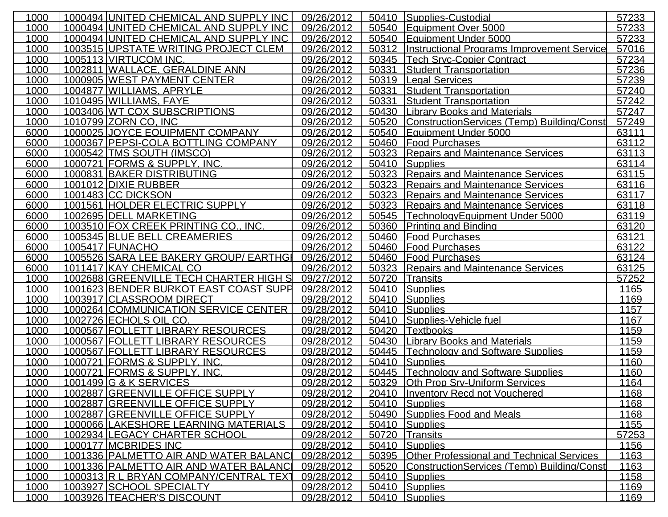| 50410 Supplies-Custodial<br>1000494 UNITED CHEMICAL AND SUPPLY INC<br>1000<br>09/26/2012<br>50540<br>Equipment Over 5000<br>1000<br>1000494 UNITED CHEMICAL AND SUPPLY INC<br>09/26/2012<br>50540<br>Equipment Under 5000<br>1003515 UPSTATE WRITING PROJECT CLEM<br>1000<br>09/26/2012<br>50312<br><b>Instructional Programs Improvement Service</b><br>1005113 VIRTUCOM INC.<br>1000<br>09/26/2012<br>50345 Tech Srvc-Copier Contract<br>1002811 WALLACE, GERALDINE ANN<br>09/26/2012<br><b>Student Transportation</b><br>1000<br>50331<br>1000905 WEST PAYMENT CENTER<br>09/26/2012<br>1000<br>50319<br>Legal Services<br>1004877 WILLIAMS, APRYLE<br>09/26/2012<br>50331<br>1000<br><b>Student Transportation</b><br>1010495 WILLIAMS, FAYE<br>09/26/2012<br>50331<br>1000<br><b>Student Transportation</b><br>1003406 WT COX SUBSCRIPTIONS<br>1000<br>09/26/2012<br>50430<br>Library Books and Materials<br>1000<br>1010799 ZORN CO. INC<br>09/26/2012<br>50520<br>ConstructionServices (Temp) Building/Const<br>1000025 JOYCE EQUIPMENT COMPANY<br>09/26/2012<br>50540<br>6000<br><u>lEauipment Under 5000</u><br>1000367 PEPSI-COLA BOTTLING COMPANY<br>09/26/2012<br>50460<br>6000<br>Food Purchases | 57233<br>57233<br>57016<br>57234<br>57236<br>57239<br>57240<br>57242<br>57247<br>57249<br>63111<br>63112<br>63113<br>63114<br>63115<br>63116<br>63117<br>63118<br>63119 |
|--------------------------------------------------------------------------------------------------------------------------------------------------------------------------------------------------------------------------------------------------------------------------------------------------------------------------------------------------------------------------------------------------------------------------------------------------------------------------------------------------------------------------------------------------------------------------------------------------------------------------------------------------------------------------------------------------------------------------------------------------------------------------------------------------------------------------------------------------------------------------------------------------------------------------------------------------------------------------------------------------------------------------------------------------------------------------------------------------------------------------------------------------------------------------------------------------------------|-------------------------------------------------------------------------------------------------------------------------------------------------------------------------|
|                                                                                                                                                                                                                                                                                                                                                                                                                                                                                                                                                                                                                                                                                                                                                                                                                                                                                                                                                                                                                                                                                                                                                                                                              |                                                                                                                                                                         |
|                                                                                                                                                                                                                                                                                                                                                                                                                                                                                                                                                                                                                                                                                                                                                                                                                                                                                                                                                                                                                                                                                                                                                                                                              |                                                                                                                                                                         |
|                                                                                                                                                                                                                                                                                                                                                                                                                                                                                                                                                                                                                                                                                                                                                                                                                                                                                                                                                                                                                                                                                                                                                                                                              |                                                                                                                                                                         |
|                                                                                                                                                                                                                                                                                                                                                                                                                                                                                                                                                                                                                                                                                                                                                                                                                                                                                                                                                                                                                                                                                                                                                                                                              |                                                                                                                                                                         |
|                                                                                                                                                                                                                                                                                                                                                                                                                                                                                                                                                                                                                                                                                                                                                                                                                                                                                                                                                                                                                                                                                                                                                                                                              |                                                                                                                                                                         |
|                                                                                                                                                                                                                                                                                                                                                                                                                                                                                                                                                                                                                                                                                                                                                                                                                                                                                                                                                                                                                                                                                                                                                                                                              |                                                                                                                                                                         |
|                                                                                                                                                                                                                                                                                                                                                                                                                                                                                                                                                                                                                                                                                                                                                                                                                                                                                                                                                                                                                                                                                                                                                                                                              |                                                                                                                                                                         |
|                                                                                                                                                                                                                                                                                                                                                                                                                                                                                                                                                                                                                                                                                                                                                                                                                                                                                                                                                                                                                                                                                                                                                                                                              |                                                                                                                                                                         |
|                                                                                                                                                                                                                                                                                                                                                                                                                                                                                                                                                                                                                                                                                                                                                                                                                                                                                                                                                                                                                                                                                                                                                                                                              |                                                                                                                                                                         |
|                                                                                                                                                                                                                                                                                                                                                                                                                                                                                                                                                                                                                                                                                                                                                                                                                                                                                                                                                                                                                                                                                                                                                                                                              |                                                                                                                                                                         |
|                                                                                                                                                                                                                                                                                                                                                                                                                                                                                                                                                                                                                                                                                                                                                                                                                                                                                                                                                                                                                                                                                                                                                                                                              |                                                                                                                                                                         |
|                                                                                                                                                                                                                                                                                                                                                                                                                                                                                                                                                                                                                                                                                                                                                                                                                                                                                                                                                                                                                                                                                                                                                                                                              |                                                                                                                                                                         |
| 1000542 TMS SOUTH (IMSCO)<br>09/26/2012<br>50323<br><b>IRepairs and Maintenance Services</b><br>6000                                                                                                                                                                                                                                                                                                                                                                                                                                                                                                                                                                                                                                                                                                                                                                                                                                                                                                                                                                                                                                                                                                         |                                                                                                                                                                         |
| 6000<br>1000721 FORMS & SUPPLY. INC.<br>09/26/2012<br>50410<br>Supplies                                                                                                                                                                                                                                                                                                                                                                                                                                                                                                                                                                                                                                                                                                                                                                                                                                                                                                                                                                                                                                                                                                                                      |                                                                                                                                                                         |
| 1000831 BAKER DISTRIBUTING<br>09/26/2012<br>50323<br><b>Repairs and Maintenance Services</b><br>6000                                                                                                                                                                                                                                                                                                                                                                                                                                                                                                                                                                                                                                                                                                                                                                                                                                                                                                                                                                                                                                                                                                         |                                                                                                                                                                         |
| 1001012 DIXIE RUBBER<br>09/26/2012<br>6000<br>50323 Repairs and Maintenance Services                                                                                                                                                                                                                                                                                                                                                                                                                                                                                                                                                                                                                                                                                                                                                                                                                                                                                                                                                                                                                                                                                                                         |                                                                                                                                                                         |
| 6000<br>1001483 CC DICKSON<br>09/26/2012<br>50323<br><b>Repairs and Maintenance Services</b>                                                                                                                                                                                                                                                                                                                                                                                                                                                                                                                                                                                                                                                                                                                                                                                                                                                                                                                                                                                                                                                                                                                 |                                                                                                                                                                         |
| 1001561 HOLDER ELECTRIC SUPPLY<br>6000<br>50323<br>09/26/2012<br><b>Repairs and Maintenance Services</b>                                                                                                                                                                                                                                                                                                                                                                                                                                                                                                                                                                                                                                                                                                                                                                                                                                                                                                                                                                                                                                                                                                     |                                                                                                                                                                         |
| 6000<br>1002695 DELL MARKETING<br>09/26/2012<br>50545<br>TechnologyEquipment Under 5000                                                                                                                                                                                                                                                                                                                                                                                                                                                                                                                                                                                                                                                                                                                                                                                                                                                                                                                                                                                                                                                                                                                      |                                                                                                                                                                         |
| 1003510 FOX CREEK PRINTING CO., INC.<br>Printing and Binding<br>6000<br>09/26/2012<br>50360                                                                                                                                                                                                                                                                                                                                                                                                                                                                                                                                                                                                                                                                                                                                                                                                                                                                                                                                                                                                                                                                                                                  | 63120                                                                                                                                                                   |
| 1005345 BLUE BELL CREAMERIES<br>09/26/2012<br>50460<br><b>Food Purchases</b><br>6000                                                                                                                                                                                                                                                                                                                                                                                                                                                                                                                                                                                                                                                                                                                                                                                                                                                                                                                                                                                                                                                                                                                         | 63121                                                                                                                                                                   |
| 1005417 FUNACHO<br><b>Food Purchases</b><br>6000<br>09/26/2012<br>50460                                                                                                                                                                                                                                                                                                                                                                                                                                                                                                                                                                                                                                                                                                                                                                                                                                                                                                                                                                                                                                                                                                                                      | 63122                                                                                                                                                                   |
| 1005526 SARA LEE BAKERY GROUP/ EARTHGI<br>09/26/2012<br>6000<br>50460<br><b>Food Purchases</b>                                                                                                                                                                                                                                                                                                                                                                                                                                                                                                                                                                                                                                                                                                                                                                                                                                                                                                                                                                                                                                                                                                               | 63124                                                                                                                                                                   |
| 1011417 KAY CHEMICAL CO<br>09/26/2012<br>50323 Repairs and Maintenance Services<br>6000                                                                                                                                                                                                                                                                                                                                                                                                                                                                                                                                                                                                                                                                                                                                                                                                                                                                                                                                                                                                                                                                                                                      | 63125                                                                                                                                                                   |
| 1002688 GREENVILLE TECH CHARTER HIGH S<br>1000<br>09/27/2012<br>50720<br><b>Transits</b>                                                                                                                                                                                                                                                                                                                                                                                                                                                                                                                                                                                                                                                                                                                                                                                                                                                                                                                                                                                                                                                                                                                     | 57252                                                                                                                                                                   |
| 1001623 BENDER BURKOT EAST COAST SUPH<br>09/28/2012<br>1000<br>50410<br>Supplies                                                                                                                                                                                                                                                                                                                                                                                                                                                                                                                                                                                                                                                                                                                                                                                                                                                                                                                                                                                                                                                                                                                             | 1165                                                                                                                                                                    |
| 1003917 CLASSROOM DIRECT<br>1000<br>09/28/2012<br>50410<br>Supplies                                                                                                                                                                                                                                                                                                                                                                                                                                                                                                                                                                                                                                                                                                                                                                                                                                                                                                                                                                                                                                                                                                                                          | 1169                                                                                                                                                                    |
| 1000264 COMMUNICATION SERVICE CENTER<br>1000<br>09/28/2012<br>50410<br>Supplies                                                                                                                                                                                                                                                                                                                                                                                                                                                                                                                                                                                                                                                                                                                                                                                                                                                                                                                                                                                                                                                                                                                              | 1157                                                                                                                                                                    |
| 1000<br>1002726 ECHOLS OIL CO.<br>09/28/2012<br>50410<br>Supplies-Vehicle fuel                                                                                                                                                                                                                                                                                                                                                                                                                                                                                                                                                                                                                                                                                                                                                                                                                                                                                                                                                                                                                                                                                                                               | 1167                                                                                                                                                                    |
| 1000567 FOLLETT LIBRARY RESOURCES<br>1000<br>09/28/2012<br>50420<br><b>Textbooks</b>                                                                                                                                                                                                                                                                                                                                                                                                                                                                                                                                                                                                                                                                                                                                                                                                                                                                                                                                                                                                                                                                                                                         | 1159                                                                                                                                                                    |
| 1000<br>1000567 FOLLETT LIBRARY RESOURCES<br>09/28/2012<br>50430<br><b>Library Books and Materials</b>                                                                                                                                                                                                                                                                                                                                                                                                                                                                                                                                                                                                                                                                                                                                                                                                                                                                                                                                                                                                                                                                                                       | 1159                                                                                                                                                                    |
| 1000<br>1000567 FOLLETT LIBRARY RESOURCES<br>09/28/2012<br>50445<br><b>Technology and Software Supplies</b>                                                                                                                                                                                                                                                                                                                                                                                                                                                                                                                                                                                                                                                                                                                                                                                                                                                                                                                                                                                                                                                                                                  | 1159                                                                                                                                                                    |
| 1000<br>1000721 FORMS & SUPPLY, INC.<br>50410<br>09/28/2012<br>Supplies                                                                                                                                                                                                                                                                                                                                                                                                                                                                                                                                                                                                                                                                                                                                                                                                                                                                                                                                                                                                                                                                                                                                      | 1160                                                                                                                                                                    |
| 1000<br>1000721 FORMS & SUPPLY, INC.<br><b>Technology and Software Supplies</b><br>09/28/2012<br>50445                                                                                                                                                                                                                                                                                                                                                                                                                                                                                                                                                                                                                                                                                                                                                                                                                                                                                                                                                                                                                                                                                                       | 1160                                                                                                                                                                    |
| 1000<br>1001499 G & K SERVICES<br>09/28/2012<br>50329<br><b>Oth Prop Srv-Uniform Services</b>                                                                                                                                                                                                                                                                                                                                                                                                                                                                                                                                                                                                                                                                                                                                                                                                                                                                                                                                                                                                                                                                                                                | 1164                                                                                                                                                                    |
| 1000<br>1002887 GREENVILLE OFFICE SUPPLY<br>09/28/2012<br>20410 Inventory Recd not Vouchered                                                                                                                                                                                                                                                                                                                                                                                                                                                                                                                                                                                                                                                                                                                                                                                                                                                                                                                                                                                                                                                                                                                 | 1168                                                                                                                                                                    |
| 1002887 GREENVILLE OFFICE SUPPLY<br>09/28/2012<br>50410 Supplies<br>1000                                                                                                                                                                                                                                                                                                                                                                                                                                                                                                                                                                                                                                                                                                                                                                                                                                                                                                                                                                                                                                                                                                                                     | 1168                                                                                                                                                                    |
| 1002887 GREENVILLE OFFICE SUPPLY<br>09/28/2012<br>50490 Supplies Food and Meals<br>1000                                                                                                                                                                                                                                                                                                                                                                                                                                                                                                                                                                                                                                                                                                                                                                                                                                                                                                                                                                                                                                                                                                                      | 1168                                                                                                                                                                    |
| 1000066 LAKESHORE LEARNING MATERIALS<br>09/28/2012<br>50410 Supplies<br>1000                                                                                                                                                                                                                                                                                                                                                                                                                                                                                                                                                                                                                                                                                                                                                                                                                                                                                                                                                                                                                                                                                                                                 | 1155                                                                                                                                                                    |
| 1002934 LEGACY CHARTER SCHOOL<br>09/28/2012<br>50720<br><b>Transits</b><br>1000                                                                                                                                                                                                                                                                                                                                                                                                                                                                                                                                                                                                                                                                                                                                                                                                                                                                                                                                                                                                                                                                                                                              | 57253                                                                                                                                                                   |
| 1000177 MCBRIDES INC<br>09/28/2012<br>Supplies<br>1000<br>50410                                                                                                                                                                                                                                                                                                                                                                                                                                                                                                                                                                                                                                                                                                                                                                                                                                                                                                                                                                                                                                                                                                                                              | 1156                                                                                                                                                                    |
| 1001336 PALMETTO AIR AND WATER BALANC<br>09/28/2012<br>1000<br>50395 Other Professional and Technical Services                                                                                                                                                                                                                                                                                                                                                                                                                                                                                                                                                                                                                                                                                                                                                                                                                                                                                                                                                                                                                                                                                               | 1163                                                                                                                                                                    |
| 1001336 PALMETTO AIR AND WATER BALANCI<br>09/28/2012<br>50520<br>1000<br>ConstructionServices (Temp) Building/Const                                                                                                                                                                                                                                                                                                                                                                                                                                                                                                                                                                                                                                                                                                                                                                                                                                                                                                                                                                                                                                                                                          | 1163                                                                                                                                                                    |
| 1000313 R L BRYAN COMPANY/CENTRAL TEXT<br>50410 Supplies<br>1000<br>09/28/2012                                                                                                                                                                                                                                                                                                                                                                                                                                                                                                                                                                                                                                                                                                                                                                                                                                                                                                                                                                                                                                                                                                                               | 1158                                                                                                                                                                    |
| 1000<br>1003927 SCHOOL SPECIALTY<br>09/28/2012<br>50410 Supplies                                                                                                                                                                                                                                                                                                                                                                                                                                                                                                                                                                                                                                                                                                                                                                                                                                                                                                                                                                                                                                                                                                                                             | 1169                                                                                                                                                                    |
| 1000<br>1003926 TEACHER'S DISCOUNT<br>09/28/2012<br>50410<br>Supplies                                                                                                                                                                                                                                                                                                                                                                                                                                                                                                                                                                                                                                                                                                                                                                                                                                                                                                                                                                                                                                                                                                                                        | 1169                                                                                                                                                                    |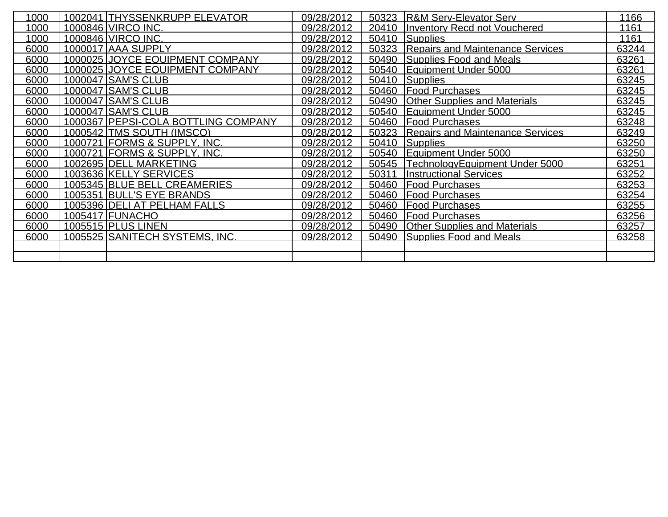| 1000 | 1002041 THYSSENKRUPP ELEVATOR         | 09/28/2012 | 50323 R&M Serv-Elevator Serv           | 1166  |
|------|---------------------------------------|------------|----------------------------------------|-------|
| 1000 | 1000846 VIRCO INC.                    | 09/28/2012 | 20410 Inventory Recd not Vouchered     | 1161  |
| 1000 | 1000846 VIRCO INC.                    | 09/28/2012 | 50410 Supplies                         | 1161  |
| 6000 | 1000017 AAA SUPPLY                    | 09/28/2012 | 50323 Repairs and Maintenance Services | 63244 |
| 6000 | 1000025 JOYCE EQUIPMENT COMPANY       | 09/28/2012 | 50490 Supplies Food and Meals          | 63261 |
| 6000 | 1000025 JJOYCE EQUIPMENT COMPANY      | 09/28/2012 | 50540 Equipment Under 5000             | 63261 |
| 6000 | 1000047 SAM'S CLUB                    | 09/28/2012 | 50410 Supplies                         | 63245 |
| 6000 | 1000047 SAM'S CLUB                    | 09/28/2012 | 50460 Food Purchases                   | 63245 |
| 6000 | 1000047 SAM'S CLUB                    | 09/28/2012 | 50490 Other Supplies and Materials     | 63245 |
| 6000 | 1000047 SAM'S CLUB                    | 09/28/2012 | 50540 Equipment Under 5000             | 63245 |
| 6000 | 1000367   PEPSI-COLA BOTTLING COMPANY | 09/28/2012 | 50460 Food Purchases                   | 63248 |
| 6000 | 1000542 TMS SOUTH (IMSCO)             | 09/28/2012 | 50323 Repairs and Maintenance Services | 63249 |
| 6000 | 1000721 FORMS & SUPPLY, INC.          | 09/28/2012 | 50410 Supplies                         | 63250 |
| 6000 | 1000721 FORMS & SUPPLY, INC.          | 09/28/2012 | 50540 Equipment Under 5000             | 63250 |
| 6000 | 1002695 DELL MARKETING                | 09/28/2012 | 50545 Technology Equipment Under 5000  | 63251 |
| 6000 | 1003636 KELLY SERVICES                | 09/28/2012 | 50311 Instructional Services           | 63252 |
| 6000 | 1005345 BLUE BELL CREAMERIES          | 09/28/2012 | 50460 Food Purchases                   | 63253 |
| 6000 | 1005351 BULL'S EYE BRANDS             | 09/28/2012 | 50460 Food Purchases                   | 63254 |
| 6000 | 1005396 DELI AT PELHAM FALLS          | 09/28/2012 | 50460 Food Purchases                   | 63255 |
| 6000 | 1005417 FUNACHO                       | 09/28/2012 | 50460 Food Purchases                   | 63256 |
| 6000 | 1005515 PLUS LINEN                    | 09/28/2012 | 50490 Other Supplies and Materials     | 63257 |
| 6000 | <u>1005525 SANITECH SYSTEMS. INC.</u> | 09/28/2012 | 50490 Supplies Food and Meals          | 63258 |
|      |                                       |            |                                        |       |
|      |                                       |            |                                        |       |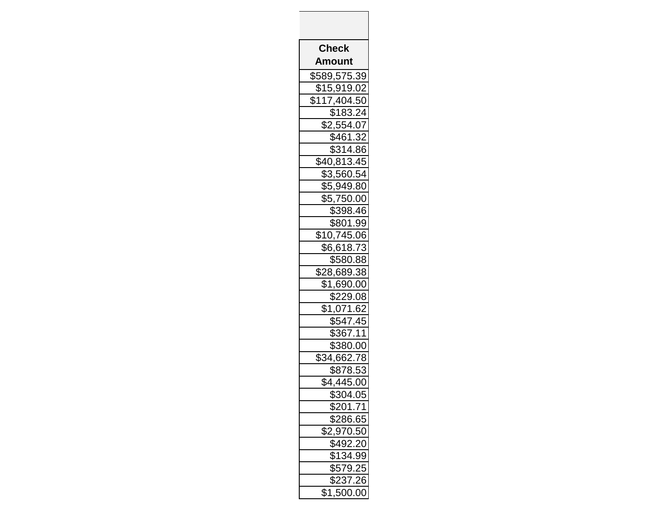| <b>Check</b>                       |
|------------------------------------|
| Amount                             |
| <u>\$589,575.39</u>                |
|                                    |
| $$15,919.02$<br>$$117,404.50$      |
| \$183.24                           |
| \$2,554.07                         |
| \$461.32                           |
| \$314.86                           |
| \$40,813.45                        |
| \$3,560.54                         |
| \$5,949.80                         |
| \$5,750.00<br>$\overline{$}398.46$ |
| \$801.99                           |
| \$10,745.06                        |
| \$6,618.73                         |
| \$580.88                           |
| \$28,689.38                        |
| \$1,690.00                         |
| $\sqrt{$229.08}$                   |
| \$1,071.62                         |
| \$547.45                           |
| \$367.                             |
| \$380.00                           |
| $\overline{$}34,662.78$            |
| \$878.53                           |
| \$4,445.00                         |
| \$304.05                           |
| $\overline{$201.71}$               |
| \$286.65                           |
| \$2,970.50                         |
| $\sqrt{$492.20}$                   |
| \$134.99                           |
| \$579.25                           |
| \$237.26                           |
| \$1,500.00                         |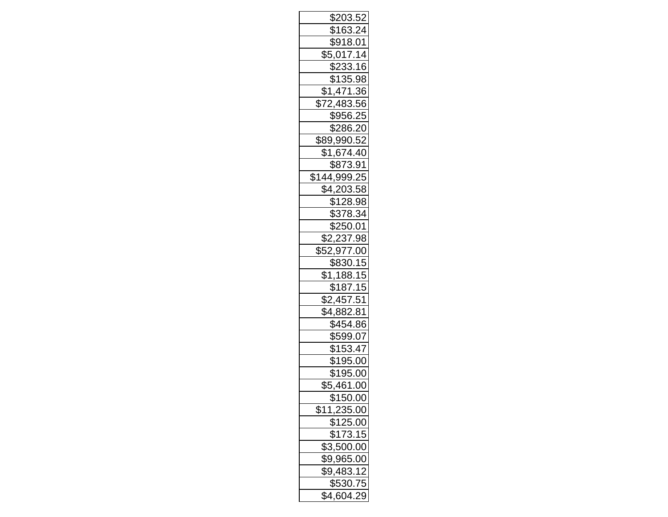| \$203.52                   |
|----------------------------|
| \$163.24                   |
| \$918.01                   |
| \$5,017.14                 |
| $\sqrt{233.16}$            |
| \$135.98                   |
| \$1,471.36                 |
| $\overline{$}72,483.56$    |
| \$956.25                   |
| \$286.20                   |
| \$89,990.52                |
| \$1,674.40                 |
| \$873.91                   |
| \$144,999.25<br>\$4,203.58 |
|                            |
| \$128.98                   |
| \$378.34                   |
| \$250.01                   |
| \$2,237.98                 |
| \$52,977.00                |
| \$830.15                   |
| \$1,188.15                 |
| \$187.15                   |
| \$2,457.51                 |
| \$4,882.81                 |
| \$454.86                   |
| \$599.07                   |
| \$153.47                   |
| \$195.00                   |
| \$195.00                   |
| $\overline{$}5,461.00$     |
| \$150.00                   |
| $\frac{11,235.00}{2}$      |
| $\frac{1}{125.00}$         |
| \$173.15                   |
| \$3,500.00                 |
| \$9,965.00                 |
| $\sqrt{9,483.12}$          |
| \$530.75                   |
| \$4,604.29                 |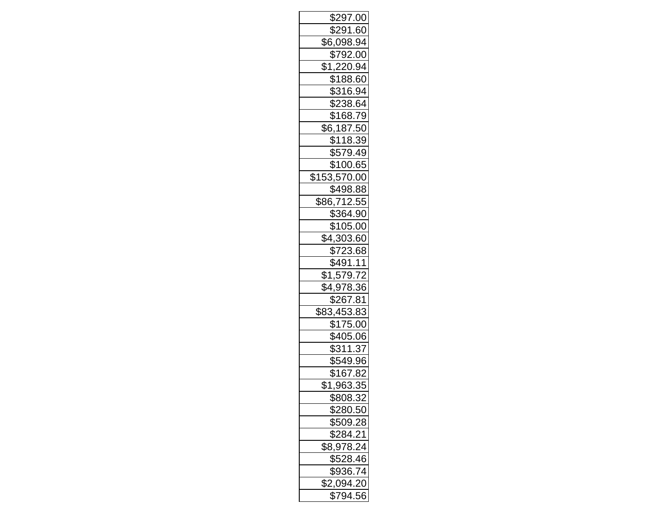| \$297.00                    |
|-----------------------------|
| \$291.60                    |
| \$6,098.94                  |
|                             |
|                             |
| \$188.60                    |
| $\overline{$316.94}$        |
| \$238.64                    |
| \$168.79                    |
| \$6,187.50                  |
| \$118.39                    |
| \$579.49                    |
| \$100.65                    |
| \$153,570.00                |
| $\frac{8498.88}{86,712.55}$ |
|                             |
| \$364.90                    |
| \$105.00                    |
| \$4,303.60                  |
| \$723.68                    |
| \$491.11                    |
| \$1,579.72                  |
| \$4,978.36                  |
| \$267.81                    |
| \$83,453.83                 |
| \$175.00                    |
| \$405.06                    |
| \$311.37                    |
| \$549.96                    |
| \$167.82                    |
| \$1,963.35                  |
| \$808.32                    |
| \$280.50                    |
| \$509.28                    |
| \$284.21                    |
| \$8,978.24                  |
| \$528.46                    |
| \$936.74                    |
| \$2,094.20                  |
| $\sqrt{5794.56}$            |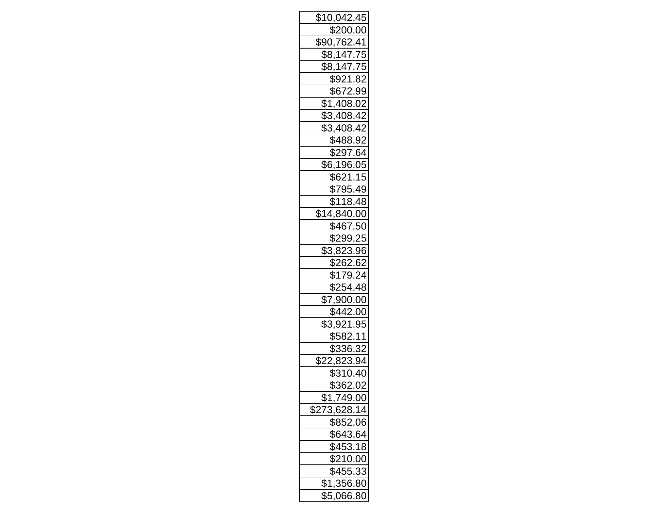| <u>\$10,042.45</u>                |
|-----------------------------------|
| \$200.00                          |
| \$90,762.41                       |
| \$8,147.75                        |
| \$8,147.75                        |
| <u>\$921</u> .82                  |
| \$672.99                          |
| \$1,408.02                        |
| \$3,408.42                        |
| \$3,408.42                        |
| \$488.92                          |
| \$297.64                          |
| \$6,196.05                        |
| \$621.15                          |
| \$795.49                          |
| \$118.48                          |
| \$14,840.00                       |
| \$467.50                          |
| \$299.25                          |
| \$3,823.96                        |
| \$262.62                          |
| \$179.24                          |
| \$254.48                          |
| $\overline{$7,900.00}$            |
| \$442.00                          |
| \$3,921.95                        |
| \$582.11                          |
| \$336.32                          |
| \$22,823.94                       |
| \$310.40                          |
| \$362.02                          |
| <u>\$1,749.00</u>                 |
| $\overline{$}$<br>__<br>73,628.14 |
| \$852.06                          |
| \$643.64                          |
| \$453.18                          |
| \$210.00                          |
| \$455.33                          |
| \$1,356.80                        |
| \$5,066.80                        |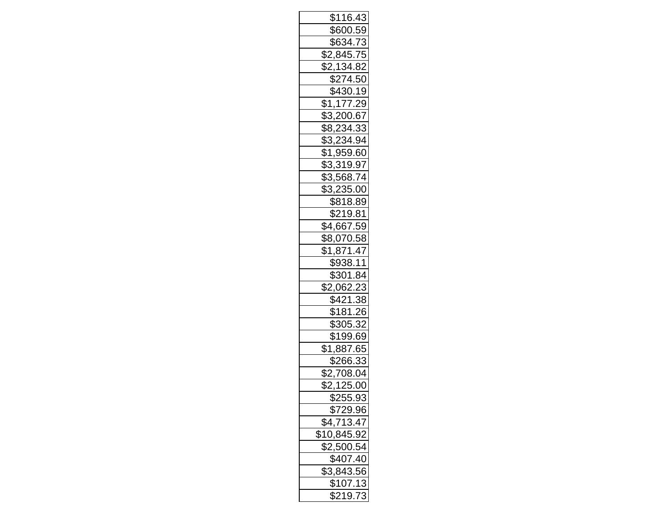| \$116.43                                |
|-----------------------------------------|
| \$600.59                                |
| \$634.73                                |
| \$2,845.75                              |
| \$2,134.82                              |
| \$274.50                                |
| \$430.19                                |
| \$1,177.29                              |
| \$3,200.67                              |
| \$8,234.33                              |
| \$3,234.94                              |
| \$1,959.60                              |
| \$3,319.97                              |
| \$3,568.74                              |
| \$3,235.00                              |
| \$818.89                                |
| \$219.81                                |
| \$4,667.59                              |
| \$8,070.58                              |
| \$1,871.47                              |
| \$938.11                                |
| \$301.84                                |
| \$2,062.23                              |
| \$421.38                                |
| \$181.26                                |
| \$305.32                                |
| \$199.69                                |
| \$1,887.65                              |
| \$266.33                                |
| \$2,708.04<br>\$2,125.00                |
|                                         |
| <u>\$255.93</u><br>\$729.96             |
|                                         |
|                                         |
| $\frac{12.288}{\$4,713.47}$ \$10,845.92 |
| $\frac{$2,500.54}{\$407.40}$            |
|                                         |
| $\frac{1}{1}$<br>\$3,843.56<br>\$107.13 |
|                                         |
| \$219.73                                |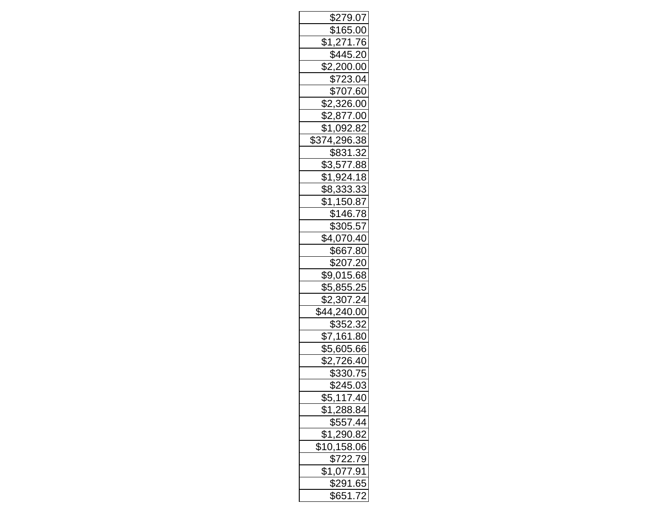| \$279.07                                                    |
|-------------------------------------------------------------|
| \$165.00                                                    |
| \$1,271.76                                                  |
| \$445.20                                                    |
| \$2,200.00                                                  |
| \$723.04                                                    |
| \$707.60                                                    |
| \$2,326.00                                                  |
| \$2,877.00                                                  |
| \$1,092.82                                                  |
| \$374,296.38                                                |
| \$831.32                                                    |
| \$3,577.88                                                  |
| $\frac{$1,924.18}{$8,333.33}$                               |
|                                                             |
| $\overline{$1,150.87}$                                      |
| \$146.78                                                    |
| \$305.57                                                    |
| $\sqrt{4,070.40}$                                           |
| \$667.80                                                    |
| \$207.20                                                    |
| \$9,015.68                                                  |
| \$5,855.25                                                  |
| $\overline{$2,307.24}$                                      |
| <u>\$44,240.00</u>                                          |
| \$352.32                                                    |
| \$7,161.80                                                  |
| \$5,605.66                                                  |
| \$2,726.40                                                  |
| \$330.75                                                    |
| \$245.03                                                    |
| <u>\$5,117.40</u><br>\$1,288.84                             |
|                                                             |
|                                                             |
|                                                             |
| $\frac{$557.44}{$1,290.82}$<br>$\frac{$10,158.06}{$722.79}$ |
|                                                             |
| $\frac{$1,077.91}{0}$                                       |
| $\sqrt{$291.65}$                                            |
| \$651.72                                                    |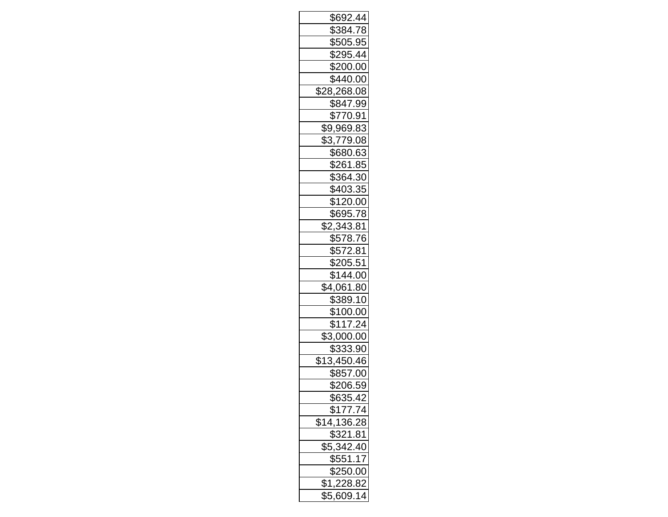| \$692.44                     |
|------------------------------|
| \$384.78                     |
| \$505.95                     |
| <u>\$295.44</u>              |
| \$200.00                     |
| \$440.00                     |
| $\overline{$28,268.08}$      |
| \$847.99                     |
| \$770.91                     |
| \$9,969.83                   |
| \$3,779.08                   |
| \$680.63                     |
| \$261.85                     |
| \$364.30                     |
| \$403.35                     |
| \$120.00                     |
| \$695.78                     |
| \$2,343.81                   |
| \$578.76                     |
| \$572.81                     |
| \$205.51                     |
| \$144.00                     |
| \$4,061.80                   |
| \$389.10                     |
| \$100.00                     |
| $\overline{$}117.24$         |
| \$3,000.00                   |
| \$333.90                     |
| \$13,450.46                  |
| \$857.00                     |
| \$206.59                     |
| <u>\$635.42</u><br>\$177.74  |
|                              |
| $\frac{$14,136.28}{$321.81}$ |
|                              |
| \$5,342.40                   |
| \$551.17                     |
| \$250.00                     |
| \$1,228.82                   |
| \$5,609.14                   |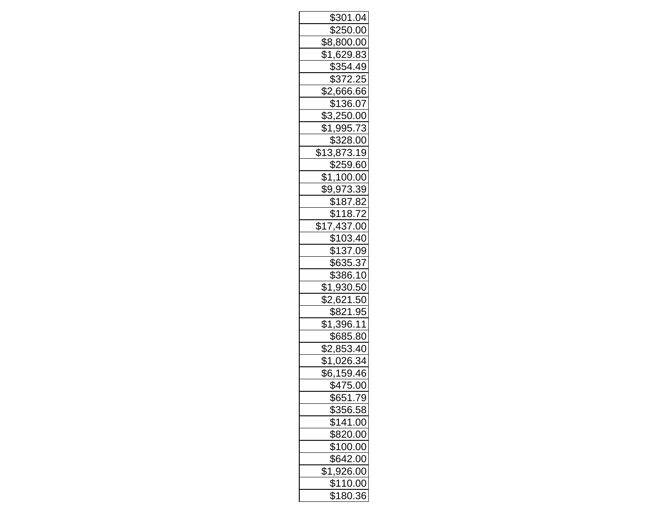| \$301.04                |
|-------------------------|
| \$250.00                |
| \$8,800.00              |
| \$1,629.83              |
| \$354.49                |
| $$372.\overline{25}$    |
| $\overline{$2,666.66}$  |
| \$136.07                |
| \$3,250.00              |
| <u>\$1,995.73</u>       |
| \$328.00                |
| $\overline{$13,873.19}$ |
| \$259.60                |
| \$1,100.00              |
| \$9,973.39              |
| \$187.82                |
| \$118.72                |
| <u>\$17,437.00</u>      |
| \$103.40                |
| \$137.09                |
| \$635.37                |
| \$386.10                |
| <u>\$1,930.50</u>       |
| \$2,621.50              |
| \$821.95                |
| \$1,396.11              |
| \$685.80                |
| \$2,853.40              |
| \$1,026.34              |
| \$6,159.46              |
| \$475.00                |
| \$651.79                |
| \$356.58                |
| \$141.00                |
| \$820.00                |
| $$100.\overline{00}$    |
| \$642.00                |
| $$1,\overline{926.00}$  |
| \$110.00                |
| \$180.36                |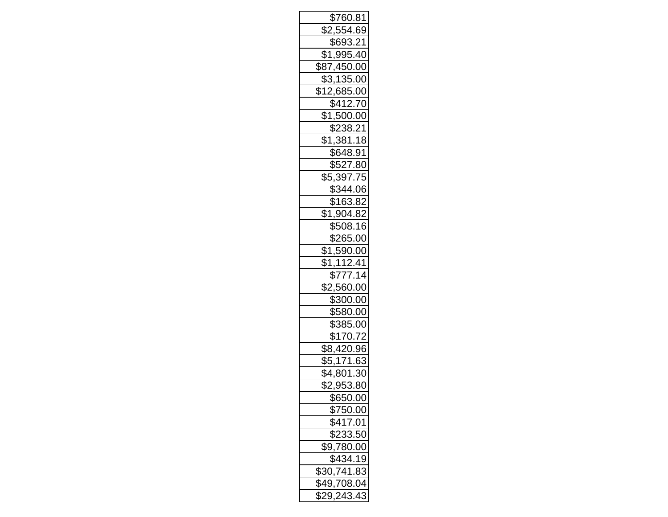| \$760.81               |
|------------------------|
| $\overline{$2,554.69}$ |
| \$693.21               |
| $\overline{$1,995.40}$ |
| \$87,450.00            |
| \$3,135.00             |
| \$12,685.00            |
| \$412.70               |
| $\overline{$}1,500.00$ |
| \$238.21<br>\$1,381.18 |
|                        |
| \$648.91               |
| \$527.80               |
| $\frac{$5,397.75}{}$   |
| \$344.06               |
| \$163.82               |
| \$1,904.82             |
| \$508.16               |
| \$265.00               |
| \$1,590.00             |
| \$1,112.41             |
| \$777.14               |
| \$2,560.00             |
| \$300.00               |
| \$580.00               |
| \$385.00               |
| \$170.72               |
| \$8,420.96             |
| \$5,171.63             |
| \$4,801.30             |
| \$2,953.80             |
| \$650.00               |
| \$750.00               |
| \$417.01               |
| \$233.50               |
| \$9,780.00             |
| \$434.19               |
| \$30,741.83            |
| \$49,708.04            |
| \$29, 243.43           |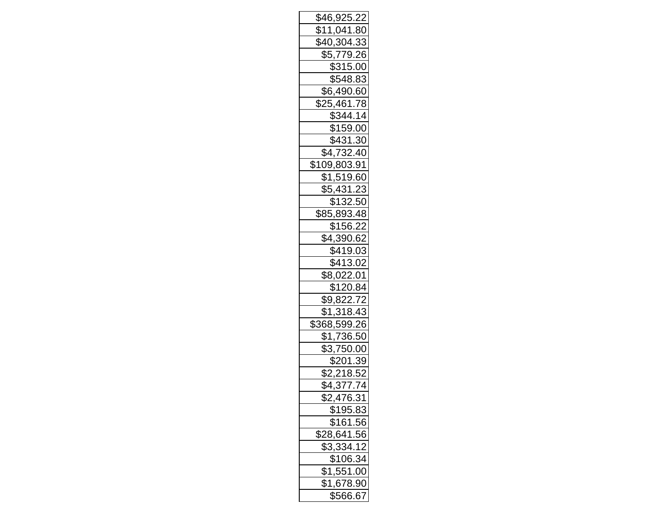| \$46,925.22                   |
|-------------------------------|
| \$11,041.80                   |
| $\sqrt[6]{40,304.33}$         |
|                               |
| \$5,779.26<br>\$315.00        |
| \$548.83                      |
| $\overline{$6,490.60}$        |
| \$25,461.78                   |
| \$344.14                      |
| \$159.00                      |
| \$431.30                      |
| $\sqrt{4,732.40}$             |
| \$109,803.91                  |
| \$1,519.60<br>\$5,431.23      |
|                               |
| \$132.50                      |
| <u>\$85,893.48</u>            |
| \$156.22                      |
| $\overline{$4,390.62}$        |
| \$419.03                      |
| \$413.02                      |
| \$8,022.01                    |
| <u>\$120.84</u>               |
| $\overline{$9,822.72}$        |
| \$1,318.43                    |
| \$368,599.26                  |
| \$1,736.50                    |
| \$3,750.00                    |
| \$201.39                      |
| $\overline{$2,218.52}$        |
| $\overline{$4,377.74}$        |
| <u>\$2,476.31</u><br>\$195.83 |
|                               |
| \$161.56                      |
| \$28,641.56                   |
| \$3,334.12                    |
| \$106.34                      |
| $\overline{$1,551.00}$        |
| \$1,678.90                    |
| \$566.67                      |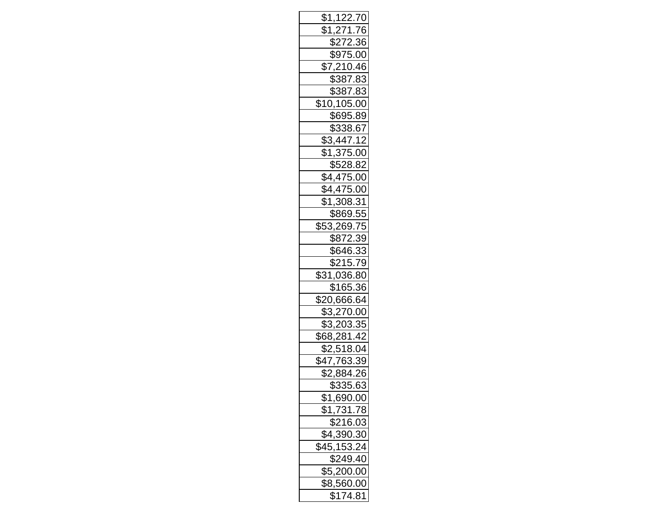| <u>\$1,122.70</u>           |
|-----------------------------|
| \$1,271.76                  |
| $\frac{8}{272.36}$          |
| <u>\$975.00</u>             |
| $\overline{$7,210.46}$      |
| \$387.83                    |
| \$387.83                    |
| \$10,105.00                 |
| \$695.89                    |
| \$338.67                    |
| \$3,447.12                  |
| $\sqrt{375.00}$             |
| \$528.82                    |
| \$4,475.00                  |
| \$4,475.00                  |
| \$1,308.31                  |
| \$869.55                    |
| \$53,269.75                 |
| \$872.39                    |
| \$646.33                    |
| \$215.79                    |
| \$31,036.80                 |
| \$165.36                    |
| \$20,666.64                 |
| \$3,270.00                  |
| \$3,203.35                  |
| \$68,281.42                 |
| \$2,518.04                  |
| \$47,763.39                 |
| \$2,884.26                  |
| $\frac{2335.63}{5335.63}$   |
| \$1,690.00<br>\$1,731.78    |
|                             |
| $\frac{$216.03}{$4,390.30}$ |
|                             |
| $\overline{$45,153.24}$     |
| \$249.40                    |
| \$5,200.00                  |
| \$8,560.00                  |
| \$174.81                    |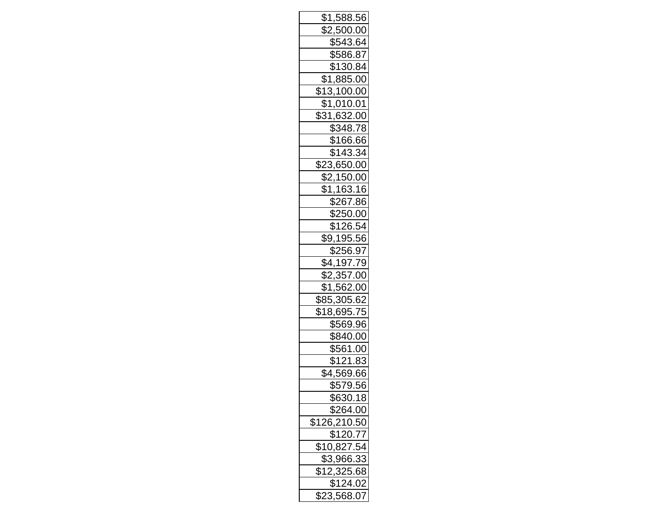| \$1,588.56                  |
|-----------------------------|
| \$2,500.00                  |
| \$543.64                    |
| \$586.87                    |
| \$130.84                    |
| \$1,885.00                  |
| $\overline{$13,100.00}$     |
| \$1,010.01                  |
| <u>\$31,632.00</u>          |
| \$348.78                    |
| \$166.66                    |
| \$143.34                    |
| \$23,650.00                 |
| \$2,150.00                  |
| \$1,163.16                  |
| \$267.86                    |
| \$250.00                    |
| \$126.54                    |
| \$9,195.56                  |
| \$256.97                    |
| \$4,197.79                  |
| \$2,357.00                  |
| \$1,562.00                  |
| \$85,305.62                 |
| \$18,695.75                 |
| \$569.96                    |
| \$840.00                    |
| \$561.00                    |
| \$121.83                    |
| \$4,569.66                  |
| \$579.56                    |
| \$630.18                    |
| \$264.00                    |
| \$126,210.50                |
| \$120.77                    |
| $\overline{$10,827.54}$     |
| \$3,966.33                  |
| 12,325.68<br>\$124.02<br>\$ |
|                             |
| \$23,568.07                 |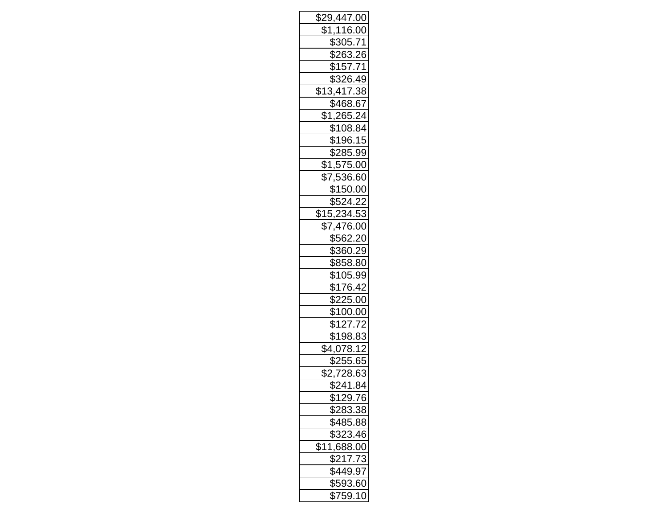| \$29,447.00            |
|------------------------|
| \$1,116.00             |
| \$305.71               |
| \$263.26               |
| <u>\$157.71</u>        |
| \$326.49               |
| \$13,417.38            |
| \$468.67               |
| \$1,265.24             |
| $\overline{$108.84}$   |
| \$196.15               |
| \$285.99               |
| $\overline{$1,575.00}$ |
| \$7,536.60             |
| \$150.00               |
| \$524.22               |
| $\sqrt{$15,234.53}$    |
| \$7,476.00             |
| $\frac{1}{$562.20}$    |
| \$360.29               |
| \$858.80               |
| \$105.99               |
| \$176.42               |
| \$225.00               |
| \$100.00               |
| $\overline{$127.72}$   |
| \$198.83               |
| \$4,078.12             |
| \$255.65               |
| \$2,728.63             |
| \$241.84               |
| \$129.76               |
| \$283.38               |
| \$485.88               |
| $$323.\overline{46}$   |
| \$11,688.00            |
| \$217.73               |
| \$449.97               |
| \$593.60               |
| \$759.10               |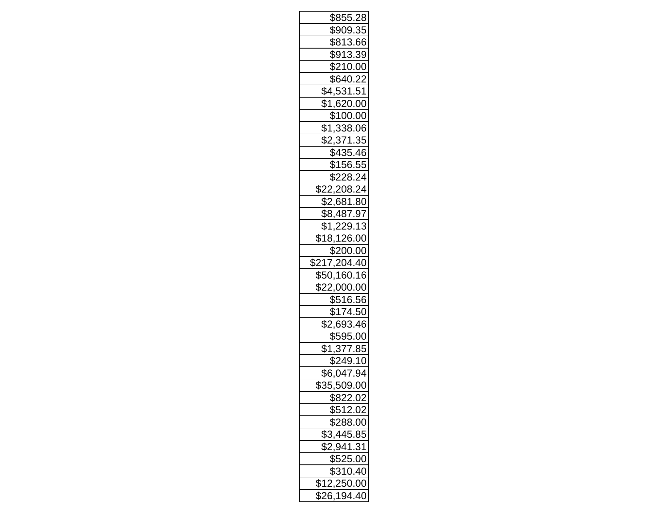| \$855.28                             |
|--------------------------------------|
| \$909.35                             |
| \$813.66                             |
| \$913.39                             |
| \$210.00                             |
| \$640.22                             |
| \$4,531.51                           |
| \$1,620.00                           |
| \$100.00                             |
| \$1,338.06                           |
| \$2,371.35                           |
| \$435.46                             |
| \$156.55                             |
| \$228.24<br>\$22,208.24              |
|                                      |
| \$2,681.80                           |
| \$8,487.97                           |
| \$1,229.13                           |
| $\sqrt{18,126.00}$                   |
| \$200.00                             |
|                                      |
| \$217,204.40                         |
| \$50,160.16                          |
| \$22,000.00                          |
| \$516.56                             |
| \$174.50                             |
| \$2,693.46                           |
| <u>\$595.00</u>                      |
| <u>\$1,377.85</u>                    |
| \$249.10                             |
| \$6,047.94                           |
| \$35,509.00                          |
|                                      |
| <u>\$822.02</u><br>\$512.02          |
| \$288.00                             |
|                                      |
|                                      |
|                                      |
| \$3,445.85<br>\$2,941.31<br>\$525.00 |
| \$310.40<br>\$12,250.00              |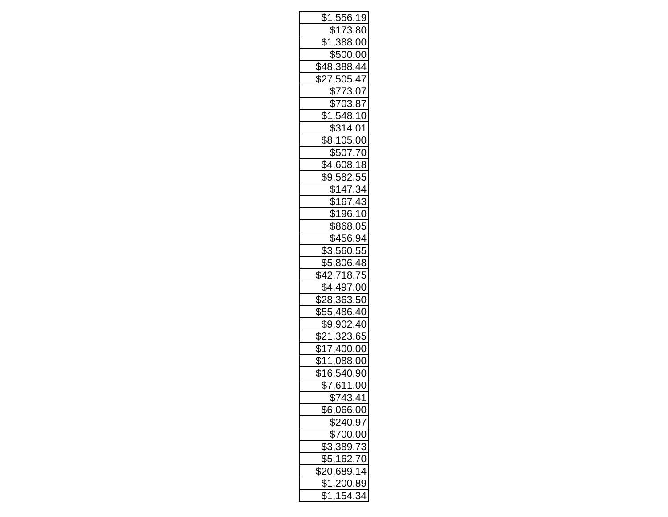| \$1,556.19                  |
|-----------------------------|
| $\sqrt{$173.80}$            |
| \$1,388.00                  |
| \$500.00                    |
| $\overline{$48,388.44}$     |
| <u>\$27,505.47</u>          |
| \$773.07                    |
| \$703.87                    |
| <u>\$1,548.10</u>           |
| \$314.01                    |
| \$8,105.00                  |
| \$507.70                    |
| \$4,608.18                  |
| $\overline{$9,582.55}$      |
| \$147.34                    |
| \$167.43                    |
| \$196.10                    |
| \$868.05                    |
| \$456.94                    |
| \$3,560.55                  |
| \$5,806.48                  |
| \$42,718.75                 |
| \$4,497.00                  |
| \$28,363.50                 |
| \$55,486.40                 |
| \$9,902.40                  |
| \$21,323.65                 |
| \$17,400.00                 |
| \$11,088.00                 |
| \$16,540.90                 |
| \$7,611.00                  |
| \$743.41                    |
| \$6,066.00                  |
| <u>\$240.97</u><br>\$700.00 |
|                             |
| \$3,389.73                  |
| <u>\$5,162.70</u>           |
| \$20,689.14                 |
| \$1,200.89                  |
| \$1,154.34                  |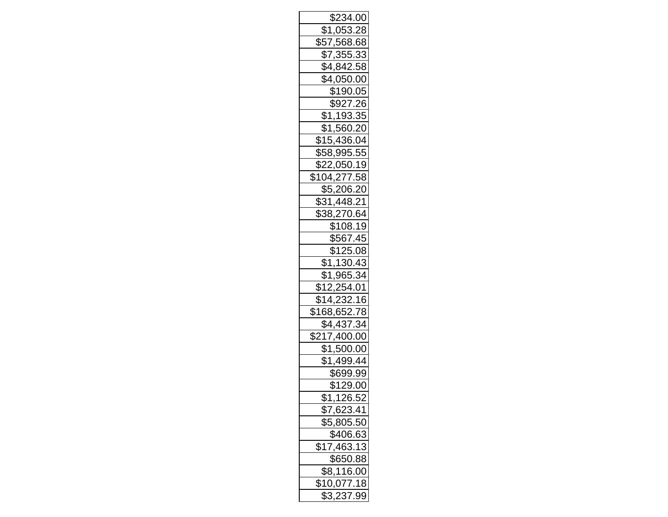| \$234.00                   |
|----------------------------|
| \$1,053.28                 |
| \$57,568.68                |
| \$7,355.33                 |
| \$4,842.58                 |
| \$4,050.00                 |
| \$190.05                   |
| \$927.26                   |
| \$1,193.35                 |
| \$1,560.20                 |
| \$15,436.04                |
| \$58,995.55                |
| \$22,050.19                |
| \$104,277.58<br>\$5,206.20 |
|                            |
| \$31,448.21                |
| \$38,270.64                |
| \$108.19                   |
| \$567.45                   |
| <u>\$125.08</u>            |
| \$1,130.43                 |
| <u>\$1,965.34</u>          |
| \$12,254.01                |
| \$14,232.16                |
| \$168,652.78               |
| \$4,437.34                 |
| \$217,400.00               |
| \$1,500.00                 |
| \$1,499.44                 |
| \$699.99                   |
| <u>\$129.00</u>            |
| \$1,126.52                 |
| \$7,623.41                 |
| \$5,805.50                 |
| \$406.63                   |
| $\sqrt{17,463.13}$         |
| \$650.88                   |
| \$8,116.00                 |
| \$10,077.18                |
| \$3,237.99                 |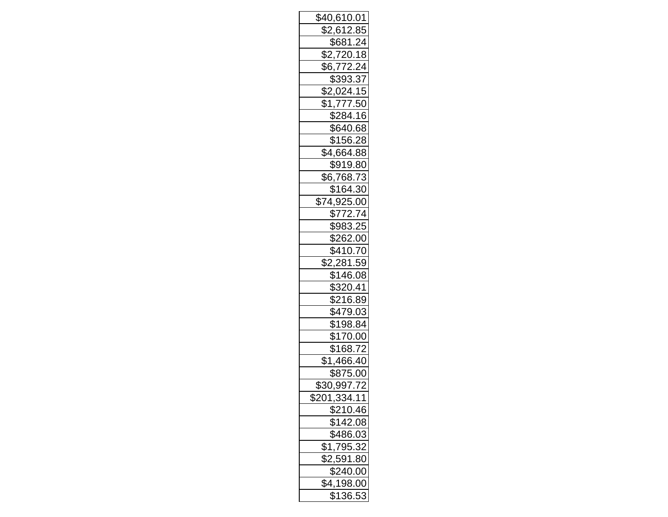| <u>\$40,610.01</u>              |
|---------------------------------|
| \$2,612.85                      |
| \$681.24                        |
| <u>\$2,720.18</u><br>\$6,772.24 |
|                                 |
| \$393.37                        |
| \$2,024.15                      |
| \$1,777.50                      |
| \$284.16                        |
| \$640.68                        |
| \$156.28                        |
| \$4,664.88                      |
| \$919.80                        |
| $\overline{$6,768.73}$          |
| \$164.30                        |
| \$74,925.00                     |
| \$772.74                        |
| \$983.25                        |
| \$262.00                        |
| \$410.70                        |
| \$2,281.59                      |
| \$146.08                        |
| \$320.41                        |
| \$216.89                        |
| \$479.03                        |
| \$198.84                        |
| \$170.00                        |
| \$168.72                        |
| \$1,466.40                      |
| \$875.00                        |
| \$30,997.72                     |
| \$201,334.11                    |
| \$210.46                        |
| \$142.08                        |
| \$486.03                        |
| \$1,795.32                      |
| \$2,591.80                      |
| $\sqrt{240.00}$                 |
| \$4,198.00                      |
| \$136.53                        |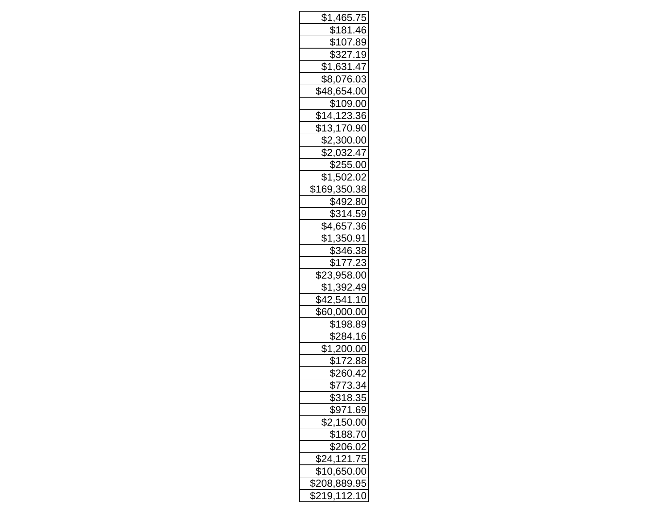| \$1,465.75              |
|-------------------------|
| \$181.46                |
| <u>\$107.89</u>         |
| \$327.19                |
| \$1,631.47              |
| \$8,076.03              |
| \$48,654.00             |
| \$109.00                |
| \$14,123.36             |
| \$13,170.90             |
| \$2,300.00              |
| \$2,032.47              |
| \$255.00                |
| \$1,502.02              |
| \$169,350.38            |
| \$492.80                |
| \$314.59                |
| \$4,657.36              |
| $\overline{$1,350.91}$  |
| \$346.38                |
| \$177.23                |
| <u>\$23,958.00</u>      |
| \$1,392.49              |
| $\overline{$42,541.10}$ |
| <u>\$60,000.00</u>      |
| \$198.89                |
| \$284.16                |
| $\overline{$1,200.00}$  |
| \$172.88                |
| \$260.42                |
| \$773.34                |
| <u>\$318.35</u>         |
| \$971.69                |
| \$2,150.00              |
| \$188.70                |
| \$206.02                |
| \$24,121.75             |
| \$10,650.00             |
| \$208,889.95            |
| \$219,112.10            |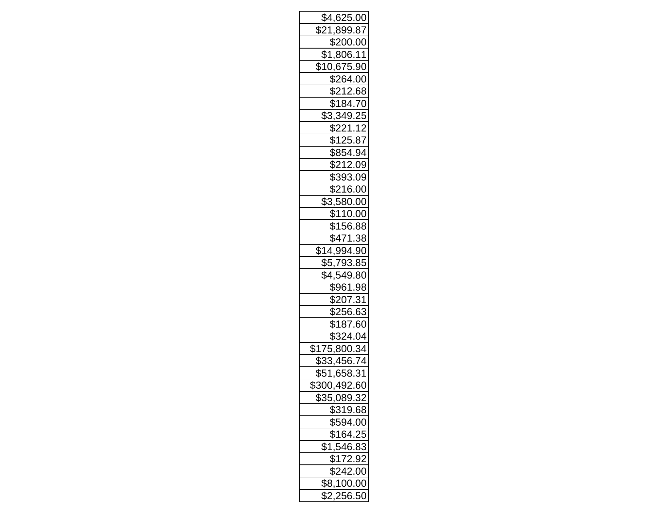| \$4,625.00           |
|----------------------|
| \$21,899.87          |
| \$200.00             |
| <u>\$1,806.11</u>    |
| \$10,675.90          |
| \$264.00             |
| $\sqrt{$212.68}$     |
| \$184.70             |
| \$3,349.25           |
| \$221.12             |
| \$125.87             |
| \$854.94             |
| \$212.09             |
| \$393.09             |
| \$216.00             |
| $\sqrt{3,580.00}$    |
| \$110.00             |
| \$156.88             |
| \$471.38             |
| <u>\$14,994.90</u>   |
| \$5,793.85           |
| \$4,549.80           |
| \$961.98             |
| \$207.31             |
| \$256.63             |
| \$187.60             |
| \$324.04             |
| \$175,800.34         |
| \$33,456.74          |
| \$51,658.31          |
| \$300,492.60         |
| <u>\$35,089.32</u>   |
| \$319.68             |
| \$594.00<br>\$164.25 |
|                      |
| \$1,546.83           |
| \$172.92             |
| \$242.00             |
| \$8,100.00           |
| $\sqrt{2,256.50}$    |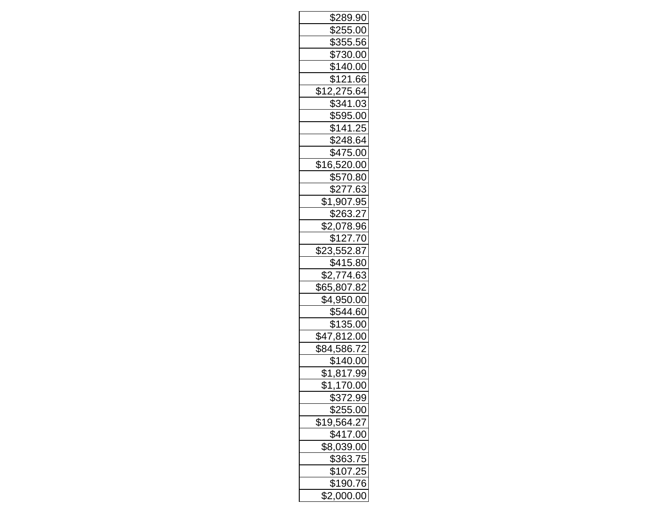| \$289.90                 |
|--------------------------|
| \$255.00                 |
| \$355.56                 |
| \$730.00                 |
| \$140.00                 |
| \$121.66                 |
| \$12,275.64              |
| \$341.03                 |
| \$595.00                 |
| \$141.25                 |
| \$248.64                 |
| \$475.00                 |
| \$16,520.00              |
| \$570.80                 |
| \$277.63                 |
| $$1,907.95$<br>$$263.27$ |
|                          |
| \$2,078.96               |
| \$127.70                 |
| \$23,552.87              |
| \$415.80                 |
| \$2,774.63               |
| \$65,807.82              |
| \$4,950.00               |
| \$544.60                 |
| \$135.00                 |
| \$47,812.00              |
| \$84,586.72              |
| \$140.00                 |
| <u>\$1,817.99</u>        |
| $\frac{1}{1,170.00}$     |
| \$372.99                 |
| \$255.00                 |
| <u>\$19,564.2</u>        |
| \$417.00                 |
| \$8,039.00               |
| \$363.75                 |
| \$107.25                 |
| \$190.76                 |
| \$2,000.00               |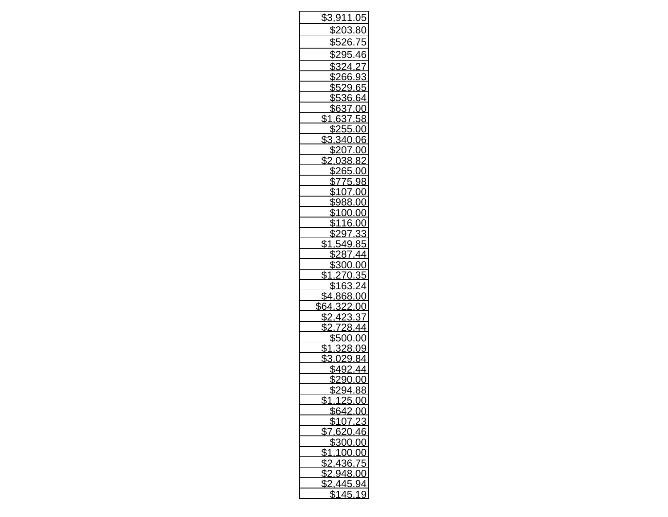| \$3,911.05                                                                                |
|-------------------------------------------------------------------------------------------|
| \$203.80<br>$\frac{$203.80}{$526.75}$<br>$\frac{$295.46}{$324.27}$<br>$\frac{$266}{$266}$ |
|                                                                                           |
|                                                                                           |
|                                                                                           |
|                                                                                           |
|                                                                                           |
| $rac{68}{65}$<br>$rac{65}{65}$<br>$rac{61}{61}$                                           |
|                                                                                           |
|                                                                                           |
| \$                                                                                        |
| <u>ىمىد</u><br>3.34<br>20                                                                 |
|                                                                                           |
| \$2.0<br>38<br>8.                                                                         |
| \$265                                                                                     |
| $\frac{$200}{$775}$<br>$$107$<br>$$988$<br>98<br>.00                                      |
| ൜                                                                                         |
|                                                                                           |
|                                                                                           |
|                                                                                           |
| <u>\$388.00</u><br>\$100.00<br>\$116.00<br>\$297.33                                       |
| $\overline{\mathbb{S}}$                                                                   |
| $\mathfrak{S}$                                                                            |
| \$1                                                                                       |
| \$                                                                                        |
|                                                                                           |
| \$64                                                                                      |
| \$                                                                                        |
| \$2                                                                                       |
| $-\mathcal{S}$<br>J                                                                       |
| $\overline{\$1}$<br>28<br>š                                                               |
| \$3.0<br>ξ<br>g                                                                           |
| \$492<br>\$290.00                                                                         |
| ¢.<br>J                                                                                   |
| <u>94ء</u><br>88<br>╜<br>\$1,125.00                                                       |
| \$642.00                                                                                  |
|                                                                                           |
| $\frac{$107}{$7,620}$<br>$\overline{)46}$                                                 |
| \$300<br>0.00                                                                             |
| \$1.<br>00.00                                                                             |
| \$<br>36.75                                                                               |
| \$<br>148.<br>00                                                                          |
| \$2<br>445.94                                                                             |
| \$145.<br>19<br>$\mathbb{R}^{\mathbb{Z}}$                                                 |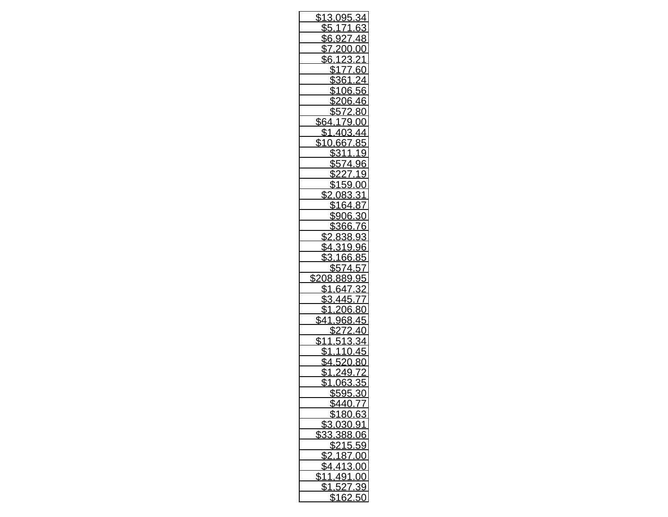| \$1<br><u>3.095</u>          |
|------------------------------|
| ŀ                            |
| \$6                          |
| $\overline{\mathbb{S}}$<br>( |
| \$6                          |
| \$<br>f                      |
|                              |
| O6                           |
| \$                           |
| \$<br>ξ                      |
| \$64                         |
| \$                           |
|                              |
|                              |
|                              |
| g                            |
| g                            |
| \$                           |
| \$                           |
|                              |
|                              |
| 9                            |
| \$2                          |
| 9                            |
| g                            |
| \$                           |
| \$<br>08                     |
| \$                           |
|                              |
| မျှမ                         |
| \$                           |
|                              |
|                              |
| $$^{\text{^{\prime}}}$<br>Į  |
| \$                           |
| g                            |
| \$                           |
| \$<br>ş!<br>06:              |
| <u>\$595.30</u>              |
| \$440.77                     |
| \$180.63<br>3                |
| \$3,030.91                   |
| \$33,388.06                  |
| \$215.59                     |
| 87.00<br>\$2,1               |
| $\sqrt{4.413.00}$            |
| \$11,491.00                  |
| $\sqrt{51,527}$<br>.39       |
| \$162<br>ŗ<br>50             |
|                              |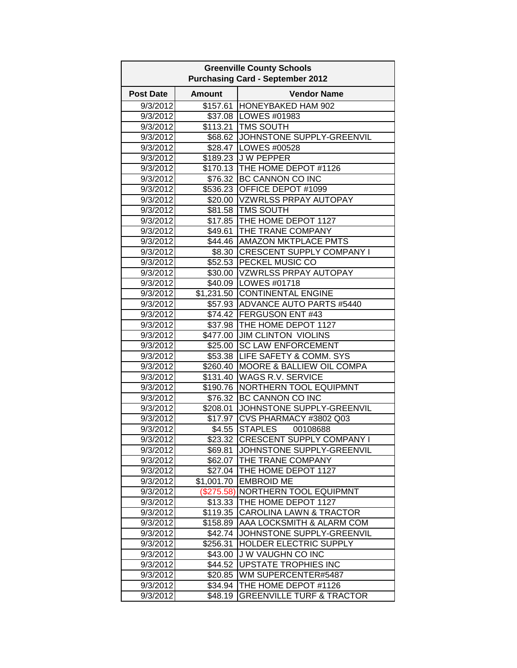|                  |                      | <b>Greenville County Schools</b>        |
|------------------|----------------------|-----------------------------------------|
|                  |                      | <b>Purchasing Card - September 2012</b> |
| <b>Post Date</b> | <b>Amount</b>        | <b>Vendor Name</b>                      |
| 9/3/2012         | \$157.61             | HONEYBAKED HAM 902                      |
| 9/3/2012         | \$37.08              | LOWES #01983                            |
| 9/3/2012         | \$113.21             | <b>TMS SOUTH</b>                        |
| 9/3/2012         |                      | \$68.62 JOHNSTONE SUPPLY-GREENVIL       |
| 9/3/2012         |                      | \$28.47   LOWES #00528                  |
| 9/3/2012         |                      | \$189.23 J W PEPPER                     |
| 9/3/2012         |                      | \$170.13 THE HOME DEPOT #1126           |
| 9/3/2012         |                      | \$76.32 BC CANNON CO INC                |
| 9/3/2012         |                      | \$536.23 OFFICE DEPOT #1099             |
| 9/3/2012         |                      | \$20.00 VZWRLSS PRPAY AUTOPAY           |
| 9/3/2012         |                      | \$81.58 TMS SOUTH                       |
| 9/3/2012         |                      | \$17.85 THE HOME DEPOT 1127             |
| 9/3/2012         |                      | \$49.61 THE TRANE COMPANY               |
| 9/3/2012         |                      | \$44.46 AMAZON MKTPLACE PMTS            |
| 9/3/2012         | \$8.30               | <b>CRESCENT SUPPLY COMPANY I</b>        |
| 9/3/2012         |                      | \$52.53 PECKEL MUSIC CO                 |
| 9/3/2012         |                      | \$30.00 VZWRLSS PRPAY AUTOPAY           |
| 9/3/2012         |                      | \$40.09   LOWES #01718                  |
| 9/3/2012         |                      | \$1,231.50 CONTINENTAL ENGINE           |
| 9/3/2012         |                      | \$57.93 ADVANCE AUTO PARTS #5440        |
| 9/3/2012         |                      | \$74.42 FERGUSON ENT #43                |
| 9/3/2012         |                      | \$37.98   THE HOME DEPOT 1127           |
| 9/3/2012         |                      | \$477.00 JIM CLINTON VIOLINS            |
| 9/3/2012         | \$25.00              | <b>SC LAW ENFORCEMENT</b>               |
| 9/3/2012         | \$53.38              | LIFE SAFETY & COMM. SYS                 |
| 9/3/2012         | \$260.40             | <b>MOORE &amp; BALLIEW OIL COMPA</b>    |
| 9/3/2012         | $\overline{$}131.40$ | <b>WAGS R.V. SERVICE</b>                |
| 9/3/2012         | \$190.76             | NORTHERN TOOL EQUIPMNT                  |
| 9/3/2012         | \$76.32              | BC CANNON CO INC                        |
| 9/3/2012         | \$208.01             | JOHNSTONE SUPPLY-GREENVIL               |
| 9/3/2012         | \$17.97              | CVS PHARMACY #3802 Q03                  |
| 9/3/2012         | \$4.55               | <b>STAPLES</b><br>00108688              |
| 9/3/2012         |                      | \$23.32 CRESCENT SUPPLY COMPANY I       |
| 9/3/2012         | \$69.81              | JOHNSTONE SUPPLY-GREENVIL               |
| 9/3/2012         | \$62.07              | THE TRANE COMPANY                       |
| 9/3/2012         | \$27.04              | THE HOME DEPOT 1127                     |
| 9/3/2012         | \$1,001.70           | <b>EMBROID ME</b>                       |
| 9/3/2012         | (\$275.58)           | <b>NORTHERN TOOL EQUIPMNT</b>           |
| 9/3/2012         | \$13.33              | THE HOME DEPOT 1127                     |
| 9/3/2012         | \$119.35             | CAROLINA LAWN & TRACTOR                 |
| 9/3/2012         | \$158.89             | AAA LOCKSMITH & ALARM COM               |
| 9/3/2012         | \$42.74              | JOHNSTONE SUPPLY-GREENVIL               |
| 9/3/2012         | \$256.31             | HOLDER ELECTRIC SUPPLY                  |
| 9/3/2012         | \$43.00              | <b>JW VAUGHN CO INC</b>                 |
| 9/3/2012         | \$44.52              | <b>UPSTATE TROPHIES INC</b>             |
| 9/3/2012         | \$20.85              | WM SUPERCENTER#5487                     |
| 9/3/2012         | \$34.94              | THE HOME DEPOT #1126                    |
| 9/3/2012         | \$48.19              | <b>GREENVILLE TURF &amp; TRACTOR</b>    |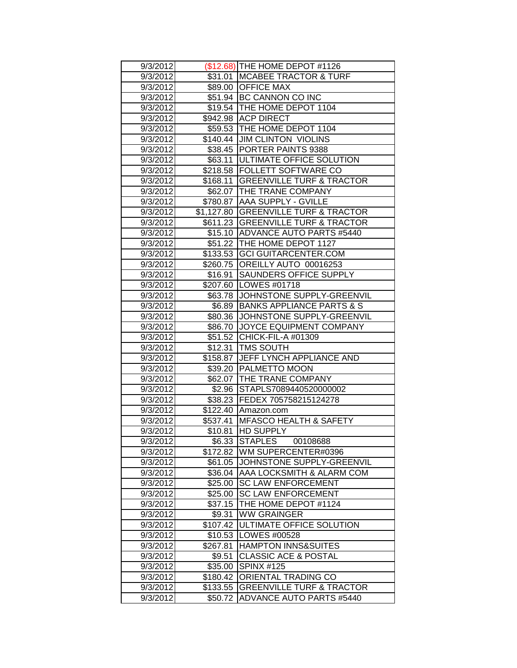| 9/3/2012             |                     | (\$12.68) THE HOME DEPOT #1126                                   |
|----------------------|---------------------|------------------------------------------------------------------|
| 9/3/2012             |                     | \$31.01 MCABEE TRACTOR & TURF                                    |
| 9/3/2012             |                     | \$89.00 OFFICE MAX                                               |
| 9/3/2012             |                     | \$51.94 BC CANNON CO INC                                         |
| 9/3/2012             |                     | \$19.54 THE HOME DEPOT 1104                                      |
| 9/3/2012             |                     | \$942.98 ACP DIRECT                                              |
| 9/3/2012             |                     | \$59.53 THE HOME DEPOT 1104                                      |
| 9/3/2012             |                     | \$140.44 JIM CLINTON VIOLINS                                     |
| 9/3/2012             |                     | \$38.45 PORTER PAINTS 9388                                       |
| 9/3/2012             | \$63.11             | <b>ULTIMATE OFFICE SOLUTION</b>                                  |
| 9/3/2012             |                     | \$218.58 FOLLETT SOFTWARE CO                                     |
| 9/3/2012             | \$168.11            | <b>GREENVILLE TURF &amp; TRACTOR</b>                             |
| 9/3/2012             |                     | \$62.07   THE TRANE COMPANY                                      |
| 9/3/2012             |                     | \$780.87 AAA SUPPLY - GVILLE                                     |
| 9/3/2012             |                     | \$1,127.80 GREENVILLE TURF & TRACTOR                             |
| 9/3/2012             |                     | \$611.23 GREENVILLE TURF & TRACTOR                               |
| 9/3/2012             |                     | \$15.10 ADVANCE AUTO PARTS #5440                                 |
| 9/3/2012             |                     | \$51.22 THE HOME DEPOT 1127                                      |
| 9/3/2012             |                     | \$133.53 GCI GUITARCENTER.COM                                    |
| 9/3/2012             |                     | \$260.75 OREILLY AUTO 00016253                                   |
| 9/3/2012             | \$16.91             | <b>SAUNDERS OFFICE SUPPLY</b>                                    |
| 9/3/2012             |                     | \$207.60 LOWES #01718                                            |
| 9/3/2012             |                     | \$63.78 JOHNSTONE SUPPLY-GREENVIL                                |
| 9/3/2012             | \$6.89              | <b>BANKS APPLIANCE PARTS &amp; S</b>                             |
| 9/3/2012             | \$80.36             | JOHNSTONE SUPPLY-GREENVIL                                        |
| 9/3/2012             | \$86.70             | JOYCE EQUIPMENT COMPANY                                          |
|                      |                     |                                                                  |
| 9/3/2012             | \$51.52             | CHICK-FIL-A #01309                                               |
| 9/3/2012             | \$12.31             | <b>TMS SOUTH</b>                                                 |
| 9/3/2012             | \$158.87            | <b>JEFF LYNCH APPLIANCE AND</b>                                  |
| 9/3/2012             | \$39.20             | <b>PALMETTO MOON</b>                                             |
| 9/3/2012             |                     | \$62.07 THE TRANE COMPANY                                        |
| 9/3/2012             |                     | \$2.96 STAPLS7089440520000002                                    |
| 9/3/2012             |                     | \$38.23 FEDEX 705758215124278                                    |
| 9/3/2012             |                     | \$122.40 Amazon.com                                              |
| 9/3/2012             | \$537.41            | <b>IMFASCO HEALTH &amp; SAFETY</b>                               |
| 9/3/2012             | \$10.81             | <b>HD SUPPLY</b>                                                 |
| 9/3/2012             |                     | \$6.33 STAPLES<br>00108688                                       |
| 9/3/2012             | \$172.82            | <b>IWM SUPERCENTER#0396</b>                                      |
| 9/3/2012             | \$61.05             | JOHNSTONE SUPPLY-GREENVIL                                        |
| 9/3/2012             | \$36.04             | AAA LOCKSMITH & ALARM COM                                        |
| 9/3/2012             | \$25.00             | <b>SC LAW ENFORCEMENT</b>                                        |
| 9/3/2012             | \$25.00             | <b>SC LAW ENFORCEMENT</b>                                        |
| 9/3/2012             | \$37.15             | THE HOME DEPOT #1124                                             |
| 9/3/2012             | \$9.31              | <b>WW GRAINGER</b>                                               |
| 9/3/2012             | \$107.42            | <b>ULTIMATE OFFICE SOLUTION</b>                                  |
| 9/3/2012             | \$10.53             | LOWES #00528                                                     |
| 9/3/2012             | \$267.81            | <b>HAMPTON INNS&amp;SUITES</b>                                   |
| 9/3/2012             | \$9.51              | <b>CLASSIC ACE &amp; POSTAL</b>                                  |
| 9/3/2012             | \$35.00             | <b>SPINX #125</b>                                                |
| 9/3/2012             | \$180.42            | ORIENTAL TRADING CO                                              |
| 9/3/2012<br>9/3/2012 | \$133.55<br>\$50.72 | <b>GREENVILLE TURF &amp; TRACTOR</b><br>ADVANCE AUTO PARTS #5440 |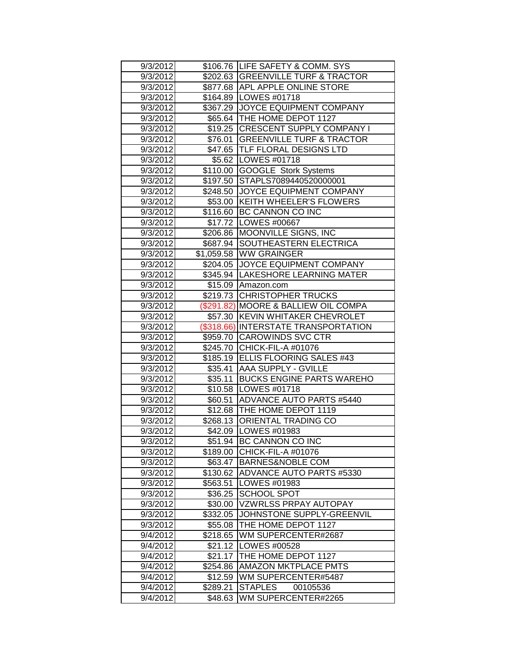| 9/3/2012             |                     | \$106.76 LIFE SAFETY & COMM. SYS                  |
|----------------------|---------------------|---------------------------------------------------|
| 9/3/2012             |                     | \$202.63 GREENVILLE TURF & TRACTOR                |
| 9/3/2012             |                     | \$877.68 APL APPLE ONLINE STORE                   |
| 9/3/2012             |                     | \$164.89 LOWES #01718                             |
| 9/3/2012             |                     | \$367.29 JOYCE EQUIPMENT COMPANY                  |
| 9/3/2012             |                     | \$65.64   THE HOME DEPOT 1127                     |
| 9/3/2012             |                     | \$19.25 CRESCENT SUPPLY COMPANY I                 |
| 9/3/2012             | \$76.01             | <b>GREENVILLE TURF &amp; TRACTOR</b>              |
| 9/3/2012             |                     | \$47.65 TLF FLORAL DESIGNS LTD                    |
| 9/3/2012             |                     | \$5.62   LOWES #01718                             |
| 9/3/2012             |                     | \$110.00 GOOGLE Stork Systems                     |
| 9/3/2012             |                     | \$197.50 STAPLS7089440520000001                   |
| 9/3/2012             |                     | \$248.50 JJOYCE EQUIPMENT COMPANY                 |
| 9/3/2012             |                     | \$53.00 KEITH WHEELER'S FLOWERS                   |
| 9/3/2012             |                     | \$116.60 BC CANNON CO INC                         |
| 9/3/2012             |                     | \$17.72   LOWES #00667                            |
| 9/3/2012             |                     | \$206.86 MOONVILLE SIGNS, INC                     |
| 9/3/2012             |                     | \$687.94 SOUTHEASTERN ELECTRICA                   |
| 9/3/2012             |                     | \$1,059.58 WW GRAINGER                            |
| 9/3/2012             |                     | \$204.05 JJOYCE EQUIPMENT COMPANY                 |
| 9/3/2012             |                     | \$345.94 LAKESHORE LEARNING MATER                 |
| 9/3/2012             |                     | \$15.09 Amazon.com                                |
| 9/3/2012             | \$219.73            | <b>CHRISTOPHER TRUCKS</b>                         |
| 9/3/2012             |                     | (\$291.82) MOORE & BALLIEW OIL COMPA              |
| 9/3/2012             | \$57.30             | KEVIN WHITAKER CHEVROLET                          |
| 9/3/2012             |                     | (\$318.66) INTERSTATE TRANSPORTATION              |
|                      |                     | \$959.70 CAROWINDS SVC CTR                        |
| 9/3/2012             |                     |                                                   |
| 9/3/2012             |                     | \$245.70 CHICK-FIL-A #01076                       |
| 9/3/2012             |                     | \$185.19 ELLIS FLOORING SALES #43                 |
| 9/3/2012             | \$35.41             | AAA SUPPLY - GVILLE                               |
| 9/3/2012             | \$35.11             | <b>BUCKS ENGINE PARTS WAREHO</b>                  |
| 9/3/2012             | \$10.58             | LOWES #01718                                      |
| 9/3/2012             | \$60.51             | ADVANCE AUTO PARTS #5440                          |
| 9/3/2012             |                     | \$12.68 THE HOME DEPOT 1119                       |
| 9/3/2012             |                     | \$268.13 ORIENTAL TRADING CO                      |
| 9/3/2012             |                     | \$42.09   LOWES #01983                            |
| 9/3/2012             |                     | \$51.94 BC CANNON CO INC                          |
| 9/3/2012             | \$189.00            | CHICK-FIL-A #01076                                |
| 9/3/2012             | \$63.47             | <b>BARNES&amp;NOBLE COM</b>                       |
| 9/3/2012             | \$130.62            | <b>ADVANCE AUTO PARTS #5330</b>                   |
| 9/3/2012             | \$563.51            | LOWES #01983                                      |
| 9/3/2012             | \$36.25             | <b>SCHOOL SPOT</b>                                |
| 9/3/2012             | \$30.00             | <b>VZWRLSS PRPAY AUTOPAY</b>                      |
| 9/3/2012             | \$332.05            | JOHNSTONE SUPPLY-GREENVIL                         |
| 9/3/2012             | \$55.08             | THE HOME DEPOT 1127                               |
| 9/4/2012             | \$218.65            | WM SUPERCENTER#2687                               |
| 9/4/2012             | \$21.12             | LOWES #00528                                      |
| 9/4/2012             | \$21.17             | THE HOME DEPOT 1127                               |
| 9/4/2012             | \$254.86            | AMAZON MKTPLACE PMTS                              |
| 9/4/2012             | \$12.59             | WM SUPERCENTER#5487                               |
| 9/4/2012<br>9/4/2012 | \$289.21<br>\$48.63 | <b>STAPLES</b><br>00105536<br>WM SUPERCENTER#2265 |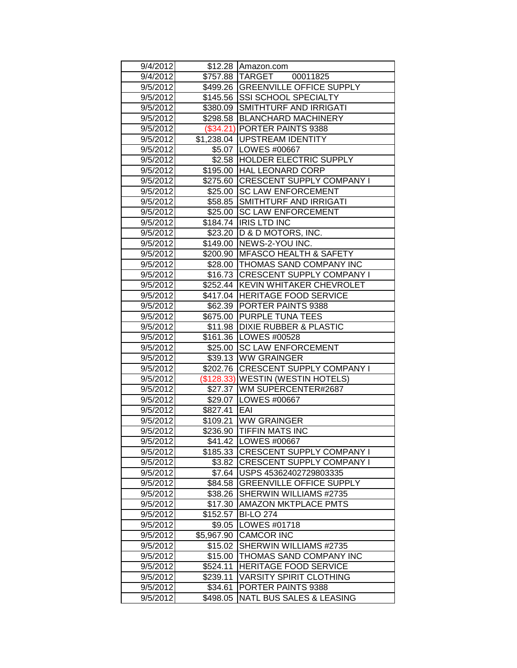| 9/4/2012             |                     | \$12.28 Amazon.com                                      |
|----------------------|---------------------|---------------------------------------------------------|
| 9/4/2012             |                     | \$757.88 TARGET 00011825                                |
| 9/5/2012             |                     | \$499.26 GREENVILLE OFFICE SUPPLY                       |
| 9/5/2012             |                     | \$145.56 SSI SCHOOL SPECIALTY                           |
| 9/5/2012             |                     | \$380.09 SMITHTURF AND IRRIGATI                         |
| 9/5/2012             |                     | \$298.58 BLANCHARD MACHINERY                            |
| 9/5/2012             |                     | (\$34.21) PORTER PAINTS 9388                            |
| 9/5/2012             |                     | \$1,238.04   UPSTREAM IDENTITY                          |
| 9/5/2012             |                     | \$5.07   LOWES #00667                                   |
| 9/5/2012             | \$2.58              | <b>HOLDER ELECTRIC SUPPLY</b>                           |
| 9/5/2012             | \$195.00            | <b>HAL LEONARD CORP</b>                                 |
| 9/5/2012             |                     | \$275.60 CRESCENT SUPPLY COMPANY I                      |
| 9/5/2012             |                     | \$25.00 SC LAW ENFORCEMENT                              |
| 9/5/2012             | \$58.85             | <b>SMITHTURF AND IRRIGATI</b>                           |
| 9/5/2012             | \$25.00             | <b>SC LAW ENFORCEMENT</b>                               |
| 9/5/2012             | \$184.74            | <b>IRIS LTD INC</b>                                     |
| 9/5/2012             | \$23.20             | D & D MOTORS, INC.                                      |
| 9/5/2012             | \$149.00            | <b>INEWS-2-YOU INC.</b>                                 |
| 9/5/2012             | \$200.90            | <b>MEASCO HEALTH &amp; SAFETY</b>                       |
| 9/5/2012             |                     | \$28.00 THOMAS SAND COMPANY INC                         |
| 9/5/2012             |                     | \$16.73 CRESCENT SUPPLY COMPANY I                       |
| 9/5/2012             |                     | \$252.44 KEVIN WHITAKER CHEVROLET                       |
| 9/5/2012             |                     | \$417.04 HERITAGE FOOD SERVICE                          |
| 9/5/2012             |                     | \$62.39 PORTER PAINTS 9388                              |
| 9/5/2012             | \$675.00            | <b>PURPLE TUNA TEES</b>                                 |
| 9/5/2012             | \$11.98             | <b>DIXIE RUBBER &amp; PLASTIC</b>                       |
| 9/5/2012             | \$161.36            | LOWES #00528                                            |
| 9/5/2012             | \$25.00             | <b>SC LAW ENFORCEMENT</b>                               |
| 9/5/2012             |                     | \$39.13 WW GRAINGER                                     |
| 9/5/2012             |                     | \$202.76 CRESCENT SUPPLY COMPANY I                      |
| 9/5/2012             |                     | (\$128.33) WESTIN (WESTIN HOTELS)                       |
| 9/5/2012             |                     | \$27.37 WM SUPERCENTER#2687                             |
| 9/5/2012             |                     | \$29.07   LOWES #00667                                  |
| 9/5/2012             | \$827.41            | EAI                                                     |
| 9/5/2012             | \$109.21            | <b>WW GRAINGER</b>                                      |
| 9/5/2012             |                     | \$236.90 TIFFIN MATS INC                                |
| 9/5/2012             |                     | \$41.42   LOWES #00667                                  |
| 9/5/2012             |                     | \$185.33 CRESCENT SUPPLY COMPANY I                      |
| 9/5/2012             |                     | \$3.82 CRESCENT SUPPLY COMPANY I                        |
| 9/5/2012             | \$7.64              | USPS 45362402729803335                                  |
| 9/5/2012             | \$84.58             | <b>GREENVILLE OFFICE SUPPLY</b>                         |
| 9/5/2012             | \$38.26             | SHERWIN WILLIAMS #2735                                  |
| 9/5/2012             | \$17.30             | <b>AMAZON MKTPLACE PMTS</b>                             |
| 9/5/2012             | \$152.57            | <b>BI-LO 274</b>                                        |
| 9/5/2012             | \$9.05              | LOWES #01718<br><b>CAMCOR INC</b>                       |
| 9/5/2012             | \$5,967.90          | SHERWIN WILLIAMS #2735                                  |
| 9/5/2012             | \$15.02             |                                                         |
| 9/5/2012<br>9/5/2012 | \$15.00<br>\$524.11 | THOMAS SAND COMPANY INC<br><b>HERITAGE FOOD SERVICE</b> |
| 9/5/2012             | \$239.11            | <b>VARSITY SPIRIT CLOTHING</b>                          |
| 9/5/2012             | \$34.61             | PORTER PAINTS 9388                                      |
| 9/5/2012             | \$498.05            | <b>NATL BUS SALES &amp; LEASING</b>                     |
|                      |                     |                                                         |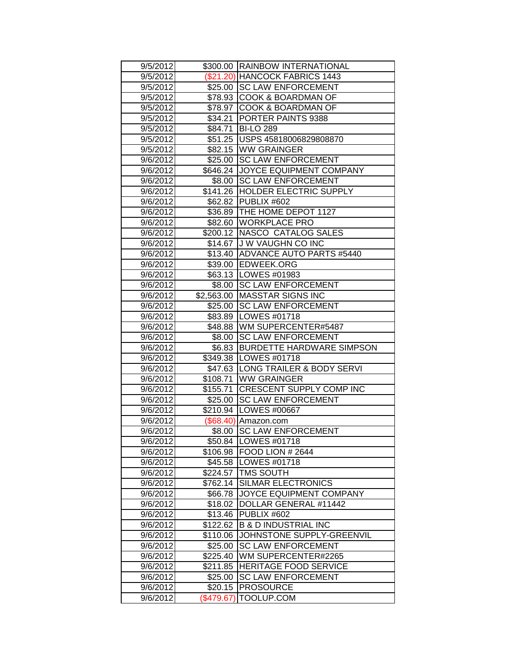| 9/5/2012             |                       | \$300.00 RAINBOW INTERNATIONAL    |
|----------------------|-----------------------|-----------------------------------|
| 9/5/2012             |                       | (\$21.20) HANCOCK FABRICS 1443    |
| 9/5/2012             |                       | \$25.00 ISC LAW ENFORCEMENT       |
| 9/5/2012             |                       | \$78.93 COOK & BOARDMAN OF        |
| 9/5/2012             |                       | \$78.97 COOK & BOARDMAN OF        |
| 9/5/2012             | \$34.21               | <b>PORTER PAINTS 9388</b>         |
| 9/5/2012             | \$84.71               | <b>BI-LO 289</b>                  |
| 9/5/2012             | \$51.25               | USPS 45818006829808870            |
| 9/5/2012             |                       | \$82.15 WW GRAINGER               |
| 9/6/2012             | \$25.00               | <b>SC LAW ENFORCEMENT</b>         |
| 9/6/2012             | \$646.24              | JOYCE EQUIPMENT COMPANY           |
| 9/6/2012             | \$8.00                | <b>SC LAW ENFORCEMENT</b>         |
| 9/6/2012             |                       | \$141.26 HOLDER ELECTRIC SUPPLY   |
| 9/6/2012             |                       | \$62.82 PUBLIX #602               |
| 9/6/2012             |                       | \$36.89 THE HOME DEPOT 1127       |
| 9/6/2012             | \$82.60               | <b>WORKPLACE PRO</b>              |
| 9/6/2012             |                       | \$200.12 NASCO CATALOG SALES      |
| 9/6/2012             | \$14.67               | J W VAUGHN CO INC                 |
| 9/6/2012             | \$13.40               | <b>ADVANCE AUTO PARTS #5440</b>   |
| 9/6/2012             |                       | \$39.00 EDWEEK.ORG                |
| 9/6/2012             |                       | \$63.13   LOWES #01983            |
| 9/6/2012             | \$8.00                | <b>SC LAW ENFORCEMENT</b>         |
| 9/6/2012             | \$2,563.00            | <b>MASSTAR SIGNS INC</b>          |
| 9/6/2012             | \$25.00               | <b>SC LAW ENFORCEMENT</b>         |
| 9/6/2012             | \$83.89               | LOWES #01718                      |
| 9/6/2012             | \$48.88               | WM SUPERCENTER#5487               |
| 9/6/2012             | \$8.00                | <b>SC LAW ENFORCEMENT</b>         |
|                      |                       |                                   |
| 9/6/2012             | \$6.83                | <b>BURDETTE HARDWARE SIMPSON</b>  |
| 9/6/2012             |                       | \$349.38   LOWES #01718           |
| 9/6/2012             |                       | \$47.63 LONG TRAILER & BODY SERVI |
| 9/6/2012             | \$108.71              | <b>WW GRAINGER</b>                |
| 9/6/2012             | \$155.71              | CRESCENT SUPPLY COMP INC          |
| 9/6/2012             | \$25.00               | <b>SC LAW ENFORCEMENT</b>         |
| 9/6/2012             | \$210.94              | LOWES #00667                      |
| 9/6/2012             |                       | (\$68.40) Amazon.com              |
| 9/6/2012             | \$8.00                | <b>SC LAW ENFORCEMENT</b>         |
| 9/6/2012             |                       | \$50.84 LOWES #01718              |
| 9/6/2012             |                       | \$106.98   FOOD LION # 2644       |
| 9/6/2012             |                       | \$45.58   LOWES #01718            |
| 9/6/2012             | \$224.57              | <b>TMS SOUTH</b>                  |
| 9/6/2012             | \$762.14              | <b>SILMAR ELECTRONICS</b>         |
| 9/6/2012             | \$66.78               | JOYCE EQUIPMENT COMPANY           |
| 9/6/2012             | \$18.02               | DOLLAR GENERAL #11442             |
| 9/6/2012             | \$13.46               | <b>PUBLIX #602</b>                |
| 9/6/2012             | \$122.62              | <b>B &amp; D INDUSTRIAL INC</b>   |
| 9/6/2012             | \$110.06              | JOHNSTONE SUPPLY-GREENVIL         |
| 9/6/2012             | \$25.00               | <b>SC LAW ENFORCEMENT</b>         |
| 9/6/2012             | \$225.40              | WM SUPERCENTER#2265               |
| 9/6/2012             | \$211.85              | <b>HERITAGE FOOD SERVICE</b>      |
| 9/6/2012             | \$25.00               | <b>SC LAW ENFORCEMENT</b>         |
| 9/6/2012<br>9/6/2012 | \$20.15<br>(\$479.67) | <b>PROSOURCE</b><br>TOOLUP.COM    |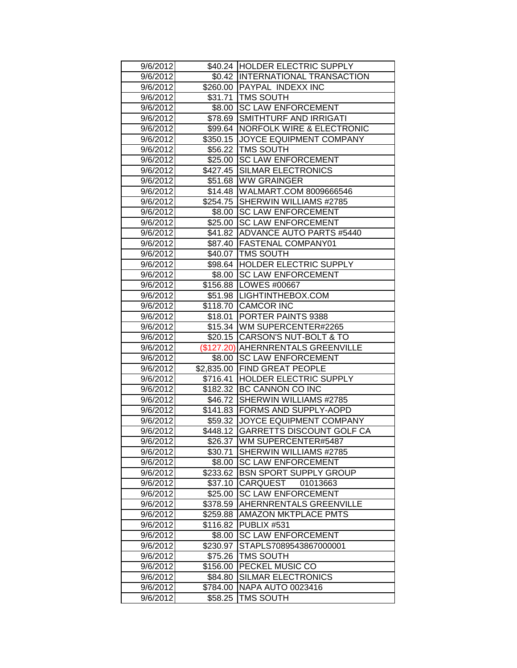| \$40.24 HOLDER ELECTRIC SUPPLY<br>9/6/2012<br>\$0.42 INTERNATIONAL TRANSACTION<br>9/6/2012<br>9/6/2012<br>\$260.00 PAYPAL INDEXX INC<br>9/6/2012<br>\$31.71   TMS SOUTH<br>\$8.00 SC LAW ENFORCEMENT<br>9/6/2012<br>9/6/2012<br><b>SMITHTURF AND IRRIGATI</b><br>\$78.69<br>9/6/2012<br>\$99.64<br><b>NORFOLK WIRE &amp; ELECTRONIC</b><br><b>JOYCE EQUIPMENT COMPANY</b><br>\$350.15<br>9/6/2012<br><b>TMS SOUTH</b><br>9/6/2012<br>\$56.22<br>\$25.00<br><b>SC LAW ENFORCEMENT</b><br>9/6/2012<br>\$427.45<br><b>SILMAR ELECTRONICS</b><br>9/6/2012<br>9/6/2012<br>\$51.68 WW GRAINGER<br>\$14.48<br>WALMART.COM 8009666546<br>9/6/2012<br>9/6/2012<br>\$254.75 SHERWIN WILLIAMS #2785<br><b>SC LAW ENFORCEMENT</b><br>9/6/2012<br>\$8.00<br>9/6/2012<br>\$25.00<br><b>SC LAW ENFORCEMENT</b><br>\$41.82 ADVANCE AUTO PARTS #5440<br>9/6/2012<br>9/6/2012<br>\$87.40   FASTENAL COMPANY01<br>9/6/2012<br>\$40.07   TMS SOUTH<br>\$98.64 HOLDER ELECTRIC SUPPLY<br>9/6/2012<br><b>SC LAW ENFORCEMENT</b><br>9/6/2012<br>\$8.00<br>9/6/2012<br>\$156.88 LOWES #00667<br>\$51.98  LIGHTINTHEBOX.COM<br>9/6/2012<br>\$118.70<br><b>CAMCOR INC</b><br>9/6/2012<br><b>PORTER PAINTS 9388</b><br>9/6/2012<br>\$18.01<br>\$15.34 WM SUPERCENTER#2265<br>9/6/2012<br>CARSON'S NUT-BOLT & TO<br>9/6/2012<br>\$20.15<br>(\$127.20) AHERNRENTALS GREENVILLE<br>9/6/2012<br>\$8.00<br><b>SC LAW ENFORCEMENT</b><br>9/6/2012<br><b>FIND GREAT PEOPLE</b><br>9/6/2012<br>\$2,835.00<br>\$716.41<br>HOLDER ELECTRIC SUPPLY<br>9/6/2012<br>\$182.32<br>BC CANNON CO INC<br>9/6/2012<br>9/6/2012<br>SHERWIN WILLIAMS #2785<br>\$46.72  <br>9/6/2012<br>\$141.83 FORMS AND SUPPLY-AOPD<br>9/6/2012<br>\$59.32<br><b>JOYCE EQUIPMENT COMPANY</b><br>\$448.12   GARRETTS DISCOUNT GOLF CA<br>9/6/2012<br>9/6/2012<br>\$26.37<br>WM SUPERCENTER#5487<br>SHERWIN WILLIAMS #2785<br>9/6/2012<br>\$30.71<br><b>SC LAW ENFORCEMENT</b><br>9/6/2012<br>\$8.00<br><b>BSN SPORT SUPPLY GROUP</b><br>\$233.62<br>9/6/2012<br>\$37.10<br>9/6/2012<br>CARQUEST<br>01013663<br><b>SC LAW ENFORCEMENT</b><br>9/6/2012<br>\$25.00<br>AHERNRENTALS GREENVILLE<br>9/6/2012<br>\$378.59<br><b>AMAZON MKTPLACE PMTS</b><br>9/6/2012<br>\$259.88<br>PUBLIX #531<br>9/6/2012<br>\$116.82<br><b>SC LAW ENFORCEMENT</b><br>9/6/2012<br>\$8.00<br>9/6/2012<br>\$230.97<br>STAPLS7089543867000001<br><b>TMS SOUTH</b><br>9/6/2012<br>\$75.26<br>\$156.00<br>PECKEL MUSIC CO<br>9/6/2012<br>9/6/2012<br><b>SILMAR ELECTRONICS</b><br>\$84.80<br>9/6/2012<br>\$784.00<br><b>NAPA AUTO 0023416</b><br>TMS SOUTH<br>9/6/2012<br>\$58.25 |  |  |
|------------------------------------------------------------------------------------------------------------------------------------------------------------------------------------------------------------------------------------------------------------------------------------------------------------------------------------------------------------------------------------------------------------------------------------------------------------------------------------------------------------------------------------------------------------------------------------------------------------------------------------------------------------------------------------------------------------------------------------------------------------------------------------------------------------------------------------------------------------------------------------------------------------------------------------------------------------------------------------------------------------------------------------------------------------------------------------------------------------------------------------------------------------------------------------------------------------------------------------------------------------------------------------------------------------------------------------------------------------------------------------------------------------------------------------------------------------------------------------------------------------------------------------------------------------------------------------------------------------------------------------------------------------------------------------------------------------------------------------------------------------------------------------------------------------------------------------------------------------------------------------------------------------------------------------------------------------------------------------------------------------------------------------------------------------------------------------------------------------------------------------------------------------------------------------------------------------------------------------------------------------------------------------------------------------------------------------------------------------------------------------------------------------------------------------------------------------------------------------------------------------------------------------------------------------------------------------------|--|--|
|                                                                                                                                                                                                                                                                                                                                                                                                                                                                                                                                                                                                                                                                                                                                                                                                                                                                                                                                                                                                                                                                                                                                                                                                                                                                                                                                                                                                                                                                                                                                                                                                                                                                                                                                                                                                                                                                                                                                                                                                                                                                                                                                                                                                                                                                                                                                                                                                                                                                                                                                                                                          |  |  |
|                                                                                                                                                                                                                                                                                                                                                                                                                                                                                                                                                                                                                                                                                                                                                                                                                                                                                                                                                                                                                                                                                                                                                                                                                                                                                                                                                                                                                                                                                                                                                                                                                                                                                                                                                                                                                                                                                                                                                                                                                                                                                                                                                                                                                                                                                                                                                                                                                                                                                                                                                                                          |  |  |
|                                                                                                                                                                                                                                                                                                                                                                                                                                                                                                                                                                                                                                                                                                                                                                                                                                                                                                                                                                                                                                                                                                                                                                                                                                                                                                                                                                                                                                                                                                                                                                                                                                                                                                                                                                                                                                                                                                                                                                                                                                                                                                                                                                                                                                                                                                                                                                                                                                                                                                                                                                                          |  |  |
|                                                                                                                                                                                                                                                                                                                                                                                                                                                                                                                                                                                                                                                                                                                                                                                                                                                                                                                                                                                                                                                                                                                                                                                                                                                                                                                                                                                                                                                                                                                                                                                                                                                                                                                                                                                                                                                                                                                                                                                                                                                                                                                                                                                                                                                                                                                                                                                                                                                                                                                                                                                          |  |  |
|                                                                                                                                                                                                                                                                                                                                                                                                                                                                                                                                                                                                                                                                                                                                                                                                                                                                                                                                                                                                                                                                                                                                                                                                                                                                                                                                                                                                                                                                                                                                                                                                                                                                                                                                                                                                                                                                                                                                                                                                                                                                                                                                                                                                                                                                                                                                                                                                                                                                                                                                                                                          |  |  |
|                                                                                                                                                                                                                                                                                                                                                                                                                                                                                                                                                                                                                                                                                                                                                                                                                                                                                                                                                                                                                                                                                                                                                                                                                                                                                                                                                                                                                                                                                                                                                                                                                                                                                                                                                                                                                                                                                                                                                                                                                                                                                                                                                                                                                                                                                                                                                                                                                                                                                                                                                                                          |  |  |
|                                                                                                                                                                                                                                                                                                                                                                                                                                                                                                                                                                                                                                                                                                                                                                                                                                                                                                                                                                                                                                                                                                                                                                                                                                                                                                                                                                                                                                                                                                                                                                                                                                                                                                                                                                                                                                                                                                                                                                                                                                                                                                                                                                                                                                                                                                                                                                                                                                                                                                                                                                                          |  |  |
|                                                                                                                                                                                                                                                                                                                                                                                                                                                                                                                                                                                                                                                                                                                                                                                                                                                                                                                                                                                                                                                                                                                                                                                                                                                                                                                                                                                                                                                                                                                                                                                                                                                                                                                                                                                                                                                                                                                                                                                                                                                                                                                                                                                                                                                                                                                                                                                                                                                                                                                                                                                          |  |  |
|                                                                                                                                                                                                                                                                                                                                                                                                                                                                                                                                                                                                                                                                                                                                                                                                                                                                                                                                                                                                                                                                                                                                                                                                                                                                                                                                                                                                                                                                                                                                                                                                                                                                                                                                                                                                                                                                                                                                                                                                                                                                                                                                                                                                                                                                                                                                                                                                                                                                                                                                                                                          |  |  |
|                                                                                                                                                                                                                                                                                                                                                                                                                                                                                                                                                                                                                                                                                                                                                                                                                                                                                                                                                                                                                                                                                                                                                                                                                                                                                                                                                                                                                                                                                                                                                                                                                                                                                                                                                                                                                                                                                                                                                                                                                                                                                                                                                                                                                                                                                                                                                                                                                                                                                                                                                                                          |  |  |
|                                                                                                                                                                                                                                                                                                                                                                                                                                                                                                                                                                                                                                                                                                                                                                                                                                                                                                                                                                                                                                                                                                                                                                                                                                                                                                                                                                                                                                                                                                                                                                                                                                                                                                                                                                                                                                                                                                                                                                                                                                                                                                                                                                                                                                                                                                                                                                                                                                                                                                                                                                                          |  |  |
|                                                                                                                                                                                                                                                                                                                                                                                                                                                                                                                                                                                                                                                                                                                                                                                                                                                                                                                                                                                                                                                                                                                                                                                                                                                                                                                                                                                                                                                                                                                                                                                                                                                                                                                                                                                                                                                                                                                                                                                                                                                                                                                                                                                                                                                                                                                                                                                                                                                                                                                                                                                          |  |  |
|                                                                                                                                                                                                                                                                                                                                                                                                                                                                                                                                                                                                                                                                                                                                                                                                                                                                                                                                                                                                                                                                                                                                                                                                                                                                                                                                                                                                                                                                                                                                                                                                                                                                                                                                                                                                                                                                                                                                                                                                                                                                                                                                                                                                                                                                                                                                                                                                                                                                                                                                                                                          |  |  |
|                                                                                                                                                                                                                                                                                                                                                                                                                                                                                                                                                                                                                                                                                                                                                                                                                                                                                                                                                                                                                                                                                                                                                                                                                                                                                                                                                                                                                                                                                                                                                                                                                                                                                                                                                                                                                                                                                                                                                                                                                                                                                                                                                                                                                                                                                                                                                                                                                                                                                                                                                                                          |  |  |
|                                                                                                                                                                                                                                                                                                                                                                                                                                                                                                                                                                                                                                                                                                                                                                                                                                                                                                                                                                                                                                                                                                                                                                                                                                                                                                                                                                                                                                                                                                                                                                                                                                                                                                                                                                                                                                                                                                                                                                                                                                                                                                                                                                                                                                                                                                                                                                                                                                                                                                                                                                                          |  |  |
|                                                                                                                                                                                                                                                                                                                                                                                                                                                                                                                                                                                                                                                                                                                                                                                                                                                                                                                                                                                                                                                                                                                                                                                                                                                                                                                                                                                                                                                                                                                                                                                                                                                                                                                                                                                                                                                                                                                                                                                                                                                                                                                                                                                                                                                                                                                                                                                                                                                                                                                                                                                          |  |  |
|                                                                                                                                                                                                                                                                                                                                                                                                                                                                                                                                                                                                                                                                                                                                                                                                                                                                                                                                                                                                                                                                                                                                                                                                                                                                                                                                                                                                                                                                                                                                                                                                                                                                                                                                                                                                                                                                                                                                                                                                                                                                                                                                                                                                                                                                                                                                                                                                                                                                                                                                                                                          |  |  |
|                                                                                                                                                                                                                                                                                                                                                                                                                                                                                                                                                                                                                                                                                                                                                                                                                                                                                                                                                                                                                                                                                                                                                                                                                                                                                                                                                                                                                                                                                                                                                                                                                                                                                                                                                                                                                                                                                                                                                                                                                                                                                                                                                                                                                                                                                                                                                                                                                                                                                                                                                                                          |  |  |
|                                                                                                                                                                                                                                                                                                                                                                                                                                                                                                                                                                                                                                                                                                                                                                                                                                                                                                                                                                                                                                                                                                                                                                                                                                                                                                                                                                                                                                                                                                                                                                                                                                                                                                                                                                                                                                                                                                                                                                                                                                                                                                                                                                                                                                                                                                                                                                                                                                                                                                                                                                                          |  |  |
|                                                                                                                                                                                                                                                                                                                                                                                                                                                                                                                                                                                                                                                                                                                                                                                                                                                                                                                                                                                                                                                                                                                                                                                                                                                                                                                                                                                                                                                                                                                                                                                                                                                                                                                                                                                                                                                                                                                                                                                                                                                                                                                                                                                                                                                                                                                                                                                                                                                                                                                                                                                          |  |  |
|                                                                                                                                                                                                                                                                                                                                                                                                                                                                                                                                                                                                                                                                                                                                                                                                                                                                                                                                                                                                                                                                                                                                                                                                                                                                                                                                                                                                                                                                                                                                                                                                                                                                                                                                                                                                                                                                                                                                                                                                                                                                                                                                                                                                                                                                                                                                                                                                                                                                                                                                                                                          |  |  |
|                                                                                                                                                                                                                                                                                                                                                                                                                                                                                                                                                                                                                                                                                                                                                                                                                                                                                                                                                                                                                                                                                                                                                                                                                                                                                                                                                                                                                                                                                                                                                                                                                                                                                                                                                                                                                                                                                                                                                                                                                                                                                                                                                                                                                                                                                                                                                                                                                                                                                                                                                                                          |  |  |
|                                                                                                                                                                                                                                                                                                                                                                                                                                                                                                                                                                                                                                                                                                                                                                                                                                                                                                                                                                                                                                                                                                                                                                                                                                                                                                                                                                                                                                                                                                                                                                                                                                                                                                                                                                                                                                                                                                                                                                                                                                                                                                                                                                                                                                                                                                                                                                                                                                                                                                                                                                                          |  |  |
|                                                                                                                                                                                                                                                                                                                                                                                                                                                                                                                                                                                                                                                                                                                                                                                                                                                                                                                                                                                                                                                                                                                                                                                                                                                                                                                                                                                                                                                                                                                                                                                                                                                                                                                                                                                                                                                                                                                                                                                                                                                                                                                                                                                                                                                                                                                                                                                                                                                                                                                                                                                          |  |  |
|                                                                                                                                                                                                                                                                                                                                                                                                                                                                                                                                                                                                                                                                                                                                                                                                                                                                                                                                                                                                                                                                                                                                                                                                                                                                                                                                                                                                                                                                                                                                                                                                                                                                                                                                                                                                                                                                                                                                                                                                                                                                                                                                                                                                                                                                                                                                                                                                                                                                                                                                                                                          |  |  |
|                                                                                                                                                                                                                                                                                                                                                                                                                                                                                                                                                                                                                                                                                                                                                                                                                                                                                                                                                                                                                                                                                                                                                                                                                                                                                                                                                                                                                                                                                                                                                                                                                                                                                                                                                                                                                                                                                                                                                                                                                                                                                                                                                                                                                                                                                                                                                                                                                                                                                                                                                                                          |  |  |
|                                                                                                                                                                                                                                                                                                                                                                                                                                                                                                                                                                                                                                                                                                                                                                                                                                                                                                                                                                                                                                                                                                                                                                                                                                                                                                                                                                                                                                                                                                                                                                                                                                                                                                                                                                                                                                                                                                                                                                                                                                                                                                                                                                                                                                                                                                                                                                                                                                                                                                                                                                                          |  |  |
|                                                                                                                                                                                                                                                                                                                                                                                                                                                                                                                                                                                                                                                                                                                                                                                                                                                                                                                                                                                                                                                                                                                                                                                                                                                                                                                                                                                                                                                                                                                                                                                                                                                                                                                                                                                                                                                                                                                                                                                                                                                                                                                                                                                                                                                                                                                                                                                                                                                                                                                                                                                          |  |  |
|                                                                                                                                                                                                                                                                                                                                                                                                                                                                                                                                                                                                                                                                                                                                                                                                                                                                                                                                                                                                                                                                                                                                                                                                                                                                                                                                                                                                                                                                                                                                                                                                                                                                                                                                                                                                                                                                                                                                                                                                                                                                                                                                                                                                                                                                                                                                                                                                                                                                                                                                                                                          |  |  |
|                                                                                                                                                                                                                                                                                                                                                                                                                                                                                                                                                                                                                                                                                                                                                                                                                                                                                                                                                                                                                                                                                                                                                                                                                                                                                                                                                                                                                                                                                                                                                                                                                                                                                                                                                                                                                                                                                                                                                                                                                                                                                                                                                                                                                                                                                                                                                                                                                                                                                                                                                                                          |  |  |
|                                                                                                                                                                                                                                                                                                                                                                                                                                                                                                                                                                                                                                                                                                                                                                                                                                                                                                                                                                                                                                                                                                                                                                                                                                                                                                                                                                                                                                                                                                                                                                                                                                                                                                                                                                                                                                                                                                                                                                                                                                                                                                                                                                                                                                                                                                                                                                                                                                                                                                                                                                                          |  |  |
|                                                                                                                                                                                                                                                                                                                                                                                                                                                                                                                                                                                                                                                                                                                                                                                                                                                                                                                                                                                                                                                                                                                                                                                                                                                                                                                                                                                                                                                                                                                                                                                                                                                                                                                                                                                                                                                                                                                                                                                                                                                                                                                                                                                                                                                                                                                                                                                                                                                                                                                                                                                          |  |  |
|                                                                                                                                                                                                                                                                                                                                                                                                                                                                                                                                                                                                                                                                                                                                                                                                                                                                                                                                                                                                                                                                                                                                                                                                                                                                                                                                                                                                                                                                                                                                                                                                                                                                                                                                                                                                                                                                                                                                                                                                                                                                                                                                                                                                                                                                                                                                                                                                                                                                                                                                                                                          |  |  |
|                                                                                                                                                                                                                                                                                                                                                                                                                                                                                                                                                                                                                                                                                                                                                                                                                                                                                                                                                                                                                                                                                                                                                                                                                                                                                                                                                                                                                                                                                                                                                                                                                                                                                                                                                                                                                                                                                                                                                                                                                                                                                                                                                                                                                                                                                                                                                                                                                                                                                                                                                                                          |  |  |
|                                                                                                                                                                                                                                                                                                                                                                                                                                                                                                                                                                                                                                                                                                                                                                                                                                                                                                                                                                                                                                                                                                                                                                                                                                                                                                                                                                                                                                                                                                                                                                                                                                                                                                                                                                                                                                                                                                                                                                                                                                                                                                                                                                                                                                                                                                                                                                                                                                                                                                                                                                                          |  |  |
|                                                                                                                                                                                                                                                                                                                                                                                                                                                                                                                                                                                                                                                                                                                                                                                                                                                                                                                                                                                                                                                                                                                                                                                                                                                                                                                                                                                                                                                                                                                                                                                                                                                                                                                                                                                                                                                                                                                                                                                                                                                                                                                                                                                                                                                                                                                                                                                                                                                                                                                                                                                          |  |  |
|                                                                                                                                                                                                                                                                                                                                                                                                                                                                                                                                                                                                                                                                                                                                                                                                                                                                                                                                                                                                                                                                                                                                                                                                                                                                                                                                                                                                                                                                                                                                                                                                                                                                                                                                                                                                                                                                                                                                                                                                                                                                                                                                                                                                                                                                                                                                                                                                                                                                                                                                                                                          |  |  |
|                                                                                                                                                                                                                                                                                                                                                                                                                                                                                                                                                                                                                                                                                                                                                                                                                                                                                                                                                                                                                                                                                                                                                                                                                                                                                                                                                                                                                                                                                                                                                                                                                                                                                                                                                                                                                                                                                                                                                                                                                                                                                                                                                                                                                                                                                                                                                                                                                                                                                                                                                                                          |  |  |
|                                                                                                                                                                                                                                                                                                                                                                                                                                                                                                                                                                                                                                                                                                                                                                                                                                                                                                                                                                                                                                                                                                                                                                                                                                                                                                                                                                                                                                                                                                                                                                                                                                                                                                                                                                                                                                                                                                                                                                                                                                                                                                                                                                                                                                                                                                                                                                                                                                                                                                                                                                                          |  |  |
|                                                                                                                                                                                                                                                                                                                                                                                                                                                                                                                                                                                                                                                                                                                                                                                                                                                                                                                                                                                                                                                                                                                                                                                                                                                                                                                                                                                                                                                                                                                                                                                                                                                                                                                                                                                                                                                                                                                                                                                                                                                                                                                                                                                                                                                                                                                                                                                                                                                                                                                                                                                          |  |  |
|                                                                                                                                                                                                                                                                                                                                                                                                                                                                                                                                                                                                                                                                                                                                                                                                                                                                                                                                                                                                                                                                                                                                                                                                                                                                                                                                                                                                                                                                                                                                                                                                                                                                                                                                                                                                                                                                                                                                                                                                                                                                                                                                                                                                                                                                                                                                                                                                                                                                                                                                                                                          |  |  |
|                                                                                                                                                                                                                                                                                                                                                                                                                                                                                                                                                                                                                                                                                                                                                                                                                                                                                                                                                                                                                                                                                                                                                                                                                                                                                                                                                                                                                                                                                                                                                                                                                                                                                                                                                                                                                                                                                                                                                                                                                                                                                                                                                                                                                                                                                                                                                                                                                                                                                                                                                                                          |  |  |
|                                                                                                                                                                                                                                                                                                                                                                                                                                                                                                                                                                                                                                                                                                                                                                                                                                                                                                                                                                                                                                                                                                                                                                                                                                                                                                                                                                                                                                                                                                                                                                                                                                                                                                                                                                                                                                                                                                                                                                                                                                                                                                                                                                                                                                                                                                                                                                                                                                                                                                                                                                                          |  |  |
|                                                                                                                                                                                                                                                                                                                                                                                                                                                                                                                                                                                                                                                                                                                                                                                                                                                                                                                                                                                                                                                                                                                                                                                                                                                                                                                                                                                                                                                                                                                                                                                                                                                                                                                                                                                                                                                                                                                                                                                                                                                                                                                                                                                                                                                                                                                                                                                                                                                                                                                                                                                          |  |  |
|                                                                                                                                                                                                                                                                                                                                                                                                                                                                                                                                                                                                                                                                                                                                                                                                                                                                                                                                                                                                                                                                                                                                                                                                                                                                                                                                                                                                                                                                                                                                                                                                                                                                                                                                                                                                                                                                                                                                                                                                                                                                                                                                                                                                                                                                                                                                                                                                                                                                                                                                                                                          |  |  |
|                                                                                                                                                                                                                                                                                                                                                                                                                                                                                                                                                                                                                                                                                                                                                                                                                                                                                                                                                                                                                                                                                                                                                                                                                                                                                                                                                                                                                                                                                                                                                                                                                                                                                                                                                                                                                                                                                                                                                                                                                                                                                                                                                                                                                                                                                                                                                                                                                                                                                                                                                                                          |  |  |
|                                                                                                                                                                                                                                                                                                                                                                                                                                                                                                                                                                                                                                                                                                                                                                                                                                                                                                                                                                                                                                                                                                                                                                                                                                                                                                                                                                                                                                                                                                                                                                                                                                                                                                                                                                                                                                                                                                                                                                                                                                                                                                                                                                                                                                                                                                                                                                                                                                                                                                                                                                                          |  |  |
|                                                                                                                                                                                                                                                                                                                                                                                                                                                                                                                                                                                                                                                                                                                                                                                                                                                                                                                                                                                                                                                                                                                                                                                                                                                                                                                                                                                                                                                                                                                                                                                                                                                                                                                                                                                                                                                                                                                                                                                                                                                                                                                                                                                                                                                                                                                                                                                                                                                                                                                                                                                          |  |  |
|                                                                                                                                                                                                                                                                                                                                                                                                                                                                                                                                                                                                                                                                                                                                                                                                                                                                                                                                                                                                                                                                                                                                                                                                                                                                                                                                                                                                                                                                                                                                                                                                                                                                                                                                                                                                                                                                                                                                                                                                                                                                                                                                                                                                                                                                                                                                                                                                                                                                                                                                                                                          |  |  |
|                                                                                                                                                                                                                                                                                                                                                                                                                                                                                                                                                                                                                                                                                                                                                                                                                                                                                                                                                                                                                                                                                                                                                                                                                                                                                                                                                                                                                                                                                                                                                                                                                                                                                                                                                                                                                                                                                                                                                                                                                                                                                                                                                                                                                                                                                                                                                                                                                                                                                                                                                                                          |  |  |
|                                                                                                                                                                                                                                                                                                                                                                                                                                                                                                                                                                                                                                                                                                                                                                                                                                                                                                                                                                                                                                                                                                                                                                                                                                                                                                                                                                                                                                                                                                                                                                                                                                                                                                                                                                                                                                                                                                                                                                                                                                                                                                                                                                                                                                                                                                                                                                                                                                                                                                                                                                                          |  |  |
|                                                                                                                                                                                                                                                                                                                                                                                                                                                                                                                                                                                                                                                                                                                                                                                                                                                                                                                                                                                                                                                                                                                                                                                                                                                                                                                                                                                                                                                                                                                                                                                                                                                                                                                                                                                                                                                                                                                                                                                                                                                                                                                                                                                                                                                                                                                                                                                                                                                                                                                                                                                          |  |  |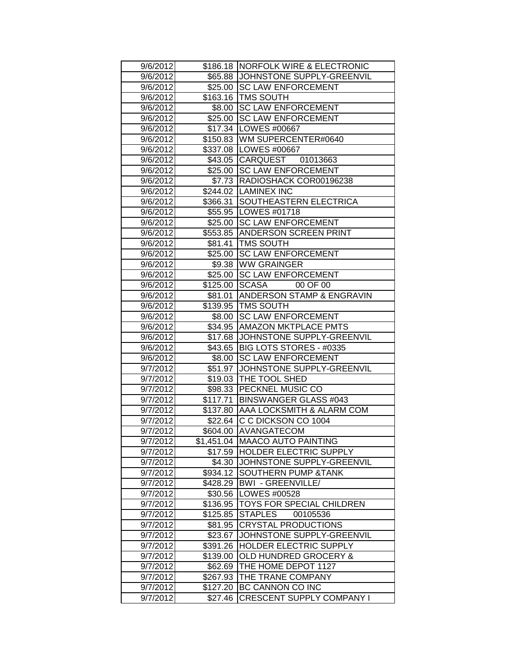| 9/6/2012 |          | \$186.18   NORFOLK WIRE & ELECTRONIC<br>\$65.88 JJOHNSTONE SUPPLY-GREENVIL |
|----------|----------|----------------------------------------------------------------------------|
| 9/6/2012 |          |                                                                            |
| 9/6/2012 |          | \$25.00 SC LAW ENFORCEMENT                                                 |
| 9/6/2012 |          | \$163.16   TMS SOUTH                                                       |
| 9/6/2012 | \$8.00   | <b>SC LAW ENFORCEMENT</b>                                                  |
| 9/6/2012 | \$25.00  | <b>SC LAW ENFORCEMENT</b>                                                  |
| 9/6/2012 | \$17.34  | LOWES #00667                                                               |
| 9/6/2012 |          | \$150.83 WM SUPERCENTER#0640                                               |
| 9/6/2012 | \$337.08 | LOWES #00667                                                               |
| 9/6/2012 | \$43.05  | CARQUEST 01013663                                                          |
| 9/6/2012 |          | \$25.00 SC LAW ENFORCEMENT                                                 |
| 9/6/2012 |          | \$7.73 RADIOSHACK COR00196238                                              |
| 9/6/2012 |          | \$244.02   LAMINEX INC                                                     |
| 9/6/2012 | \$366.31 | SOUTHEASTERN ELECTRICA                                                     |
| 9/6/2012 |          | \$55.95   LOWES #01718                                                     |
| 9/6/2012 | \$25.00  | <b>SC LAW ENFORCEMENT</b>                                                  |
| 9/6/2012 | \$553.85 | <b>ANDERSON SCREEN PRINT</b>                                               |
| 9/6/2012 | \$81.41  | <b>TMS SOUTH</b>                                                           |
| 9/6/2012 |          | \$25.00 SC LAW ENFORCEMENT                                                 |
| 9/6/2012 |          | \$9.38 WW GRAINGER                                                         |
| 9/6/2012 | \$25.00  | <b>SC LAW ENFORCEMENT</b>                                                  |
| 9/6/2012 | \$125.00 | <b>SCASA</b><br>00 OF 00                                                   |
| 9/6/2012 | \$81.01  | <b>ANDERSON STAMP &amp; ENGRAVIN</b>                                       |
| 9/6/2012 | \$139.95 | <b>TMS SOUTH</b>                                                           |
| 9/6/2012 | \$8.00   | <b>SC LAW ENFORCEMENT</b>                                                  |
| 9/6/2012 | \$34.95  | <b>AMAZON MKTPLACE PMTS</b>                                                |
| 9/6/2012 | \$17.68  | JOHNSTONE SUPPLY-GREENVIL                                                  |
| 9/6/2012 | \$43.65  | BIG LOTS STORES - #0335                                                    |
| 9/6/2012 | \$8.00   | <b>SC LAW ENFORCEMENT</b>                                                  |
| 9/7/2012 | \$51.97  | JOHNSTONE SUPPLY-GREENVIL                                                  |
| 9/7/2012 | \$19.03  | THE TOOL SHED                                                              |
| 9/7/2012 | \$98.33  | PECKNEL MUSIC CO                                                           |
| 9/7/2012 | \$117.71 | <b>BINSWANGER GLASS #043</b>                                               |
| 9/7/2012 | \$137.80 | AAA LOCKSMITH & ALARM COM                                                  |
| 9/7/2012 |          | \$22.64 C C DICKSON CO 1004                                                |
| 9/7/2012 |          | \$604.00 AVANGATECOM                                                       |
| 9/7/2012 |          | \$1,451.04   MAACO AUTO PAINTING                                           |
| 9/7/2012 | \$17.59  | <b>HOLDER ELECTRIC SUPPLY</b>                                              |
| 9/7/2012 | \$4.30   | JOHNSTONE SUPPLY-GREENVIL                                                  |
| 9/7/2012 | \$934.12 | SOUTHERN PUMP & TANK                                                       |
| 9/7/2012 | \$428.29 | <b>BWI - GREENVILLE/</b>                                                   |
| 9/7/2012 | \$30.56  | LOWES #00528                                                               |
| 9/7/2012 | \$136.95 | <b>TOYS FOR SPECIAL CHILDREN</b>                                           |
|          | \$125.85 | <b>STAPLES</b><br>00105536                                                 |
| 9/7/2012 |          |                                                                            |
| 9/7/2012 | \$81.95  | <b>CRYSTAL PRODUCTIONS</b>                                                 |
| 9/7/2012 | \$23.67  | JOHNSTONE SUPPLY-GREENVIL                                                  |
| 9/7/2012 | \$391.26 | HOLDER ELECTRIC SUPPLY                                                     |
| 9/7/2012 | \$139.00 | <b>OLD HUNDRED GROCERY &amp;</b>                                           |
| 9/7/2012 | \$62.69  | THE HOME DEPOT 1127                                                        |
| 9/7/2012 | \$267.93 | THE TRANE COMPANY                                                          |
| 9/7/2012 | \$127.20 | BC CANNON CO INC                                                           |
| 9/7/2012 | \$27.46  | <b>CRESCENT SUPPLY COMPANY I</b>                                           |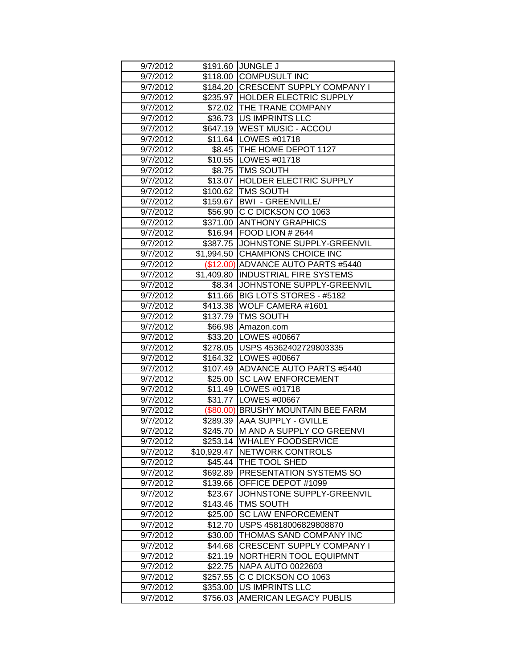| 9/7/2012 |             | \$191.60 JUNGLE J                   |
|----------|-------------|-------------------------------------|
| 9/7/2012 |             | \$118.00 COMPUSULT INC              |
| 9/7/2012 |             | \$184.20 CRESCENT SUPPLY COMPANY I  |
| 9/7/2012 |             | \$235.97 HOLDER ELECTRIC SUPPLY     |
| 9/7/2012 |             | \$72.02 THE TRANE COMPANY           |
| 9/7/2012 |             | \$36.73 US IMPRINTS LLC             |
| 9/7/2012 |             | \$647.19 WEST MUSIC - ACCOU         |
| 9/7/2012 |             | \$11.64 LOWES #01718                |
| 9/7/2012 |             | \$8.45 THE HOME DEPOT 1127          |
| 9/7/2012 |             | \$10.55 LOWES #01718                |
| 9/7/2012 |             | \$8.75   TMS SOUTH                  |
| 9/7/2012 |             | \$13.07 HOLDER ELECTRIC SUPPLY      |
| 9/7/2012 |             | \$100.62   TMS SOUTH                |
| 9/7/2012 |             | \$159.67   BWI - GREENVILLE/        |
| 9/7/2012 |             | \$56.90 C C DICKSON CO 1063         |
| 9/7/2012 |             | \$371.00 ANTHONY GRAPHICS           |
| 9/7/2012 |             | \$16.94   FOOD LION # 2644          |
| 9/7/2012 |             | \$387.75 JJOHNSTONE SUPPLY-GREENVIL |
| 9/7/2012 |             | \$1,994.50 CHAMPIONS CHOICE INC     |
| 9/7/2012 |             | (\$12.00) ADVANCE AUTO PARTS #5440  |
| 9/7/2012 |             | \$1,409.80 INDUSTRIAL FIRE SYSTEMS  |
| 9/7/2012 |             | \$8.34 JOHNSTONE SUPPLY-GREENVIL    |
| 9/7/2012 |             | \$11.66   BIG LOTS STORES - #5182   |
| 9/7/2012 |             | \$413.38 WOLF CAMERA #1601          |
| 9/7/2012 | \$137.79    | <b>TMS SOUTH</b>                    |
| 9/7/2012 | \$66.98     | Amazon.com                          |
| 9/7/2012 |             | \$33.20 LOWES #00667                |
| 9/7/2012 |             | \$278.05 USPS 45362402729803335     |
| 9/7/2012 |             | \$164.32   LOWES #00667             |
| 9/7/2012 |             | \$107.49 ADVANCE AUTO PARTS #5440   |
| 9/7/2012 |             | \$25.00 SC LAW ENFORCEMENT          |
| 9/7/2012 |             | \$11.49   LOWES #01718              |
| 9/7/2012 |             | \$31.77   LOWES #00667              |
| 9/7/2012 |             | (\$80.00) BRUSHY MOUNTAIN BEE FARM  |
| 9/7/2012 |             | \$289.39 AAA SUPPLY - GVILLE        |
| 9/7/2012 |             | \$245.70 M AND A SUPPLY CO GREENVI  |
| 9/7/2012 |             | \$253.14 WHALEY FOODSERVICE         |
| 9/7/2012 | \$10,929.47 | <b>INETWORK CONTROLS</b>            |
| 9/7/2012 | \$45.44     | <b>THE TOOL SHED</b>                |
| 9/7/2012 | \$692.89    | <b>PRESENTATION SYSTEMS SO</b>      |
| 9/7/2012 | \$139.66    | OFFICE DEPOT #1099                  |
| 9/7/2012 | \$23.67     | JOHNSTONE SUPPLY-GREENVIL           |
| 9/7/2012 | \$143.46    | <b>TMS SOUTH</b>                    |
| 9/7/2012 | \$25.00     | <b>SC LAW ENFORCEMENT</b>           |
| 9/7/2012 | \$12.70     | USPS 45818006829808870              |
| 9/7/2012 | \$30.00     | THOMAS SAND COMPANY INC             |
| 9/7/2012 | \$44.68     | CRESCENT SUPPLY COMPANY I           |
| 9/7/2012 | \$21.19     | <b>NORTHERN TOOL EQUIPMNT</b>       |
| 9/7/2012 | \$22.75     | <b>NAPA AUTO 0022603</b>            |
| 9/7/2012 | \$257.55    | C C DICKSON CO 1063                 |
| 9/7/2012 | \$353.00    | <b>US IMPRINTS LLC</b>              |
| 9/7/2012 | \$756.03    | AMERICAN LEGACY PUBLIS              |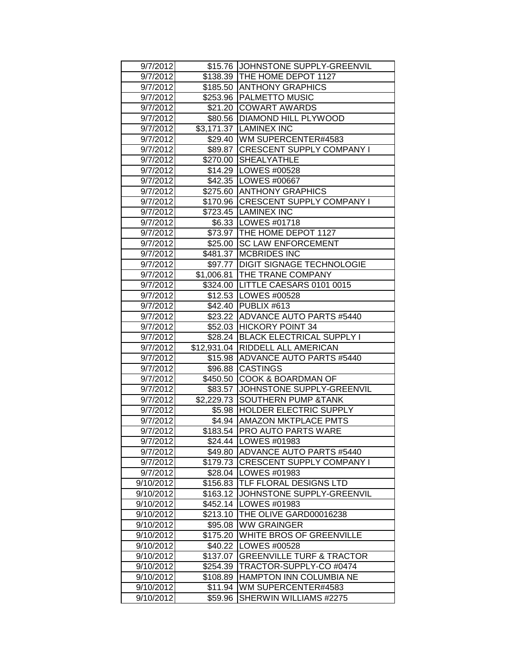| 9/7/2012               |                      | \$15.76 JOHNSTONE SUPPLY-GREENVIL                            |
|------------------------|----------------------|--------------------------------------------------------------|
| 9/7/2012               |                      | \$138.39 THE HOME DEPOT 1127                                 |
| 9/7/2012               |                      | \$185.50 ANTHONY GRAPHICS                                    |
| 9/7/2012               |                      | \$253.96   PALMETTO MUSIC                                    |
| 9/7/2012               |                      | \$21.20 COWART AWARDS                                        |
| 9/7/2012               |                      | \$80.56   DIAMOND HILL PLYWOOD                               |
| 9/7/2012               | \$3,171.37           | <b>LAMINEX INC</b>                                           |
| 9/7/2012               | \$29.40              | WM SUPERCENTER#4583                                          |
| 9/7/2012               | \$89.87              | <b>CRESCENT SUPPLY COMPANY I</b>                             |
| 9/7/2012               | \$270.00             | <b>ISHEALYATHLE</b>                                          |
| 9/7/2012               |                      | \$14.29   LOWES #00528                                       |
| 9/7/2012               |                      | \$42.35   LOWES #00667                                       |
| 9/7/2012               |                      | \$275.60 ANTHONY GRAPHICS                                    |
| 9/7/2012               |                      | \$170.96 CRESCENT SUPPLY COMPANY I                           |
| 9/7/2012               |                      | \$723.45  LAMINEX INC                                        |
| 9/7/2012               |                      | \$6.33   LOWES #01718                                        |
| 9/7/2012               |                      | \$73.97 THE HOME DEPOT 1127                                  |
| 9/7/2012               |                      | \$25.00 SC LAW ENFORCEMENT                                   |
| 9/7/2012               |                      | \$481.37 MCBRIDES INC                                        |
| 9/7/2012               | \$97.77              | <b>DIGIT SIGNAGE TECHNOLOGIE</b>                             |
| 9/7/2012               | \$1,006.81           | <b>THE TRANE COMPANY</b>                                     |
| 9/7/2012               |                      | \$324.00 LITTLE CAESARS 0101 0015                            |
| 9/7/2012               |                      | \$12.53   LOWES #00528                                       |
| 9/7/2012               | \$42.40              | PUBLIX #613                                                  |
| 9/7/2012               | \$23.22              | ADVANCE AUTO PARTS #5440                                     |
| 9/7/2012               | \$52.03              | <b>HICKORY POINT 34</b>                                      |
| 9/7/2012               |                      | \$28.24 BLACK ELECTRICAL SUPPLY I                            |
| 9/7/2012               |                      | \$12,931.04 RIDDELL ALL AMERICAN                             |
| 9/7/2012               |                      | \$15.98 ADVANCE AUTO PARTS #5440                             |
| 9/7/2012               |                      | \$96.88 CASTINGS                                             |
| 9/7/2012               | \$450.50             | <b>COOK &amp; BOARDMAN OF</b>                                |
| 9/7/2012               | \$83.57              | JJOHNSTONE SUPPLY-GREENVIL                                   |
| 9/7/2012               |                      | \$2,229.73 SOUTHERN PUMP & TANK                              |
| 9/7/2012               | \$5.98               | <b>HOLDER ELECTRIC SUPPLY</b>                                |
| 9/7/2012               |                      | \$4.94   AMAZON MKTPLACE PMTS                                |
| 9/7/2012               |                      | \$183.54   PRO AUTO PARTS WARE<br>\$24.44   LOWES #01983     |
| 9/7/2012               |                      |                                                              |
| 9/7/2012<br>9/7/2012   | \$49.80<br>\$179.73  | ADVANCE AUTO PARTS #5440<br><b>CRESCENT SUPPLY COMPANY I</b> |
| 9/7/2012               | \$28.04              | LOWES #01983                                                 |
| 9/10/2012              | \$156.83             | <b>TLF FLORAL DESIGNS LTD</b>                                |
| 9/10/2012              | \$163.12             | JOHNSTONE SUPPLY-GREENVIL                                    |
|                        |                      | LOWES #01983                                                 |
| 9/10/2012<br>9/10/2012 | \$452.14<br>\$213.10 | THE OLIVE GARD00016238                                       |
| 9/10/2012              | \$95.08              | <b>WW GRAINGER</b>                                           |
| 9/10/2012              | \$175.20             | IWHITE BROS OF GREENVILLE                                    |
| 9/10/2012              | \$40.22              | LOWES #00528                                                 |
| 9/10/2012              | \$137.07             | <b>GREENVILLE TURF &amp; TRACTOR</b>                         |
| 9/10/2012              | \$254.39             | TRACTOR-SUPPLY-CO #0474                                      |
| 9/10/2012              | \$108.89             | HAMPTON INN COLUMBIA NE                                      |
| 9/10/2012              | \$11.94              | <b>IWM SUPERCENTER#4583</b>                                  |
| 9/10/2012              | \$59.96              | SHERWIN WILLIAMS #2275                                       |
|                        |                      |                                                              |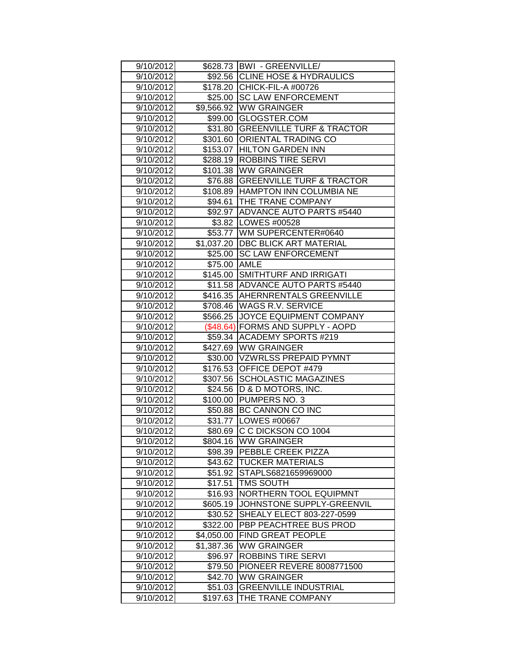| 9/10/2012 |              | \$628.73   BWI - GREENVILLE/       |
|-----------|--------------|------------------------------------|
| 9/10/2012 |              | \$92.56 CLINE HOSE & HYDRAULICS    |
| 9/10/2012 |              | \$178.20 CHICK-FIL-A #00726        |
| 9/10/2012 |              | \$25.00 SC LAW ENFORCEMENT         |
| 9/10/2012 |              | \$9,566.92 WW GRAINGER             |
| 9/10/2012 |              | \$99.00 GLOGSTER.COM               |
| 9/10/2012 |              | \$31.80 GREENVILLE TURF & TRACTOR  |
| 9/10/2012 |              | \$301.60 ORIENTAL TRADING CO       |
| 9/10/2012 |              | \$153.07 HILTON GARDEN INN         |
| 9/10/2012 | \$288.19     | <b>ROBBINS TIRE SERVI</b>          |
| 9/10/2012 | \$101.38     | <b>IWW GRAINGER</b>                |
| 9/10/2012 |              | \$76.88 GREENVILLE TURF & TRACTOR  |
| 9/10/2012 |              | \$108.89 HAMPTON INN COLUMBIA NE   |
| 9/10/2012 | \$94.61      | <b>THE TRANE COMPANY</b>           |
| 9/10/2012 |              | \$92.97   ADVANCE AUTO PARTS #5440 |
| 9/10/2012 |              | \$3.82   LOWES #00528              |
| 9/10/2012 |              | \$53.77 WM SUPERCENTER#0640        |
| 9/10/2012 |              | \$1,037.20 DBC BLICK ART MATERIAL  |
| 9/10/2012 |              | \$25.00 SC LAW ENFORCEMENT         |
| 9/10/2012 | \$75.00 AMLE |                                    |
| 9/10/2012 |              | \$145.00 SMITHTURF AND IRRIGATI    |
| 9/10/2012 |              | \$11.58 ADVANCE AUTO PARTS #5440   |
| 9/10/2012 |              | \$416.35 AHERNRENTALS GREENVILLE   |
| 9/10/2012 |              | \$708.46 WAGS R.V. SERVICE         |
| 9/10/2012 |              | \$566.25 JOYCE EQUIPMENT COMPANY   |
| 9/10/2012 |              | (\$48.64) FORMS AND SUPPLY - AOPD  |
| 9/10/2012 | \$59.34      | <b>ACADEMY SPORTS #219</b>         |
| 9/10/2012 | \$427.69     | <b>WW GRAINGER</b>                 |
| 9/10/2012 |              | \$30.00 VZWRLSS PREPAID PYMNT      |
| 9/10/2012 |              | \$176.53 OFFICE DEPOT #479         |
| 9/10/2012 | \$307.56     | <b>SCHOLASTIC MAGAZINES</b>        |
| 9/10/2012 | \$24.56      | D & D MOTORS, INC.                 |
| 9/10/2012 | \$100.00     | <b>PUMPERS NO. 3</b>               |
| 9/10/2012 | \$50.88      | BC CANNON CO INC                   |
| 9/10/2012 |              | \$31.77   LOWES #00667             |
| 9/10/2012 |              | \$80.69 C C DICKSON CO 1004        |
| 9/10/2012 |              | \$804.16  WW GRAINGER              |
| 9/10/2012 | \$98.39      | <b>PEBBLE CREEK PIZZA</b>          |
| 9/10/2012 | \$43.62      | <b>TUCKER MATERIALS</b>            |
| 9/10/2012 | \$51.92      | STAPLS6821659969000                |
| 9/10/2012 | \$17.51      | <b>TMS SOUTH</b>                   |
| 9/10/2012 | \$16.93      | NORTHERN TOOL EQUIPMNT             |
| 9/10/2012 | \$605.19     | JOHNSTONE SUPPLY-GREENVIL          |
| 9/10/2012 | \$30.52      | SHEALY ELECT 803-227-0599          |
| 9/10/2012 | \$322.00     | PBP PEACHTREE BUS PROD             |
| 9/10/2012 | \$4,050.00   | <b>FIND GREAT PEOPLE</b>           |
| 9/10/2012 | \$1,387.36   | <b>WW GRAINGER</b>                 |
| 9/10/2012 | \$96.97      | ROBBINS TIRE SERVI                 |
| 9/10/2012 | \$79.50      | PIONEER REVERE 8008771500          |
| 9/10/2012 | \$42.70      | WW GRAINGER                        |
| 9/10/2012 | \$51.03      | <b>GREENVILLE INDUSTRIAL</b>       |
| 9/10/2012 | \$197.63     | THE TRANE COMPANY                  |
|           |              |                                    |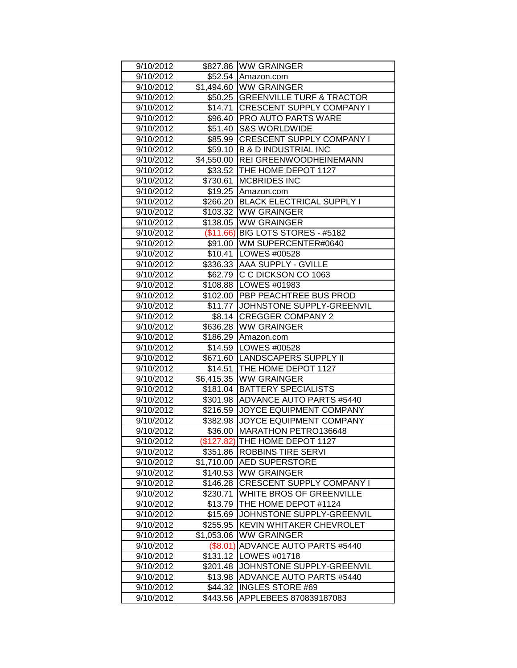| 9/10/2012              |                     | \$827.86 WW GRAINGER                              |
|------------------------|---------------------|---------------------------------------------------|
| 9/10/2012              |                     | \$52.54 Amazon.com                                |
| 9/10/2012              |                     | \$1,494.60 WW GRAINGER                            |
| 9/10/2012              |                     | \$50.25 GREENVILLE TURF & TRACTOR                 |
| 9/10/2012              |                     | \$14.71 CRESCENT SUPPLY COMPANY I                 |
| 9/10/2012              |                     | \$96.40   PRO AUTO PARTS WARE                     |
| 9/10/2012              |                     | \$51.40 S&S WORLDWIDE                             |
| 9/10/2012              | \$85.99             | <b>CRESCENT SUPPLY COMPANY I</b>                  |
| 9/10/2012              | \$59.10             | <b>B &amp; D INDUSTRIAL INC</b>                   |
| 9/10/2012              | \$4,550.00          | <b>REI GREENWOODHEINEMANN</b>                     |
| 9/10/2012              |                     | \$33.52 THE HOME DEPOT 1127                       |
| 9/10/2012              | \$730.61            | <b>MCBRIDES INC</b>                               |
| 9/10/2012              |                     | \$19.25 Amazon.com                                |
| 9/10/2012              | \$266.20            | <b>BLACK ELECTRICAL SUPPLY I</b>                  |
| 9/10/2012              |                     | \$103.32 WW GRAINGER                              |
| 9/10/2012              |                     | \$138.05 WW GRAINGER                              |
| 9/10/2012              |                     | (\$11.66) BIG LOTS STORES - #5182                 |
| 9/10/2012              |                     | \$91.00   WM SUPERCENTER#0640                     |
| 9/10/2012              |                     | \$10.41   LOWES #00528                            |
| 9/10/2012              |                     | \$336.33 AAA SUPPLY - GVILLE                      |
| 9/10/2012              |                     | \$62.79 C C DICKSON CO 1063                       |
| 9/10/2012              |                     | \$108.88   LOWES #01983                           |
| 9/10/2012              |                     | \$102.00 PBP PEACHTREE BUS PROD                   |
| 9/10/2012              |                     | \$11.77 JJOHNSTONE SUPPLY-GREENVIL                |
| 9/10/2012              |                     | \$8.14 CREGGER COMPANY 2                          |
| 9/10/2012              |                     | \$636.28   WW GRAINGER                            |
|                        |                     |                                                   |
| 9/10/2012              | \$186.29            | Amazon.com                                        |
| 9/10/2012              |                     | \$14.59   LOWES #00528                            |
| 9/10/2012              |                     | \$671.60 LANDSCAPERS SUPPLY II                    |
| 9/10/2012              |                     | \$14.51 THE HOME DEPOT 1127                       |
| 9/10/2012              |                     | \$6,415.35 WW GRAINGER                            |
| 9/10/2012              | \$181.04            | <b>BATTERY SPECIALISTS</b>                        |
| 9/10/2012              | \$301.98            | <b>ADVANCE AUTO PARTS #5440</b>                   |
| 9/10/2012              | \$216.59            | <b>JOYCE EQUIPMENT COMPANY</b>                    |
| 9/10/2012              | \$382.98            | JOYCE EQUIPMENT COMPANY                           |
| 9/10/2012              | \$36.00             | <b>MARATHON PETRO136648</b>                       |
| 9/10/2012              |                     | (\$127.82) THE HOME DEPOT 1127                    |
| 9/10/2012              | \$351.86            | <b>ROBBINS TIRE SERVI</b>                         |
| 9/10/2012              | \$1,710.00          | <b>AED SUPERSTORE</b>                             |
| 9/10/2012              | \$140.53            | <b>WW GRAINGER</b>                                |
| 9/10/2012              | \$146.28            | <b>CRESCENT SUPPLY COMPANY I</b>                  |
| 9/10/2012              | \$230.71            | WHITE BROS OF GREENVILLE                          |
| 9/10/2012              | \$13.79             | THE HOME DEPOT #1124                              |
| 9/10/2012              | \$15.69             | JOHNSTONE SUPPLY-GREENVIL                         |
| 9/10/2012              | \$255.95            | <b>KEVIN WHITAKER CHEVROLET</b>                   |
| 9/10/2012              | \$1,053.06          | <b>WW GRAINGER</b>                                |
| 9/10/2012              | $(\$8.01)$          | ADVANCE AUTO PARTS #5440                          |
| 9/10/2012              | \$131.12            | LOWES #01718                                      |
| 9/10/2012              | \$201.48            | JOHNSTONE SUPPLY-GREENVIL                         |
| 9/10/2012              | \$13.98             | ADVANCE AUTO PARTS #5440                          |
| 9/10/2012<br>9/10/2012 | \$44.32<br>\$443.56 | <b>INGLES STORE #69</b><br>APPLEBEES 870839187083 |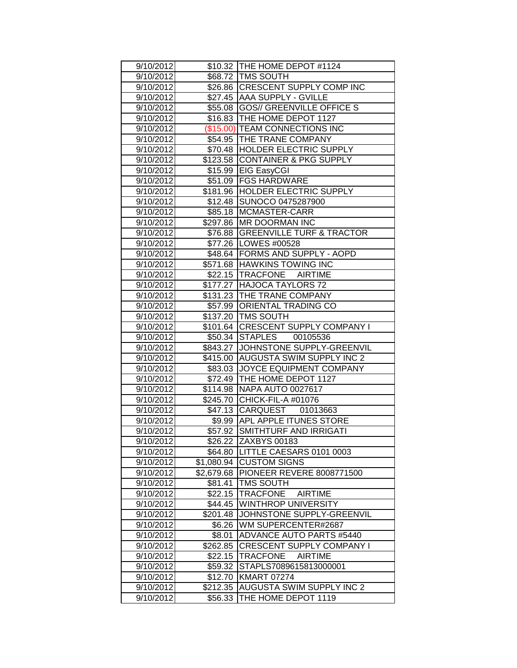| 9/10/2012              |                     | \$10.32 THE HOME DEPOT #1124                            |
|------------------------|---------------------|---------------------------------------------------------|
| 9/10/2012              |                     | \$68.72 TMS SOUTH                                       |
| 9/10/2012              |                     | \$26.86 CRESCENT SUPPLY COMP INC                        |
| 9/10/2012              |                     | \$27.45 AAA SUPPLY - GVILLE                             |
| 9/10/2012              |                     | \$55.08 GOS// GREENVILLE OFFICE S                       |
| 9/10/2012              |                     | \$16.83 THE HOME DEPOT 1127                             |
| 9/10/2012              |                     | (\$15.00) TEAM CONNECTIONS INC                          |
| 9/10/2012              |                     | \$54.95 THE TRANE COMPANY                               |
| 9/10/2012              |                     | \$70.48 HOLDER ELECTRIC SUPPLY                          |
| 9/10/2012              |                     | \$123.58 CONTAINER & PKG SUPPLY                         |
| 9/10/2012              |                     | \$15.99 EIG EasyCGI                                     |
| 9/10/2012              |                     | \$51.09 FGS HARDWARE                                    |
| 9/10/2012              |                     | \$181.96 HOLDER ELECTRIC SUPPLY                         |
| 9/10/2012              |                     | \$12.48 SUNOCO 0475287900                               |
| 9/10/2012              |                     | \$85.18 MCMASTER-CARR                                   |
| 9/10/2012              |                     | \$297.86 MR DOORMAN INC                                 |
| 9/10/2012              |                     | \$76.88 GREENVILLE TURF & TRACTOR                       |
| 9/10/2012              |                     | \$77.26   LOWES #00528                                  |
| 9/10/2012              |                     | \$48.64 FORMS AND SUPPLY - AOPD                         |
| 9/10/2012              |                     | \$571.68 HAWKINS TOWING INC                             |
| 9/10/2012              |                     | \$22.15 TRACFONE AIRTIME                                |
| 9/10/2012              |                     | \$177.27 HAJOCA TAYLORS 72                              |
| 9/10/2012              |                     | \$131.23 THE TRANE COMPANY                              |
| 9/10/2012              | \$57.99             | <b>ORIENTAL TRADING CO</b>                              |
| 9/10/2012              |                     | \$137.20 TMS SOUTH                                      |
| 9/10/2012              |                     | \$101.64 CRESCENT SUPPLY COMPANY I                      |
| 9/10/2012              |                     | \$50.34 STAPLES 00105536                                |
|                        |                     |                                                         |
| 9/10/2012              |                     | \$843.27 JOHNSTONE SUPPLY-GREENVIL                      |
| 9/10/2012              |                     | \$415.00 AUGUSTA SWIM SUPPLY INC 2                      |
| 9/10/2012              |                     | \$83.03 JOYCE EQUIPMENT COMPANY                         |
| 9/10/2012              |                     | \$72.49 THE HOME DEPOT 1127                             |
| 9/10/2012              | \$114.98            | <b>INAPA AUTO 0027617</b>                               |
| 9/10/2012              |                     | \$245.70 CHICK-FIL-A #01076                             |
| 9/10/2012              |                     | \$47.13 CARQUEST 01013663                               |
| 9/10/2012              |                     | \$9.99 APL APPLE ITUNES STORE                           |
| 9/10/2012              |                     | \$57.92 SMITHTURF AND IRRIGATI                          |
| 9/10/2012              |                     | \$26.22 ZAXBYS 00183                                    |
| 9/10/2012              | \$64.80             | LITTLE CAESARS 0101 0003                                |
| 9/10/2012              | \$1,080.94          | <b>CUSTOM SIGNS</b>                                     |
| 9/10/2012              | \$2,679.68          | PIONEER REVERE 8008771500                               |
| 9/10/2012              | \$81.41             | <b>TMS SOUTH</b>                                        |
| 9/10/2012              | \$22.15             | <b>TRACFONE</b><br><b>AIRTIME</b>                       |
| 9/10/2012              | \$44.45             | <b>WINTHROP UNIVERSITY</b>                              |
| 9/10/2012              | \$201.48            | JOHNSTONE SUPPLY-GREENVIL                               |
| 9/10/2012              | \$6.26              | WM SUPERCENTER#2687                                     |
| 9/10/2012              | \$8.01              | <b>ADVANCE AUTO PARTS #5440</b>                         |
| 9/10/2012              | \$262.85            | CRESCENT SUPPLY COMPANY I                               |
| 9/10/2012              | \$22.15             | <b>TRACFONE</b><br><b>AIRTIME</b>                       |
| 9/10/2012              | \$59.32             | STAPLS7089615813000001                                  |
| 9/10/2012              | \$12.70             | <b>KMART 07274</b>                                      |
| 9/10/2012<br>9/10/2012 | \$212.35<br>\$56.33 | <b>AUGUSTA SWIM SUPPLY INC 2</b><br>THE HOME DEPOT 1119 |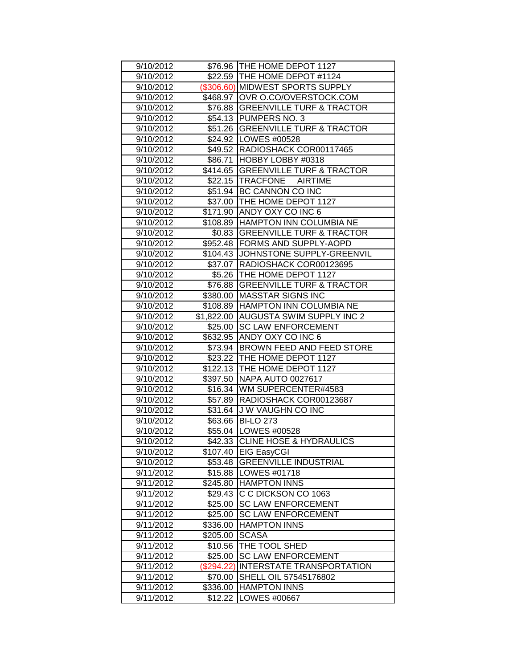| 9/10/2012              |                     | \$76.96 ITHE HOME DEPOT 1127         |
|------------------------|---------------------|--------------------------------------|
| 9/10/2012              |                     | \$22.59 THE HOME DEPOT #1124         |
| 9/10/2012              |                     | (\$306.60) MIDWEST SPORTS SUPPLY     |
| 9/10/2012              |                     | \$468.97 OVR O.CO/OVERSTOCK.COM      |
| 9/10/2012              |                     | \$76.88 GREENVILLE TURF & TRACTOR    |
| 9/10/2012              |                     | \$54.13 PUMPERS NO. 3                |
| 9/10/2012              |                     | \$51.26 GREENVILLE TURF & TRACTOR    |
| 9/10/2012              |                     | \$24.92 LOWES #00528                 |
| 9/10/2012              |                     | \$49.52   RADIOSHACK COR00117465     |
| 9/10/2012              |                     | \$86.71 HOBBY LOBBY #0318            |
| 9/10/2012              |                     | \$414.65 GREENVILLE TURF & TRACTOR   |
| 9/10/2012              |                     | \$22.15 TRACFONE AIRTIME             |
| 9/10/2012              |                     | \$51.94 BC CANNON CO INC             |
| 9/10/2012              |                     | \$37.00 THE HOME DEPOT 1127          |
| 9/10/2012              |                     | \$171.90 ANDY OXY CO INC 6           |
| 9/10/2012              |                     | \$108.89 HAMPTON INN COLUMBIA NE     |
| 9/10/2012              |                     | \$0.83 GREENVILLE TURF & TRACTOR     |
| 9/10/2012              |                     | \$952.48 FORMS AND SUPPLY-AOPD       |
| 9/10/2012              |                     | \$104.43 JJOHNSTONE SUPPLY-GREENVIL  |
| 9/10/2012              |                     | \$37.07   RADIOSHACK COR00123695     |
| 9/10/2012              |                     | \$5.26   THE HOME DEPOT 1127         |
| 9/10/2012              | \$76.88             | <b>GREENVILLE TURF &amp; TRACTOR</b> |
| 9/10/2012              | \$380.00            | <b>MASSTAR SIGNS INC</b>             |
| 9/10/2012              | \$108.89            | <b>HAMPTON INN COLUMBIA NE</b>       |
| 9/10/2012              | \$1,822.00          | <b>AUGUSTA SWIM SUPPLY INC 2</b>     |
| 9/10/2012              | \$25.00             | <b>SC LAW ENFORCEMENT</b>            |
| 9/10/2012              |                     | \$632.95 ANDY OXY CO INC 6           |
| 9/10/2012              |                     | \$73.94 BROWN FEED AND FEED STORE    |
| 9/10/2012              |                     | \$23.22 THE HOME DEPOT 1127          |
| 9/10/2012              |                     | \$122.13 THE HOME DEPOT 1127         |
| 9/10/2012              |                     | \$397.50 NAPA AUTO 0027617           |
| 9/10/2012              |                     | \$16.34   WM SUPERCENTER#4583        |
| 9/10/2012              |                     | \$57.89   RADIOSHACK COR00123687     |
| 9/10/2012              |                     | \$31.64 J W VAUGHN CO INC            |
| 9/10/2012              |                     | \$63.66 BI-LO 273                    |
| 9/10/2012              |                     | \$55.04   LOWES #00528               |
| 9/10/2012              |                     | \$42.33 CLINE HOSE & HYDRAULICS      |
| 9/10/2012              | \$107.40            | <b>EIG EasyCGI</b>                   |
| 9/10/2012              | \$53.48             | <b>GREENVILLE INDUSTRIAL</b>         |
| 9/11/2012              | \$15.88             | LOWES #01718                         |
| 9/11/2012              | \$245.80            | <b>HAMPTON INNS</b>                  |
| 9/11/2012              | \$29.43             | C C DICKSON CO 1063                  |
| 9/11/2012              | \$25.00             | <b>SC LAW ENFORCEMENT</b>            |
| 9/11/2012              | \$25.00             | <b>SC LAW ENFORCEMENT</b>            |
| 9/11/2012              | \$336.00            | <b>HAMPTON INNS</b>                  |
| 9/11/2012              | \$205.00            | <b>SCASA</b>                         |
| 9/11/2012              | \$10.56             | THE TOOL SHED                        |
| 9/11/2012              | \$25.00             | <b>SC LAW ENFORCEMENT</b>            |
| 9/11/2012              | (\$294.22)          | INTERSTATE TRANSPORTATION            |
| 9/11/2012              | \$70.00             | SHELL OIL 57545176802                |
|                        |                     |                                      |
| 9/11/2012<br>9/11/2012 | \$336.00<br>\$12.22 | <b>HAMPTON INNS</b><br>LOWES #00667  |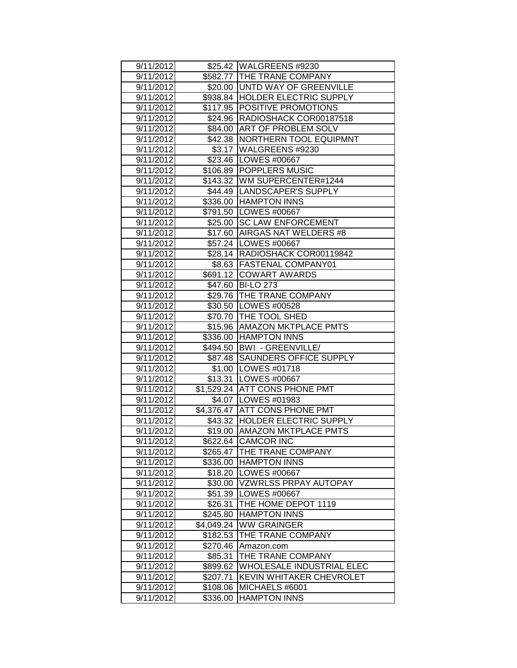| 9/11/2012              |                      | \$25.42   WALGREENS #9230             |
|------------------------|----------------------|---------------------------------------|
| 9/11/2012              |                      | \$582.77 THE TRANE COMPANY            |
| 9/11/2012              |                      | \$20.00 UNTD WAY OF GREENVILLE        |
| 9/11/2012              |                      | \$938.84 HOLDER ELECTRIC SUPPLY       |
| 9/11/2012              |                      | \$117.95 POSITIVE PROMOTIONS          |
| 9/11/2012              | \$24.96              | RADIOSHACK COR00187518                |
| 9/11/2012              | \$84.00              | <b>ART OF PROBLEM SOLV</b>            |
| 9/11/2012              | \$42.38              | NORTHERN TOOL EQUIPMNT                |
| 9/11/2012              | \$3.17               | WALGREENS #9230                       |
| 9/11/2012              | \$23.46              | <b>LOWES #00667</b>                   |
| 9/11/2012              | \$106.89             | POPPLERS MUSIC                        |
| 9/11/2012              |                      | \$143.32 WM SUPERCENTER#1244          |
| 9/11/2012              | \$44.49              | LANDSCAPER'S SUPPLY                   |
| 9/11/2012              | \$336.00             | <b>HAMPTON INNS</b>                   |
| 9/11/2012              | \$791.50             | LOWES #00667                          |
| 9/11/2012              | \$25.00              | <b>SC LAW ENFORCEMENT</b>             |
| 9/11/2012              | \$17.60              | <b>AIRGAS NAT WELDERS #8</b>          |
| 9/11/2012              |                      | \$57.24   LOWES #00667                |
| 9/11/2012              |                      | \$28.14 RADIOSHACK COR00119842        |
| 9/11/2012              |                      | \$8.63   FASTENAL COMPANY01           |
| 9/11/2012              | \$691.12             | <b>COWART AWARDS</b>                  |
| 9/11/2012              | \$47.60              | <b>BI-LO 273</b>                      |
| 9/11/2012              | \$29.76              | <b>THE TRANE COMPANY</b>              |
| 9/11/2012              | \$30.50              | LOWES #00528                          |
| 9/11/2012              | \$70.70              | <b>THE TOOL SHED</b>                  |
| 9/11/2012              | \$15.96              | <b>AMAZON MKTPLACE PMTS</b>           |
| 9/11/2012              | \$336.00             | <b>HAMPTON INNS</b>                   |
| 9/11/2012              |                      | \$494.50   BWI - GREENVILLE/          |
| 9/11/2012              | \$87.48              | SAUNDERS OFFICE SUPPLY                |
| 9/11/2012              |                      | \$1.00 LOWES #01718                   |
| 9/11/2012              | \$13.31              | LOWES #00667                          |
| 9/11/2012              |                      | \$1,529.24 ATT CONS PHONE PMT         |
| 9/11/2012              |                      | \$4.07   LOWES #01983                 |
| 9/11/2012              |                      | \$4,376.47 ATT CONS PHONE PMT         |
| 9/11/2012              |                      | \$43.32 HOLDER ELECTRIC SUPPLY        |
| 9/11/2012              |                      | \$19.00   AMAZON MKTPLACE PMTS        |
| 9/11/2012              |                      | \$622.64 CAMCOR INC                   |
| 9/11/2012              | \$265.47             | THE TRANE COMPANY                     |
| 9/11/2012              | \$336.00             | <b>HAMPTON INNS</b>                   |
| 9/11/2012              | \$18.20              | LOWES #00667                          |
| 9/11/2012              | \$30.00              | <b>VZWRLSS PRPAY AUTOPAY</b>          |
| 9/11/2012              |                      |                                       |
| 9/11/2012              | \$51.39              | <b>LOWES #00667</b>                   |
|                        | \$26.31              | THE HOME DEPOT 1119                   |
| 9/11/2012              | \$245.80             | <b>HAMPTON INNS</b>                   |
| 9/11/2012              | \$4,049.24           | <b>WW GRAINGER</b>                    |
| 9/11/2012              | \$182.53             | THE TRANE COMPANY                     |
| 9/11/2012              | \$270.46             | Amazon.com                            |
| 9/11/2012              | \$85.31              | THE TRANE COMPANY                     |
| 9/11/2012              | \$899.62             | WHOLESALE INDUSTRIAL ELEC             |
| 9/11/2012              | \$207.71             | KEVIN WHITAKER CHEVROLET              |
| 9/11/2012<br>9/11/2012 | \$108.06<br>\$336.00 | MICHAELS #6001<br><b>HAMPTON INNS</b> |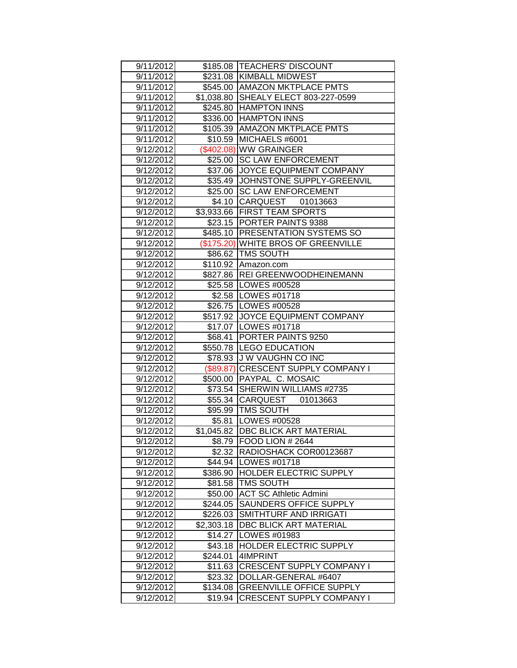| 9/11/2012 |            | \$185.08   TEACHERS' DISCOUNT        |
|-----------|------------|--------------------------------------|
| 9/11/2012 |            | \$231.08 KIMBALL MIDWEST             |
| 9/11/2012 |            | \$545.00   AMAZON MKTPLACE PMTS      |
| 9/11/2012 |            | \$1,038.80 SHEALY ELECT 803-227-0599 |
| 9/11/2012 |            | \$245.80 HAMPTON INNS                |
| 9/11/2012 |            | \$336.00 HAMPTON INNS                |
| 9/11/2012 |            | \$105.39 AMAZON MKTPLACE PMTS        |
| 9/11/2012 | \$10.59    | MICHAELS #6001                       |
| 9/12/2012 |            | (\$402.08) WW GRAINGER               |
| 9/12/2012 | \$25.00    | <b>SC LAW ENFORCEMENT</b>            |
| 9/12/2012 | \$37.06    | <b>JOYCE EQUIPMENT COMPANY</b>       |
| 9/12/2012 | \$35.49    | JOHNSTONE SUPPLY-GREENVIL            |
| 9/12/2012 |            | \$25.00 SC LAW ENFORCEMENT           |
| 9/12/2012 |            | \$4.10 CARQUEST<br>01013663          |
| 9/12/2012 |            | \$3,933.66 FIRST TEAM SPORTS         |
| 9/12/2012 |            | \$23.15 PORTER PAINTS 9388           |
| 9/12/2012 |            | \$485.10   PRESENTATION SYSTEMS SO   |
| 9/12/2012 |            | (\$175.20) WHITE BROS OF GREENVILLE  |
| 9/12/2012 |            | \$86.62   TMS SOUTH                  |
| 9/12/2012 |            | \$110.92 Amazon.com                  |
| 9/12/2012 |            | \$827.86   REI GREENWOODHEINEMANN    |
| 9/12/2012 |            | \$25.58   LOWES #00528               |
| 9/12/2012 |            | \$2.58   LOWES #01718                |
| 9/12/2012 |            | \$26.75 LOWES #00528                 |
| 9/12/2012 |            | \$517.92 JOYCE EQUIPMENT COMPANY     |
| 9/12/2012 |            | \$17.07   LOWES #01718               |
| 9/12/2012 | \$68.41    | <b>PORTER PAINTS 9250</b>            |
| 9/12/2012 |            | \$550.78 LEGO EDUCATION              |
| 9/12/2012 |            | \$78.93 J W VAUGHN CO INC            |
| 9/12/2012 |            | (\$89.87) CRESCENT SUPPLY COMPANY I  |
| 9/12/2012 |            | \$500.00 PAYPAL C. MOSAIC            |
| 9/12/2012 |            | \$73.54 SHERWIN WILLIAMS #2735       |
| 9/12/2012 |            | \$55.34 CARQUEST<br>01013663         |
| 9/12/2012 |            | \$95.99   TMS SOUTH                  |
| 9/12/2012 |            | \$5.81   LOWES #00528                |
| 9/12/2012 |            | \$1,045.82 DBC BLICK ART MATERIAL    |
| 9/12/2012 |            | \$8.79 FOOD LION # 2644              |
| 9/12/2012 |            | \$2.32  RADIOSHACK COR00123687       |
| 9/12/2012 |            | \$44.94   LOWES #01718               |
| 9/12/2012 | \$386.90   | <b>HOLDER ELECTRIC SUPPLY</b>        |
| 9/12/2012 | \$81.58    | <b>TMS SOUTH</b>                     |
| 9/12/2012 | \$50.00    | <b>ACT SC Athletic Admini</b>        |
| 9/12/2012 | \$244.05   | SAUNDERS OFFICE SUPPLY               |
| 9/12/2012 | \$226.03   | SMITHTURF AND IRRIGATI               |
| 9/12/2012 | \$2,303.18 | DBC BLICK ART MATERIAL               |
| 9/12/2012 | \$14.27    | LOWES #01983                         |
| 9/12/2012 | \$43.18    | <b>HOLDER ELECTRIC SUPPLY</b>        |
| 9/12/2012 | \$244.01   | 4IMPRINT                             |
| 9/12/2012 | \$11.63    | <b>CRESCENT SUPPLY COMPANY I</b>     |
| 9/12/2012 | \$23.32    | DOLLAR-GENERAL #6407                 |
| 9/12/2012 | \$134.08   | <b>GREENVILLE OFFICE SUPPLY</b>      |
| 9/12/2012 | \$19.94    | <b>CRESCENT SUPPLY COMPANY I</b>     |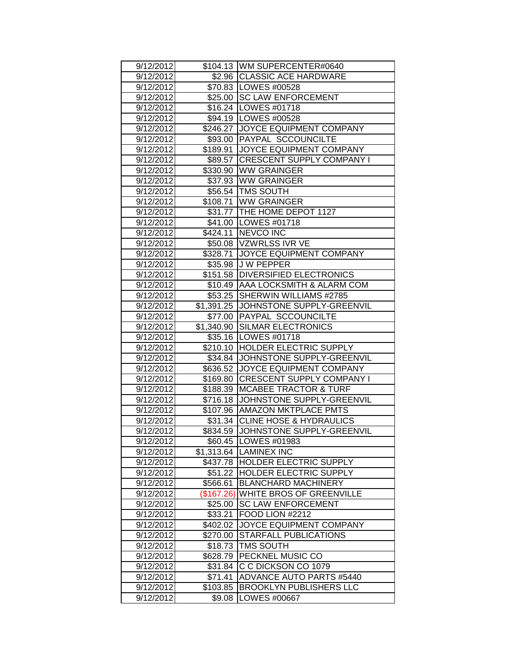| 9/12/2012              |                    | \$104.13 WM SUPERCENTER#0640                   |
|------------------------|--------------------|------------------------------------------------|
| 9/12/2012              |                    | \$2.96 CLASSIC ACE HARDWARE                    |
| 9/12/2012              |                    | \$70.83 LOWES #00528                           |
| 9/12/2012              |                    | \$25.00 SC LAW ENFORCEMENT                     |
| 9/12/2012              |                    | \$16.24 LOWES #01718                           |
| 9/12/2012              |                    | \$94.19   LOWES #00528                         |
| 9/12/2012              |                    | \$246.27 JOYCE EQUIPMENT COMPANY               |
| 9/12/2012              | \$93.00            | <b>PAYPAL SCCOUNCILTE</b>                      |
| 9/12/2012              | \$189.91           | <b>JOYCE EQUIPMENT COMPANY</b>                 |
| 9/12/2012              | \$89.57            | <b>CRESCENT SUPPLY COMPANY I</b>               |
| 9/12/2012              |                    | \$330.90 WW GRAINGER                           |
| 9/12/2012              |                    | \$37.93 WW GRAINGER                            |
| 9/12/2012              |                    | \$56.54 TMS SOUTH                              |
| 9/12/2012              |                    | \$108.71 WW GRAINGER                           |
| 9/12/2012              |                    | \$31.77 THE HOME DEPOT 1127                    |
| 9/12/2012              |                    | \$41.00   LOWES #01718                         |
| 9/12/2012              |                    | \$424.11   NEVCO INC                           |
| 9/12/2012              |                    | \$50.08 VZWRLSS IVR VE                         |
| 9/12/2012              |                    | \$328.71 JOYCE EQUIPMENT COMPANY               |
| 9/12/2012              |                    | \$35.98 J W PEPPER                             |
| 9/12/2012              |                    | \$151.58 DIVERSIFIED ELECTRONICS               |
| 9/12/2012              |                    | \$10.49 AAA LOCKSMITH & ALARM COM              |
| 9/12/2012              | \$53.25            | SHERWIN WILLIAMS #2785                         |
| 9/12/2012              | \$1,391.25         | JOHNSTONE SUPPLY-GREENVIL                      |
| 9/12/2012              | \$77.00            | <b>PAYPAL SCCOUNCILTE</b>                      |
| 9/12/2012              | \$1,340.90         | <b>SILMAR ELECTRONICS</b>                      |
| 9/12/2012              |                    |                                                |
|                        |                    | \$35.16   LOWES #01718                         |
| 9/12/2012              |                    | \$210.10 HOLDER ELECTRIC SUPPLY                |
| 9/12/2012              |                    | \$34.84 JJOHNSTONE SUPPLY-GREENVIL             |
| 9/12/2012              |                    | \$636.52 JOYCE EQUIPMENT COMPANY               |
| 9/12/2012              | \$169.80           | <b>CRESCENT SUPPLY COMPANY I</b>               |
| 9/12/2012              | \$188.39           | <b>MCABEE TRACTOR &amp; TURF</b>               |
| 9/12/2012              | \$716.18           | JJOHNSTONE SUPPLY-GREENVIL                     |
| 9/12/2012              | \$107.96           | <b>AMAZON MKTPLACE PMTS</b>                    |
| 9/12/2012              |                    | \$31.34 CLINE HOSE & HYDRAULICS                |
| 9/12/2012              |                    | \$834.59 JOHNSTONE SUPPLY-GREENVIL             |
| 9/12/2012              |                    | \$60.45   LOWES #01983                         |
| 9/12/2012              |                    | \$1,313.64 LAMINEX INC                         |
| 9/12/2012              | \$437.78           | <b>HOLDER ELECTRIC SUPPLY</b>                  |
| 9/12/2012              | \$51.22            | <b>HOLDER ELECTRIC SUPPLY</b>                  |
| 9/12/2012              | \$566.61           | <b>BLANCHARD MACHINERY</b>                     |
| 9/12/2012              | (\$167.26)         | <b>WHITE BROS OF GREENVILLE</b>                |
| 9/12/2012              | \$25.00            | <b>SC LAW ENFORCEMENT</b>                      |
| 9/12/2012              | \$33.21            | FOOD LION #2212                                |
| 9/12/2012              | \$402.02           | JOYCE EQUIPMENT COMPANY                        |
| 9/12/2012              | \$270.00           | STARFALL PUBLICATIONS                          |
| 9/12/2012              | \$18.73            | <b>TMS SOUTH</b>                               |
| 9/12/2012              | \$628.79           | PECKNEL MUSIC CO                               |
| 9/12/2012              | \$31.84            | C C DICKSON CO 1079                            |
| 9/12/2012              | \$71.41            | ADVANCE AUTO PARTS #5440                       |
| 9/12/2012<br>9/12/2012 | \$103.85<br>\$9.08 | <b>BROOKLYN PUBLISHERS LLC</b><br>LOWES #00667 |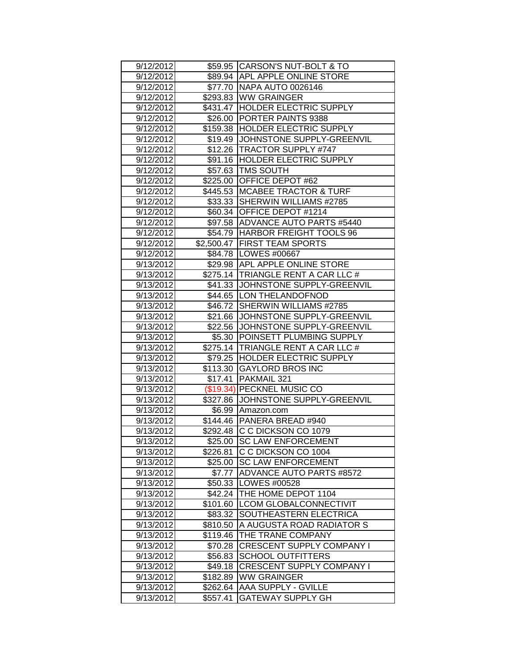| 9/12/2012 |          | \$59.95 CARSON'S NUT-BOLT & TO       |
|-----------|----------|--------------------------------------|
| 9/12/2012 |          | \$89.94 APL APPLE ONLINE STORE       |
| 9/12/2012 |          | \$77.70 NAPA AUTO 0026146            |
| 9/12/2012 |          | \$293.83 WW GRAINGER                 |
| 9/12/2012 |          | \$431.47 HOLDER ELECTRIC SUPPLY      |
| 9/12/2012 | \$26.00  | <b>PORTER PAINTS 9388</b>            |
| 9/12/2012 | \$159.38 | <b>HOLDER ELECTRIC SUPPLY</b>        |
| 9/12/2012 |          | \$19.49 JJOHNSTONE SUPPLY-GREENVIL   |
| 9/12/2012 | \$12.26  | <b>TRACTOR SUPPLY #747</b>           |
| 9/12/2012 | \$91.16  | <b>HOLDER ELECTRIC SUPPLY</b>        |
| 9/12/2012 |          | \$57.63 TMS SOUTH                    |
| 9/12/2012 |          | \$225.00 OFFICE DEPOT #62            |
| 9/12/2012 |          | \$445.53 MCABEE TRACTOR & TURF       |
| 9/12/2012 |          | \$33.33 SHERWIN WILLIAMS #2785       |
| 9/12/2012 |          | \$60.34 OFFICE DEPOT #1214           |
| 9/12/2012 |          | \$97.58   ADVANCE AUTO PARTS #5440   |
| 9/12/2012 |          | \$54.79   HARBOR FREIGHT TOOLS 96    |
| 9/12/2012 |          | \$2,500.47 FIRST TEAM SPORTS         |
| 9/12/2012 |          | \$84.78   LOWES #00667               |
| 9/13/2012 |          | \$29.98 APL APPLE ONLINE STORE       |
| 9/13/2012 |          | \$275.14 TRIANGLE RENT A CAR LLC #   |
| 9/13/2012 |          | \$41.33 JJOHNSTONE SUPPLY-GREENVIL   |
| 9/13/2012 |          | \$44.65 LON THELANDOFNOD             |
| 9/13/2012 | \$46.72  | <b>SHERWIN WILLIAMS #2785</b>        |
| 9/13/2012 | \$21.66  | JOHNSTONE SUPPLY-GREENVIL            |
| 9/13/2012 | \$22.56  | JOHNSTONE SUPPLY-GREENVIL            |
| 9/13/2012 |          | \$5.30 POINSETT PLUMBING SUPPLY      |
| 9/13/2012 |          | \$275.14   TRIANGLE RENT A CAR LLC # |
| 9/13/2012 |          | \$79.25 HOLDER ELECTRIC SUPPLY       |
| 9/13/2012 |          | \$113.30 GAYLORD BROS INC            |
| 9/13/2012 | \$17.41  | PAKMAIL 321                          |
| 9/13/2012 |          | (\$19.34) PECKNEL MUSIC CO           |
| 9/13/2012 |          | \$327.86 JJOHNSTONE SUPPLY-GREENVIL  |
| 9/13/2012 |          | \$6.99 Amazon.com                    |
| 9/13/2012 |          | \$144.46   PANERA BREAD #940         |
| 9/13/2012 |          | \$292.48 C C DICKSON CO 1079         |
| 9/13/2012 |          | \$25.00 SC LAW ENFORCEMENT           |
| 9/13/2012 | \$226.81 | C C DICKSON CO 1004                  |
| 9/13/2012 | \$25.00  | <b>SC LAW ENFORCEMENT</b>            |
| 9/13/2012 | \$7.77   | <b>ADVANCE AUTO PARTS #8572</b>      |
| 9/13/2012 | \$50.33  | LOWES #00528                         |
| 9/13/2012 | \$42.24  | THE HOME DEPOT 1104                  |
| 9/13/2012 | \$101.60 | <b>LCOM GLOBALCONNECTIVIT</b>        |
| 9/13/2012 | \$83.32  | SOUTHEASTERN ELECTRICA               |
| 9/13/2012 | \$810.50 | A AUGUSTA ROAD RADIATOR S            |
| 9/13/2012 | \$119.46 | THE TRANE COMPANY                    |
| 9/13/2012 | \$70.28  | <b>CRESCENT SUPPLY COMPANY I</b>     |
| 9/13/2012 | \$56.83  | <b>SCHOOL OUTFITTERS</b>             |
| 9/13/2012 | \$49.18  | <b>CRESCENT SUPPLY COMPANY I</b>     |
| 9/13/2012 | \$182.89 | <b>WW GRAINGER</b>                   |
| 9/13/2012 | \$262.64 | <b>AAA SUPPLY - GVILLE</b>           |
| 9/13/2012 | \$557.41 | <b>GATEWAY SUPPLY GH</b>             |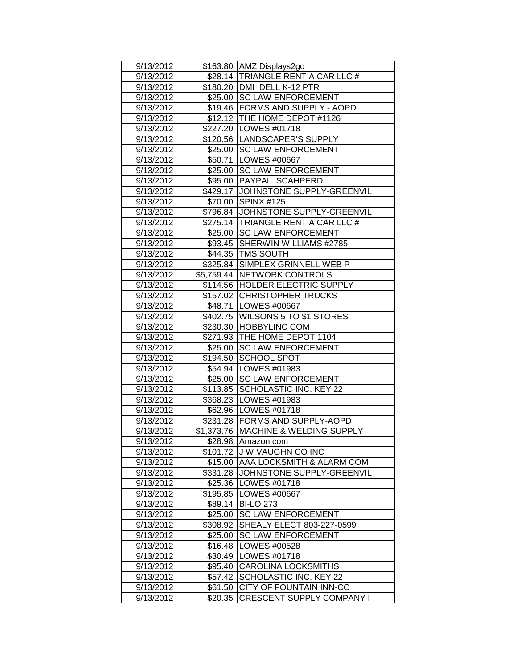| 9/13/2012 |          | \$163.80 AMZ Displays2go             |
|-----------|----------|--------------------------------------|
| 9/13/2012 |          | \$28.14 TRIANGLE RENT A CAR LLC #    |
| 9/13/2012 |          | \$180.20 DMI DELL K-12 PTR           |
| 9/13/2012 |          | \$25.00 SC LAW ENFORCEMENT           |
| 9/13/2012 |          | \$19.46   FORMS AND SUPPLY - AOPD    |
| 9/13/2012 |          | \$12.12   THE HOME DEPOT #1126       |
| 9/13/2012 |          | \$227.20 LOWES #01718                |
| 9/13/2012 |          | \$120.56 LANDSCAPER'S SUPPLY         |
| 9/13/2012 |          | \$25.00 SC LAW ENFORCEMENT           |
| 9/13/2012 | \$50.71  | LOWES #00667                         |
| 9/13/2012 | \$25.00  | <b>SC LAW ENFORCEMENT</b>            |
| 9/13/2012 |          | \$95.00 PAYPAL SCAHPERD              |
| 9/13/2012 |          | \$429.17 JJOHNSTONE SUPPLY-GREENVIL  |
|           |          | \$70.00 SPINX #125                   |
| 9/13/2012 |          |                                      |
| 9/13/2012 |          | \$796.84 JJOHNSTONE SUPPLY-GREENVIL  |
| 9/13/2012 |          | \$275.14 TRIANGLE RENT A CAR LLC #   |
| 9/13/2012 |          | \$25.00 SC LAW ENFORCEMENT           |
| 9/13/2012 |          | \$93.45 SHERWIN WILLIAMS #2785       |
| 9/13/2012 |          | \$44.35   TMS SOUTH                  |
| 9/13/2012 |          | \$325.84 SIMPLEX GRINNELL WEB P      |
| 9/13/2012 |          | \$5,759.44 NETWORK CONTROLS          |
| 9/13/2012 |          | \$114.56 HOLDER ELECTRIC SUPPLY      |
| 9/13/2012 |          | \$157.02 CHRISTOPHER TRUCKS          |
| 9/13/2012 | \$48.71  | LOWES #00667                         |
| 9/13/2012 |          | \$402.75   WILSONS 5 TO \$1 STORES   |
| 9/13/2012 | \$230.30 | <b>HOBBYLINC COM</b>                 |
| 9/13/2012 | \$271.93 | THE HOME DEPOT 1104                  |
| 9/13/2012 | \$25.00  | <b>SC LAW ENFORCEMENT</b>            |
| 9/13/2012 | \$194.50 | <b>SCHOOL SPOT</b>                   |
| 9/13/2012 |          | \$54.94   LOWES #01983               |
| 9/13/2012 |          | \$25.00 SC LAW ENFORCEMENT           |
| 9/13/2012 | \$113.85 | <b>SCHOLASTIC INC. KEY 22</b>        |
| 9/13/2012 |          | \$368.23   LOWES #01983              |
| 9/13/2012 |          | \$62.96   LOWES #01718               |
| 9/13/2012 |          | \$231.28 FORMS AND SUPPLY-AOPD       |
| 9/13/2012 |          | \$1,373.76 MACHINE & WELDING SUPPLY  |
| 9/13/2012 |          | \$28.98 Amazon.com                   |
| 9/13/2012 |          | \$101.72 JJ W VAUGHN CO INC          |
| 9/13/2012 | \$15.00  | <b>AAA LOCKSMITH &amp; ALARM COM</b> |
| 9/13/2012 | \$331.28 | JOHNSTONE SUPPLY-GREENVIL            |
| 9/13/2012 | \$25.36  | LOWES #01718                         |
| 9/13/2012 | \$195.85 | LOWES #00667                         |
| 9/13/2012 | \$89.14  | <b>BI-LO 273</b>                     |
| 9/13/2012 | \$25.00  | <b>SC LAW ENFORCEMENT</b>            |
| 9/13/2012 | \$308.92 | SHEALY ELECT 803-227-0599            |
| 9/13/2012 | \$25.00  | <b>SC LAW ENFORCEMENT</b>            |
| 9/13/2012 | \$16.48  | LOWES #00528                         |
| 9/13/2012 | \$30.49  | LOWES #01718                         |
| 9/13/2012 | \$95.40  | <b>CAROLINA LOCKSMITHS</b>           |
| 9/13/2012 | \$57.42  | SCHOLASTIC INC. KEY 22               |
| 9/13/2012 | \$61.50  | CITY OF FOUNTAIN INN-CC              |
|           |          |                                      |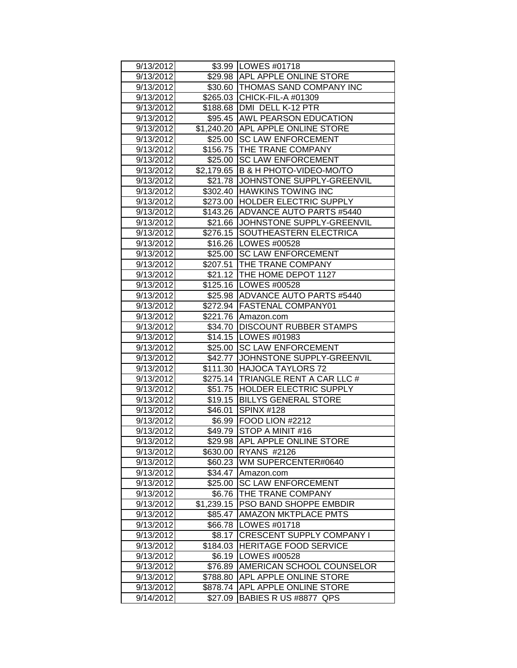| 9/13/2012 |            | \$3.99   LOWES #01718                |
|-----------|------------|--------------------------------------|
| 9/13/2012 |            | \$29.98 APL APPLE ONLINE STORE       |
| 9/13/2012 |            | \$30.60 THOMAS SAND COMPANY INC      |
| 9/13/2012 |            | \$265.03 CHICK-FIL-A #01309          |
| 9/13/2012 |            | \$188.68   DMI DELL K-12 PTR         |
| 9/13/2012 |            | \$95.45 AWL PEARSON EDUCATION        |
| 9/13/2012 |            | \$1,240.20 APL APPLE ONLINE STORE    |
| 9/13/2012 |            | \$25.00 SC LAW ENFORCEMENT           |
| 9/13/2012 |            | \$156.75 THE TRANE COMPANY           |
| 9/13/2012 | \$25.00    | <b>SC LAW ENFORCEMENT</b>            |
| 9/13/2012 |            | \$2,179.65 B & H PHOTO-VIDEO-MO/TO   |
| 9/13/2012 |            | \$21.78 JJOHNSTONE SUPPLY-GREENVIL   |
| 9/13/2012 |            | \$302.40 HAWKINS TOWING INC          |
| 9/13/2012 |            | \$273.00 HOLDER ELECTRIC SUPPLY      |
| 9/13/2012 |            | \$143.26 ADVANCE AUTO PARTS #5440    |
| 9/13/2012 |            | \$21.66 JJOHNSTONE SUPPLY-GREENVIL   |
| 9/13/2012 |            | \$276.15 SOUTHEASTERN ELECTRICA      |
| 9/13/2012 |            | \$16.26   LOWES #00528               |
| 9/13/2012 |            | \$25.00 ISC LAW ENFORCEMENT          |
| 9/13/2012 |            | \$207.51 THE TRANE COMPANY           |
| 9/13/2012 |            | \$21.12 THE HOME DEPOT 1127          |
| 9/13/2012 |            | \$125.16   LOWES #00528              |
| 9/13/2012 |            | \$25.98 ADVANCE AUTO PARTS #5440     |
| 9/13/2012 |            | \$272.94 FASTENAL COMPANY01          |
| 9/13/2012 | \$221.76   | Amazon.com                           |
| 9/13/2012 |            | \$34.70 DISCOUNT RUBBER STAMPS       |
| 9/13/2012 |            | \$14.15   LOWES #01983               |
| 9/13/2012 |            | \$25.00 SC LAW ENFORCEMENT           |
| 9/13/2012 |            | \$42.77 JJOHNSTONE SUPPLY-GREENVIL   |
| 9/13/2012 | \$111.30   | <b>HAJOCA TAYLORS 72</b>             |
| 9/13/2012 |            | \$275.14   TRIANGLE RENT A CAR LLC # |
| 9/13/2012 |            | \$51.75 HOLDER ELECTRIC SUPPLY       |
| 9/13/2012 |            | \$19.15 BILLYS GENERAL STORE         |
| 9/13/2012 | \$46.01    | $\overline{\text{SPINX}}$ #128       |
| 9/13/2012 |            | \$6.99 FOOD LION #2212               |
| 9/13/2012 |            | \$49.79 STOP A MINIT #16             |
| 9/13/2012 |            | \$29.98 APL APPLE ONLINE STORE       |
| 9/13/2012 | \$630.00   | <b>RYANS #2126</b>                   |
| 9/13/2012 | \$60.23    | WM SUPERCENTER#0640                  |
| 9/13/2012 | \$34.47    | Amazon.com                           |
| 9/13/2012 | \$25.00    | <b>SC LAW ENFORCEMENT</b>            |
| 9/13/2012 | \$6.76     | <b>THE TRANE COMPANY</b>             |
| 9/13/2012 | \$1,239.15 | PSO BAND SHOPPE EMBDIR               |
| 9/13/2012 | \$85.47    | <b>AMAZON MKTPLACE PMTS</b>          |
| 9/13/2012 | \$66.78    | LOWES #01718                         |
| 9/13/2012 | \$8.17     | <b>CRESCENT SUPPLY COMPANY I</b>     |
| 9/13/2012 | \$184.03   | <b>HERITAGE FOOD SERVICE</b>         |
| 9/13/2012 | \$6.19     | LOWES #00528                         |
| 9/13/2012 | \$76.89    | AMERICAN SCHOOL COUNSELOR            |
| 9/13/2012 | \$788.80   | <b>APL APPLE ONLINE STORE</b>        |
| 9/13/2012 | \$878.74   | <b>APL APPLE ONLINE STORE</b>        |
| 9/14/2012 | \$27.09    | BABIES R US #8877 QPS                |
|           |            |                                      |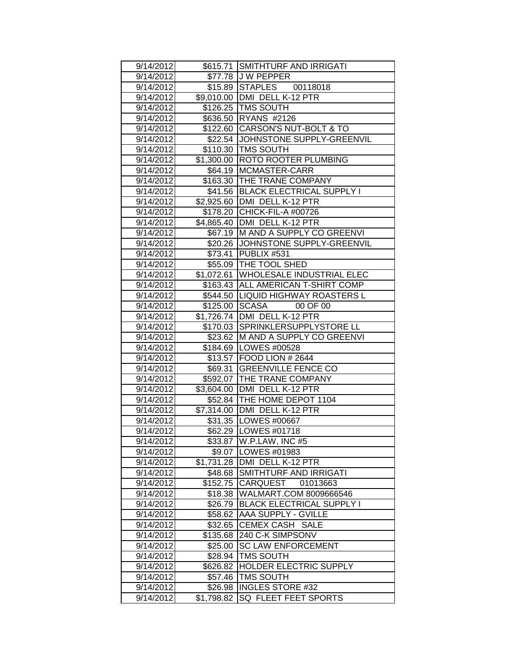| 9/14/2012 |            | \$615.71 SMITHTURF AND IRRIGATI   |
|-----------|------------|-----------------------------------|
| 9/14/2012 |            | \$77.78 J W PEPPER                |
| 9/14/2012 |            | \$15.89 STAPLES 00118018          |
| 9/14/2012 |            | \$9,010.00 DMI DELL K-12 PTR      |
| 9/14/2012 |            | \$126.25 TMS SOUTH                |
| 9/14/2012 |            | \$636.50 RYANS #2126              |
| 9/14/2012 |            | \$122.60 CARSON'S NUT-BOLT & TO   |
| 9/14/2012 | \$22.54    | JOHNSTONE SUPPLY-GREENVIL         |
| 9/14/2012 | \$110.30   | <b>TMS SOUTH</b>                  |
| 9/14/2012 | \$1,300.00 | <b>ROTO ROOTER PLUMBING</b>       |
| 9/14/2012 | \$64.19    | MCMASTER-CARR                     |
| 9/14/2012 | \$163.30   | <b>THE TRANE COMPANY</b>          |
| 9/14/2012 |            | \$41.56 BLACK ELECTRICAL SUPPLY I |
| 9/14/2012 | \$2,925.60 | DMI DELL K-12 PTR                 |
| 9/14/2012 |            | \$178.20 CHICK-FIL-A #00726       |
| 9/14/2012 | \$4,865.40 | DMI DELL K-12 PTR                 |
| 9/14/2012 | \$67.19    | <b>IM AND A SUPPLY CO GREENVI</b> |
| 9/14/2012 | \$20.26    | JOHNSTONE SUPPLY-GREENVIL         |
| 9/14/2012 | \$73.41    | PUBLIX #531                       |
| 9/14/2012 | \$55.09    | <b>THE TOOL SHED</b>              |
| 9/14/2012 | \$1,072.61 | <b>WHOLESALE INDUSTRIAL ELEC</b>  |
| 9/14/2012 | \$163.43   | <b>ALL AMERICAN T-SHIRT COMP</b>  |
| 9/14/2012 | \$544.50   | <b>LIQUID HIGHWAY ROASTERS L</b>  |
| 9/14/2012 | \$125.00   | <b>SCASA</b><br>00 OF 00          |
| 9/14/2012 | \$1,726.74 | DMI DELL K-12 PTR                 |
| 9/14/2012 | \$170.03   | SPRINKLERSUPPLYSTORE LL           |
| 9/14/2012 | \$23.62    | M AND A SUPPLY CO GREENVI         |
| 9/14/2012 | \$184.69   | LOWES #00528                      |
| 9/14/2012 |            | \$13.57 FOOD LION # 2644          |
| 9/14/2012 | \$69.31    | <b>GREENVILLE FENCE CO</b>        |
| 9/14/2012 |            | \$592.07 THE TRANE COMPANY        |
| 9/14/2012 | \$3,604.00 | DMI DELL K-12 PTR                 |
| 9/14/2012 | \$52.84    | THE HOME DEPOT 1104               |
| 9/14/2012 |            | \$7,314.00 DMI DELL K-12 PTR      |
| 9/14/2012 |            | \$31.35   LOWES #00667            |
| 9/14/2012 |            | \$62.29   LOWES #01718            |
| 9/14/2012 |            | \$33.87   W.P.LAW, INC #5         |
| 9/14/2012 | \$9.07     | LOWES #01983                      |
| 9/14/2012 | \$1,731.28 | DMI DELL K-12 PTR                 |
| 9/14/2012 | \$48.68    | SMITHTURF AND IRRIGATI            |
| 9/14/2012 | \$152.75   | <b>CARQUEST</b><br>01013663       |
| 9/14/2012 | \$18.38    | WALMART.COM 8009666546            |
| 9/14/2012 | \$26.79    | <b>BLACK ELECTRICAL SUPPLY I</b>  |
| 9/14/2012 | \$58.62    | AAA SUPPLY - GVILLE               |
| 9/14/2012 | \$32.65    | CEMEX CASH SALE                   |
| 9/14/2012 | \$135.68   | 240 C-K SIMPSONV                  |
| 9/14/2012 | \$25.00    | <b>SC LAW ENFORCEMENT</b>         |
| 9/14/2012 | \$28.94    | TMS SOUTH                         |
| 9/14/2012 | \$626.82   | HOLDER ELECTRIC SUPPLY            |
| 9/14/2012 | \$57.46    | TMS SOUTH                         |
| 9/14/2012 | \$26.98    | <b>INGLES STORE #32</b>           |
| 9/14/2012 | \$1,798.82 | SQ FLEET FEET SPORTS              |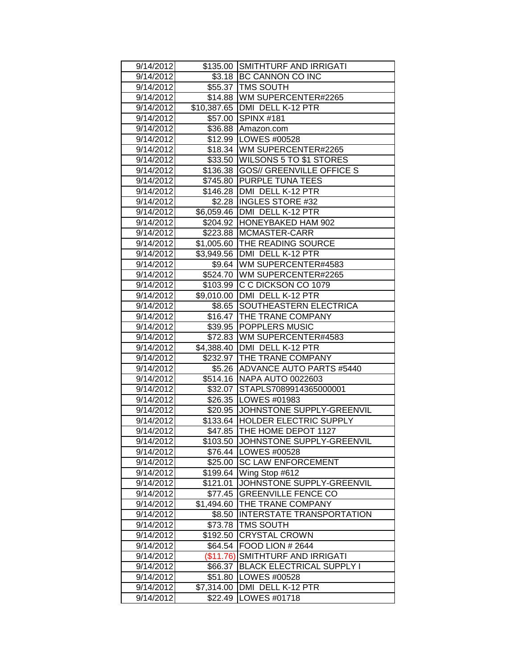| 9/14/2012 |            | \$135.00 SMITHTURF AND IRRIGATI   |
|-----------|------------|-----------------------------------|
| 9/14/2012 |            | \$3.18 BC CANNON CO INC           |
| 9/14/2012 |            | \$55.37   TMS SOUTH               |
| 9/14/2012 |            | \$14.88   WM SUPERCENTER#2265     |
| 9/14/2012 |            | \$10,387.65   DMI DELL K-12 PTR   |
| 9/14/2012 |            | \$57.00 SPINX #181                |
| 9/14/2012 |            | \$36.88 Amazon.com                |
| 9/14/2012 | \$12.99    | LOWES #00528                      |
| 9/14/2012 |            | \$18.34   WM SUPERCENTER#2265     |
| 9/14/2012 |            | \$33.50   WILSONS 5 TO \$1 STORES |
| 9/14/2012 | \$136.38   | <b>GOS// GREENVILLE OFFICE S</b>  |
| 9/14/2012 |            | \$745.80 PURPLE TUNA TEES         |
| 9/14/2012 |            | \$146.28   DMI DELL K-12 PTR      |
| 9/14/2012 |            | \$2.28 INGLES STORE #32           |
| 9/14/2012 |            | \$6,059.46   DMI DELL K-12 PTR    |
| 9/14/2012 |            | \$204.92 HONEYBAKED HAM 902       |
| 9/14/2012 |            | \$223.88 MCMASTER-CARR            |
| 9/14/2012 |            | \$1,005.60 THE READING SOURCE     |
| 9/14/2012 |            | \$3,949.56 DMI DELL K-12 PTR      |
| 9/14/2012 |            | \$9.64 WM SUPERCENTER#4583        |
| 9/14/2012 |            | \$524.70 WM SUPERCENTER#2265      |
| 9/14/2012 | \$103.99   | IC C DICKSON CO 1079              |
| 9/14/2012 | \$9,010.00 | DMI DELL K-12 PTR                 |
| 9/14/2012 | \$8.65     | <b>SOUTHEASTERN ELECTRICA</b>     |
| 9/14/2012 |            | \$16.47   THE TRANE COMPANY       |
| 9/14/2012 | \$39.95    | <b>POPPLERS MUSIC</b>             |
| 9/14/2012 | \$72.83    | WM SUPERCENTER#4583               |
| 9/14/2012 | \$4,388.40 | <b>DMI DELL K-12 PTR</b>          |
| 9/14/2012 |            | \$232.97 THE TRANE COMPANY        |
| 9/14/2012 | \$5.26     | <b>ADVANCE AUTO PARTS #5440</b>   |
| 9/14/2012 |            | \$514.16 NAPA AUTO 0022603        |
| 9/14/2012 | \$32.07    | STAPLS7089914365000001            |
| 9/14/2012 |            | \$26.35   LOWES #01983            |
| 9/14/2012 | \$20.95    | JOHNSTONE SUPPLY-GREENVIL         |
| 9/14/2012 |            | \$133.64   HOLDER ELECTRIC SUPPLY |
| 9/14/2012 | \$47.85    | <b>THE HOME DEPOT 1127</b>        |
| 9/14/2012 | \$103.50   | JOHNSTONE SUPPLY-GREENVIL         |
| 9/14/2012 | \$76.44    | LOWES #00528                      |
| 9/14/2012 | \$25.00    | <b>SC LAW ENFORCEMENT</b>         |
| 9/14/2012 | \$199.64   | Wing Stop #612                    |
| 9/14/2012 | \$121.01   | JOHNSTONE SUPPLY-GREENVIL         |
| 9/14/2012 | \$77.45    | <b>GREENVILLE FENCE CO</b>        |
| 9/14/2012 | \$1,494.60 | THE TRANE COMPANY                 |
| 9/14/2012 | \$8.50     | <b>INTERSTATE TRANSPORTATION</b>  |
| 9/14/2012 | \$73.78    | <b>TMS SOUTH</b>                  |
| 9/14/2012 | \$192.50   | <b>CRYSTAL CROWN</b>              |
| 9/14/2012 | \$64.54    | FOOD LION # 2644                  |
| 9/14/2012 | (\$11.76)  | SMITHTURF AND IRRIGATI            |
| 9/14/2012 | \$66.37    | <b>BLACK ELECTRICAL SUPPLY I</b>  |
| 9/14/2012 | \$51.80    | LOWES #00528                      |
| 9/14/2012 | \$7,314.00 | DMI DELL K-12 PTR                 |
| 9/14/2012 | \$22.49    | LOWES #01718                      |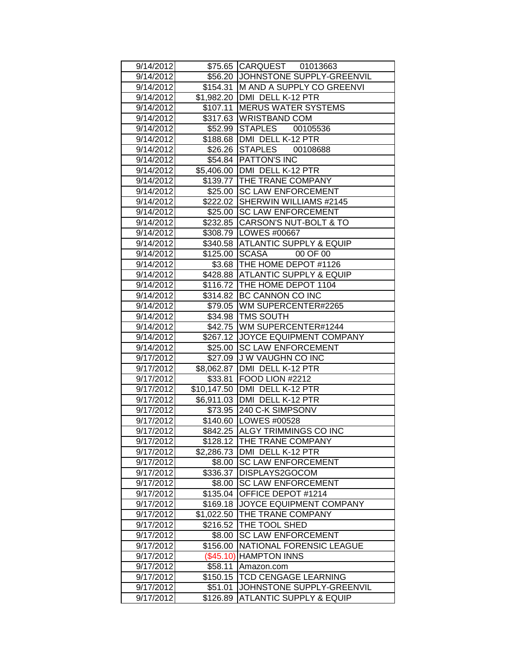|           |                | \$75.65 CARQUEST 01013663          |
|-----------|----------------|------------------------------------|
| 9/14/2012 |                |                                    |
| 9/14/2012 |                | \$56.20 JJOHNSTONE SUPPLY-GREENVIL |
| 9/14/2012 |                | \$154.31 M AND A SUPPLY CO GREENVI |
| 9/14/2012 |                | \$1,982.20 DMI DELL K-12 PTR       |
| 9/14/2012 | \$107.11       | <b>MERUS WATER SYSTEMS</b>         |
| 9/14/2012 |                | \$317.63 WRISTBAND COM             |
| 9/14/2012 |                | \$52.99 STAPLES 00105536           |
| 9/14/2012 | \$188.68       | DMI DELL K-12 PTR                  |
| 9/14/2012 | \$26.26        | STAPLES 00108688                   |
| 9/14/2012 | \$54.84        | <b>PATTON'S INC</b>                |
| 9/14/2012 | \$5,406.00     | DMI DELL K-12 PTR                  |
| 9/14/2012 |                | \$139.77   THE TRANE COMPANY       |
| 9/14/2012 |                | \$25.00 SC LAW ENFORCEMENT         |
| 9/14/2012 |                | \$222.02 SHERWIN WILLIAMS #2145    |
| 9/14/2012 |                | \$25.00 SC LAW ENFORCEMENT         |
| 9/14/2012 |                | \$232.85 CARSON'S NUT-BOLT & TO    |
| 9/14/2012 |                | \$308.79   LOWES #00667            |
| 9/14/2012 | \$340.58       | <b>ATLANTIC SUPPLY &amp; EQUIP</b> |
| 9/14/2012 | \$125.00 SCASA | 00 OF 00                           |
| 9/14/2012 |                | \$3.68 THE HOME DEPOT #1126        |
| 9/14/2012 |                | \$428.88 ATLANTIC SUPPLY & EQUIP   |
| 9/14/2012 |                | \$116.72   THE HOME DEPOT 1104     |
| 9/14/2012 | \$314.82       | <b>BC CANNON CO INC</b>            |
| 9/14/2012 | \$79.05        | WM SUPERCENTER#2265                |
| 9/14/2012 | \$34.98        | <b>TMS SOUTH</b>                   |
| 9/14/2012 | \$42.75        | WM SUPERCENTER#1244                |
| 9/14/2012 |                | \$267.12 JOYCE EQUIPMENT COMPANY   |
| 9/14/2012 | \$25.00        | <b>SC LAW ENFORCEMENT</b>          |
| 9/17/2012 | \$27.09        | J W VAUGHN CO INC                  |
| 9/17/2012 | \$8,062.87     | DMI DELL K-12 PTR                  |
| 9/17/2012 | \$33.81        | FOOD LION #2212                    |
| 9/17/2012 | \$10,147.50    | DMI DELL K-12 PTR                  |
| 9/17/2012 |                | \$6,911.03   DMI DELL K-12 PTR     |
| 9/17/2012 |                | \$73.95 240 C-K SIMPSONV           |
| 9/17/2012 |                | \$140.60 LOWES #00528              |
| 9/17/2012 |                | \$842.25 ALGY TRIMMINGS CO INC     |
| 9/17/2012 |                | \$128.12 THE TRANE COMPANY         |
| 9/17/2012 | \$2,286.73     | DMI DELL K-12 PTR                  |
| 9/17/2012 | \$8.00         | <b>SC LAW ENFORCEMENT</b>          |
| 9/17/2012 | \$336.37       | DISPLAYS2GOCOM                     |
| 9/17/2012 | \$8.00         | <b>SC LAW ENFORCEMENT</b>          |
| 9/17/2012 | \$135.04       | OFFICE DEPOT #1214                 |
| 9/17/2012 | \$169.18       | JOYCE EQUIPMENT COMPANY            |
| 9/17/2012 | \$1,022.50     | THE TRANE COMPANY                  |
| 9/17/2012 | \$216.52       | THE TOOL SHED                      |
| 9/17/2012 | \$8.00         | <b>SC LAW ENFORCEMENT</b>          |
| 9/17/2012 | \$156.00       | NATIONAL FORENSIC LEAGUE           |
| 9/17/2012 | (\$45.10)      | <b>HAMPTON INNS</b>                |
| 9/17/2012 | \$58.11        | Amazon.com                         |
| 9/17/2012 | \$150.15       | TCD CENGAGE LEARNING               |
| 9/17/2012 | \$51.01        | JOHNSTONE SUPPLY-GREENVIL          |
| 9/17/2012 | \$126.89       | <b>ATLANTIC SUPPLY &amp; EQUIP</b> |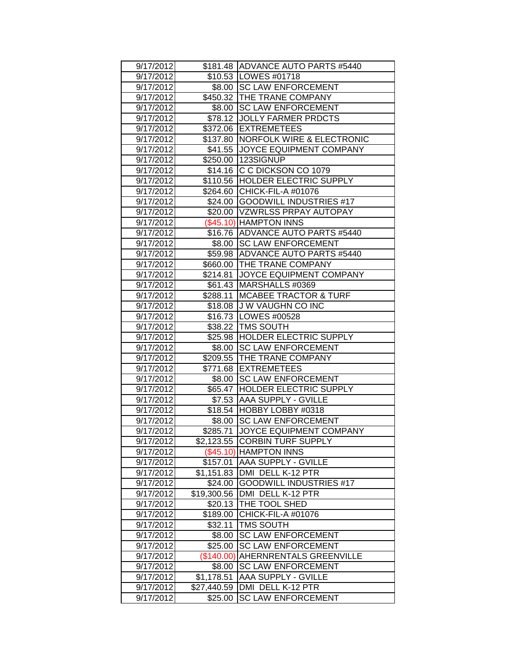| 9/17/2012 |             | \$181.48 ADVANCE AUTO PARTS #5440    |
|-----------|-------------|--------------------------------------|
| 9/17/2012 |             | \$10.53   LOWES #01718               |
| 9/17/2012 |             | \$8.00 SC LAW ENFORCEMENT            |
| 9/17/2012 |             | \$450.32 THE TRANE COMPANY           |
| 9/17/2012 |             | \$8.00 SC LAW ENFORCEMENT            |
| 9/17/2012 |             | \$78.12 JOLLY FARMER PRDCTS          |
| 9/17/2012 |             | \$372.06 EXTREMETEES                 |
|           |             | <b>NORFOLK WIRE &amp; ELECTRONIC</b> |
| 9/17/2012 | \$137.80    |                                      |
| 9/17/2012 | \$41.55     | <b>JOYCE EQUIPMENT COMPANY</b>       |
| 9/17/2012 |             | \$250.00 123SIGNUP                   |
| 9/17/2012 | \$14.16     | C C DICKSON CO 1079                  |
| 9/17/2012 |             | \$110.56 HOLDER ELECTRIC SUPPLY      |
| 9/17/2012 |             | \$264.60 CHICK-FIL-A #01076          |
| 9/17/2012 |             | \$24.00 GOODWILL INDUSTRIES #17      |
| 9/17/2012 |             | \$20.00   VZWRLSS PRPAY AUTOPAY      |
| 9/17/2012 |             | (\$45.10) HAMPTON INNS               |
| 9/17/2012 |             | \$16.76 ADVANCE AUTO PARTS #5440     |
| 9/17/2012 |             | \$8.00 SC LAW ENFORCEMENT            |
| 9/17/2012 |             | \$59.98 ADVANCE AUTO PARTS #5440     |
| 9/17/2012 |             | \$660.00 THE TRANE COMPANY           |
| 9/17/2012 |             | \$214.81 JOYCE EQUIPMENT COMPANY     |
| 9/17/2012 |             | \$61.43 MARSHALLS #0369              |
| 9/17/2012 | \$288.11    | <b>MCABEE TRACTOR &amp; TURF</b>     |
| 9/17/2012 | \$18.08     | J W VAUGHN CO INC                    |
| 9/17/2012 |             | \$16.73   LOWES #00528               |
| 9/17/2012 | \$38.22     | <b>TMS SOUTH</b>                     |
| 9/17/2012 | \$25.98     | <b>HOLDER ELECTRIC SUPPLY</b>        |
| 9/17/2012 | \$8.00      | <b>SC LAW ENFORCEMENT</b>            |
| 9/17/2012 |             | \$209.55 THE TRANE COMPANY           |
| 9/17/2012 |             | \$771.68 EXTREMETEES                 |
| 9/17/2012 |             | \$8.00 SC LAW ENFORCEMENT            |
| 9/17/2012 |             | \$65.47 HOLDER ELECTRIC SUPPLY       |
| 9/17/2012 | \$7.53      | <b>AAA SUPPLY - GVILLE</b>           |
| 9/17/2012 |             | \$18.54 HOBBY LOBBY #0318            |
| 9/17/2012 |             | \$8.00 SC LAW ENFORCEMENT            |
| 9/17/2012 | \$285.71    | <b>JOYCE EQUIPMENT COMPANY</b>       |
| 9/17/2012 |             | \$2,123.55 CORBIN TURF SUPPLY        |
| 9/17/2012 |             | (\$45.10) HAMPTON INNS               |
| 9/17/2012 | \$157.01    | <b>AAA SUPPLY - GVILLE</b>           |
| 9/17/2012 | \$1,151.83  | DMI DELL K-12 PTR                    |
| 9/17/2012 | \$24.00     | <b>GOODWILL INDUSTRIES #17</b>       |
| 9/17/2012 | \$19,300.56 | DMI DELL K-12 PTR                    |
| 9/17/2012 | \$20.13     | <b>THE TOOL SHED</b>                 |
| 9/17/2012 | \$189.00    | CHICK-FIL-A #01076                   |
| 9/17/2012 | \$32.11     | <b>TMS SOUTH</b>                     |
| 9/17/2012 | \$8.00      | <b>SC LAW ENFORCEMENT</b>            |
| 9/17/2012 | \$25.00     | <b>SC LAW ENFORCEMENT</b>            |
| 9/17/2012 | (\$140.00)  | <b>AHERNRENTALS GREENVILLE</b>       |
| 9/17/2012 | \$8.00      | <b>SC LAW ENFORCEMENT</b>            |
| 9/17/2012 | \$1,178.51  | AAA SUPPLY - GVILLE                  |
| 9/17/2012 | \$27,440.59 | DMI DELL K-12 PTR                    |
| 9/17/2012 | \$25.00     | <b>SC LAW ENFORCEMENT</b>            |
|           |             |                                      |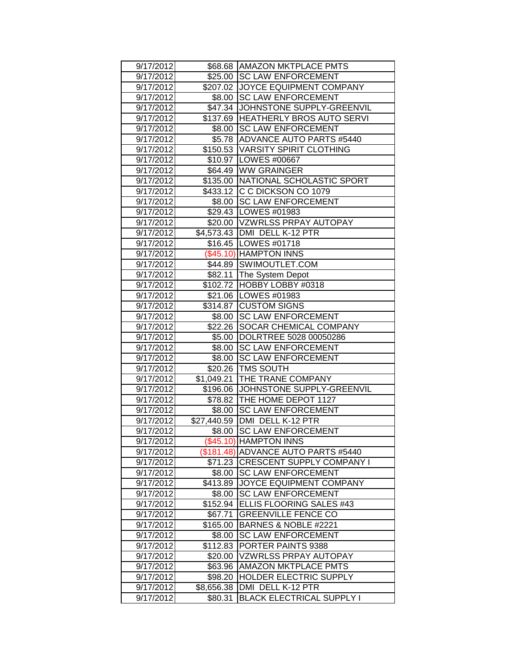| 9/17/2012              |                       | \$68.68 AMAZON MKTPLACE PMTS                          |
|------------------------|-----------------------|-------------------------------------------------------|
| 9/17/2012              |                       | \$25.00 SC LAW ENFORCEMENT                            |
| 9/17/2012              |                       | \$207.02 JOYCE EQUIPMENT COMPANY                      |
| 9/17/2012              |                       | \$8.00 SC LAW ENFORCEMENT                             |
| 9/17/2012              |                       | \$47.34 JJOHNSTONE SUPPLY-GREENVIL                    |
| 9/17/2012              |                       | \$137.69 HEATHERLY BROS AUTO SERVI                    |
| 9/17/2012              | \$8.00                | <b>SC LAW ENFORCEMENT</b>                             |
| 9/17/2012              | \$5.78                | ADVANCE AUTO PARTS #5440                              |
| 9/17/2012              |                       | \$150.53 VARSITY SPIRIT CLOTHING                      |
| 9/17/2012              |                       | \$10.97   LOWES #00667                                |
| 9/17/2012              |                       | \$64.49 WW GRAINGER                                   |
| 9/17/2012              |                       | \$135.00 NATIONAL SCHOLASTIC SPORT                    |
| 9/17/2012              |                       | \$433.12 C C DICKSON CO 1079                          |
| 9/17/2012              |                       | \$8.00 SC LAW ENFORCEMENT                             |
| 9/17/2012              |                       | \$29.43   LOWES #01983                                |
| 9/17/2012              |                       | \$20.00 VZWRLSS PRPAY AUTOPAY                         |
| 9/17/2012              |                       | \$4,573.43   DMI DELL K-12 PTR                        |
| 9/17/2012              |                       | \$16.45   LOWES #01718                                |
| 9/17/2012              |                       | (\$45.10) HAMPTON INNS                                |
| 9/17/2012              |                       | \$44.89 SWIMOUTLET.COM                                |
| 9/17/2012              | \$82.11               | The System Depot                                      |
| 9/17/2012              |                       | \$102.72 HOBBY LOBBY #0318                            |
| 9/17/2012              |                       | \$21.06 LOWES #01983                                  |
| 9/17/2012              |                       | \$314.87 CUSTOM SIGNS                                 |
| 9/17/2012              | \$8.00                | <b>SC LAW ENFORCEMENT</b>                             |
| 9/17/2012              | \$22.26               | SOCAR CHEMICAL COMPANY                                |
|                        |                       | DOLRTREE 5028 00050286                                |
| 9/17/2012              | \$5.00                |                                                       |
| 9/17/2012              | \$8.00                | <b>SC LAW ENFORCEMENT</b>                             |
| 9/17/2012              | \$8.00                | <b>SC LAW ENFORCEMENT</b>                             |
| 9/17/2012              |                       | \$20.26   TMS SOUTH                                   |
| 9/17/2012              | \$1,049.21            | <b>THE TRANE COMPANY</b>                              |
| 9/17/2012              | \$196.06              | JOHNSTONE SUPPLY-GREENVIL                             |
| 9/17/2012              |                       | \$78.82 THE HOME DEPOT 1127                           |
| 9/17/2012              | \$8.00                | <b>SC LAW ENFORCEMENT</b>                             |
| 9/17/2012              | \$27,440.59           | <b>JDMI DELL K-12 PTR</b>                             |
| 9/17/2012              |                       | \$8.00 SC LAW ENFORCEMENT                             |
| 9/17/2012              |                       | (\$45.10) HAMPTON INNS                                |
| 9/17/2012              |                       | (\$181.48) ADVANCE AUTO PARTS #5440                   |
| 9/17/2012              |                       | \$71.23 CRESCENT SUPPLY COMPANY I                     |
| 9/17/2012              | \$8.00                | <b>SC LAW ENFORCEMENT</b>                             |
| 9/17/2012              | \$413.89              | JOYCE EQUIPMENT COMPANY                               |
| 9/17/2012              | \$8.00                | <b>SC LAW ENFORCEMENT</b>                             |
| 9/17/2012              | \$152.94              | ELLIS FLOORING SALES #43                              |
| 9/17/2012              | \$67.71               | <b>GREENVILLE FENCE CO</b>                            |
| 9/17/2012              | \$165.00              | BARNES & NOBLE #2221                                  |
| 9/17/2012              | \$8.00                | <b>SC LAW ENFORCEMENT</b>                             |
| 9/17/2012              | \$112.83              | PORTER PAINTS 9388                                    |
| 9/17/2012              | \$20.00               | <b>VZWRLSS PRPAY AUTOPAY</b>                          |
| 9/17/2012              | \$63.96               | AMAZON MKTPLACE PMTS                                  |
| 9/17/2012              | \$98.20               | <b>HOLDER ELECTRIC SUPPLY</b>                         |
| 9/17/2012<br>9/17/2012 | \$8,656.38<br>\$80.31 | DMI DELL K-12 PTR<br><b>BLACK ELECTRICAL SUPPLY I</b> |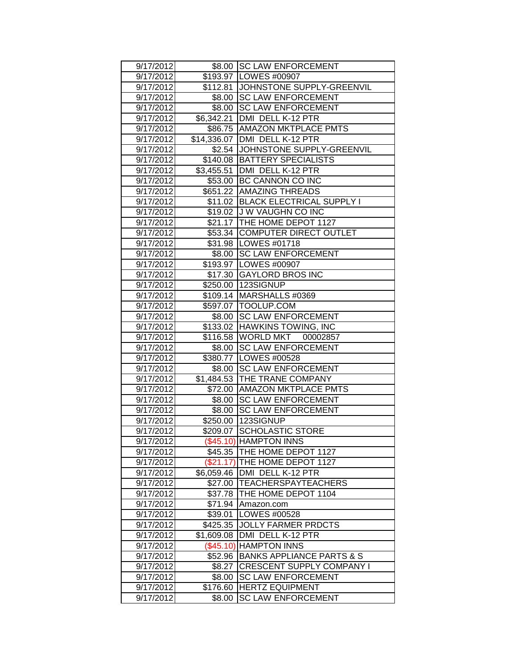| 9/17/2012 |            | \$8.00 SC LAW ENFORCEMENT            |
|-----------|------------|--------------------------------------|
| 9/17/2012 |            | \$193.97 LOWES #00907                |
| 9/17/2012 |            | \$112.81 JOHNSTONE SUPPLY-GREENVIL   |
| 9/17/2012 |            | \$8.00 SC LAW ENFORCEMENT            |
| 9/17/2012 |            | \$8.00 SC LAW ENFORCEMENT            |
| 9/17/2012 |            | \$6,342.21 DMI DELL K-12 PTR         |
| 9/17/2012 |            | \$86.75 AMAZON MKTPLACE PMTS         |
| 9/17/2012 |            | \$14,336.07   DMI DELL K-12 PTR      |
| 9/17/2012 |            | \$2.54 JOHNSTONE SUPPLY-GREENVIL     |
| 9/17/2012 |            | \$140.08   BATTERY SPECIALISTS       |
| 9/17/2012 | \$3,455.51 | DMI DELL K-12 PTR                    |
| 9/17/2012 |            | \$53.00 BC CANNON CO INC             |
| 9/17/2012 |            | \$651.22 AMAZING THREADS             |
| 9/17/2012 |            | \$11.02 BLACK ELECTRICAL SUPPLY I    |
| 9/17/2012 |            | \$19.02 J W VAUGHN CO INC            |
| 9/17/2012 |            | \$21.17 THE HOME DEPOT 1127          |
| 9/17/2012 |            | \$53.34 COMPUTER DIRECT OUTLET       |
| 9/17/2012 |            | \$31.98   LOWES #01718               |
| 9/17/2012 |            | \$8.00 SC LAW ENFORCEMENT            |
| 9/17/2012 |            | \$193.97 LOWES #00907                |
| 9/17/2012 |            | \$17.30 GAYLORD BROS INC             |
| 9/17/2012 |            | \$250.00 123SIGNUP                   |
| 9/17/2012 |            | \$109.14 MARSHALLS #0369             |
| 9/17/2012 |            | \$597.07   TOOLUP.COM                |
| 9/17/2012 | \$8.00     | <b>SC LAW ENFORCEMENT</b>            |
| 9/17/2012 | \$133.02   | <b>HAWKINS TOWING, INC</b>           |
| 9/17/2012 | \$116.58   | WORLD MKT 00002857                   |
| 9/17/2012 |            | \$8.00 SC LAW ENFORCEMENT            |
| 9/17/2012 |            | \$380.77 LOWES #00528                |
| 9/17/2012 |            | \$8.00 SC LAW ENFORCEMENT            |
| 9/17/2012 |            | \$1,484.53 THE TRANE COMPANY         |
| 9/17/2012 |            | \$72.00 AMAZON MKTPLACE PMTS         |
| 9/17/2012 | \$8.00     | <b>SC LAW ENFORCEMENT</b>            |
| 9/17/2012 | \$8.00     | <b>SC LAW ENFORCEMENT</b>            |
| 9/17/2012 |            | \$250.00 123SIGNUP                   |
| 9/17/2012 |            | \$209.07 SCHOLASTIC STORE            |
| 9/17/2012 |            | (\$45.10) HAMPTON INNS               |
| 9/17/2012 |            | \$45.35   THE HOME DEPOT 1127        |
| 9/17/2012 |            | (\$21.17) THE HOME DEPOT 1127        |
| 9/17/2012 | \$6,059.46 | DMI DELL K-12 PTR                    |
| 9/17/2012 | \$27.00    | <b>TEACHERSPAYTEACHERS</b>           |
| 9/17/2012 | \$37.78    | THE HOME DEPOT 1104                  |
| 9/17/2012 | \$71.94    | Amazon.com                           |
| 9/17/2012 | \$39.01    | LOWES #00528                         |
| 9/17/2012 | \$425.35   | <b>JOLLY FARMER PRDCTS</b>           |
| 9/17/2012 | \$1,609.08 | DMI DELL K-12 PTR                    |
| 9/17/2012 | (\$45.10)  | <b>HAMPTON INNS</b>                  |
| 9/17/2012 | \$52.96    | <b>BANKS APPLIANCE PARTS &amp; S</b> |
| 9/17/2012 | \$8.27     | <b>CRESCENT SUPPLY COMPANY I</b>     |
| 9/17/2012 | \$8.00     | <b>SC LAW ENFORCEMENT</b>            |
| 9/17/2012 | \$176.60   | <b>HERTZ EQUIPMENT</b>               |
| 9/17/2012 | \$8.00     | <b>SC LAW ENFORCEMENT</b>            |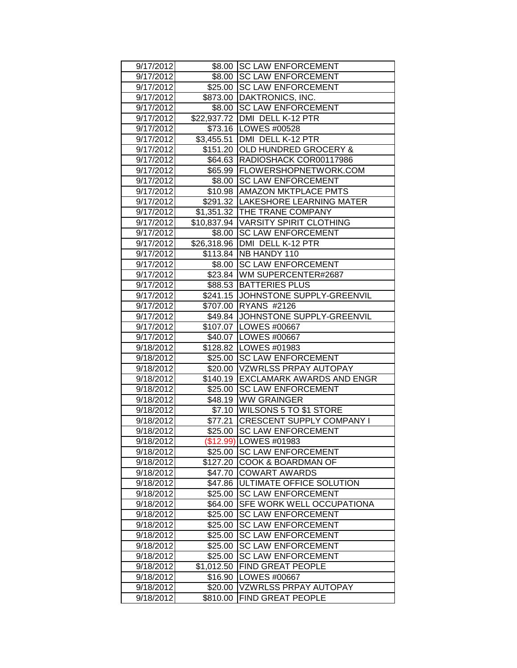| 9/17/2012              |                     | \$8.00 SC LAW ENFORCEMENT                         |
|------------------------|---------------------|---------------------------------------------------|
| 9/17/2012              |                     | \$8.00 SC LAW ENFORCEMENT                         |
| 9/17/2012              |                     | \$25.00 SC LAW ENFORCEMENT                        |
| 9/17/2012              |                     | \$873.00 DAKTRONICS, INC.                         |
| 9/17/2012              |                     | \$8.00 SC LAW ENFORCEMENT                         |
| 9/17/2012              |                     | \$22,937.72 DMI DELL K-12 PTR                     |
| 9/17/2012              |                     | \$73.16 LOWES #00528                              |
| 9/17/2012              | \$3,455.51          | DMI DELL K-12 PTR                                 |
| 9/17/2012              | \$151.20            | <b>OLD HUNDRED GROCERY &amp;</b>                  |
| 9/17/2012              | \$64.63             | RADIOSHACK COR00117986                            |
| 9/17/2012              |                     | \$65.99 FLOWERSHOPNETWORK.COM                     |
| 9/17/2012              |                     | \$8.00 SC LAW ENFORCEMENT                         |
| 9/17/2012              |                     | \$10.98 AMAZON MKTPLACE PMTS                      |
| 9/17/2012              |                     | \$291.32  LAKESHORE LEARNING MATER                |
| 9/17/2012              |                     | \$1,351.32 THE TRANE COMPANY                      |
| 9/17/2012              |                     | \$10,837.94   VARSITY SPIRIT CLOTHING             |
| 9/17/2012              |                     | \$8.00 SC LAW ENFORCEMENT                         |
| 9/17/2012              |                     | \$26,318.96 DMI DELL K-12 PTR                     |
| 9/17/2012              |                     | \$113.84   NB HANDY 110                           |
| 9/17/2012              |                     | \$8.00 SC LAW ENFORCEMENT                         |
| 9/17/2012              |                     | \$23.84 WM SUPERCENTER#2687                       |
| 9/17/2012              |                     | \$88.53 BATTERIES PLUS                            |
| 9/17/2012              |                     | \$241.15 JOHNSTONE SUPPLY-GREENVIL                |
| 9/17/2012              | \$707.00            | <b>RYANS #2126</b>                                |
| 9/17/2012              | \$49.84             | JOHNSTONE SUPPLY-GREENVIL                         |
| 9/17/2012              |                     | \$107.07   LOWES #00667                           |
| 9/17/2012              |                     | \$40.07   LOWES #00667                            |
| 9/18/2012              |                     | \$128.82 LOWES #01983                             |
| 9/18/2012              |                     | \$25.00 SC LAW ENFORCEMENT                        |
| 9/18/2012              |                     | \$20.00 VZWRLSS PRPAY AUTOPAY                     |
| 9/18/2012              |                     | \$140.19 EXCLAMARK AWARDS AND ENGR                |
|                        | \$25.00             | <b>SC LAW ENFORCEMENT</b>                         |
|                        |                     |                                                   |
| 9/18/2012              |                     |                                                   |
| 9/18/2012              |                     | \$48.19 WW GRAINGER                               |
| 9/18/2012              |                     | \$7.10   WILSONS 5 TO \$1 STORE                   |
| 9/18/2012              | \$77.21             | <b>CRESCENT SUPPLY COMPANY I</b>                  |
| 9/18/2012              | \$25.00             | <b>SC LAW ENFORCEMENT</b>                         |
| 9/18/2012              |                     | (\$12.99) LOWES #01983                            |
| 9/18/2012              | \$25.00             | <b>SC LAW ENFORCEMENT</b>                         |
| 9/18/2012              | \$127.20            | COOK & BOARDMAN OF                                |
| 9/18/2012              | \$47.70             | <b>COWART AWARDS</b>                              |
| 9/18/2012              | \$47.86             | ULTIMATE OFFICE SOLUTION                          |
| 9/18/2012              | \$25.00             | <b>SC LAW ENFORCEMENT</b>                         |
| 9/18/2012              | \$64.00             | SFE WORK WELL OCCUPATIONA                         |
| 9/18/2012              | \$25.00             | <b>SC LAW ENFORCEMENT</b>                         |
| 9/18/2012              | \$25.00             | <b>SC LAW ENFORCEMENT</b>                         |
| 9/18/2012              | \$25.00             | <b>SC LAW ENFORCEMENT</b>                         |
| 9/18/2012              | \$25.00             | <b>SC LAW ENFORCEMENT</b>                         |
| 9/18/2012              | \$25.00             | <b>SC LAW ENFORCEMENT</b>                         |
| 9/18/2012              | \$1,012.50          | FIND GREAT PEOPLE                                 |
| 9/18/2012              | \$16.90             | LOWES #00667                                      |
| 9/18/2012<br>9/18/2012 | \$20.00<br>\$810.00 | <b>VZWRLSS PRPAY AUTOPAY</b><br>FIND GREAT PEOPLE |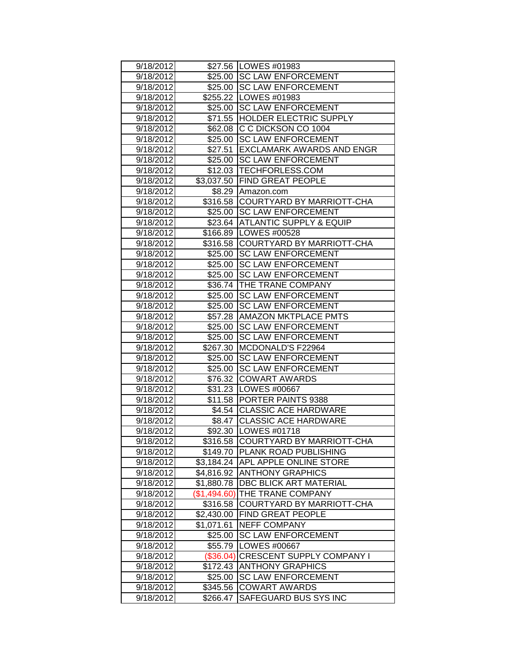| 9/18/2012              |                          | \$27.56   LOWES #01983                                 |
|------------------------|--------------------------|--------------------------------------------------------|
| 9/18/2012              |                          | \$25.00 SC LAW ENFORCEMENT                             |
| 9/18/2012              |                          | \$25.00 SC LAW ENFORCEMENT                             |
| 9/18/2012              | \$255.22                 | LOWES #01983                                           |
| 9/18/2012              | \$25.00                  | <b>SC LAW ENFORCEMENT</b>                              |
| 9/18/2012              | \$71.55                  | <b>HOLDER ELECTRIC SUPPLY</b>                          |
| 9/18/2012              | \$62.08                  | C C DICKSON CO 1004                                    |
| 9/18/2012              | \$25.00                  | <b>SC LAW ENFORCEMENT</b>                              |
| 9/18/2012              | \$27.51                  | <b>EXCLAMARK AWARDS AND ENGR</b>                       |
| 9/18/2012              | \$25.00                  | <b>SC LAW ENFORCEMENT</b>                              |
| 9/18/2012              |                          | \$12.03 TECHFORLESS.COM                                |
| 9/18/2012              | \$3,037.50               | <b>FIND GREAT PEOPLE</b>                               |
| 9/18/2012              | \$8.29                   | Amazon.com                                             |
| 9/18/2012              | \$316.58                 | <b>COURTYARD BY MARRIOTT-CHA</b>                       |
| 9/18/2012              | \$25.00                  | <b>SC LAW ENFORCEMENT</b>                              |
| 9/18/2012              | \$23.64                  | <b>IATLANTIC SUPPLY &amp; EQUIP</b>                    |
| 9/18/2012              | \$166.89                 | <b>LOWES #00528</b>                                    |
| 9/18/2012              | \$316.58                 | <b>COURTYARD BY MARRIOTT-CHA</b>                       |
| 9/18/2012              | \$25.00                  | <b>ISC LAW ENFORCEMENT</b>                             |
| 9/18/2012              | \$25.00                  | <b>SC LAW ENFORCEMENT</b>                              |
| 9/18/2012              | \$25.00                  | <b>SC LAW ENFORCEMENT</b>                              |
| 9/18/2012              | \$36.74                  | THE TRANE COMPANY                                      |
| 9/18/2012              | \$25.00                  | <b>SC LAW ENFORCEMENT</b>                              |
| 9/18/2012              | \$25.00                  | <b>SC LAW ENFORCEMENT</b>                              |
| 9/18/2012              | \$57.28                  | AMAZON MKTPLACE PMTS                                   |
| 9/18/2012              | \$25.00                  | <b>SC LAW ENFORCEMENT</b>                              |
| 9/18/2012              | \$25.00                  | <b>SC LAW ENFORCEMENT</b>                              |
| 9/18/2012              | \$267.30                 | MCDONALD'S F22964                                      |
| 9/18/2012              | \$25.00                  | <b>SC LAW ENFORCEMENT</b>                              |
| 9/18/2012              | \$25.00                  | <b>SC LAW ENFORCEMENT</b>                              |
| 9/18/2012              | \$76.32                  | <b>COWART AWARDS</b>                                   |
| 9/18/2012              | \$31.23                  | <b>LOWES #00667</b>                                    |
| 9/18/2012              | \$11.58                  | <b>PORTER PAINTS 9388</b>                              |
| 9/18/2012              | \$4.54                   | <b>ICLASSIC ACE HARDWARE</b>                           |
| 9/18/2012              |                          | \$8.47 CLASSIC ACE HARDWARE                            |
| 9/18/2012              |                          | \$92.30   LOWES #01718                                 |
| 9/18/2012              | \$316.58                 | COURTYARD BY MARRIOTT-CHA                              |
| 9/18/2012              | \$149.70                 | PLANK ROAD PUBLISHING<br><b>APL APPLE ONLINE STORE</b> |
| 9/18/2012              | \$3,184.24               | <b>ANTHONY GRAPHICS</b>                                |
| 9/18/2012              | \$4,816.92               | <b>DBC BLICK ART MATERIAL</b>                          |
| 9/18/2012              | \$1,880.78               | THE TRANE COMPANY                                      |
| 9/18/2012<br>9/18/2012 | (\$1,494.60)<br>\$316.58 | COURTYARD BY MARRIOTT-CHA                              |
| 9/18/2012              | \$2,430.00               | <b>FIND GREAT PEOPLE</b>                               |
| 9/18/2012              | \$1,071.61               | <b>NEFF COMPANY</b>                                    |
| 9/18/2012              | \$25.00                  | <b>SC LAW ENFORCEMENT</b>                              |
| 9/18/2012              | \$55.79                  | LOWES #00667                                           |
| 9/18/2012              | $(\$36.04)$              | <b>CRESCENT SUPPLY COMPANY I</b>                       |
| 9/18/2012              | \$172.43                 | <b>ANTHONY GRAPHICS</b>                                |
| 9/18/2012              | \$25.00                  | <b>SC LAW ENFORCEMENT</b>                              |
| 9/18/2012              | \$345.56                 | <b>COWART AWARDS</b>                                   |
| 9/18/2012              | \$266.47                 | SAFEGUARD BUS SYS INC                                  |
|                        |                          |                                                        |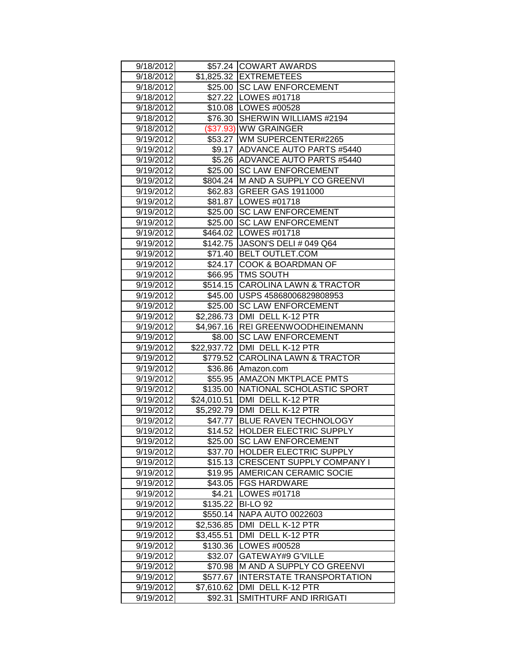| 9/18/2012 |             | \$57.24 COWART AWARDS              |
|-----------|-------------|------------------------------------|
| 9/18/2012 |             | \$1,825.32 EXTREMETEES             |
| 9/18/2012 |             | \$25.00 SC LAW ENFORCEMENT         |
| 9/18/2012 |             | \$27.22   LOWES #01718             |
| 9/18/2012 |             | \$10.08   LOWES #00528             |
| 9/18/2012 |             | \$76.30 SHERWIN WILLIAMS #2194     |
| 9/18/2012 |             | (\$37.93) WW GRAINGER              |
| 9/19/2012 |             | \$53.27 WM SUPERCENTER#2265        |
| 9/19/2012 |             | \$9.17 ADVANCE AUTO PARTS #5440    |
| 9/19/2012 | \$5.26      | <b>ADVANCE AUTO PARTS #5440</b>    |
| 9/19/2012 | \$25.00     | <b>SC LAW ENFORCEMENT</b>          |
| 9/19/2012 |             | \$804.24 M AND A SUPPLY CO GREENVI |
| 9/19/2012 |             | \$62.83 GREER GAS 1911000          |
| 9/19/2012 |             | \$81.87   LOWES #01718             |
| 9/19/2012 |             | \$25.00 SC LAW ENFORCEMENT         |
| 9/19/2012 | \$25.00     | <b>SC LAW ENFORCEMENT</b>          |
| 9/19/2012 |             | \$464.02   LOWES #01718            |
| 9/19/2012 |             | \$142.75 JJASON'S DELI # 049 Q64   |
| 9/19/2012 |             | \$71.40 BELT OUTLET.COM            |
| 9/19/2012 |             | \$24.17 COOK & BOARDMAN OF         |
| 9/19/2012 |             | \$66.95   TMS SOUTH                |
| 9/19/2012 |             | \$514.15 CAROLINA LAWN & TRACTOR   |
| 9/19/2012 |             | \$45.00 USPS 45868006829808953     |
| 9/19/2012 | \$25.00     | <b>SC LAW ENFORCEMENT</b>          |
| 9/19/2012 | \$2,286.73  | DMI DELL K-12 PTR                  |
| 9/19/2012 | \$4,967.16  | <b>REI GREENWOODHEINEMANN</b>      |
| 9/19/2012 | \$8.00      | <b>SC LAW ENFORCEMENT</b>          |
| 9/19/2012 |             | \$22,937.72 DMI DELL K-12 PTR      |
| 9/19/2012 |             | \$779.52 CAROLINA LAWN & TRACTOR   |
| 9/19/2012 | \$36.86     | Amazon.com                         |
| 9/19/2012 | \$55.95     | <b>AMAZON MKTPLACE PMTS</b>        |
| 9/19/2012 | \$135.00    | NATIONAL SCHOLASTIC SPORT          |
| 9/19/2012 | \$24,010.51 | DMI DELL K-12 PTR                  |
| 9/19/2012 |             | \$5,292.79 DMI DELL K-12 PTR       |
| 9/19/2012 |             | \$47.77   BLUE RAVEN TECHNOLOGY    |
| 9/19/2012 |             | \$14.52 HOLDER ELECTRIC SUPPLY     |
| 9/19/2012 | \$25.00     | <b>SC LAW ENFORCEMENT</b>          |
| 9/19/2012 | \$37.70     | <b>HOLDER ELECTRIC SUPPLY</b>      |
| 9/19/2012 | \$15.13     | <b>CRESCENT SUPPLY COMPANY I</b>   |
| 9/19/2012 | \$19.95     | <b>AMERICAN CERAMIC SOCIE</b>      |
| 9/19/2012 | \$43.05     | <b>FGS HARDWARE</b>                |
| 9/19/2012 | \$4.21      | LOWES #01718                       |
| 9/19/2012 | \$135.22    | <b>BI-LO 92</b>                    |
| 9/19/2012 | \$550.14    | NAPA AUTO 0022603                  |
| 9/19/2012 | \$2,536.85  | DMI DELL K-12 PTR                  |
| 9/19/2012 | \$3,455.51  | DMI DELL K-12 PTR                  |
| 9/19/2012 | \$130.36    | LOWES #00528                       |
| 9/19/2012 | \$32.07     | GATEWAY#9 G'VILLE                  |
| 9/19/2012 | \$70.98     | M AND A SUPPLY CO GREENVI          |
| 9/19/2012 | \$577.67    | INTERSTATE TRANSPORTATION          |
| 9/19/2012 | \$7,610.62  | DMI DELL K-12 PTR                  |
| 9/19/2012 | \$92.31     | SMITHTURF AND IRRIGATI             |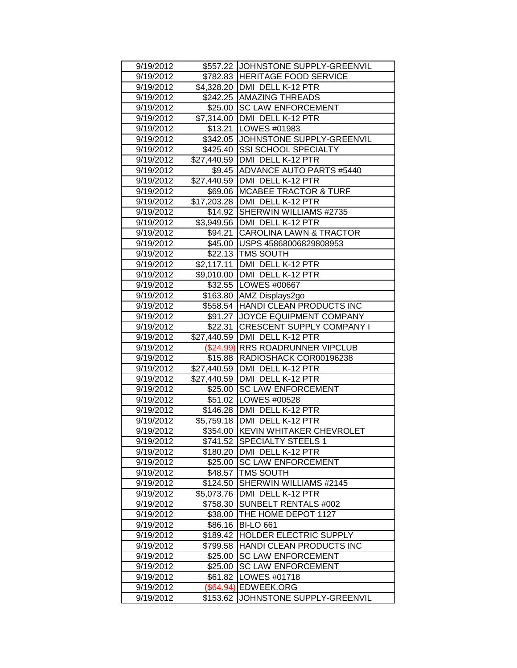| 9/19/2012 |             | \$557.22 JJOHNSTONE SUPPLY-GREENVIL |
|-----------|-------------|-------------------------------------|
| 9/19/2012 |             | \$782.83 HERITAGE FOOD SERVICE      |
| 9/19/2012 |             | \$4,328.20 DMI DELL K-12 PTR        |
| 9/19/2012 |             | \$242.25 AMAZING THREADS            |
| 9/19/2012 |             | \$25.00 SC LAW ENFORCEMENT          |
| 9/19/2012 |             | \$7,314.00   DMI DELL K-12 PTR      |
| 9/19/2012 | \$13.21     | LOWES #01983                        |
| 9/19/2012 |             | \$342.05 JOHNSTONE SUPPLY-GREENVIL  |
| 9/19/2012 | \$425.40    | <b>SSI SCHOOL SPECIALTY</b>         |
| 9/19/2012 |             | \$27,440.59 DMI DELL K-12 PTR       |
| 9/19/2012 |             | \$9.45 ADVANCE AUTO PARTS #5440     |
| 9/19/2012 |             | \$27,440.59   DMI DELL K-12 PTR     |
| 9/19/2012 |             | \$69.06   MCABEE TRACTOR & TURF     |
| 9/19/2012 |             | \$17,203.28   DMI DELL K-12 PTR     |
| 9/19/2012 |             | \$14.92 SHERWIN WILLIAMS #2735      |
| 9/19/2012 |             | \$3,949.56   DMI DELL K-12 PTR      |
| 9/19/2012 |             | \$94.21 CAROLINA LAWN & TRACTOR     |
| 9/19/2012 |             | \$45.00 USPS 45868006829808953      |
| 9/19/2012 |             | \$22.13 TMS SOUTH                   |
| 9/19/2012 |             | \$2,117.11   DMI DELL K-12 PTR      |
| 9/19/2012 |             | \$9,010.00 DMI DELL K-12 PTR        |
| 9/19/2012 |             | \$32.55   LOWES #00667              |
| 9/19/2012 |             | \$163.80 AMZ Displays2go            |
| 9/19/2012 |             | \$558.54 HANDI CLEAN PRODUCTS INC   |
| 9/19/2012 |             | \$91.27 JOYCE EQUIPMENT COMPANY     |
| 9/19/2012 | \$22.31     | <b>CRESCENT SUPPLY COMPANY I</b>    |
| 9/19/2012 |             | \$27,440.59 DMI DELL K-12 PTR       |
|           |             |                                     |
| 9/19/2012 |             | (\$24.99) RRS ROADRUNNER VIPCLUB    |
| 9/19/2012 |             | \$15.88 RADIOSHACK COR00196238      |
| 9/19/2012 |             | \$27,440.59 DMI DELL K-12 PTR       |
| 9/19/2012 |             | \$27,440.59   DMI DELL K-12 PTR     |
| 9/19/2012 |             | \$25.00 SC LAW ENFORCEMENT          |
| 9/19/2012 |             | \$51.02   LOWES #00528              |
| 9/19/2012 |             | \$146.28   DMI DELL K-12 PTR        |
| 9/19/2012 |             | \$5,759.18   DMI DELL K-12 PTR      |
| 9/19/2012 |             | \$354.00 KEVIN WHITAKER CHEVROLET   |
| 9/19/2012 |             | \$741.52 SPECIALTY STEELS 1         |
| 9/19/2012 | \$180.20    | DMI DELL K-12 PTR                   |
| 9/19/2012 | \$25.00     | <b>SC LAW ENFORCEMENT</b>           |
| 9/19/2012 | \$48.57     | <b>TMS SOUTH</b>                    |
| 9/19/2012 | \$124.50    | SHERWIN WILLIAMS #2145              |
| 9/19/2012 | \$5,073.76  | DMI DELL K-12 PTR                   |
| 9/19/2012 | \$758.30    | SUNBELT RENTALS #002                |
| 9/19/2012 | \$38.00     | THE HOME DEPOT 1127                 |
| 9/19/2012 | \$86.16     | <b>BI-LO 661</b>                    |
| 9/19/2012 | \$189.42    | <b>HOLDER ELECTRIC SUPPLY</b>       |
| 9/19/2012 | \$799.58    | HANDI CLEAN PRODUCTS INC            |
| 9/19/2012 | \$25.00     | <b>SC LAW ENFORCEMENT</b>           |
| 9/19/2012 | \$25.00     | <b>SC LAW ENFORCEMENT</b>           |
| 9/19/2012 | \$61.82     | LOWES #01718                        |
| 9/19/2012 | $(\$64.94)$ | <b>EDWEEK.ORG</b>                   |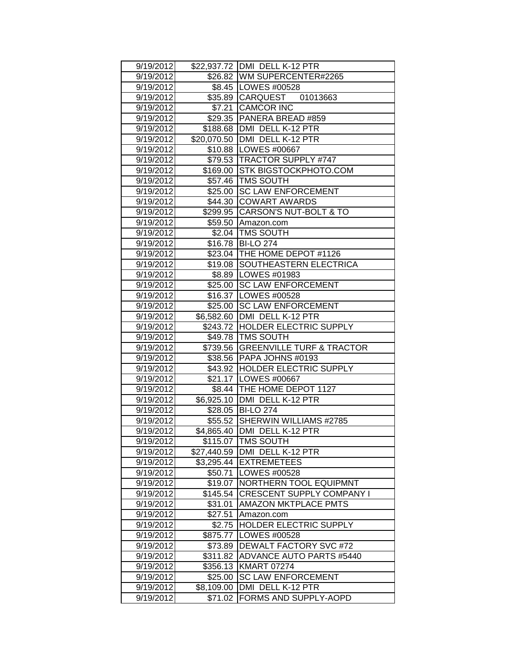| 9/19/2012              |                       | \$22,937.72 DMI DELL K-12 PTR              |
|------------------------|-----------------------|--------------------------------------------|
| 9/19/2012              |                       | \$26.82 WM SUPERCENTER#2265                |
| 9/19/2012              |                       | \$8.45   LOWES #00528                      |
| 9/19/2012              |                       | \$35.89 CARQUEST 01013663                  |
| 9/19/2012              |                       | \$7.21 CAMCOR INC                          |
| 9/19/2012              |                       | \$29.35 PANERA BREAD #859                  |
| 9/19/2012              |                       | \$188.68 DMI DELL K-12 PTR                 |
| 9/19/2012              |                       | \$20,070.50   DMI DELL K-12 PTR            |
| 9/19/2012              |                       | \$10.88   LOWES #00667                     |
| 9/19/2012              |                       | \$79.53 TRACTOR SUPPLY #747                |
| 9/19/2012              | \$169.00              | STK BIGSTOCKPHOTO.COM                      |
| 9/19/2012              |                       | \$57.46 TMS SOUTH                          |
| 9/19/2012              | \$25.00               | <b>SC LAW ENFORCEMENT</b>                  |
| 9/19/2012              | \$44.30               | <b>COWART AWARDS</b>                       |
| 9/19/2012              |                       | \$299.95 CARSON'S NUT-BOLT & TO            |
| 9/19/2012              |                       | \$59.50 Amazon.com                         |
| 9/19/2012              |                       | \$2.04   TMS SOUTH                         |
| 9/19/2012              |                       | \$16.78 BI-LO 274                          |
| 9/19/2012              |                       | \$23.04 THE HOME DEPOT #1126               |
| 9/19/2012              |                       | \$19.08 SOUTHEASTERN ELECTRICA             |
| 9/19/2012              |                       | \$8.89   LOWES #01983                      |
| 9/19/2012              | \$25.00               | <b>SC LAW ENFORCEMENT</b>                  |
| 9/19/2012              | \$16.37               | LOWES #00528                               |
| 9/19/2012              | \$25.00               | <b>SC LAW ENFORCEMENT</b>                  |
| 9/19/2012              | \$6,582.60            | DMI DELL K-12 PTR                          |
| 9/19/2012              | \$243.72              | <b>HOLDER ELECTRIC SUPPLY</b>              |
|                        |                       |                                            |
| 9/19/2012              |                       | \$49.78   TMS SOUTH                        |
| 9/19/2012              | \$739.56              | <b>GREENVILLE TURF &amp; TRACTOR</b>       |
| 9/19/2012              |                       | \$38.56 PAPA JOHNS #0193                   |
| 9/19/2012              |                       | \$43.92 HOLDER ELECTRIC SUPPLY             |
| 9/19/2012              |                       | \$21.17   LOWES #00667                     |
| 9/19/2012              |                       | \$8.44 THE HOME DEPOT 1127                 |
| 9/19/2012              |                       | \$6,925.10 DMI DELL K-12 PTR               |
| 9/19/2012              |                       | \$28.05 BI-LO 274                          |
| 9/19/2012              | \$55.52               | SHERWIN WILLIAMS #2785                     |
| 9/19/2012              |                       | \$4,865.40   DMI DELL K-12 PTR             |
| 9/19/2012              |                       | \$115.07   TMS SOUTH                       |
| 9/19/2012              | \$27,440.59           | DMI DELL K-12 PTR                          |
| 9/19/2012              | \$3,295.44            | <b>EXTREMETEES</b>                         |
| 9/19/2012              | \$50.71               | LOWES #00528                               |
| 9/19/2012              | \$19.07               | NORTHERN TOOL EQUIPMNT                     |
| 9/19/2012              | \$145.54              | <b>CRESCENT SUPPLY COMPANY I</b>           |
| 9/19/2012              | \$31.01               | <b>AMAZON MKTPLACE PMTS</b>                |
| 9/19/2012              | \$27.51               | Amazon.com                                 |
| 9/19/2012              | \$2.75                | HOLDER ELECTRIC SUPPLY                     |
| 9/19/2012              | \$875.77              | LOWES #00528                               |
| 9/19/2012              | \$73.89               | DEWALT FACTORY SVC #72                     |
| 9/19/2012              | \$311.82              | <b>ADVANCE AUTO PARTS #5440</b>            |
| 9/19/2012              | \$356.13              | <b>KMART 07274</b>                         |
| 9/19/2012              | \$25.00               | <b>SC LAW ENFORCEMENT</b>                  |
| 9/19/2012<br>9/19/2012 | \$8,109.00<br>\$71.02 | DMI DELL K-12 PTR<br>FORMS AND SUPPLY-AOPD |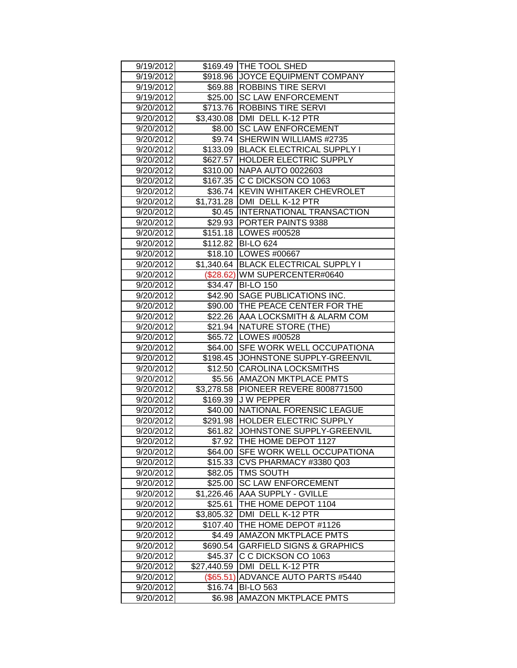| 9/19/2012 |                        | \$169.49   THE TOOL SHED             |
|-----------|------------------------|--------------------------------------|
| 9/19/2012 |                        | \$918.96 JJOYCE EQUIPMENT COMPANY    |
| 9/19/2012 |                        | \$69.88  ROBBINS TIRE SERVI          |
| 9/19/2012 |                        | \$25.00 SC LAW ENFORCEMENT           |
| 9/20/2012 |                        | \$713.76   ROBBINS TIRE SERVI        |
| 9/20/2012 | $\overline{$}3,430.08$ | DMI DELL K-12 PTR                    |
| 9/20/2012 | \$8.00                 | <b>SC LAW ENFORCEMENT</b>            |
| 9/20/2012 | \$9.74                 | <b>SHERWIN WILLIAMS #2735</b>        |
| 9/20/2012 | \$133.09               | <b>BLACK ELECTRICAL SUPPLY I</b>     |
| 9/20/2012 | \$627.57               | <b>HOLDER ELECTRIC SUPPLY</b>        |
| 9/20/2012 |                        | \$310.00 NAPA AUTO 0022603           |
| 9/20/2012 |                        | \$167.35 C C DICKSON CO 1063         |
| 9/20/2012 |                        | \$36.74 KEVIN WHITAKER CHEVROLET     |
| 9/20/2012 |                        | \$1,731.28   DMI DELL K-12 PTR       |
| 9/20/2012 |                        | \$0.45 INTERNATIONAL TRANSACTION     |
| 9/20/2012 |                        | \$29.93 PORTER PAINTS 9388           |
| 9/20/2012 |                        | \$151.18   LOWES #00528              |
| 9/20/2012 |                        | \$112.82 BI-LO 624                   |
| 9/20/2012 |                        | \$18.10   LOWES #00667               |
| 9/20/2012 |                        | \$1,340.64 BLACK ELECTRICAL SUPPLY I |
| 9/20/2012 |                        | (\$28.62) WM SUPERCENTER#0640        |
| 9/20/2012 |                        | \$34.47   BI-LO 150                  |
| 9/20/2012 | \$42.90                | <b>SAGE PUBLICATIONS INC.</b>        |
| 9/20/2012 |                        | \$90.00 THE PEACE CENTER FOR THE     |
| 9/20/2012 | \$22.26                | AAA LOCKSMITH & ALARM COM            |
| 9/20/2012 |                        | \$21.94   NATURE STORE (THE)         |
| 9/20/2012 |                        | \$65.72   LOWES #00528               |
| 9/20/2012 |                        | \$64.00 SFE WORK WELL OCCUPATIONA    |
| 9/20/2012 | \$198.45               | JOHNSTONE SUPPLY-GREENVIL            |
| 9/20/2012 |                        | \$12.50 CAROLINA LOCKSMITHS          |
| 9/20/2012 | \$5.56                 | <b>AMAZON MKTPLACE PMTS</b>          |
| 9/20/2012 | \$3,278.58             | PIONEER REVERE 8008771500            |
| 9/20/2012 | \$169.39               | <b>J W PEPPER</b>                    |
| 9/20/2012 | \$40.00                | <b>INATIONAL FORENSIC LEAGUE</b>     |
| 9/20/2012 |                        | \$291.98 HOLDER ELECTRIC SUPPLY      |
| 9/20/2012 |                        | \$61.82 JJOHNSTONE SUPPLY-GREENVIL   |
| 9/20/2012 |                        | \$7.92 THE HOME DEPOT 1127           |
| 9/20/2012 | \$64.00                | <b>SFE WORK WELL OCCUPATIONA</b>     |
| 9/20/2012 | \$15.33                | CVS PHARMACY #3380 Q03               |
| 9/20/2012 | \$82.05                | <b>TMS SOUTH</b>                     |
| 9/20/2012 | \$25.00                | <b>SC LAW ENFORCEMENT</b>            |
| 9/20/2012 | \$1,226.46             | <b>AAA SUPPLY - GVILLE</b>           |
| 9/20/2012 | \$25.61                | THE HOME DEPOT 1104                  |
| 9/20/2012 | \$3,805.32             | DMI DELL K-12 PTR                    |
| 9/20/2012 | \$107.40               | THE HOME DEPOT #1126                 |
| 9/20/2012 | \$4.49                 | <b>AMAZON MKTPLACE PMTS</b>          |
| 9/20/2012 | \$690.54               | <b>GARFIELD SIGNS &amp; GRAPHICS</b> |
| 9/20/2012 | \$45.37                | C C DICKSON CO 1063                  |
| 9/20/2012 | \$27,440.59            | DMI DELL K-12 PTR                    |
| 9/20/2012 |                        | (\$65.51) ADVANCE AUTO PARTS #5440   |
| 9/20/2012 | \$16.74                | <b>BI-LO 563</b>                     |
| 9/20/2012 | \$6.98                 | <b>AMAZON MKTPLACE PMTS</b>          |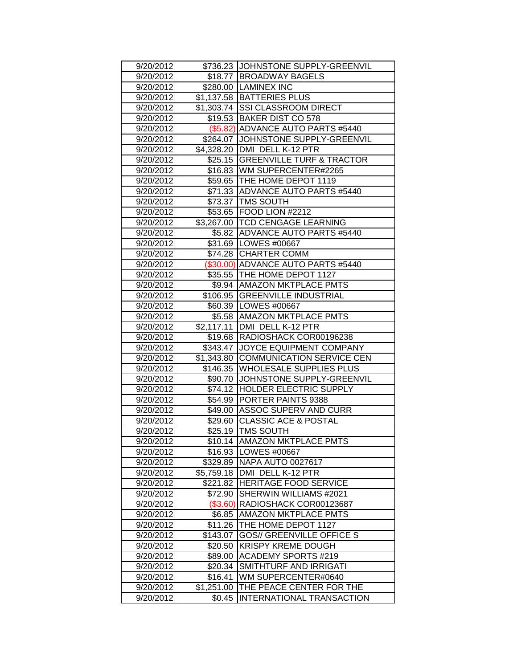|           |            | \$736.23 JJOHNSTONE SUPPLY-GREENVIL  |
|-----------|------------|--------------------------------------|
| 9/20/2012 |            | \$18.77 BROADWAY BAGELS              |
| 9/20/2012 |            |                                      |
| 9/20/2012 |            | \$280.00 LAMINEX INC                 |
| 9/20/2012 |            | \$1,137.58 BATTERIES PLUS            |
| 9/20/2012 |            | \$1,303.74 SSI CLASSROOM DIRECT      |
| 9/20/2012 |            | \$19.53 BAKER DIST CO 578            |
| 9/20/2012 |            | (\$5.82) ADVANCE AUTO PARTS #5440    |
| 9/20/2012 |            | \$264.07 JJOHNSTONE SUPPLY-GREENVIL  |
| 9/20/2012 |            | \$4,328.20 DMI DELL K-12 PTR         |
| 9/20/2012 |            | \$25.15 GREENVILLE TURF & TRACTOR    |
| 9/20/2012 |            | \$16.83 WM SUPERCENTER#2265          |
| 9/20/2012 |            | \$59.65   THE HOME DEPOT 1119        |
| 9/20/2012 |            | \$71.33 ADVANCE AUTO PARTS #5440     |
| 9/20/2012 |            | \$73.37   TMS SOUTH                  |
| 9/20/2012 |            | \$53.65 FOOD LION #2212              |
| 9/20/2012 |            | \$3,267.00 TCD CENGAGE LEARNING      |
| 9/20/2012 |            | \$5.82 ADVANCE AUTO PARTS #5440      |
| 9/20/2012 |            | \$31.69   LOWES #00667               |
| 9/20/2012 |            | \$74.28 CHARTER COMM                 |
| 9/20/2012 |            | (\$30.00) ADVANCE AUTO PARTS #5440   |
| 9/20/2012 |            | \$35.55 THE HOME DEPOT 1127          |
| 9/20/2012 |            | \$9.94 AMAZON MKTPLACE PMTS          |
| 9/20/2012 |            | \$106.95 GREENVILLE INDUSTRIAL       |
| 9/20/2012 |            | \$60.39   LOWES #00667               |
| 9/20/2012 |            | \$5.58 AMAZON MKTPLACE PMTS          |
| 9/20/2012 | \$2,117.11 | DMI DELL K-12 PTR                    |
| 9/20/2012 | \$19.68    | RADIOSHACK COR00196238               |
| 9/20/2012 |            | \$343.47 JOYCE EQUIPMENT COMPANY     |
| 9/20/2012 |            | \$1,343.80 COMMUNICATION SERVICE CEN |
| 9/20/2012 | \$146.35   | <b>WHOLESALE SUPPLIES PLUS</b>       |
| 9/20/2012 |            | \$90.70 JJOHNSTONE SUPPLY-GREENVIL   |
| 9/20/2012 |            | \$74.12 HOLDER ELECTRIC SUPPLY       |
| 9/20/2012 |            | \$54.99 PORTER PAINTS 9388           |
| 9/20/2012 | \$49.00    | <b>ASSOC SUPERV AND CURR</b>         |
| 9/20/2012 | \$29.60    | <b>CLASSIC ACE &amp; POSTAL</b>      |
| 9/20/2012 |            | \$25.19 TMS SOUTH                    |
| 9/20/2012 |            | \$10.14 AMAZON MKTPLACE PMTS         |
| 9/20/2012 | \$16.93    | LOWES #00667                         |
| 9/20/2012 | \$329.89   | <b>NAPA AUTO 0027617</b>             |
| 9/20/2012 | \$5,759.18 | <b>DMI DELL K-12 PTR</b>             |
| 9/20/2012 | \$221.82   | <b>HERITAGE FOOD SERVICE</b>         |
| 9/20/2012 | \$72.90    | SHERWIN WILLIAMS #2021               |
| 9/20/2012 | (\$3.60)   | RADIOSHACK COR00123687               |
| 9/20/2012 | \$6.85     | <b>AMAZON MKTPLACE PMTS</b>          |
| 9/20/2012 | \$11.26    | THE HOME DEPOT 1127                  |
| 9/20/2012 | \$143.07   | <b>GOS// GREENVILLE OFFICE S</b>     |
| 9/20/2012 | \$20.50    | <b>KRISPY KREME DOUGH</b>            |
| 9/20/2012 | \$89.00    | <b>ACADEMY SPORTS #219</b>           |
| 9/20/2012 | \$20.34    | SMITHTURF AND IRRIGATI               |
| 9/20/2012 | \$16.41    | WM SUPERCENTER#0640                  |
| 9/20/2012 | \$1,251.00 | THE PEACE CENTER FOR THE             |
| 9/20/2012 | \$0.45     | INTERNATIONAL TRANSACTION            |
|           |            |                                      |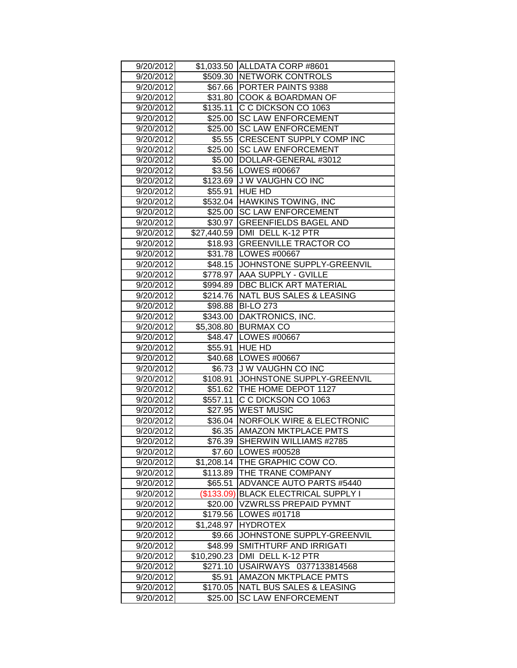| 9/20/2012 |             | \$1,033.50 ALLDATA CORP #8601       |
|-----------|-------------|-------------------------------------|
| 9/20/2012 |             | \$509.30 NETWORK CONTROLS           |
| 9/20/2012 |             | \$67.66 PORTER PAINTS 9388          |
| 9/20/2012 |             | \$31.80 COOK & BOARDMAN OF          |
| 9/20/2012 | \$135.11    | C C DICKSON CO 1063                 |
| 9/20/2012 | \$25.00     | <b>SC LAW ENFORCEMENT</b>           |
| 9/20/2012 | \$25.00     | <b>SC LAW ENFORCEMENT</b>           |
| 9/20/2012 | \$5.55      | <b>CRESCENT SUPPLY COMP INC</b>     |
| 9/20/2012 | \$25.00     | <b>SC LAW ENFORCEMENT</b>           |
| 9/20/2012 | \$5.00      | DOLLAR-GENERAL #3012                |
| 9/20/2012 |             | \$3.56 LOWES #00667                 |
| 9/20/2012 |             | \$123.69 J W VAUGHN CO INC          |
| 9/20/2012 | \$55.91     | <b>HUE HD</b>                       |
| 9/20/2012 |             | \$532.04 HAWKINS TOWING, INC        |
| 9/20/2012 |             | \$25.00 SC LAW ENFORCEMENT          |
| 9/20/2012 |             | \$30.97 GREENFIELDS BAGEL AND       |
| 9/20/2012 |             | \$27,440.59   DMI DELL K-12 PTR     |
| 9/20/2012 |             | \$18.93 GREENVILLE TRACTOR CO       |
| 9/20/2012 |             | \$31.78   LOWES #00667              |
| 9/20/2012 |             | \$48.15 JJOHNSTONE SUPPLY-GREENVIL  |
| 9/20/2012 |             | \$778.97 AAA SUPPLY - GVILLE        |
| 9/20/2012 |             | \$994.89   DBC BLICK ART MATERIAL   |
| 9/20/2012 | \$214.76    | NATL BUS SALES & LEASING            |
| 9/20/2012 | \$98.88     | <b>BI-LO 273</b>                    |
| 9/20/2012 | \$343.00    | DAKTRONICS, INC.                    |
| 9/20/2012 |             | \$5,308.80 BURMAX CO                |
| 9/20/2012 |             | \$48.47   LOWES #00667              |
| 9/20/2012 | \$55.91     | <b>HUE HD</b>                       |
| 9/20/2012 |             | \$40.68   LOWES #00667              |
| 9/20/2012 |             | \$6.73 J W VAUGHN CO INC            |
| 9/20/2012 | \$108.91    | JOHNSTONE SUPPLY-GREENVIL           |
| 9/20/2012 |             | \$51.62   THE HOME DEPOT 1127       |
| 9/20/2012 | \$557.11    | C C DICKSON CO 1063                 |
| 9/20/2012 |             | \$27.95   WEST MUSIC                |
| 9/20/2012 |             | \$36.04   NORFOLK WIRE & ELECTRONIC |
| 9/20/2012 |             | \$6.35 AMAZON MKTPLACE PMTS         |
| 9/20/2012 |             | \$76.39 SHERWIN WILLIAMS #2785      |
| 9/20/2012 | \$7.60      | LOWES #00528                        |
| 9/20/2012 | \$1,208.14  | THE GRAPHIC COW CO.                 |
| 9/20/2012 |             | <b>THE TRANE COMPANY</b>            |
|           | \$113.89    |                                     |
| 9/20/2012 | \$65.51     | ADVANCE AUTO PARTS #5440            |
| 9/20/2012 | (\$133.09)  | BLACK ELECTRICAL SUPPLY I           |
| 9/20/2012 | \$20.00     | <b>VZWRLSS PREPAID PYMNT</b>        |
| 9/20/2012 | \$179.56    | <b>LOWES #01718</b>                 |
| 9/20/2012 | \$1,248.97  | <b>HYDROTEX</b>                     |
| 9/20/2012 | \$9.66      | JOHNSTONE SUPPLY-GREENVIL           |
| 9/20/2012 | \$48.99     | SMITHTURF AND IRRIGATI              |
| 9/20/2012 | \$10,290.23 | DMI DELL K-12 PTR                   |
| 9/20/2012 | \$271.10    | USAIRWAYS 0377133814568             |
| 9/20/2012 | \$5.91      | AMAZON MKTPLACE PMTS                |
| 9/20/2012 | \$170.05    | <b>NATL BUS SALES &amp; LEASING</b> |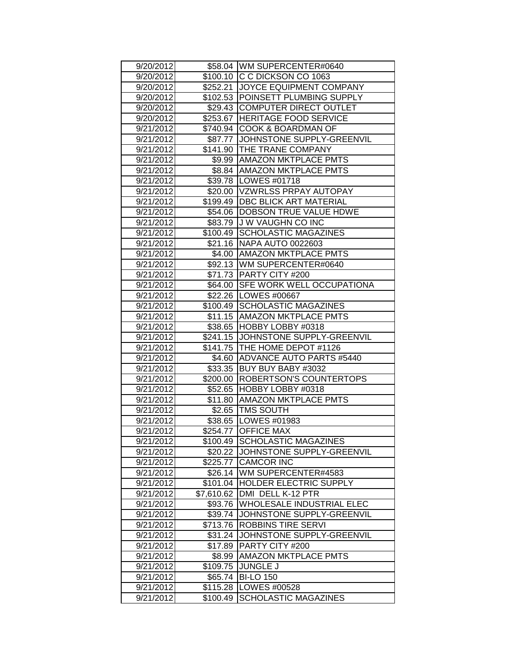| 9/20/2012              |                      | \$58.04 WM SUPERCENTER#0640                 |
|------------------------|----------------------|---------------------------------------------|
| 9/20/2012              |                      | \$100.10 C C DICKSON CO 1063                |
| 9/20/2012              |                      | \$252.21 JOYCE EQUIPMENT COMPANY            |
| 9/20/2012              |                      | \$102.53 POINSETT PLUMBING SUPPLY           |
| 9/20/2012              |                      | \$29.43 COMPUTER DIRECT OUTLET              |
| 9/20/2012              |                      | \$253.67 HERITAGE FOOD SERVICE              |
| 9/21/2012              | \$740.94             | <b>COOK &amp; BOARDMAN OF</b>               |
| 9/21/2012              |                      | \$87.77 JJOHNSTONE SUPPLY-GREENVIL          |
| 9/21/2012              |                      | \$141.90 THE TRANE COMPANY                  |
| 9/21/2012              | \$9.99               | <b>AMAZON MKTPLACE PMTS</b>                 |
| 9/21/2012              |                      | \$8.84 AMAZON MKTPLACE PMTS                 |
| 9/21/2012              |                      | \$39.78   LOWES #01718                      |
| 9/21/2012              |                      | \$20.00   VZWRLSS PRPAY AUTOPAY             |
| 9/21/2012              |                      | \$199.49   DBC BLICK ART MATERIAL           |
| 9/21/2012              | \$54.06              | <b>DOBSON TRUE VALUE HDWE</b>               |
| 9/21/2012              |                      | \$83.79 J W VAUGHN CO INC                   |
| 9/21/2012              | \$100.49             | <b>SCHOLASTIC MAGAZINES</b>                 |
| 9/21/2012              | \$21.16              | <b>INAPA AUTO 0022603</b>                   |
| 9/21/2012              |                      | \$4.00   AMAZON MKTPLACE PMTS               |
| 9/21/2012              |                      | \$92.13 WM SUPERCENTER#0640                 |
| 9/21/2012              |                      | \$71.73 PARTY CITY #200                     |
| 9/21/2012              | \$64.00              | <b>SFE WORK WELL OCCUPATIONA</b>            |
| 9/21/2012              |                      | \$22.26   LOWES #00667                      |
| 9/21/2012              | \$100.49             | <b>SCHOLASTIC MAGAZINES</b>                 |
| 9/21/2012              | \$11.15              | <b>AMAZON MKTPLACE PMTS</b>                 |
| 9/21/2012              | \$38.65              | HOBBY LOBBY #0318                           |
|                        |                      |                                             |
|                        |                      |                                             |
| 9/21/2012              | \$241.15             | JOHNSTONE SUPPLY-GREENVIL                   |
| 9/21/2012              |                      | \$141.75 THE HOME DEPOT #1126               |
| 9/21/2012              | \$4.60               | <b>ADVANCE AUTO PARTS #5440</b>             |
| 9/21/2012              | \$33.35              | BUY BUY BABY #3032                          |
| 9/21/2012              | \$200.00             | ROBERTSON'S COUNTERTOPS                     |
| 9/21/2012              | \$52.65              | HOBBY LOBBY #0318                           |
| 9/21/2012              | \$11.80              | <b>AMAZON MKTPLACE PMTS</b>                 |
| 9/21/2012              | \$2.65               | <b>ITMS SOUTH</b>                           |
| 9/21/2012              |                      | \$38.65   LOWES #01983                      |
| 9/21/2012              |                      | \$254.77 OFFICE MAX                         |
| 9/21/2012              | \$100.49             | <b>SCHOLASTIC MAGAZINES</b>                 |
| 9/21/2012              | \$20.22              | JOHNSTONE SUPPLY-GREENVIL                   |
| 9/21/2012              | \$225.77             | <b>CAMCOR INC</b>                           |
| 9/21/2012              | \$26.14              | WM SUPERCENTER#4583                         |
| 9/21/2012              | \$101.04             | <b>HOLDER ELECTRIC SUPPLY</b>               |
| 9/21/2012              | \$7,610.62           | DMI DELL K-12 PTR                           |
| 9/21/2012              | \$93.76              | WHOLESALE INDUSTRIAL ELEC                   |
| 9/21/2012              | \$39.74              | JOHNSTONE SUPPLY-GREENVIL                   |
| 9/21/2012              | \$713.76             | <b>ROBBINS TIRE SERVI</b>                   |
| 9/21/2012              | \$31.24              | JOHNSTONE SUPPLY-GREENVIL                   |
| 9/21/2012              | \$17.89              | PARTY CITY #200                             |
| 9/21/2012              | \$8.99               | <b>AMAZON MKTPLACE PMTS</b>                 |
| 9/21/2012              | \$109.75             | JUNGLE J                                    |
| 9/21/2012              | \$65.74              | <b>BI-LO 150</b>                            |
| 9/21/2012<br>9/21/2012 | \$115.28<br>\$100.49 | LOWES #00528<br><b>SCHOLASTIC MAGAZINES</b> |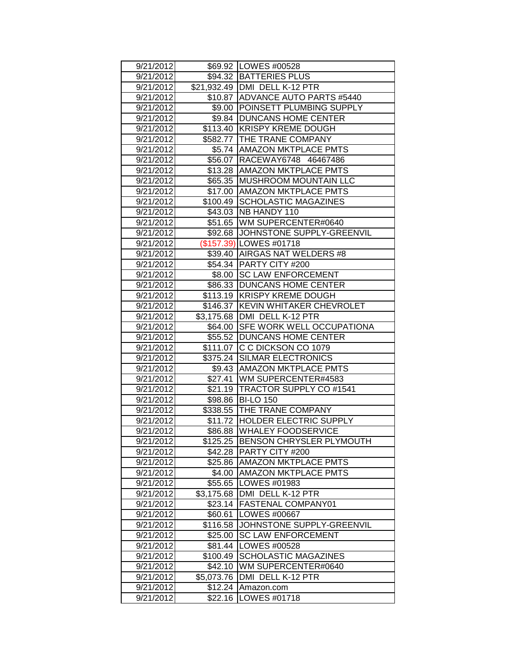| 9/21/2012              |                    | \$69.92   LOWES #00528             |
|------------------------|--------------------|------------------------------------|
| 9/21/2012              |                    | \$94.32 BATTERIES PLUS             |
| 9/21/2012              |                    | \$21,932.49   DMI DELL K-12 PTR    |
| 9/21/2012              |                    | \$10.87 ADVANCE AUTO PARTS #5440   |
| 9/21/2012              |                    | \$9.00 POINSETT PLUMBING SUPPLY    |
| 9/21/2012              |                    | \$9.84   DUNCANS HOME CENTER       |
| 9/21/2012              |                    | \$113.40 KRISPY KREME DOUGH        |
| 9/21/2012              |                    | \$582.77 THE TRANE COMPANY         |
| 9/21/2012              |                    | \$5.74 AMAZON MKTPLACE PMTS        |
| 9/21/2012              |                    | \$56.07 RACEWAY6748 46467486       |
| 9/21/2012              |                    | \$13.28   AMAZON MKTPLACE PMTS     |
| 9/21/2012              | \$65.35            | <b>IMUSHROOM MOUNTAIN LLC</b>      |
| 9/21/2012              |                    | \$17.00   AMAZON MKTPLACE PMTS     |
| 9/21/2012              | \$100.49           | <b>SCHOLASTIC MAGAZINES</b>        |
| 9/21/2012              | \$43.03            | <b>INB HANDY 110</b>               |
| 9/21/2012              |                    | \$51.65 WM SUPERCENTER#0640        |
| 9/21/2012              |                    | \$92.68 JJOHNSTONE SUPPLY-GREENVIL |
| 9/21/2012              |                    | (\$157.39) LOWES #01718            |
| 9/21/2012              |                    | \$39.40 AIRGAS NAT WELDERS #8      |
| 9/21/2012              |                    | \$54.34   PARTY CITY #200          |
| 9/21/2012              |                    | \$8.00 SC LAW ENFORCEMENT          |
| 9/21/2012              |                    | \$86.33 DUNCANS HOME CENTER        |
| 9/21/2012              |                    | \$113.19 KRISPY KREME DOUGH        |
| 9/21/2012              | \$146.37           | <b>KEVIN WHITAKER CHEVROLET</b>    |
| 9/21/2012              | \$3,175.68         | DMI DELL K-12 PTR                  |
| 9/21/2012              | \$64.00            | <b>SFE WORK WELL OCCUPATIONA</b>   |
| 9/21/2012              |                    | \$55.52 DUNCANS HOME CENTER        |
| 9/21/2012              |                    | \$111.07 C C DICKSON CO 1079       |
| 9/21/2012              |                    | \$375.24 SILMAR ELECTRONICS        |
| 9/21/2012              |                    | \$9.43 AMAZON MKTPLACE PMTS        |
| 9/21/2012              | \$27.41            | WM SUPERCENTER#4583                |
| 9/21/2012              |                    | \$21.19 TRACTOR SUPPLY CO #1541    |
| 9/21/2012              |                    | <b>BI-LO 150</b>                   |
|                        | \$98.86            |                                    |
| 9/21/2012              |                    | \$338.55 THE TRANE COMPANY         |
| 9/21/2012              |                    | \$11.72  HOLDER ELECTRIC SUPPLY    |
| 9/21/2012              |                    | \$86.88 WHALEY FOODSERVICE         |
| 9/21/2012              |                    | \$125.25 BENSON CHRYSLER PLYMOUTH  |
| 9/21/2012              |                    | \$42.28 PARTY CITY #200            |
| 9/21/2012              | \$25.86            | <b>AMAZON MKTPLACE PMTS</b>        |
| 9/21/2012              | \$4.00             | <b>AMAZON MKTPLACE PMTS</b>        |
| 9/21/2012              | \$55.65            | LOWES #01983                       |
| 9/21/2012              | \$3,175.68         | DMI DELL K-12 PTR                  |
| 9/21/2012              | \$23.14            | <b>FASTENAL COMPANY01</b>          |
| 9/21/2012              | \$60.61            | <b>LOWES #00667</b>                |
| 9/21/2012              | \$116.58           | JOHNSTONE SUPPLY-GREENVIL          |
| 9/21/2012              | \$25.00            | <b>SC LAW ENFORCEMENT</b>          |
| 9/21/2012              | \$81.44            | LOWES #00528                       |
| 9/21/2012              | \$100.49           | <b>SCHOLASTIC MAGAZINES</b>        |
| 9/21/2012              | \$42.10            | WM SUPERCENTER#0640                |
| 9/21/2012              | \$5,073.76         | DMI DELL K-12 PTR                  |
| 9/21/2012<br>9/21/2012 | \$12.24<br>\$22.16 | Amazon.com<br>LOWES #01718         |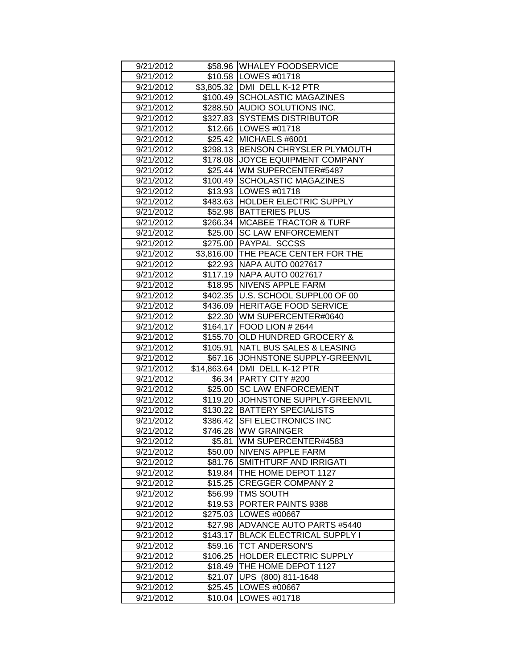| 9/21/2012<br>9/21/2012 |                    | \$58.96 WHALEY FOODSERVICE<br>\$10.58   LOWES #01718 |
|------------------------|--------------------|------------------------------------------------------|
|                        |                    | \$3,805.32   DMI DELL K-12 PTR                       |
| 9/21/2012<br>9/21/2012 |                    | \$100.49 SCHOLASTIC MAGAZINES                        |
|                        |                    |                                                      |
| 9/21/2012              |                    | \$288.50 AUDIO SOLUTIONS INC.                        |
| 9/21/2012              | \$327.83           | <b>SYSTEMS DISTRIBUTOR</b>                           |
| 9/21/2012              |                    | \$12.66   LOWES #01718                               |
| 9/21/2012              | \$25.42            | MICHAELS #6001                                       |
| 9/21/2012              | \$298.13           | <b>BENSON CHRYSLER PLYMOUTH</b>                      |
| 9/21/2012              | \$178.08           | JOYCE EQUIPMENT COMPANY                              |
| 9/21/2012              | \$25.44            | WM SUPERCENTER#5487                                  |
| 9/21/2012              | \$100.49           | <b>SCHOLASTIC MAGAZINES</b>                          |
| 9/21/2012              |                    | \$13.93   LOWES #01718                               |
| 9/21/2012              |                    | \$483.63 HOLDER ELECTRIC SUPPLY                      |
| 9/21/2012              | \$52.98            | <b>BATTERIES PLUS</b>                                |
| 9/21/2012              |                    | \$266.34 MCABEE TRACTOR & TURF                       |
| 9/21/2012              |                    | \$25.00 SC LAW ENFORCEMENT                           |
| 9/21/2012              |                    | \$275.00 PAYPAL SCCSS                                |
| 9/21/2012              |                    | \$3,816.00 THE PEACE CENTER FOR THE                  |
| 9/21/2012              |                    | \$22.93 NAPA AUTO 0027617                            |
| 9/21/2012              | \$117.19           | <b>NAPA AUTO 0027617</b>                             |
| 9/21/2012              |                    | \$18.95 NIVENS APPLE FARM                            |
| 9/21/2012              | \$402.35           | U.S. SCHOOL SUPPL00 OF 00                            |
| 9/21/2012              | \$436.09           | <b>HERITAGE FOOD SERVICE</b>                         |
| 9/21/2012              | \$22.30            | WM SUPERCENTER#0640                                  |
| 9/21/2012              | \$164.17           | FOOD LION # 2644                                     |
|                        |                    |                                                      |
| 9/21/2012              | \$155.70           | <b>OLD HUNDRED GROCERY &amp;</b>                     |
| 9/21/2012              | \$105.91           | <b>NATL BUS SALES &amp; LEASING</b>                  |
| 9/21/2012              | \$67.16            | JOHNSTONE SUPPLY-GREENVIL                            |
| 9/21/2012              | \$14,863.64        | DMI DELL K-12 PTR                                    |
| 9/21/2012              | \$6.34             | <b>PARTY CITY #200</b>                               |
| 9/21/2012              | \$25.00            | <b>SC LAW ENFORCEMENT</b>                            |
| 9/21/2012              | \$119.20           | JOHNSTONE SUPPLY-GREENVIL                            |
| 9/21/2012              |                    | \$130.22   BATTERY SPECIALISTS                       |
|                        |                    | <b>SFI ELECTRONICS INC</b>                           |
| 9/21/2012              | \$386.42           |                                                      |
| 9/21/2012              |                    | \$746.28 WW GRAINGER                                 |
| 9/21/2012              | \$5.81             | WM SUPERCENTER#4583                                  |
| 9/21/2012              | \$50.00            | <b>NIVENS APPLE FARM</b><br>SMITHTURF AND IRRIGATI   |
| 9/21/2012              | \$81.76            |                                                      |
| 9/21/2012              | \$19.84            | THE HOME DEPOT 1127                                  |
| 9/21/2012              | \$15.25            | <b>CREGGER COMPANY 2</b>                             |
| 9/21/2012              | \$56.99            | <b>TMS SOUTH</b>                                     |
| 9/21/2012              | \$19.53            | PORTER PAINTS 9388                                   |
| 9/21/2012              | \$275.03           | LOWES #00667                                         |
| 9/21/2012              | \$27.98            | <b>ADVANCE AUTO PARTS #5440</b>                      |
| 9/21/2012              | \$143.17           | <b>BLACK ELECTRICAL SUPPLY I</b>                     |
| 9/21/2012              | \$59.16            | <b>TCT ANDERSON'S</b>                                |
| 9/21/2012              | \$106.25           | HOLDER ELECTRIC SUPPLY                               |
| 9/21/2012              | \$18.49            | THE HOME DEPOT 1127                                  |
| 9/21/2012              | \$21.07            | <b>UPS</b><br>$(800)$ 811-1648                       |
| 9/21/2012<br>9/21/2012 | \$25.45<br>\$10.04 | LOWES #00667<br>LOWES #01718                         |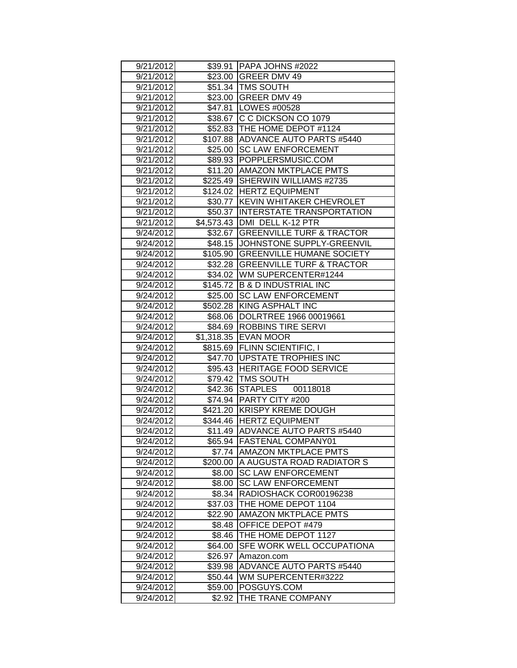| 9/21/2012              |                   | \$39.91   PAPA JOHNS #2022         |
|------------------------|-------------------|------------------------------------|
| 9/21/2012              |                   | \$23.00 GREER DMV 49               |
| 9/21/2012              |                   | \$51.34   TMS SOUTH                |
| 9/21/2012              |                   | \$23.00 GREER DMV 49               |
| 9/21/2012              |                   | \$47.81   LOWES #00528             |
| 9/21/2012              |                   | \$38.67 C C DICKSON CO 1079        |
| 9/21/2012              |                   | \$52.83   THE HOME DEPOT #1124     |
| 9/21/2012              |                   | \$107.88 ADVANCE AUTO PARTS #5440  |
| 9/21/2012              | \$25.00           | <b>SC LAW ENFORCEMENT</b>          |
| 9/21/2012              | \$89.93           | POPPLERSMUSIC.COM                  |
| 9/21/2012              | \$11.20           | <b>AMAZON MKTPLACE PMTS</b>        |
| 9/21/2012              |                   | \$225.49 SHERWIN WILLIAMS #2735    |
| 9/21/2012              |                   | \$124.02 HERTZ EQUIPMENT           |
| 9/21/2012              |                   | \$30.77 KEVIN WHITAKER CHEVROLET   |
| 9/21/2012              |                   | \$50.37 IINTERSTATE TRANSPORTATION |
| 9/21/2012              |                   | \$4,573.43 DMI DELL K-12 PTR       |
| 9/24/2012              |                   | \$32.67 GREENVILLE TURF & TRACTOR  |
| 9/24/2012              |                   | \$48.15 JJOHNSTONE SUPPLY-GREENVIL |
| 9/24/2012              |                   | \$105.90 GREENVILLE HUMANE SOCIETY |
| 9/24/2012              |                   | \$32.28 GREENVILLE TURF & TRACTOR  |
| 9/24/2012              |                   | \$34.02   WM SUPERCENTER#1244      |
| 9/24/2012              |                   | \$145.72 B & D INDUSTRIAL INC      |
| 9/24/2012              |                   | \$25.00 SC LAW ENFORCEMENT         |
| 9/24/2012              |                   | \$502.28 KING ASPHALT INC          |
| 9/24/2012              | \$68.06           | DOLRTREE 1966 00019661             |
| 9/24/2012              | \$84.69           | <b>ROBBINS TIRE SERVI</b>          |
|                        |                   |                                    |
| 9/24/2012              |                   | <b>EVAN MOOR</b>                   |
| 9/24/2012              | \$1,318.35        | \$815.69 FLINN SCIENTIFIC, I       |
| 9/24/2012              |                   | \$47.70   UPSTATE TROPHIES INC     |
| 9/24/2012              |                   | \$95.43 HERITAGE FOOD SERVICE      |
| 9/24/2012              |                   | \$79.42   TMS SOUTH                |
| 9/24/2012              |                   | \$42.36 STAPLES<br>00118018        |
| 9/24/2012              |                   | \$74.94 PARTY CITY #200            |
| 9/24/2012              | \$421.20          | <b>KRISPY KREME DOUGH</b>          |
| 9/24/2012              |                   | \$344.46 HERTZ EQUIPMENT           |
| 9/24/2012              |                   | \$11.49   ADVANCE AUTO PARTS #5440 |
| 9/24/2012              |                   | \$65.94  FASTENAL COMPANY01        |
| 9/24/2012              |                   | \$7.74 AMAZON MKTPLACE PMTS        |
| 9/24/2012              | \$200.00          | <b>A AUGUSTA ROAD RADIATOR S</b>   |
| 9/24/2012              | \$8.00            | <b>SC LAW ENFORCEMENT</b>          |
| 9/24/2012              | \$8.00            | <b>SC LAW ENFORCEMENT</b>          |
| 9/24/2012              | \$8.34            | RADIOSHACK COR00196238             |
| 9/24/2012              | \$37.03           | THE HOME DEPOT 1104                |
| 9/24/2012              | \$22.90           | <b>AMAZON MKTPLACE PMTS</b>        |
| 9/24/2012              | \$8.48            | OFFICE DEPOT #479                  |
| 9/24/2012              | \$8.46            | THE HOME DEPOT 1127                |
| 9/24/2012              | \$64.00           | SFE WORK WELL OCCUPATIONA          |
| 9/24/2012              | \$26.97           | Amazon.com                         |
| 9/24/2012              | \$39.98           | ADVANCE AUTO PARTS #5440           |
| 9/24/2012              | \$50.44           | WM SUPERCENTER#3222                |
| 9/24/2012<br>9/24/2012 | \$59.00<br>\$2.92 | POSGUYS.COM<br>THE TRANE COMPANY   |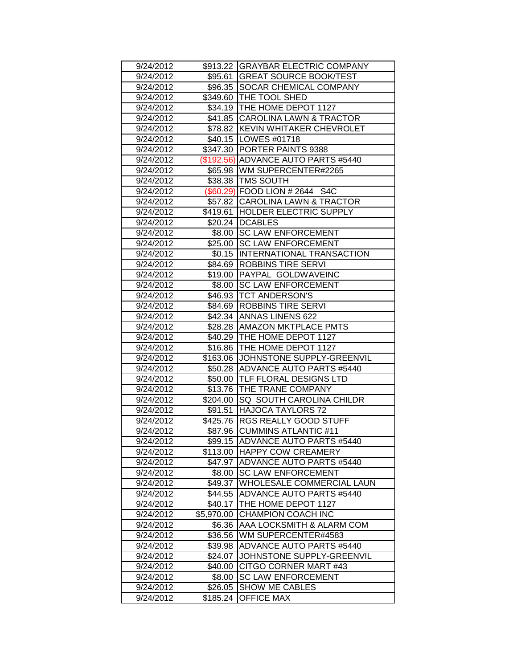| 9/24/2012 |            | \$913.22 GRAYBAR ELECTRIC COMPANY |
|-----------|------------|-----------------------------------|
| 9/24/2012 |            | \$95.61 GREAT SOURCE BOOK/TEST    |
| 9/24/2012 |            | \$96.35 SOCAR CHEMICAL COMPANY    |
| 9/24/2012 |            | \$349.60 THE TOOL SHED            |
| 9/24/2012 |            | \$34.19   THE HOME DEPOT 1127     |
| 9/24/2012 |            | \$41.85 CAROLINA LAWN & TRACTOR   |
| 9/24/2012 | \$78.82    | <b>KEVIN WHITAKER CHEVROLET</b>   |
| 9/24/2012 |            | \$40.15   LOWES #01718            |
| 9/24/2012 | \$347.30   | <b>PORTER PAINTS 9388</b>         |
| 9/24/2012 | (\$192.56) | <b>ADVANCE AUTO PARTS #5440</b>   |
| 9/24/2012 | \$65.98    | <b>WM SUPERCENTER#2265</b>        |
| 9/24/2012 |            | \$38.38   TMS SOUTH               |
| 9/24/2012 |            | (\$60.29) FOOD LION # 2644 S4C    |
| 9/24/2012 |            | \$57.82 CAROLINA LAWN & TRACTOR   |
| 9/24/2012 | \$419.61   | HOLDER ELECTRIC SUPPLY            |
| 9/24/2012 |            | \$20.24   DCABLES                 |
| 9/24/2012 | \$8.00     | <b>SC LAW ENFORCEMENT</b>         |
| 9/24/2012 | \$25.00    | <b>SC LAW ENFORCEMENT</b>         |
| 9/24/2012 | \$0.15     | INTERNATIONAL TRANSACTION         |
| 9/24/2012 | \$84.69    | <b>ROBBINS TIRE SERVI</b>         |
| 9/24/2012 | \$19.00    | <b>PAYPAL GOLDWAVEINC</b>         |
| 9/24/2012 | \$8.00     | <b>SC LAW ENFORCEMENT</b>         |
| 9/24/2012 | \$46.93    | <b>TCT ANDERSON'S</b>             |
| 9/24/2012 | \$84.69    | <b>ROBBINS TIRE SERVI</b>         |
| 9/24/2012 | \$42.34    | <b>ANNAS LINENS 622</b>           |
| 9/24/2012 | \$28.28    | <b>AMAZON MKTPLACE PMTS</b>       |
| 9/24/2012 | \$40.29    | THE HOME DEPOT 1127               |
| 9/24/2012 | \$16.86    | THE HOME DEPOT 1127               |
| 9/24/2012 | \$163.06   | JOHNSTONE SUPPLY-GREENVIL         |
| 9/24/2012 | \$50.28    | ADVANCE AUTO PARTS #5440          |
| 9/24/2012 | \$50.00    | TLF FLORAL DESIGNS LTD            |
| 9/24/2012 | \$13.76    | THE TRANE COMPANY                 |
| 9/24/2012 | \$204.00   | SQ SOUTH CAROLINA CHILDR          |
| 9/24/2012 | \$91.51    | <b>HAJOCA TAYLORS 72</b>          |
| 9/24/2012 | \$425.76   | <b>RGS REALLY GOOD STUFF</b>      |
| 9/24/2012 | \$87.96    | <b>CUMMINS ATLANTIC #11</b>       |
| 9/24/2012 |            | \$99.15 ADVANCE AUTO PARTS #5440  |
| 9/24/2012 | \$113.00   | <b>HAPPY COW CREAMERY</b>         |
| 9/24/2012 | \$47.97    | <b>ADVANCE AUTO PARTS #5440</b>   |
| 9/24/2012 | \$8.00     | <b>SC LAW ENFORCEMENT</b>         |
| 9/24/2012 | \$49.37    | WHOLESALE COMMERCIAL LAUN         |
| 9/24/2012 | \$44.55    | <b>ADVANCE AUTO PARTS #5440</b>   |
| 9/24/2012 | \$40.17    | THE HOME DEPOT 1127               |
| 9/24/2012 | \$5,970.00 | <b>CHAMPION COACH INC</b>         |
| 9/24/2012 | \$6.36     | AAA LOCKSMITH & ALARM COM         |
| 9/24/2012 | \$36.56    | WM SUPERCENTER#4583               |
| 9/24/2012 | \$39.98    | <b>ADVANCE AUTO PARTS #5440</b>   |
| 9/24/2012 | \$24.07    | JOHNSTONE SUPPLY-GREENVIL         |
| 9/24/2012 | \$40.00    | CITGO CORNER MART #43             |
| 9/24/2012 | \$8.00     | <b>SC LAW ENFORCEMENT</b>         |
| 9/24/2012 | \$26.05    | <b>SHOW ME CABLES</b>             |
| 9/24/2012 | \$185.24   | <b>OFFICE MAX</b>                 |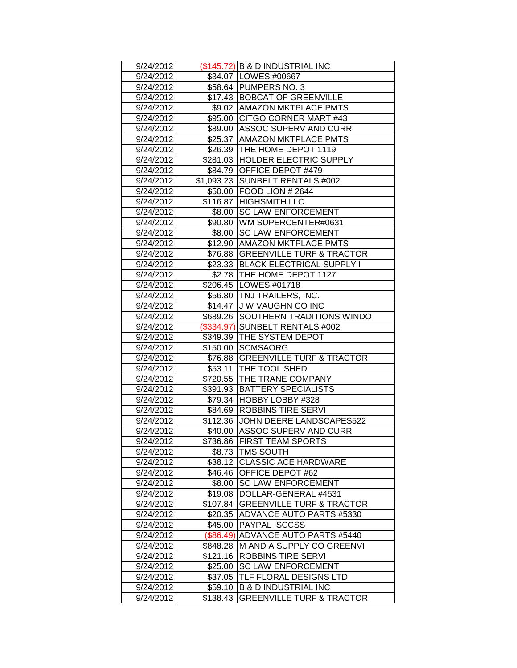| 9/24/2012 |            | (\$145.72) B & D INDUSTRIAL INC<br>\$34.07   LOWES #00667   |  |  |
|-----------|------------|-------------------------------------------------------------|--|--|
| 9/24/2012 |            |                                                             |  |  |
| 9/24/2012 |            | \$58.64 PUMPERS NO. 3                                       |  |  |
| 9/24/2012 |            | \$17.43 BOBCAT OF GREENVILLE<br>\$9.02 AMAZON MKTPLACE PMTS |  |  |
| 9/24/2012 |            |                                                             |  |  |
| 9/24/2012 |            | \$95.00 CITGO CORNER MART #43                               |  |  |
| 9/24/2012 |            | \$89.00 ASSOC SUPERV AND CURR                               |  |  |
| 9/24/2012 |            | \$25.37 AMAZON MKTPLACE PMTS                                |  |  |
| 9/24/2012 | \$26.39    | THE HOME DEPOT 1119                                         |  |  |
| 9/24/2012 |            | \$281.03  HOLDER ELECTRIC SUPPLY                            |  |  |
| 9/24/2012 |            | \$84.79 OFFICE DEPOT #479                                   |  |  |
| 9/24/2012 |            | \$1,093.23 SUNBELT RENTALS #002                             |  |  |
| 9/24/2012 |            | \$50.00 FOOD LION # 2644                                    |  |  |
| 9/24/2012 |            | \$116.87 HIGHSMITH LLC                                      |  |  |
| 9/24/2012 | \$8.00     | <b>SC LAW ENFORCEMENT</b>                                   |  |  |
| 9/24/2012 |            | \$90.80 WM SUPERCENTER#0631                                 |  |  |
| 9/24/2012 |            | \$8.00   SC LAW ENFORCEMENT                                 |  |  |
| 9/24/2012 |            | \$12.90 AMAZON MKTPLACE PMTS                                |  |  |
| 9/24/2012 |            | \$76.88 GREENVILLE TURF & TRACTOR                           |  |  |
| 9/24/2012 |            | \$23.33 BLACK ELECTRICAL SUPPLY I                           |  |  |
| 9/24/2012 |            | \$2.78 THE HOME DEPOT 1127                                  |  |  |
| 9/24/2012 |            | \$206.45   LOWES #01718                                     |  |  |
| 9/24/2012 | \$56.80    | <b>TNJ TRAILERS, INC.</b>                                   |  |  |
| 9/24/2012 |            | \$14.47 J W VAUGHN CO INC                                   |  |  |
| 9/24/2012 | \$689.26   | <b>SOUTHERN TRADITIONS WINDO</b>                            |  |  |
| 9/24/2012 | (\$334.97) | SUNBELT RENTALS #002                                        |  |  |
|           |            |                                                             |  |  |
| 9/24/2012 | \$349.39   | <b>THE SYSTEM DEPOT</b>                                     |  |  |
| 9/24/2012 |            | \$150.00 SCMSAORG                                           |  |  |
| 9/24/2012 |            | \$76.88 GREENVILLE TURF & TRACTOR                           |  |  |
| 9/24/2012 | \$53.11    | <b>THE TOOL SHED</b>                                        |  |  |
| 9/24/2012 | \$720.55   | <b>THE TRANE COMPANY</b>                                    |  |  |
| 9/24/2012 | \$391.93   | <b>BATTERY SPECIALISTS</b>                                  |  |  |
| 9/24/2012 |            | \$79.34 HOBBY LOBBY #328                                    |  |  |
| 9/24/2012 |            | \$84.69   ROBBINS TIRE SERVI                                |  |  |
| 9/24/2012 |            | \$112.36 JJOHN DEERE LANDSCAPES522                          |  |  |
| 9/24/2012 |            | \$40.00 ASSOC SUPERV AND CURR                               |  |  |
| 9/24/2012 |            | \$736.86 FIRST TEAM SPORTS                                  |  |  |
| 9/24/2012 |            | \$8.73   TMS SOUTH                                          |  |  |
| 9/24/2012 | \$38.12    | <b>CLASSIC ACE HARDWARE</b>                                 |  |  |
| 9/24/2012 | \$46.46    | <b>OFFICE DEPOT #62</b>                                     |  |  |
| 9/24/2012 | \$8.00     | <b>SC LAW ENFORCEMENT</b>                                   |  |  |
| 9/24/2012 | \$19.08    | DOLLAR-GENERAL #4531                                        |  |  |
| 9/24/2012 | \$107.84   | <b>GREENVILLE TURF &amp; TRACTOR</b>                        |  |  |
| 9/24/2012 | \$20.35    | ADVANCE AUTO PARTS #5330                                    |  |  |
| 9/24/2012 | \$45.00    | <b>PAYPAL SCCSS</b>                                         |  |  |
| 9/24/2012 | (\$86.49)  | <b>ADVANCE AUTO PARTS #5440</b>                             |  |  |
| 9/24/2012 | \$848.28   | IM AND A SUPPLY CO GREENVI                                  |  |  |
| 9/24/2012 | \$121.16   | ROBBINS TIRE SERVI                                          |  |  |
| 9/24/2012 | \$25.00    | <b>SC LAW ENFORCEMENT</b>                                   |  |  |
| 9/24/2012 | \$37.05    | TLF FLORAL DESIGNS LTD                                      |  |  |
| 9/24/2012 | \$59.10    | <b>B &amp; D INDUSTRIAL INC</b>                             |  |  |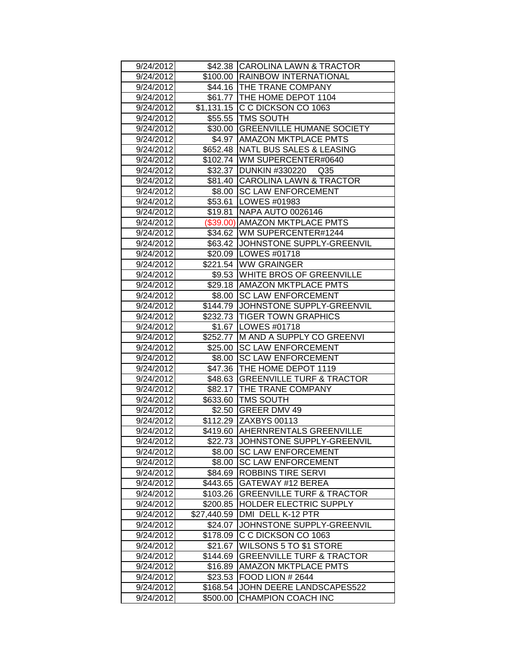| 9/24/2012 |             | \$42.38 CAROLINA LAWN & TRACTOR      |  |  |
|-----------|-------------|--------------------------------------|--|--|
| 9/24/2012 |             | \$100.00 RAINBOW INTERNATIONAL       |  |  |
| 9/24/2012 |             | \$44.16 THE TRANE COMPANY            |  |  |
| 9/24/2012 |             | \$61.77   THE HOME DEPOT 1104        |  |  |
| 9/24/2012 |             | \$1,131.15 C C DICKSON CO 1063       |  |  |
| 9/24/2012 |             | \$55.55 TMS SOUTH                    |  |  |
| 9/24/2012 |             | \$30.00 GREENVILLE HUMANE SOCIETY    |  |  |
| 9/24/2012 |             | \$4.97 AMAZON MKTPLACE PMTS          |  |  |
| 9/24/2012 | \$652.48    | NATL BUS SALES & LEASING             |  |  |
| 9/24/2012 |             | \$102.74 WM SUPERCENTER#0640         |  |  |
| 9/24/2012 |             | \$32.37 DUNKIN #330220 Q35           |  |  |
| 9/24/2012 |             | \$81.40 CAROLINA LAWN & TRACTOR      |  |  |
| 9/24/2012 |             | \$8.00 SC LAW ENFORCEMENT            |  |  |
| 9/24/2012 |             | \$53.61   LOWES #01983               |  |  |
| 9/24/2012 | \$19.81     | NAPA AUTO 0026146                    |  |  |
| 9/24/2012 |             | (\$39.00) AMAZON MKTPLACE PMTS       |  |  |
| 9/24/2012 |             | \$34.62   WM SUPERCENTER#1244        |  |  |
| 9/24/2012 |             | \$63.42 JJOHNSTONE SUPPLY-GREENVIL   |  |  |
| 9/24/2012 |             | \$20.09   LOWES #01718               |  |  |
| 9/24/2012 |             | \$221.54 WW GRAINGER                 |  |  |
| 9/24/2012 |             | \$9.53 WHITE BROS OF GREENVILLE      |  |  |
| 9/24/2012 |             | \$29.18 AMAZON MKTPLACE PMTS         |  |  |
| 9/24/2012 | \$8.00      | <b>SC LAW ENFORCEMENT</b>            |  |  |
| 9/24/2012 | \$144.79    | JOHNSTONE SUPPLY-GREENVIL            |  |  |
| 9/24/2012 |             | \$232.73 TIGER TOWN GRAPHICS         |  |  |
| 9/24/2012 |             | \$1.67   LOWES #01718                |  |  |
| 9/24/2012 | \$252.77    | M AND A SUPPLY CO GREENVI            |  |  |
| 9/24/2012 | \$25.00     | <b>SC LAW ENFORCEMENT</b>            |  |  |
| 9/24/2012 | \$8.00      | <b>SC LAW ENFORCEMENT</b>            |  |  |
| 9/24/2012 |             | \$47.36   THE HOME DEPOT 1119        |  |  |
| 9/24/2012 | \$48.63     | <b>GREENVILLE TURF &amp; TRACTOR</b> |  |  |
| 9/24/2012 |             | \$82.17   THE TRANE COMPANY          |  |  |
| 9/24/2012 |             | \$633.60 TMS SOUTH                   |  |  |
| 9/24/2012 |             | \$2.50 GREER DMV 49                  |  |  |
| 9/24/2012 |             | \$112.29 ZAXBYS 00113                |  |  |
| 9/24/2012 |             | \$419.60 AHERNRENTALS GREENVILLE     |  |  |
| 9/24/2012 |             | \$22.73 JJOHNSTONE SUPPLY-GREENVIL   |  |  |
| 9/24/2012 | \$8.00      | <b>SC LAW ENFORCEMENT</b>            |  |  |
| 9/24/2012 | \$8.00      | <b>SC LAW ENFORCEMENT</b>            |  |  |
| 9/24/2012 | \$84.69     | <b>ROBBINS TIRE SERVI</b>            |  |  |
| 9/24/2012 | \$443.65    | GATEWAY #12 BEREA                    |  |  |
| 9/24/2012 | \$103.26    | <b>GREENVILLE TURF &amp; TRACTOR</b> |  |  |
| 9/24/2012 | \$200.85    | HOLDER ELECTRIC SUPPLY               |  |  |
| 9/24/2012 | \$27,440.59 | DMI DELL K-12 PTR                    |  |  |
| 9/24/2012 | \$24.07     | JOHNSTONE SUPPLY-GREENVIL            |  |  |
| 9/24/2012 | \$178.09    | C C DICKSON CO 1063                  |  |  |
| 9/24/2012 | \$21.67     | WILSONS 5 TO \$1 STORE               |  |  |
| 9/24/2012 | \$144.69    | <b>GREENVILLE TURF &amp; TRACTOR</b> |  |  |
| 9/24/2012 | \$16.89     | AMAZON MKTPLACE PMTS                 |  |  |
| 9/24/2012 | \$23.53     | FOOD LION # 2644                     |  |  |
| 9/24/2012 | \$168.54    | JOHN DEERE LANDSCAPES522             |  |  |
| 9/24/2012 | \$500.00    | <b>CHAMPION COACH INC</b>            |  |  |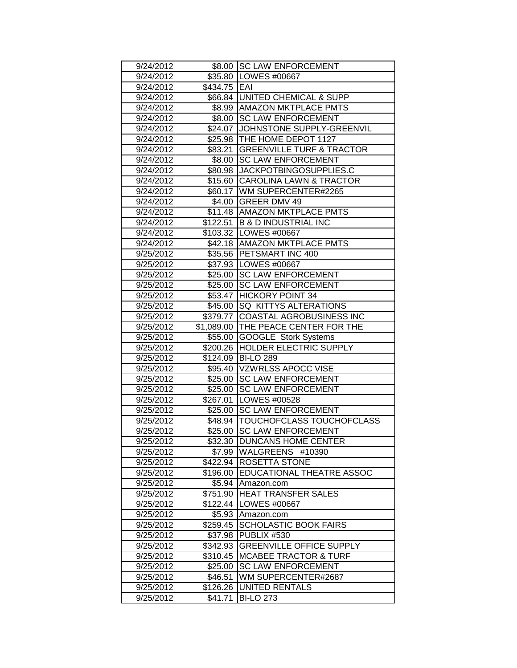| 9/24/2012              |                     | \$8.00 SC LAW ENFORCEMENT                  |  |  |  |
|------------------------|---------------------|--------------------------------------------|--|--|--|
| 9/24/2012              |                     | \$35.80   LOWES #00667                     |  |  |  |
| 9/24/2012              | \$434.75 EAI        |                                            |  |  |  |
| 9/24/2012              |                     | \$66.84 UNITED CHEMICAL & SUPP             |  |  |  |
| 9/24/2012              |                     | \$8.99 AMAZON MKTPLACE PMTS                |  |  |  |
| 9/24/2012              |                     | \$8.00 SC LAW ENFORCEMENT                  |  |  |  |
| 9/24/2012              |                     | \$24.07 JOHNSTONE SUPPLY-GREENVIL          |  |  |  |
| 9/24/2012              |                     | \$25.98 THE HOME DEPOT 1127                |  |  |  |
| 9/24/2012              | \$83.21             | <b>GREENVILLE TURF &amp; TRACTOR</b>       |  |  |  |
| 9/24/2012              | \$8.00              | <b>SC LAW ENFORCEMENT</b>                  |  |  |  |
| 9/24/2012              | \$80.98             | JACKPOTBINGOSUPPLIES.C                     |  |  |  |
| 9/24/2012              |                     | \$15.60 CAROLINA LAWN & TRACTOR            |  |  |  |
| 9/24/2012              |                     | \$60.17   WM SUPERCENTER#2265              |  |  |  |
| 9/24/2012              |                     | \$4.00 GREER DMV 49                        |  |  |  |
| 9/24/2012              |                     | \$11.48   AMAZON MKTPLACE PMTS             |  |  |  |
| 9/24/2012              | \$122.51            | <b>B &amp; D INDUSTRIAL INC</b>            |  |  |  |
| 9/24/2012              |                     | \$103.32   LOWES #00667                    |  |  |  |
| 9/24/2012              |                     | \$42.18   AMAZON MKTPLACE PMTS             |  |  |  |
| 9/25/2012              |                     | \$35.56 PETSMART INC 400                   |  |  |  |
| 9/25/2012              |                     | \$37.93   LOWES #00667                     |  |  |  |
| 9/25/2012              |                     | \$25.00 SC LAW ENFORCEMENT                 |  |  |  |
| 9/25/2012              | \$25.00             | <b>SC LAW ENFORCEMENT</b>                  |  |  |  |
| 9/25/2012              | \$53.47             | <b>HICKORY POINT 34</b>                    |  |  |  |
| 9/25/2012              | \$45.00             | <b>ISQ KITTYS ALTERATIONS</b>              |  |  |  |
| 9/25/2012              | \$379.77            | COASTAL AGROBUSINESS INC                   |  |  |  |
| 9/25/2012              | \$1,089.00          | <b>THE PEACE CENTER FOR THE</b>            |  |  |  |
| 9/25/2012              | \$55.00             | <b>GOOGLE Stork Systems</b>                |  |  |  |
| 9/25/2012              | \$200.26            | <b>HOLDER ELECTRIC SUPPLY</b>              |  |  |  |
| 9/25/2012              | \$124.09            | <b>BI-LO 289</b>                           |  |  |  |
| 9/25/2012              |                     | \$95.40 VZWRLSS APOCC VISE                 |  |  |  |
| 9/25/2012              |                     | \$25.00 SC LAW ENFORCEMENT                 |  |  |  |
| 9/25/2012              | \$25.00             | <b>SC LAW ENFORCEMENT</b>                  |  |  |  |
| 9/25/2012              | \$267.01            | LOWES #00528                               |  |  |  |
| 9/25/2012              |                     | \$25.00 SC LAW ENFORCEMENT                 |  |  |  |
| 9/25/2012              |                     | \$48.94   TOUCHOFCLASS TOUCHOFCLASS        |  |  |  |
|                        |                     |                                            |  |  |  |
| 9/25/2012              | \$25.00             | <b>SC LAW ENFORCEMENT</b>                  |  |  |  |
| 9/25/2012              |                     | \$32.30 DUNCANS HOME CENTER                |  |  |  |
| 9/25/2012              |                     | \$7.99   WALGREENS #10390                  |  |  |  |
| 9/25/2012              | \$422.94            | <b>ROSETTA STONE</b>                       |  |  |  |
| 9/25/2012              | \$196.00            | <b>EDUCATIONAL THEATRE ASSOC</b>           |  |  |  |
| 9/25/2012              | \$5.94              | Amazon.com                                 |  |  |  |
| 9/25/2012              | \$751.90            | <b>HEAT TRANSFER SALES</b>                 |  |  |  |
| 9/25/2012              | \$122.44            | <b>LOWES #00667</b>                        |  |  |  |
| 9/25/2012              | \$5.93              | Amazon.com                                 |  |  |  |
| 9/25/2012              | \$259.45            | <b>SCHOLASTIC BOOK FAIRS</b>               |  |  |  |
| 9/25/2012              | \$37.98             | <b>PUBLIX #530</b>                         |  |  |  |
| 9/25/2012              | \$342.93            | <b>GREENVILLE OFFICE SUPPLY</b>            |  |  |  |
| 9/25/2012              | \$310.45            | <b>MCABEE TRACTOR &amp; TURF</b>           |  |  |  |
| 9/25/2012              | \$25.00             | <b>SC LAW ENFORCEMENT</b>                  |  |  |  |
| 9/25/2012              | \$46.51             | WM SUPERCENTER#2687                        |  |  |  |
| 9/25/2012<br>9/25/2012 | \$126.26<br>\$41.71 | <b>JUNITED RENTALS</b><br><b>BI-LO 273</b> |  |  |  |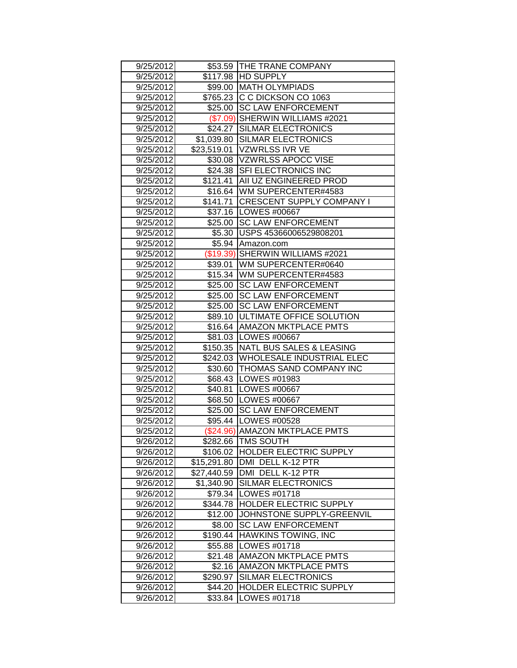| 9/25/2012              |                    | \$53.59 THE TRANE COMPANY                     |  |  |
|------------------------|--------------------|-----------------------------------------------|--|--|
| 9/25/2012              |                    | \$117.98 HD SUPPLY                            |  |  |
| 9/25/2012              |                    | \$99.00 MATH OLYMPIADS                        |  |  |
| 9/25/2012              |                    | \$765.23 C C DICKSON CO 1063                  |  |  |
| 9/25/2012              |                    | \$25.00 SC LAW ENFORCEMENT                    |  |  |
| 9/25/2012              |                    | (\$7.09) SHERWIN WILLIAMS #2021               |  |  |
| 9/25/2012              |                    | \$24.27 SILMAR ELECTRONICS                    |  |  |
| 9/25/2012              | \$1,039.80         | <b>SILMAR ELECTRONICS</b>                     |  |  |
| 9/25/2012              | \$23,519.01        | VZWRLSS IVR VE                                |  |  |
| 9/25/2012              |                    | \$30.08 VZWRLSS APOCC VISE                    |  |  |
| 9/25/2012              |                    | \$24.38 SFI ELECTRONICS INC                   |  |  |
| 9/25/2012              |                    | \$121.41 AII UZ ENGINEERED PROD               |  |  |
| 9/25/2012              |                    | \$16.64   WM SUPERCENTER#4583                 |  |  |
| 9/25/2012              | \$141.71           | <b>CRESCENT SUPPLY COMPANY I</b>              |  |  |
| 9/25/2012              |                    | \$37.16   LOWES #00667                        |  |  |
| 9/25/2012              |                    | \$25.00 SC LAW ENFORCEMENT                    |  |  |
| 9/25/2012              |                    | \$5.30 USPS 45366006529808201                 |  |  |
| 9/25/2012              |                    | \$5.94 Amazon.com                             |  |  |
| 9/25/2012              |                    | (\$19.39) SHERWIN WILLIAMS #2021              |  |  |
| 9/25/2012              |                    | \$39.01   WM SUPERCENTER#0640                 |  |  |
| 9/25/2012              |                    | \$15.34 WM SUPERCENTER#4583                   |  |  |
| 9/25/2012              | \$25.00            | <b>ISC LAW ENFORCEMENT</b>                    |  |  |
| 9/25/2012              | \$25.00            | <b>SC LAW ENFORCEMENT</b>                     |  |  |
| 9/25/2012              | \$25.00            | <b>SC LAW ENFORCEMENT</b>                     |  |  |
| 9/25/2012              | \$89.10            | <b>JULTIMATE OFFICE SOLUTION</b>              |  |  |
| 9/25/2012              | \$16.64            | <b>AMAZON MKTPLACE PMTS</b>                   |  |  |
|                        |                    | \$81.03   LOWES #00667                        |  |  |
| 9/25/2012              |                    |                                               |  |  |
| 9/25/2012              | \$150.35           | NATL BUS SALES & LEASING                      |  |  |
| 9/25/2012              |                    | \$242.03 WHOLESALE INDUSTRIAL ELEC            |  |  |
| 9/25/2012              |                    | \$30.60 THOMAS SAND COMPANY INC               |  |  |
| 9/25/2012              |                    | \$68.43   LOWES #01983                        |  |  |
| 9/25/2012              |                    | \$40.81   LOWES #00667                        |  |  |
| 9/25/2012              |                    | \$68.50  LOWES #00667                         |  |  |
| 9/25/2012              |                    | \$25.00 SC LAW ENFORCEMENT                    |  |  |
| 9/25/2012              |                    | \$95.44   LOWES #00528                        |  |  |
| 9/25/2012              |                    | (\$24.96) AMAZON MKTPLACE PMTS                |  |  |
| 9/26/2012              |                    | \$282.66 TMS SOUTH                            |  |  |
| 9/26/2012              |                    | \$106.02 HOLDER ELECTRIC SUPPLY               |  |  |
| 9/26/2012              | \$15,291.80        | DMI DELL K-12 PTR                             |  |  |
| 9/26/2012              | \$27,440.59        | DMI DELL K-12 PTR                             |  |  |
| 9/26/2012              | \$1,340.90         | <b>SILMAR ELECTRONICS</b>                     |  |  |
| 9/26/2012              | \$79.34            | LOWES #01718                                  |  |  |
| 9/26/2012              | \$344.78           | <b>HOLDER ELECTRIC SUPPLY</b>                 |  |  |
| 9/26/2012              | \$12.00            | JOHNSTONE SUPPLY-GREENVIL                     |  |  |
| 9/26/2012              | \$8.00             | <b>SC LAW ENFORCEMENT</b>                     |  |  |
| 9/26/2012              | \$190.44           | <b>HAWKINS TOWING, INC</b>                    |  |  |
| 9/26/2012              | \$55.88            | LOWES #01718                                  |  |  |
| 9/26/2012              | \$21.48            | <b>AMAZON MKTPLACE PMTS</b>                   |  |  |
| 9/26/2012              | \$2.16             | <b>AMAZON MKTPLACE PMTS</b>                   |  |  |
| 9/26/2012              | \$290.97           | SILMAR ELECTRONICS                            |  |  |
| 9/26/2012<br>9/26/2012 | \$44.20<br>\$33.84 | <b>HOLDER ELECTRIC SUPPLY</b><br>LOWES #01718 |  |  |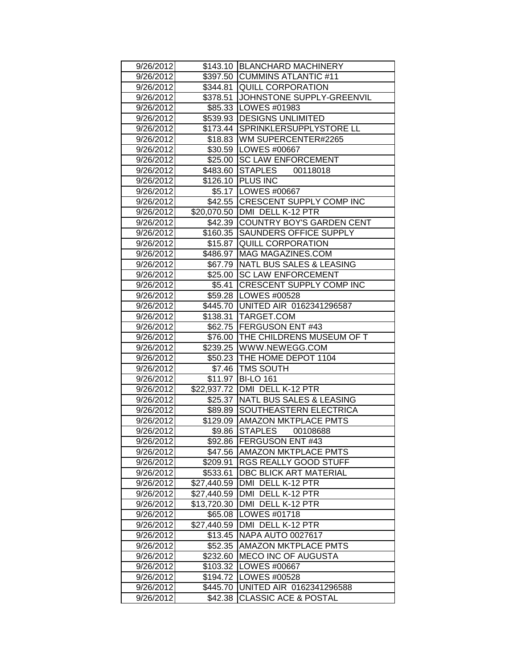| 9/26/2012 |             | \$143.10 BLANCHARD MACHINERY        |  |  |
|-----------|-------------|-------------------------------------|--|--|
| 9/26/2012 |             | \$397.50 CUMMINS ATLANTIC #11       |  |  |
| 9/26/2012 |             | \$344.81 QUILL CORPORATION          |  |  |
| 9/26/2012 |             | \$378.51 JJOHNSTONE SUPPLY-GREENVIL |  |  |
| 9/26/2012 |             | \$85.33   LOWES #01983              |  |  |
| 9/26/2012 |             | \$539.93 DESIGNS UNLIMITED          |  |  |
| 9/26/2012 | \$173.44    | <b>SPRINKLERSUPPLYSTORE LL</b>      |  |  |
| 9/26/2012 | \$18.83     | WM SUPERCENTER#2265                 |  |  |
| 9/26/2012 |             | \$30.59   LOWES #00667              |  |  |
| 9/26/2012 | \$25.00     | <b>SC LAW ENFORCEMENT</b>           |  |  |
| 9/26/2012 | \$483.60    | <b>STAPLES</b><br>00118018          |  |  |
| 9/26/2012 |             | \$126.10 PLUS INC                   |  |  |
| 9/26/2012 |             | \$5.17 LOWES #00667                 |  |  |
| 9/26/2012 |             | \$42.55 CRESCENT SUPPLY COMP INC    |  |  |
| 9/26/2012 |             | \$20,070.50 DMI DELL K-12 PTR       |  |  |
| 9/26/2012 |             | \$42.39 COUNTRY BOY'S GARDEN CENT   |  |  |
| 9/26/2012 | \$160.35    | <b>SAUNDERS OFFICE SUPPLY</b>       |  |  |
| 9/26/2012 |             | \$15.87 QUILL CORPORATION           |  |  |
| 9/26/2012 |             | \$486.97   MAG MAGAZINES.COM        |  |  |
| 9/26/2012 |             | \$67.79 NATL BUS SALES & LEASING    |  |  |
| 9/26/2012 |             | \$25.00 SC LAW ENFORCEMENT          |  |  |
| 9/26/2012 | \$5.41      | <b>CRESCENT SUPPLY COMP INC</b>     |  |  |
| 9/26/2012 |             | \$59.28   LOWES #00528              |  |  |
| 9/26/2012 | \$445.70    | UNITED AIR 0162341296587            |  |  |
| 9/26/2012 |             | \$138.31 TARGET.COM                 |  |  |
| 9/26/2012 |             | \$62.75 FERGUSON ENT #43            |  |  |
| 9/26/2012 | \$76.00     | <b>THE CHILDRENS MUSEUM OF T</b>    |  |  |
| 9/26/2012 | \$239.25    | WWW.NEWEGG.COM                      |  |  |
| 9/26/2012 |             | \$50.23 THE HOME DEPOT 1104         |  |  |
| 9/26/2012 | \$7.46      | <b>TMS SOUTH</b>                    |  |  |
| 9/26/2012 | \$11.97     | <b>BI-LO 161</b>                    |  |  |
| 9/26/2012 | \$22,937.72 | DMI DELL K-12 PTR                   |  |  |
| 9/26/2012 | \$25.37     | NATL BUS SALES & LEASING            |  |  |
| 9/26/2012 | \$89.89     | SOUTHEASTERN ELECTRICA              |  |  |
| 9/26/2012 | \$129.09    | <b>AMAZON MKTPLACE PMTS</b>         |  |  |
| 9/26/2012 | \$9.86      | STAPLES<br>00108688                 |  |  |
| 9/26/2012 |             | \$92.86 FERGUSON ENT #43            |  |  |
| 9/26/2012 | \$47.56     | <b>JAMAZON MKTPLACE PMTS</b>        |  |  |
| 9/26/2012 | \$209.91    | RGS REALLY GOOD STUFF               |  |  |
| 9/26/2012 | \$533.61    | DBC BLICK ART MATERIAL              |  |  |
| 9/26/2012 | \$27,440.59 | DMI DELL K-12 PTR                   |  |  |
| 9/26/2012 | \$27,440.59 | DMI DELL K-12 PTR                   |  |  |
| 9/26/2012 | \$13,720.30 | DMI DELL K-12 PTR                   |  |  |
| 9/26/2012 | \$65.08     | LOWES #01718                        |  |  |
| 9/26/2012 | \$27,440.59 | DMI DELL K-12 PTR                   |  |  |
| 9/26/2012 | \$13.45     | NAPA AUTO 0027617                   |  |  |
| 9/26/2012 | \$52.35     | <b>AMAZON MKTPLACE PMTS</b>         |  |  |
| 9/26/2012 | \$232.60    | <b>MECO INC OF AUGUSTA</b>          |  |  |
| 9/26/2012 | \$103.32    | LOWES #00667                        |  |  |
| 9/26/2012 | \$194.72    | LOWES #00528                        |  |  |
| 9/26/2012 | \$445.70    | UNITED AIR 0162341296588            |  |  |
| 9/26/2012 | \$42.38     | <b>CLASSIC ACE &amp; POSTAL</b>     |  |  |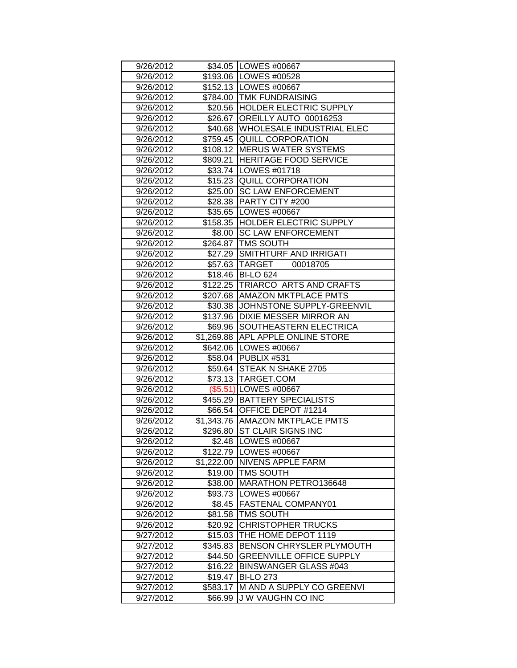| 9/26/2012 |                     | \$34.05   LOWES #00667                                          |  |
|-----------|---------------------|-----------------------------------------------------------------|--|
| 9/26/2012 |                     | \$193.06   LOWES #00528                                         |  |
| 9/26/2012 |                     | \$152.13 LOWES #00667                                           |  |
| 9/26/2012 |                     | \$784.00 TMK FUNDRAISING                                        |  |
| 9/26/2012 |                     | \$20.56 HOLDER ELECTRIC SUPPLY                                  |  |
| 9/26/2012 |                     | \$26.67 OREILLY AUTO 00016253                                   |  |
| 9/26/2012 |                     | \$40.68 WHOLESALE INDUSTRIAL ELEC                               |  |
| 9/26/2012 |                     | \$759.45 QUILL CORPORATION                                      |  |
| 9/26/2012 |                     | \$108.12 MERUS WATER SYSTEMS                                    |  |
| 9/26/2012 | \$809.21            | <b>HERITAGE FOOD SERVICE</b>                                    |  |
| 9/26/2012 |                     | \$33.74   LOWES #01718                                          |  |
| 9/26/2012 |                     | \$15.23 QUILL CORPORATION                                       |  |
| 9/26/2012 |                     | \$25.00 SC LAW ENFORCEMENT                                      |  |
| 9/26/2012 |                     | \$28.38 PARTY CITY #200                                         |  |
| 9/26/2012 |                     | \$35.65   LOWES #00667                                          |  |
| 9/26/2012 |                     | \$158.35 HOLDER ELECTRIC SUPPLY                                 |  |
| 9/26/2012 | \$8.00              | <b>SC LAW ENFORCEMENT</b>                                       |  |
| 9/26/2012 |                     | \$264.87   TMS SOUTH                                            |  |
| 9/26/2012 |                     | \$27.29 SMITHTURF AND IRRIGATI                                  |  |
| 9/26/2012 |                     | \$57.63 TARGET<br>00018705                                      |  |
| 9/26/2012 |                     | \$18.46 BI-LO 624                                               |  |
| 9/26/2012 |                     | \$122.25 TRIARCO ARTS AND CRAFTS                                |  |
| 9/26/2012 |                     | \$207.68 AMAZON MKTPLACE PMTS                                   |  |
| 9/26/2012 | \$30.38             | JOHNSTONE SUPPLY-GREENVIL                                       |  |
| 9/26/2012 | \$137.96            | <b>DIXIE MESSER MIRROR AN</b>                                   |  |
| 9/26/2012 | \$69.96             | SOUTHEASTERN ELECTRICA                                          |  |
| 9/26/2012 | \$1,269.88          | <b>APL APPLE ONLINE STORE</b>                                   |  |
| 9/26/2012 | $\sqrt{$642.06}$    | LOWES #00667                                                    |  |
| 9/26/2012 |                     | \$58.04 PUBLIX #531                                             |  |
| 9/26/2012 |                     | \$59.64 STEAK N SHAKE 2705                                      |  |
| 9/26/2012 |                     | \$73.13   TARGET.COM                                            |  |
| 9/26/2012 |                     | (\$5.51) LOWES #00667                                           |  |
| 9/26/2012 |                     | \$455.29   BATTERY SPECIALISTS                                  |  |
| 9/26/2012 |                     | \$66.54 OFFICE DEPOT #1214                                      |  |
| 9/26/2012 |                     | \$1,343.76 AMAZON MKTPLACE PMTS                                 |  |
| 9/26/2012 | \$296.80            | ST CLAIR SIGNS INC                                              |  |
| 9/26/2012 |                     | \$2.48   LOWES #00667                                           |  |
| 9/26/2012 |                     | \$122.79 LOWES #00667                                           |  |
| 9/26/2012 | \$1,222.00          | <b>NIVENS APPLE FARM</b>                                        |  |
| 9/26/2012 | \$19.00             | <b>TMS SOUTH</b>                                                |  |
| 9/26/2012 | \$38.00             | MARATHON PETRO136648                                            |  |
| 9/26/2012 | \$93.73             | <b>LOWES #00667</b>                                             |  |
| 9/26/2012 | \$8.45              | <b>FASTENAL COMPANY01</b>                                       |  |
| 9/26/2012 | \$81.58             | <b>TMS SOUTH</b>                                                |  |
| 9/26/2012 | \$20.92             | <b>CHRISTOPHER TRUCKS</b>                                       |  |
| 9/27/2012 | \$15.03<br>\$345.83 | THE HOME DEPOT 1119                                             |  |
| 9/27/2012 |                     | BENSON CHRYSLER PLYMOUTH                                        |  |
| 9/27/2012 | \$44.50             | <b>GREENVILLE OFFICE SUPPLY</b><br><b>BINSWANGER GLASS #043</b> |  |
| 9/27/2012 | \$16.22             |                                                                 |  |
| 9/27/2012 | \$19.47             | <b>BI-LO 273</b>                                                |  |
| 9/27/2012 | \$583.17            | M AND A SUPPLY CO GREENVI                                       |  |
| 9/27/2012 | \$66.99             | J W VAUGHN CO INC                                               |  |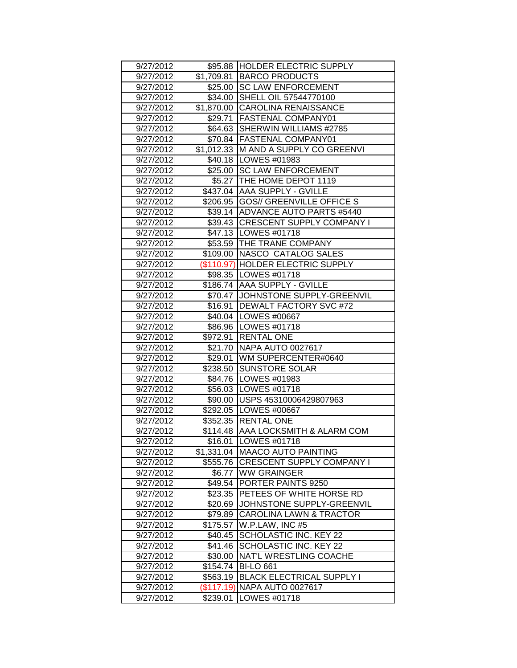| 9/27/2012              |                     | \$95.88 HOLDER ELECTRIC SUPPLY                          |  |  |
|------------------------|---------------------|---------------------------------------------------------|--|--|
| 9/27/2012              |                     | \$1,709.81 BARCO PRODUCTS                               |  |  |
| 9/27/2012              |                     | \$25.00 SC LAW ENFORCEMENT                              |  |  |
| 9/27/2012              |                     | \$34.00 SHELL OIL 57544770100                           |  |  |
| 9/27/2012              |                     | \$1,870.00 CAROLINA RENAISSANCE                         |  |  |
| 9/27/2012              |                     | \$29.71 FASTENAL COMPANY01                              |  |  |
| 9/27/2012              |                     | \$64.63 SHERWIN WILLIAMS #2785                          |  |  |
| 9/27/2012              |                     | \$70.84 FASTENAL COMPANY01                              |  |  |
| 9/27/2012              |                     | \$1,012.33 M AND A SUPPLY CO GREENVI                    |  |  |
| 9/27/2012              |                     | \$40.18   LOWES #01983                                  |  |  |
| 9/27/2012              |                     | \$25.00 SC LAW ENFORCEMENT                              |  |  |
| 9/27/2012              |                     | \$5.27 THE HOME DEPOT 1119                              |  |  |
| 9/27/2012              |                     | \$437.04 AAA SUPPLY - GVILLE                            |  |  |
| 9/27/2012              |                     | \$206.95 GOS// GREENVILLE OFFICE S                      |  |  |
| 9/27/2012              |                     | \$39.14 ADVANCE AUTO PARTS #5440                        |  |  |
| 9/27/2012              |                     | \$39.43 CRESCENT SUPPLY COMPANY I                       |  |  |
| 9/27/2012              |                     | \$47.13   LOWES #01718                                  |  |  |
| 9/27/2012              |                     | \$53.59 THE TRANE COMPANY                               |  |  |
| 9/27/2012              |                     | \$109.00 NASCO CATALOG SALES                            |  |  |
| 9/27/2012              |                     | (\$110.97) HOLDER ELECTRIC SUPPLY                       |  |  |
| 9/27/2012              |                     | \$98.35   LOWES #01718                                  |  |  |
| 9/27/2012              |                     | \$186.74 AAA SUPPLY - GVILLE                            |  |  |
| 9/27/2012              |                     | \$70.47 JOHNSTONE SUPPLY-GREENVIL                       |  |  |
| 9/27/2012              | \$16.91             | <b>DEWALT FACTORY SVC #72</b>                           |  |  |
| 9/27/2012              |                     | \$40.04 LOWES #00667                                    |  |  |
| 9/27/2012              |                     | \$86.96 LOWES #01718                                    |  |  |
| 9/27/2012              | \$972.91            | <b>RENTAL ONE</b>                                       |  |  |
| 9/27/2012              |                     | \$21.70 NAPA AUTO 0027617                               |  |  |
|                        |                     |                                                         |  |  |
| 9/27/2012              |                     | \$29.01 WM SUPERCENTER#0640                             |  |  |
| 9/27/2012              |                     | \$238.50 SUNSTORE SOLAR                                 |  |  |
| 9/27/2012              |                     | \$84.76   LOWES #01983                                  |  |  |
| 9/27/2012              |                     | \$56.03   LOWES #01718                                  |  |  |
| 9/27/2012              |                     | \$90.00 USPS 45310006429807963                          |  |  |
| 9/27/2012              |                     | \$292.05   LOWES #00667                                 |  |  |
| 9/27/2012              |                     | \$352.35 RENTAL ONE                                     |  |  |
| 9/27/2012              |                     | \$114.48  AAA LOCKSMITH & ALARM COM                     |  |  |
| 9/27/2012              |                     | \$16.01   LOWES #01718                                  |  |  |
| 9/27/2012              |                     | \$1,331.04   MAACO AUTO PAINTING                        |  |  |
| 9/27/2012              |                     | \$555.76 CRESCENT SUPPLY COMPANY I                      |  |  |
| 9/27/2012              | \$6.77              | <b>WW GRAINGER</b>                                      |  |  |
| 9/27/2012              | \$49.54             | PORTER PAINTS 9250                                      |  |  |
| 9/27/2012              | \$23.35             | <b>PETEES OF WHITE HORSE RD</b>                         |  |  |
| 9/27/2012              | \$20.69             | JOHNSTONE SUPPLY-GREENVIL                               |  |  |
| 9/27/2012              | \$79.89             | <b>CAROLINA LAWN &amp; TRACTOR</b>                      |  |  |
| 9/27/2012              | \$175.57            | W.P.LAW, INC #5                                         |  |  |
| 9/27/2012              | \$40.45             | SCHOLASTIC INC. KEY 22                                  |  |  |
| 9/27/2012              | \$41.46             | SCHOLASTIC INC. KEY 22<br><b>NAT'L WRESTLING COACHE</b> |  |  |
| 9/27/2012              | \$30.00<br>\$154.74 | <b>BI-LO 661</b>                                        |  |  |
| 9/27/2012<br>9/27/2012 | \$563.19            | <b>BLACK ELECTRICAL SUPPLY I</b>                        |  |  |
| 9/27/2012              |                     | (\$117.19) NAPA AUTO 0027617                            |  |  |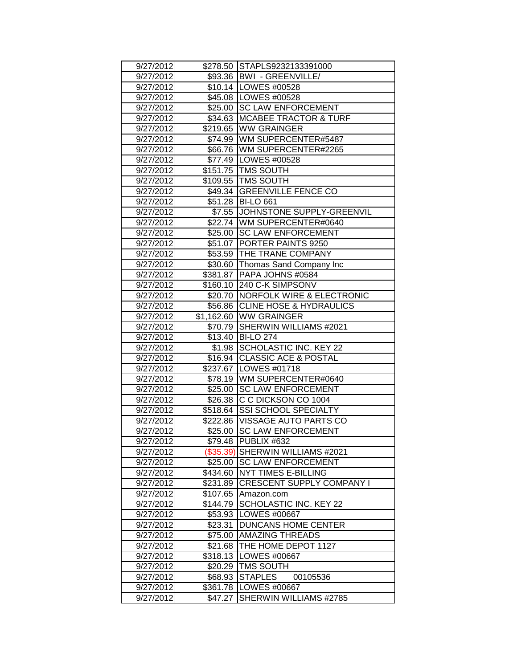| 9/27/2012 |            | \$278.50 STAPLS9232133391000       |  |  |
|-----------|------------|------------------------------------|--|--|
| 9/27/2012 |            | \$93.36   BWI - GREENVILLE/        |  |  |
| 9/27/2012 |            | \$10.14   LOWES #00528             |  |  |
| 9/27/2012 |            | \$45.08 LOWES #00528               |  |  |
| 9/27/2012 |            | \$25.00   SC LAW ENFORCEMENT       |  |  |
| 9/27/2012 |            | \$34.63 MCABEE TRACTOR & TURF      |  |  |
| 9/27/2012 |            | \$219.65 WW GRAINGER               |  |  |
| 9/27/2012 |            | \$74.99   WM SUPERCENTER#5487      |  |  |
| 9/27/2012 |            | \$66.76 WM SUPERCENTER#2265        |  |  |
| 9/27/2012 |            | \$77.49 LOWES #00528               |  |  |
| 9/27/2012 |            | \$151.75 TMS SOUTH                 |  |  |
| 9/27/2012 |            | \$109.55 TMS SOUTH                 |  |  |
| 9/27/2012 |            | \$49.34 GREENVILLE FENCE CO        |  |  |
| 9/27/2012 |            | \$51.28 BI-LO 661                  |  |  |
| 9/27/2012 |            | \$7.55 JJOHNSTONE SUPPLY-GREENVIL  |  |  |
| 9/27/2012 |            | \$22.74 WM SUPERCENTER#0640        |  |  |
| 9/27/2012 |            | \$25.00 SC LAW ENFORCEMENT         |  |  |
| 9/27/2012 |            | \$51.07   PORTER PAINTS 9250       |  |  |
| 9/27/2012 |            | \$53.59   THE TRANE COMPANY        |  |  |
| 9/27/2012 |            | \$30.60 Thomas Sand Company Inc    |  |  |
| 9/27/2012 |            | \$381.87 PAPA JOHNS #0584          |  |  |
| 9/27/2012 |            | \$160.10 240 C-K SIMPSONV          |  |  |
| 9/27/2012 | \$20.70    | NORFOLK WIRE & ELECTRONIC          |  |  |
| 9/27/2012 | \$56.86    | <b>CLINE HOSE &amp; HYDRAULICS</b> |  |  |
| 9/27/2012 | \$1,162.60 | <b>WW GRAINGER</b>                 |  |  |
| 9/27/2012 | \$70.79    | SHERWIN WILLIAMS #2021             |  |  |
| 9/27/2012 | \$13.40    | <b>BI-LO 274</b>                   |  |  |
| 9/27/2012 | \$1.98     | SCHOLASTIC INC. KEY 22             |  |  |
| 9/27/2012 |            | \$16.94 CLASSIC ACE & POSTAL       |  |  |
| 9/27/2012 |            | \$237.67 LOWES #01718              |  |  |
| 9/27/2012 |            | \$78.19 WM SUPERCENTER#0640        |  |  |
| 9/27/2012 | \$25.00    | <b>SC LAW ENFORCEMENT</b>          |  |  |
| 9/27/2012 | \$26.38    | C C DICKSON CO 1004                |  |  |
| 9/27/2012 |            | \$518.64 SSI SCHOOL SPECIALTY      |  |  |
| 9/27/2012 |            | \$222.86   VISSAGE AUTO PARTS CO   |  |  |
| 9/27/2012 |            | \$25.00 SC LAW ENFORCEMENT         |  |  |
| 9/27/2012 |            | \$79.48 PUBLIX #632                |  |  |
| 9/27/2012 |            | (\$35.39) SHERWIN WILLIAMS #2021   |  |  |
| 9/27/2012 | \$25.00    | <b>SC LAW ENFORCEMENT</b>          |  |  |
| 9/27/2012 | \$434.60   | <b>NYT TIMES E-BILLING</b>         |  |  |
| 9/27/2012 | \$231.89   | <b>CRESCENT SUPPLY COMPANY I</b>   |  |  |
| 9/27/2012 | \$107.65   | Amazon.com                         |  |  |
| 9/27/2012 | \$144.79   | SCHOLASTIC INC. KEY 22             |  |  |
| 9/27/2012 | \$53.93    | <b>LOWES #00667</b>                |  |  |
| 9/27/2012 | \$23.31    | <b>DUNCANS HOME CENTER</b>         |  |  |
| 9/27/2012 | \$75.00    | <b>AMAZING THREADS</b>             |  |  |
| 9/27/2012 | \$21.68    | THE HOME DEPOT 1127                |  |  |
| 9/27/2012 | \$318.13   | LOWES #00667                       |  |  |
| 9/27/2012 | \$20.29    | <b>TMS SOUTH</b>                   |  |  |
| 9/27/2012 | \$68.93    | <b>STAPLES</b><br>00105536         |  |  |
| 9/27/2012 | \$361.78   | LOWES #00667                       |  |  |
| 9/27/2012 | \$47.27    | SHERWIN WILLIAMS #2785             |  |  |
|           |            |                                    |  |  |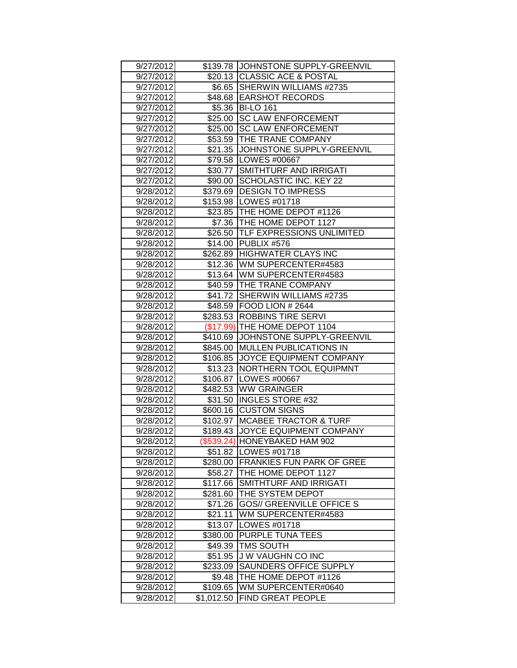| 9/27/2012 |           | \$139.78 JOHNSTONE SUPPLY-GREENVIL  |  |
|-----------|-----------|-------------------------------------|--|
| 9/27/2012 |           | \$20.13 CLASSIC ACE & POSTAL        |  |
| 9/27/2012 |           | \$6.65 SHERWIN WILLIAMS #2735       |  |
| 9/27/2012 |           | \$48.68 EARSHOT RECORDS             |  |
| 9/27/2012 |           | \$5.36 BI-LO 161                    |  |
| 9/27/2012 | \$25.00   | <b>SC LAW ENFORCEMENT</b>           |  |
| 9/27/2012 | \$25.00   | <b>SC LAW ENFORCEMENT</b>           |  |
| 9/27/2012 | \$53.59   | <b>THE TRANE COMPANY</b>            |  |
| 9/27/2012 | \$21.35   | JOHNSTONE SUPPLY-GREENVIL           |  |
| 9/27/2012 | \$79.58   | LOWES #00667                        |  |
| 9/27/2012 | \$30.77   | <b>SMITHTURF AND IRRIGATI</b>       |  |
| 9/27/2012 | \$90.00   | <b>SCHOLASTIC INC. KEY 22</b>       |  |
| 9/28/2012 | \$379.69  | <b>IDESIGN TO IMPRESS</b>           |  |
| 9/28/2012 |           | \$153.98   LOWES #01718             |  |
| 9/28/2012 |           | \$23.85 THE HOME DEPOT #1126        |  |
| 9/28/2012 | \$7.36    | THE HOME DEPOT 1127                 |  |
| 9/28/2012 |           | \$26.50   TLF EXPRESSIONS UNLIMITED |  |
| 9/28/2012 | \$14.00   | <b>PUBLIX #576</b>                  |  |
| 9/28/2012 | \$262.89  | <b>HIGHWATER CLAYS INC</b>          |  |
| 9/28/2012 |           | \$12.36 WM SUPERCENTER#4583         |  |
| 9/28/2012 |           | \$13.64 WM SUPERCENTER#4583         |  |
| 9/28/2012 |           | \$40.59 THE TRANE COMPANY           |  |
| 9/28/2012 |           | \$41.72 SHERWIN WILLIAMS #2735      |  |
| 9/28/2012 | \$48.59   | FOOD LION # 2644                    |  |
| 9/28/2012 | \$283.53  | <b>ROBBINS TIRE SERVI</b>           |  |
| 9/28/2012 | (\$17.99) | THE HOME DEPOT 1104                 |  |
| 9/28/2012 | \$410.69  | JOHNSTONE SUPPLY-GREENVIL           |  |
|           |           |                                     |  |
| 9/28/2012 | \$845.00  | <b>MULLEN PUBLICATIONS IN</b>       |  |
| 9/28/2012 | \$106.85  | <b>JOYCE EQUIPMENT COMPANY</b>      |  |
| 9/28/2012 | \$13.23   | <b>NORTHERN TOOL EQUIPMNT</b>       |  |
| 9/28/2012 | \$106.87  | <b>LOWES #00667</b>                 |  |
| 9/28/2012 | \$482.53  | <b>WW GRAINGER</b>                  |  |
| 9/28/2012 | \$31.50   | <b>INGLES STORE #32</b>             |  |
| 9/28/2012 | \$600.16  | <b>CUSTOM SIGNS</b>                 |  |
| 9/28/2012 | \$102.97  | <b>IMCABEE TRACTOR &amp; TURF</b>   |  |
| 9/28/2012 | \$189.43  | JOYCE EQUIPMENT COMPANY             |  |
| 9/28/2012 |           | (\$539.24) HONEYBAKED HAM 902       |  |
| 9/28/2012 |           | \$51.82   LOWES #01718              |  |
| 9/28/2012 | \$280.00  | <b>FRANKIES FUN PARK OF GREE</b>    |  |
| 9/28/2012 | \$58.27   | THE HOME DEPOT 1127                 |  |
| 9/28/2012 | \$117.66  | SMITHTURF AND IRRIGATI              |  |
| 9/28/2012 | \$281.60  | THE SYSTEM DEPOT                    |  |
| 9/28/2012 | \$71.26   | <b>GOS// GREENVILLE OFFICE S</b>    |  |
| 9/28/2012 | \$21.11   | WM SUPERCENTER#4583                 |  |
| 9/28/2012 | \$13.07   | LOWES #01718                        |  |
| 9/28/2012 | \$380.00  | <b>PURPLE TUNA TEES</b>             |  |
| 9/28/2012 | \$49.39   | TMS SOUTH                           |  |
| 9/28/2012 | \$51.95   | J W VAUGHN CO INC                   |  |
| 9/28/2012 | \$233.09  | SAUNDERS OFFICE SUPPLY              |  |
| 9/28/2012 | \$9.48    | THE HOME DEPOT #1126                |  |
| 9/28/2012 | \$109.65  | WM SUPERCENTER#0640                 |  |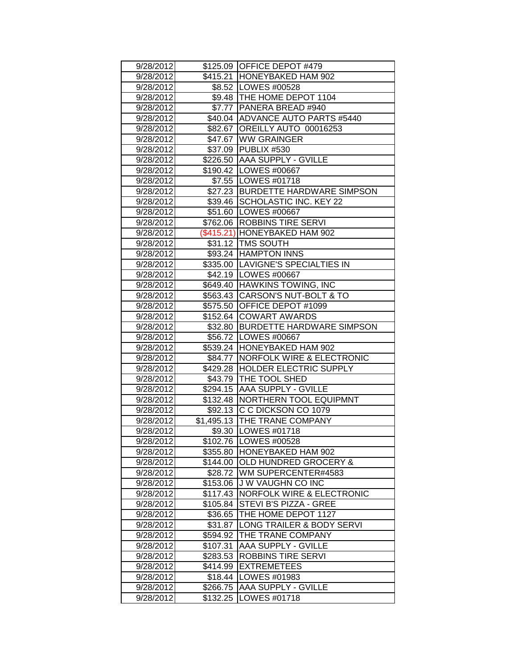| 9/28/2012 |          | \$125.09 OFFICE DEPOT #479           |  |  |
|-----------|----------|--------------------------------------|--|--|
| 9/28/2012 |          | \$415.21 HONEYBAKED HAM 902          |  |  |
| 9/28/2012 |          | \$8.52   LOWES #00528                |  |  |
| 9/28/2012 |          | \$9.48 THE HOME DEPOT 1104           |  |  |
| 9/28/2012 |          | \$7.77   PANERA BREAD #940           |  |  |
| 9/28/2012 |          | \$40.04 ADVANCE AUTO PARTS #5440     |  |  |
| 9/28/2012 |          | \$82.67 OREILLY AUTO 00016253        |  |  |
| 9/28/2012 |          | \$47.67 WW GRAINGER                  |  |  |
| 9/28/2012 | \$37.09  | PUBLIX #530                          |  |  |
| 9/28/2012 | \$226.50 | <b>AAA SUPPLY - GVILLE</b>           |  |  |
| 9/28/2012 |          | \$190.42   LOWES #00667              |  |  |
| 9/28/2012 |          | \$7.55   LOWES #01718                |  |  |
| 9/28/2012 |          | \$27.23 BURDETTE HARDWARE SIMPSON    |  |  |
| 9/28/2012 |          | \$39.46   SCHOLASTIC INC. KEY 22     |  |  |
| 9/28/2012 |          | \$51.60 LOWES #00667                 |  |  |
| 9/28/2012 |          | \$762.06 ROBBINS TIRE SERVI          |  |  |
| 9/28/2012 |          | (\$415.21) HONEYBAKED HAM 902        |  |  |
| 9/28/2012 |          | \$31.12   TMS SOUTH                  |  |  |
| 9/28/2012 |          | \$93.24 HAMPTON INNS                 |  |  |
| 9/28/2012 |          | \$335.00 LAVIGNE'S SPECIALTIES IN    |  |  |
| 9/28/2012 |          | \$42.19   LOWES #00667               |  |  |
| 9/28/2012 |          | \$649.40 HAWKINS TOWING, INC         |  |  |
| 9/28/2012 | \$563.43 | <b>CARSON'S NUT-BOLT &amp; TO</b>    |  |  |
| 9/28/2012 | \$575.50 | <b>OFFICE DEPOT #1099</b>            |  |  |
| 9/28/2012 | \$152.64 | <b>COWART AWARDS</b>                 |  |  |
| 9/28/2012 | \$32.80  | <b>BURDETTE HARDWARE SIMPSON</b>     |  |  |
| 9/28/2012 |          | \$56.72 LOWES #00667                 |  |  |
| 9/28/2012 |          | \$539.24 HONEYBAKED HAM 902          |  |  |
| 9/28/2012 | \$84.77  | <b>NORFOLK WIRE &amp; ELECTRONIC</b> |  |  |
| 9/28/2012 | \$429.28 | <b>HOLDER ELECTRIC SUPPLY</b>        |  |  |
| 9/28/2012 | \$43.79  | <b>THE TOOL SHED</b>                 |  |  |
| 9/28/2012 | \$294.15 | <b>AAA SUPPLY - GVILLE</b>           |  |  |
| 9/28/2012 | \$132.48 | <b>NORTHERN TOOL EQUIPMNT</b>        |  |  |
| 9/28/2012 |          | \$92.13 C C DICKSON CO 1079          |  |  |
| 9/28/2012 |          | \$1,495.13 THE TRANE COMPANY         |  |  |
| 9/28/2012 |          | \$9.30   LOWES #01718                |  |  |
| 9/28/2012 |          | \$102.76   LOWES #00528              |  |  |
| 9/28/2012 | \$355.80 | HONEYBAKED HAM 902                   |  |  |
| 9/28/2012 | \$144.00 | <b>OLD HUNDRED GROCERY &amp;</b>     |  |  |
| 9/28/2012 | \$28.72  | WM SUPERCENTER#4583                  |  |  |
| 9/28/2012 | \$153.06 | <b>JW VAUGHN CO INC</b>              |  |  |
| 9/28/2012 | \$117.43 | <b>NORFOLK WIRE &amp; ELECTRONIC</b> |  |  |
| 9/28/2012 | \$105.84 | STEVI B'S PIZZA - GREE               |  |  |
| 9/28/2012 | \$36.65  | THE HOME DEPOT 1127                  |  |  |
| 9/28/2012 | \$31.87  | LONG TRAILER & BODY SERVI            |  |  |
| 9/28/2012 | \$594.92 | THE TRANE COMPANY                    |  |  |
| 9/28/2012 | \$107.31 | AAA SUPPLY - GVILLE                  |  |  |
| 9/28/2012 | \$283.53 | ROBBINS TIRE SERVI                   |  |  |
| 9/28/2012 | \$414.99 | <b>EXTREMETEES</b>                   |  |  |
| 9/28/2012 | \$18.44  | LOWES #01983                         |  |  |
| 9/28/2012 | \$266.75 | AAA SUPPLY - GVILLE                  |  |  |
| 9/28/2012 | \$132.25 | LOWES #01718                         |  |  |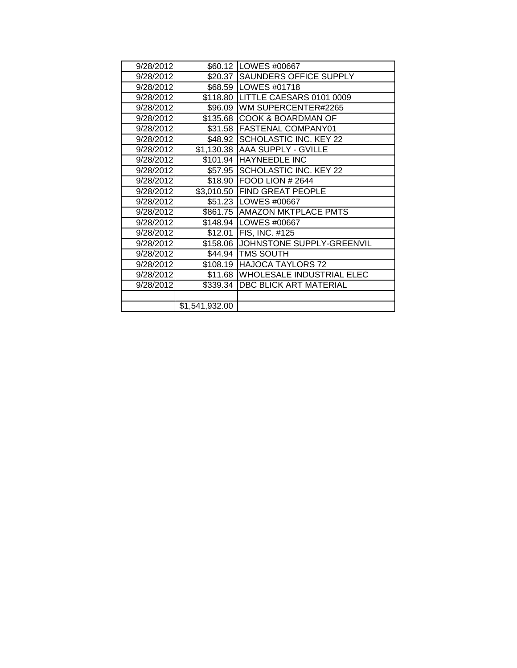| 9/28/2012 |                | \$60.12   LOWES #00667           |  |  |
|-----------|----------------|----------------------------------|--|--|
| 9/28/2012 | \$20.37        | <b>SAUNDERS OFFICE SUPPLY</b>    |  |  |
| 9/28/2012 | \$68.59        | <b>LOWES #01718</b>              |  |  |
| 9/28/2012 | \$118.80       | LITTLE CAESARS 0101 0009         |  |  |
| 9/28/2012 | \$96.09        | WM SUPERCENTER#2265              |  |  |
| 9/28/2012 | \$135.68       | <b>COOK &amp; BOARDMAN OF</b>    |  |  |
| 9/28/2012 |                | \$31.58 FASTENAL COMPANY01       |  |  |
| 9/28/2012 |                | \$48.92 SCHOLASTIC INC. KEY 22   |  |  |
| 9/28/2012 |                | \$1,130.38 AAA SUPPLY - GVILLE   |  |  |
| 9/28/2012 |                | \$101.94 HAYNEEDLE INC           |  |  |
| 9/28/2012 |                | \$57.95 SCHOLASTIC INC. KEY 22   |  |  |
| 9/28/2012 | \$18.90        | <b>IFOOD LION # 2644</b>         |  |  |
| 9/28/2012 | \$3,010.50     | <b>FIND GREAT PEOPLE</b>         |  |  |
| 9/28/2012 | \$51.23        | LOWES #00667                     |  |  |
| 9/28/2012 |                | \$861.75 AMAZON MKTPLACE PMTS    |  |  |
| 9/28/2012 | \$148.94       | LOWES #00667                     |  |  |
| 9/28/2012 | \$12.01        | <b>FIS, INC. #125</b>            |  |  |
| 9/28/2012 | \$158.06       | JOHNSTONE SUPPLY-GREENVIL        |  |  |
| 9/28/2012 |                | \$44.94 TMS SOUTH                |  |  |
| 9/28/2012 | \$108.19       | <b>HAJOCA TAYLORS 72</b>         |  |  |
| 9/28/2012 | \$11.68        | <b>WHOLESALE INDUSTRIAL ELEC</b> |  |  |
| 9/28/2012 | \$339.34       | <b>DBC BLICK ART MATERIAL</b>    |  |  |
|           |                |                                  |  |  |
|           | \$1,541,932.00 |                                  |  |  |